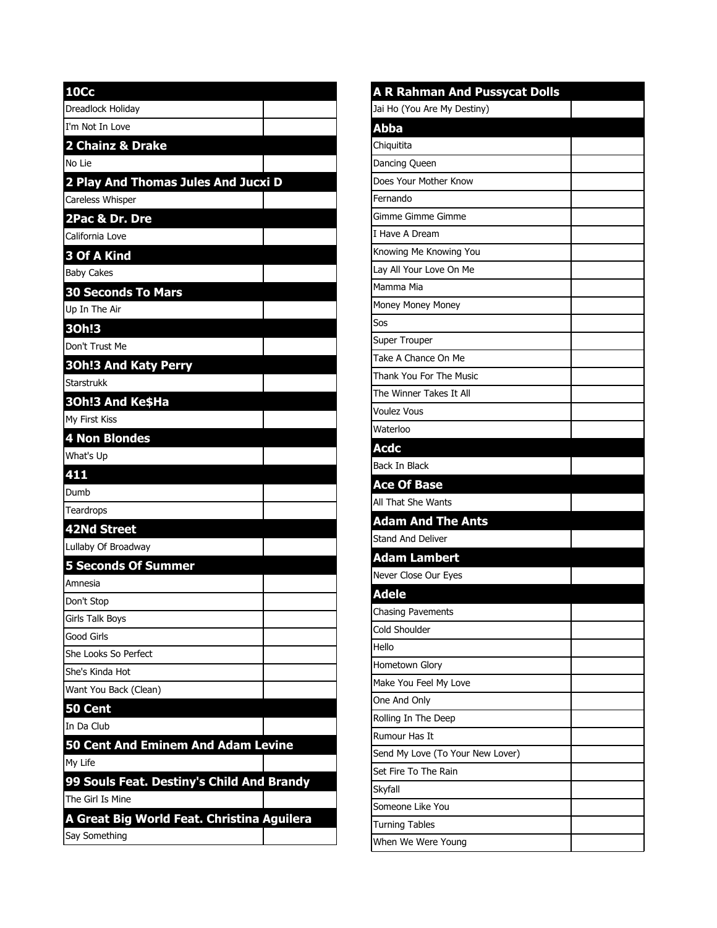| <b>10Cc</b>                                                   |  |
|---------------------------------------------------------------|--|
| Dreadlock Holiday                                             |  |
| I'm Not In Love                                               |  |
| 2 Chainz & Drake                                              |  |
| No Lie                                                        |  |
| 2 Play And Thomas Jules And Jucxi D                           |  |
| Careless Whisper                                              |  |
| 2Pac & Dr. Dre                                                |  |
| California Love                                               |  |
| 3 Of A Kind                                                   |  |
| <b>Baby Cakes</b>                                             |  |
| <b>30 Seconds To Mars</b>                                     |  |
| Up In The Air                                                 |  |
| 30h!3                                                         |  |
| Don't Trust Me                                                |  |
| <b>30h!3 And Katy Perry</b>                                   |  |
| <b>Starstrukk</b>                                             |  |
| 30h!3 And Ke\$Ha                                              |  |
| My First Kiss                                                 |  |
| 4 Non Blondes                                                 |  |
| What's Up                                                     |  |
| 411                                                           |  |
| Dumb                                                          |  |
| Teardrops                                                     |  |
| 42Nd Street                                                   |  |
| Lullaby Of Broadway                                           |  |
| <b>5 Seconds Of Summer</b>                                    |  |
| Amnesia                                                       |  |
| Don't Stop                                                    |  |
| Girls Talk Boys                                               |  |
| Good Girls                                                    |  |
| She Looks So Perfect                                          |  |
| She's Kinda Hot                                               |  |
| Want You Back (Clean)                                         |  |
| 50 Cent                                                       |  |
| In Da Club                                                    |  |
| 50 Cent And Eminem And Adam Levine                            |  |
| My Life                                                       |  |
| 99 Souls Feat. Destiny's Child And Brandy<br>The Girl Is Mine |  |
|                                                               |  |
| A Great Big World Feat. Christina Aguilera<br>Say Something   |  |
|                                                               |  |

| <b>A R Rahman And Pussycat Dolls</b> |  |
|--------------------------------------|--|
| Jai Ho (You Are My Destiny)          |  |
| <b>Abba</b>                          |  |
| Chiquitita                           |  |
| Dancing Queen                        |  |
| Does Your Mother Know                |  |
| Fernando                             |  |
| Gimme Gimme Gimme                    |  |
| I Have A Dream                       |  |
| Knowing Me Knowing You               |  |
| Lay All Your Love On Me              |  |
| Mamma Mia                            |  |
| Money Money Money                    |  |
| Sos                                  |  |
| <b>Super Trouper</b>                 |  |
| Take A Chance On Me                  |  |
| Thank You For The Music              |  |
| The Winner Takes It All              |  |
| <b>Voulez Vous</b>                   |  |
| Waterloo                             |  |
| <b>Acdc</b>                          |  |
| <b>Back In Black</b>                 |  |
| <b>Ace Of Base</b>                   |  |
| All That She Wants                   |  |
| <b>Adam And The Ants</b>             |  |
| Stand And Deliver                    |  |
| <b>Adam Lambert</b>                  |  |
| Never Close Our Eyes                 |  |
| <b>Adele</b>                         |  |
| Chasing Pavements                    |  |
| Cold Shoulder                        |  |
| Hello                                |  |
| Hometown Glory                       |  |
| Make You Feel My Love                |  |
| One And Only                         |  |
| Rolling In The Deep                  |  |
| Rumour Has It                        |  |
| Send My Love (To Your New Lover)     |  |
| Set Fire To The Rain                 |  |
| Skyfall                              |  |
| Someone Like You                     |  |
| <b>Turning Tables</b>                |  |
| When We Were Young                   |  |
|                                      |  |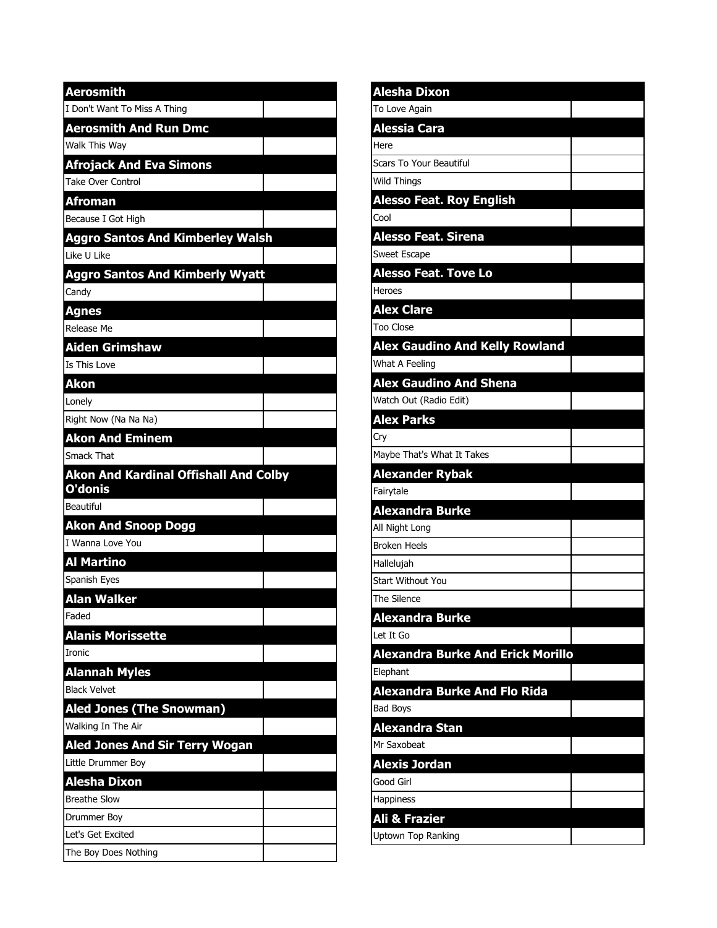| <b>Aerosmith</b>                             |
|----------------------------------------------|
| I Don't Want To Miss A Thing                 |
| <b>Aerosmith And Run Dmc</b>                 |
| Walk This Wav                                |
| <b>Afrojack And Eva Simons</b>               |
| Take Over Control                            |
| <b>Afroman</b>                               |
| Because I Got High                           |
| <b>Aggro Santos And Kimberley Walsh</b>      |
| Like U Like                                  |
| <b>Aggro Santos And Kimberly Wyatt</b>       |
| Candy                                        |
| <b>Agnes</b>                                 |
| Release Me                                   |
| <b>Aiden Grimshaw</b>                        |
| Is This Love                                 |
| Akon                                         |
| Lonely                                       |
| Right Now (Na Na Na)                         |
| <b>Akon And Eminem</b>                       |
| Smack That                                   |
| <b>Akon And Kardinal Offishall And Colby</b> |
| O'donis                                      |
| Beautiful                                    |
| <b>Akon And Snoop Dogg</b>                   |
| I Wanna Love You                             |
| <b>Al Martino</b>                            |
| Spanish Eyes                                 |
| <b>Alan Walker</b>                           |
| Faded                                        |
| <b>Alanis Morissette</b>                     |
| <b>Ironic</b>                                |
| <b>Alannah Myles</b>                         |
| <b>Black Velvet</b>                          |
| <b>Aled Jones (The Snowman)</b>              |
| Walking In The Air                           |
| <b>Aled Jones And Sir Terry Wogan</b>        |
| Little Drummer Boy                           |
| Alesha Dixon                                 |
| <b>Breathe Slow</b>                          |
| Drummer Boy                                  |
| Let's Get Excited<br>The Boy Does Nothing    |

| <b>Alesha Dixon</b>                      |  |
|------------------------------------------|--|
| To Love Again                            |  |
| <b>Alessia Cara</b>                      |  |
| Here                                     |  |
| <b>Scars To Your Beautiful</b>           |  |
| <b>Wild Things</b>                       |  |
| <b>Alesso Feat. Roy English</b>          |  |
| Cool                                     |  |
| <b>Alesso Feat. Sirena</b>               |  |
| Sweet Escape                             |  |
| <b>Alesso Feat. Tove Lo</b>              |  |
| Heroes                                   |  |
| <b>Alex Clare</b>                        |  |
| <b>Too Close</b>                         |  |
| <b>Alex Gaudino And Kelly Rowland</b>    |  |
| What A Feeling                           |  |
| <b>Alex Gaudino And Shena</b>            |  |
| Watch Out (Radio Edit)                   |  |
| <b>Alex Parks</b>                        |  |
| Cry                                      |  |
| Maybe That's What It Takes               |  |
| <b>Alexander Rybak</b>                   |  |
| Fairytale                                |  |
| <b>Alexandra Burke</b>                   |  |
| All Night Long                           |  |
| <b>Broken Heels</b>                      |  |
| Hallelujah                               |  |
| Start Without You                        |  |
| The Silence                              |  |
| <b>Alexandra Burke</b>                   |  |
| Let It Go                                |  |
| <b>Alexandra Burke And Erick Morillo</b> |  |
| Elephant                                 |  |
| <b>Alexandra Burke And Flo Rida</b>      |  |
| <b>Bad Boys</b>                          |  |
| Alexandra Stan                           |  |
| Mr Saxobeat                              |  |
| <b>Alexis Jordan</b>                     |  |
| Good Girl                                |  |
| Happiness                                |  |
| Ali & Frazier                            |  |
| Uptown Top Ranking                       |  |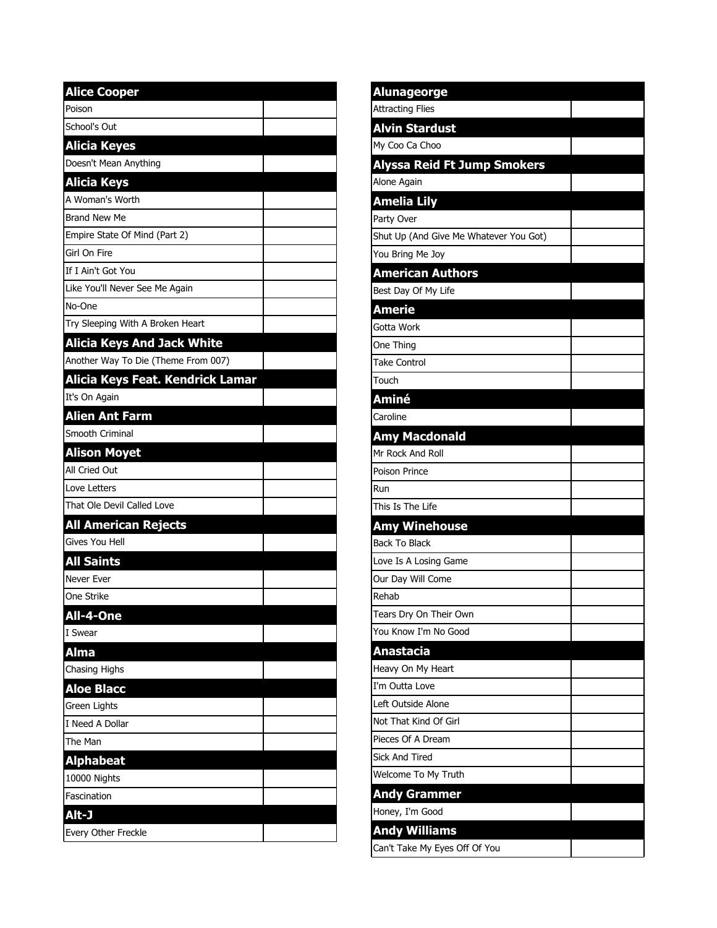| <b>Alice Cooper</b>                 |  |
|-------------------------------------|--|
| Poison                              |  |
| School's Out                        |  |
| <b>Alicia Keyes</b>                 |  |
| Doesn't Mean Anything               |  |
| <b>Alicia Keys</b>                  |  |
| A Woman's Worth                     |  |
| <b>Brand New Me</b>                 |  |
| Empire State Of Mind (Part 2)       |  |
| Girl On Fire                        |  |
| If I Ain't Got You                  |  |
| Like You'll Never See Me Again      |  |
| No-One                              |  |
| Try Sleeping With A Broken Heart    |  |
| <b>Alicia Keys And Jack White</b>   |  |
| Another Way To Die (Theme From 007) |  |
| Alicia Keys Feat. Kendrick Lamar    |  |
| It's On Again                       |  |
| <b>Alien Ant Farm</b>               |  |
| Smooth Criminal                     |  |
| <b>Alison Moyet</b>                 |  |
| All Cried Out                       |  |
| Love Letters                        |  |
| That Ole Devil Called Love          |  |
| <b>All American Rejects</b>         |  |
| Gives You Hell                      |  |
| <b>All Saints</b>                   |  |
| Never Ever                          |  |
| One Strike                          |  |
| <b>All-4-One</b>                    |  |
| I Swear                             |  |
| <b>Alma</b>                         |  |
| Chasing Highs                       |  |
| <b>Aloe Blacc</b>                   |  |
| Green Lights                        |  |
| I Need A Dollar                     |  |
| The Man                             |  |
| <b>Alphabeat</b>                    |  |
| 10000 Nights                        |  |
| Fascination                         |  |
| Alt-J                               |  |
| Every Other Freckle                 |  |

| <b>Alunageorge</b>                     |  |
|----------------------------------------|--|
| <b>Attracting Flies</b>                |  |
| <b>Alvin Stardust</b>                  |  |
| My Coo Ca Choo                         |  |
| <b>Alyssa Reid Ft Jump Smokers</b>     |  |
| Alone Again                            |  |
| <b>Amelia Lily</b>                     |  |
| Party Over                             |  |
| Shut Up (And Give Me Whatever You Got) |  |
| You Bring Me Joy                       |  |
| <b>American Authors</b>                |  |
| Best Day Of My Life                    |  |
| <b>Amerie</b>                          |  |
| Gotta Work                             |  |
| One Thing                              |  |
| <b>Take Control</b>                    |  |
| Touch                                  |  |
| <b>Aminé</b>                           |  |
| Caroline                               |  |
| <b>Amy Macdonald</b>                   |  |
| Mr Rock And Roll                       |  |
| Poison Prince                          |  |
| Run                                    |  |
| This Is The Life                       |  |
| <b>Amy Winehouse</b>                   |  |
| <b>Back To Black</b>                   |  |
| Love Is A Losing Game                  |  |
| Our Day Will Come                      |  |
| Rehab                                  |  |
| Tears Dry On Their Own                 |  |
| You Know I'm No Good                   |  |
| <b>Anastacia</b>                       |  |
| Heavy On My Heart                      |  |
| I'm Outta Love                         |  |
| Left Outside Alone                     |  |
| Not That Kind Of Girl                  |  |
| Pieces Of A Dream                      |  |
| <b>Sick And Tired</b>                  |  |
| Welcome To My Truth                    |  |
| <b>Andy Grammer</b>                    |  |
| Honey, I'm Good                        |  |
| <b>Andy Williams</b>                   |  |
| Can't Take My Eyes Off Of You          |  |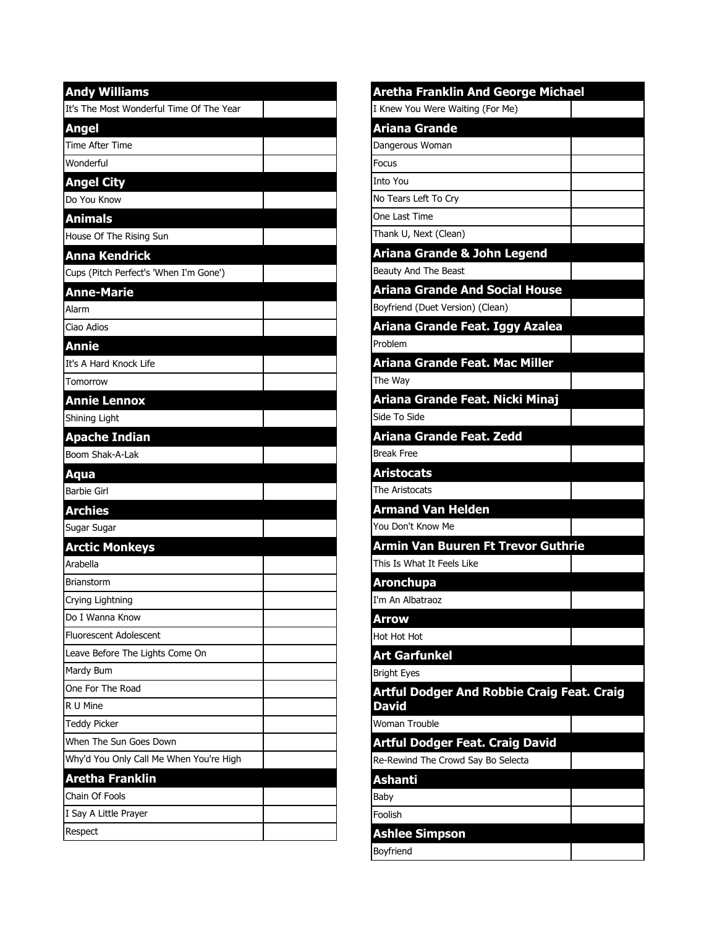| <b>Andy Williams</b>                     |  |
|------------------------------------------|--|
| It's The Most Wonderful Time Of The Year |  |
| <b>Angel</b>                             |  |
| Time After Time                          |  |
| Wonderful                                |  |
| <b>Angel City</b>                        |  |
| Do You Know                              |  |
| <b>Animals</b>                           |  |
| House Of The Rising Sun                  |  |
| <b>Anna Kendrick</b>                     |  |
| Cups (Pitch Perfect's 'When I'm Gone')   |  |
| <b>Anne-Marie</b>                        |  |
| Alarm                                    |  |
| Ciao Adios                               |  |
| <b>Annie</b>                             |  |
| It's A Hard Knock Life                   |  |
| Tomorrow                                 |  |
| <b>Annie Lennox</b>                      |  |
| Shining Light                            |  |
| <b>Apache Indian</b>                     |  |
| Boom Shak-A-Lak                          |  |
| Aqua                                     |  |
| <b>Barbie Girl</b>                       |  |
| <b>Archies</b>                           |  |
| Sugar Sugar                              |  |
| <b>Arctic Monkeys</b>                    |  |
| Arabella                                 |  |
| Brianstorm                               |  |
| Crying Lightning                         |  |
| Do I Wanna Know                          |  |
| <b>Fluorescent Adolescent</b>            |  |
| Leave Before The Lights Come On          |  |
| Mardy Bum                                |  |
| One For The Road                         |  |
| R U Mine                                 |  |
| <b>Teddy Picker</b>                      |  |
| When The Sun Goes Down                   |  |
| Why'd You Only Call Me When You're High  |  |
| Aretha Franklin                          |  |
| Chain Of Fools                           |  |
| I Say A Little Prayer                    |  |
| Respect                                  |  |

| Aretha Franklin And George Michael                |  |
|---------------------------------------------------|--|
| I Knew You Were Waiting (For Me)                  |  |
| <u> Ariana Grande</u>                             |  |
| Dangerous Woman                                   |  |
| Focus                                             |  |
| Into You                                          |  |
| No Tears Left To Cry                              |  |
| One Last Time                                     |  |
| Thank U, Next (Clean)                             |  |
| Ariana Grande & John Legend                       |  |
| Beauty And The Beast                              |  |
| <b>Ariana Grande And Social House</b>             |  |
| Boyfriend (Duet Version) (Clean)                  |  |
| Ariana Grande Feat. Iggy Azalea                   |  |
| Problem                                           |  |
| Ariana Grande Feat. Mac Miller                    |  |
| The Way                                           |  |
| Ariana Grande Feat. Nicki Minaj                   |  |
| Side To Side                                      |  |
| Ariana Grande Feat. Zedd                          |  |
| <b>Break Free</b>                                 |  |
| Aristocats                                        |  |
| The Aristocats                                    |  |
| <b>Armand Van Helden</b>                          |  |
| You Don't Know Me                                 |  |
| Armin Van Buuren Ft Trevor Guthrie                |  |
| This Is What It Feels Like                        |  |
| <b>Aronchupa</b>                                  |  |
| I'm An Albatraoz                                  |  |
| Arrow                                             |  |
| Hot Hot Hot                                       |  |
| Art Garfunkel                                     |  |
| <b>Bright Eyes</b>                                |  |
| <b>Artful Dodger And Robbie Craig Feat. Craig</b> |  |
| <b>David</b>                                      |  |
| Woman Trouble                                     |  |
| <b>Artful Dodger Feat. Craig David</b>            |  |
| Re-Rewind The Crowd Say Bo Selecta                |  |
| Ashanti                                           |  |
| Baby                                              |  |
| Foolish                                           |  |
| <b>Ashlee Simpson</b>                             |  |
| Boyfriend                                         |  |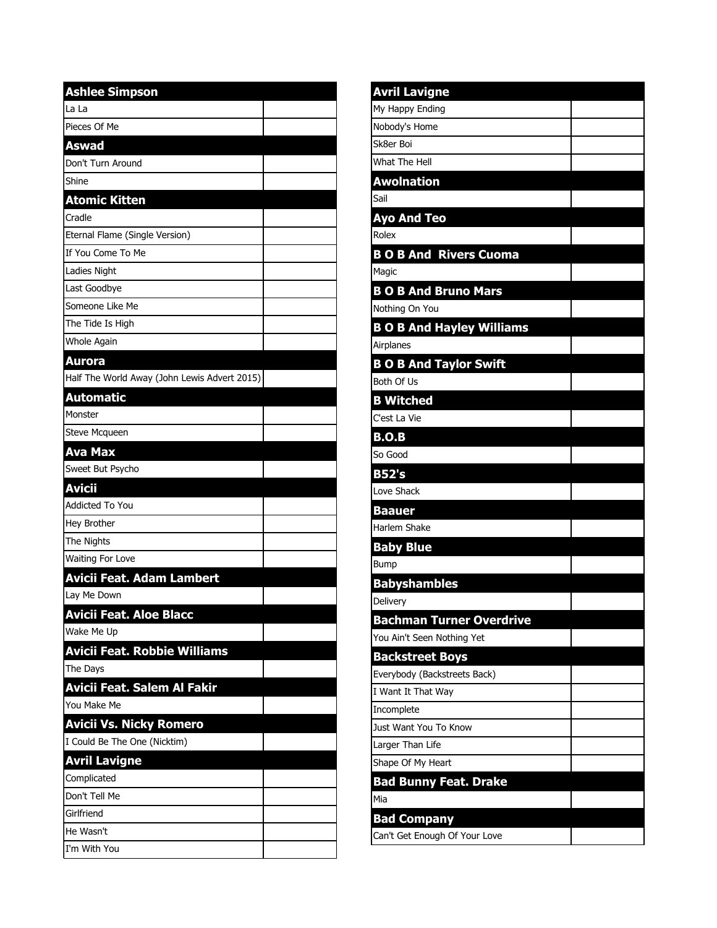| <b>Ashlee Simpson</b>                        |  |
|----------------------------------------------|--|
| La La                                        |  |
| Pieces Of Me                                 |  |
| Aswad                                        |  |
| Don't Turn Around                            |  |
| Shine                                        |  |
| <b>Atomic Kitten</b>                         |  |
| Cradle                                       |  |
| Eternal Flame (Single Version)               |  |
| If You Come To Me                            |  |
| Ladies Night                                 |  |
| Last Goodbye                                 |  |
| Someone Like Me                              |  |
| The Tide Is High                             |  |
| <b>Whole Again</b>                           |  |
| <b>Aurora</b>                                |  |
| Half The World Away (John Lewis Advert 2015) |  |
| <b>Automatic</b>                             |  |
| Monster                                      |  |
| Steve Mcqueen                                |  |
| <b>Ava Max</b>                               |  |
| Sweet But Psycho                             |  |
| <b>Avicii</b>                                |  |
| <b>Addicted To You</b>                       |  |
| Hey Brother                                  |  |
| The Nights                                   |  |
| Waiting For Love                             |  |
| <b>Avicii Feat. Adam Lambert</b>             |  |
| Lay Me Down                                  |  |
| <b>Avicii Feat. Aloe Blacc</b>               |  |
| Wake Me Up                                   |  |
| <b>Avicii Feat. Robbie Williams</b>          |  |
| The Days                                     |  |
| Avicii Feat. Salem Al Fakir                  |  |
| You Make Me                                  |  |
| <b>Avicii Vs. Nicky Romero</b>               |  |
| I Could Be The One (Nicktim)                 |  |
| <b>Avril Lavigne</b>                         |  |
| Complicated                                  |  |
| Don't Tell Me                                |  |
| Girlfriend                                   |  |
| He Wasn't                                    |  |
| I'm With You                                 |  |

| <b>Avril Lavigne</b>             |  |
|----------------------------------|--|
| My Happy Ending                  |  |
| Nobody's Home                    |  |
| Sk8er Boi                        |  |
| What The Hell                    |  |
| <b>Awolnation</b>                |  |
| Sail                             |  |
| <b>Ayo And Teo</b>               |  |
| Rolex                            |  |
| <b>BO B And Rivers Cuoma</b>     |  |
| Magic                            |  |
| <b>BOB And Bruno Mars</b>        |  |
| Nothing On You                   |  |
| <b>B O B And Hayley Williams</b> |  |
| Airplanes                        |  |
| <b>B O B And Taylor Swift</b>    |  |
| Both Of Us                       |  |
| <b>B</b> Witched                 |  |
| C'est La Vie                     |  |
| B.O.B                            |  |
| So Good                          |  |
| <b>B52's</b>                     |  |
| Love Shack                       |  |
| <b>Baauer</b>                    |  |
| Harlem Shake                     |  |
| <b>Baby Blue</b>                 |  |
| Bump                             |  |
| <b>Babyshambles</b>              |  |
| Delivery                         |  |
| <b>Bachman Turner Overdrive</b>  |  |
| You Ain't Seen Nothing Yet       |  |
| <b>Backstreet Boys</b>           |  |
| Everybody (Backstreets Back)     |  |
| I Want It That Way               |  |
| Incomplete                       |  |
| Just Want You To Know            |  |
| Larger Than Life                 |  |
| Shape Of My Heart                |  |
| <b>Bad Bunny Feat. Drake</b>     |  |
| Mia                              |  |
| <b>Bad Company</b>               |  |
| Can't Get Enough Of Your Love    |  |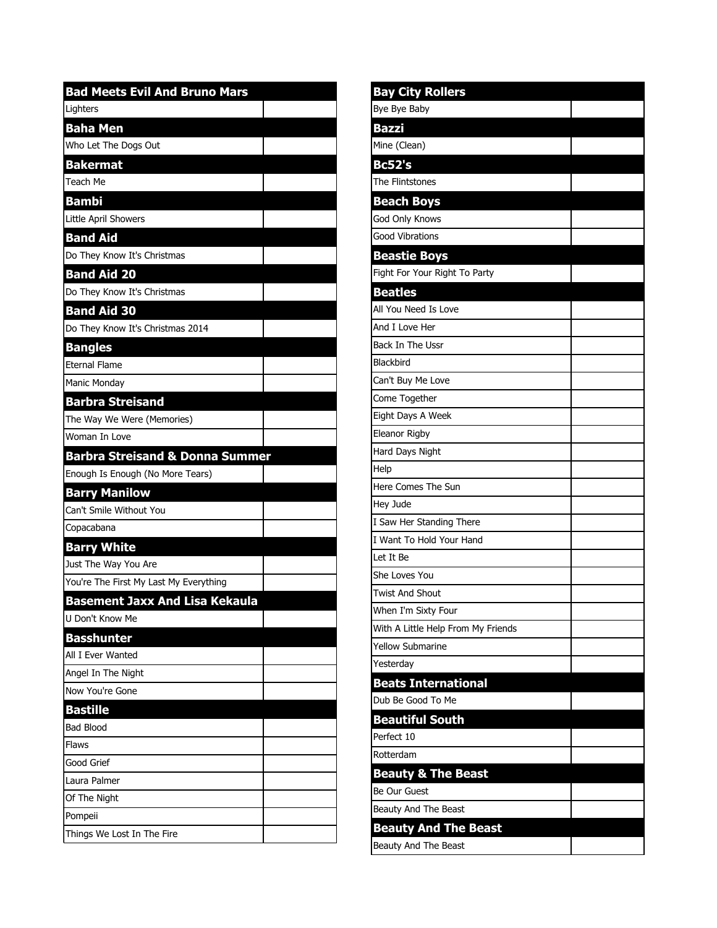| <b>Bad Meets Evil And Bruno Mars</b>       |
|--------------------------------------------|
| Lighters                                   |
| <b>Baha Men</b>                            |
| Who Let The Dogs Out                       |
| <b>Bakermat</b>                            |
| Teach Me                                   |
| Bambi                                      |
| Little April Showers                       |
| <b>Band Aid</b>                            |
| Do They Know It's Christmas                |
| <b>Band Aid 20</b>                         |
| Do They Know It's Christmas                |
| <b>Band Aid 30</b>                         |
| Do They Know It's Christmas 2014           |
| <b>Bangles</b>                             |
| <b>Eternal Flame</b>                       |
| <b>Manic Monday</b>                        |
| <b>Barbra Streisand</b>                    |
| The Way We Were (Memories)                 |
| Woman In Love                              |
| <b>Barbra Streisand &amp; Donna Summer</b> |
| Enough Is Enough (No More Tears)           |
| <b>Barry Manilow</b>                       |
| Can't Smile Without You                    |
| Copacabana                                 |
| <b>Barry White</b>                         |
| Just The Way You Are                       |
| You're The First My Last My Everything     |
| <b>Basement Jaxx And Lisa Kekaula</b>      |
| U Don't Know Me                            |
| Basshunter                                 |
| All I Ever Wanted                          |
| Angel In The Night                         |
| Now You're Gone                            |
| <b>Bastille</b>                            |
| <b>Bad Blood</b>                           |
| Flaws                                      |
| Good Grief                                 |
| Laura Palmer                               |
| Of The Night                               |
| Pompeii                                    |
| Things We Lost In The Fire                 |

| <b>Bay City Rollers</b>            |  |
|------------------------------------|--|
| Bye Bye Baby                       |  |
| <b>Bazzi</b>                       |  |
| Mine (Clean)                       |  |
| <b>Bc52's</b>                      |  |
| The Flintstones                    |  |
| <b>Beach Boys</b>                  |  |
| God Only Knows                     |  |
| <b>Good Vibrations</b>             |  |
| <b>Beastie Boys</b>                |  |
| Fight For Your Right To Party      |  |
| <b>Beatles</b>                     |  |
| All You Need Is Love               |  |
| And I Love Her                     |  |
| Back In The Ussr                   |  |
| Blackbird                          |  |
| Can't Buy Me Love                  |  |
| Come Together                      |  |
| Eight Days A Week                  |  |
| Eleanor Rigby                      |  |
| Hard Days Night                    |  |
| Help                               |  |
| Here Comes The Sun                 |  |
| Hey Jude                           |  |
| I Saw Her Standing There           |  |
| I Want To Hold Your Hand           |  |
| Let It Be                          |  |
| She Loves You                      |  |
| <b>Twist And Shout</b>             |  |
| When I'm Sixty Four                |  |
| With A Little Help From My Friends |  |
| <b>Yellow Submarine</b>            |  |
| Yesterday                          |  |
| <b>Beats International</b>         |  |
| Dub Be Good To Me                  |  |
| <b>Beautiful South</b>             |  |
| Perfect 10                         |  |
| Rotterdam                          |  |
| <b>Beauty &amp; The Beast</b>      |  |
| Be Our Guest                       |  |
| Beauty And The Beast               |  |
| <b>Beauty And The Beast</b>        |  |
| Beauty And The Beast               |  |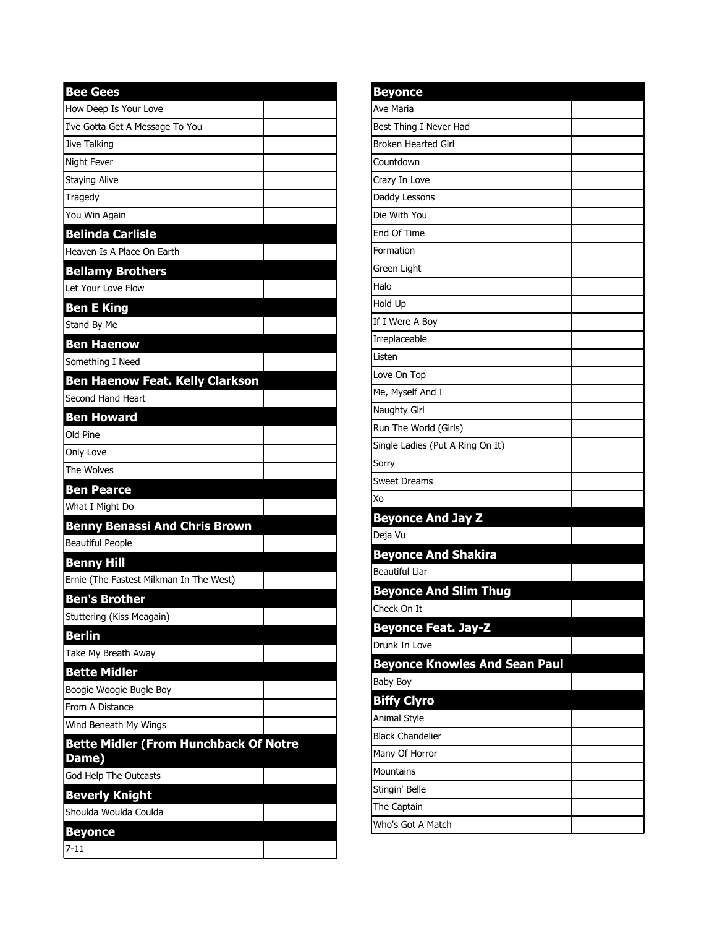| <b>Bee Gees</b>                              |
|----------------------------------------------|
| How Deep Is Your Love                        |
| I've Gotta Get A Message To You              |
| Jive Talking                                 |
| Night Fever                                  |
| Staying Alive                                |
| Tragedy                                      |
| You Win Again                                |
| <b>Belinda Carlisle</b>                      |
| Heaven Is A Place On Earth                   |
| <b>Bellamy Brothers</b>                      |
| Let Your Love Flow                           |
| <b>Ben E King</b>                            |
| Stand By Me                                  |
| <b>Ben Haenow</b>                            |
| Something I Need                             |
| <b>Ben Haenow Feat. Kelly Clarkson</b>       |
| Second Hand Heart                            |
| <b>Ben Howard</b>                            |
| Old Pine                                     |
| Only Love                                    |
| The Wolves                                   |
| <b>Ben Pearce</b>                            |
| What I Might Do                              |
| <b>Benny Benassi And Chris Brown</b>         |
| <b>Beautiful People</b>                      |
| <b>Benny Hill</b>                            |
| Ernie (The Fastest Milkman In The West)      |
| <b>Ben's Brother</b>                         |
| Stuttering (Kiss Meagain)                    |
| <b>Berlin</b>                                |
| Take My Breath Away                          |
| <b>Bette Midler</b>                          |
| Boogie Woogie Bugle Boy                      |
| From A Distance                              |
| Wind Beneath My Wings                        |
| <b>Bette Midler (From Hunchback Of Notre</b> |
| Dame)                                        |
| God Help The Outcasts                        |
| <b>Beverly Knight</b>                        |
| Shoulda Woulda Coulda                        |
| <b>Beyonce</b>                               |
| $7 - 11$                                     |

| <b>Beyonce</b>                       |  |
|--------------------------------------|--|
| Ave Maria                            |  |
| Best Thing I Never Had               |  |
| <b>Broken Hearted Girl</b>           |  |
| Countdown                            |  |
| Crazy In Love                        |  |
| Daddy Lessons                        |  |
| Die With You                         |  |
| End Of Time                          |  |
| Formation                            |  |
| Green Light                          |  |
| Halo                                 |  |
| Hold Up                              |  |
| If I Were A Boy                      |  |
| Irreplaceable                        |  |
| Listen                               |  |
| Love On Top                          |  |
| Me, Myself And I                     |  |
| Naughty Girl                         |  |
| Run The World (Girls)                |  |
| Single Ladies (Put A Ring On It)     |  |
| Sorry                                |  |
| Sweet Dreams                         |  |
| Xo                                   |  |
| <b>Beyonce And Jay Z</b>             |  |
| Deja Vu                              |  |
| <b>Beyonce And Shakira</b>           |  |
| Beautiful Liar                       |  |
| <b>Beyonce And Slim Thug</b>         |  |
| Check On It                          |  |
| <b>Beyonce Feat. Jay-Z</b>           |  |
| Drunk In Love                        |  |
| <b>Beyonce Knowles And Sean Paul</b> |  |
| <b>Baby Boy</b>                      |  |
| <b>Biffy Clyro</b>                   |  |
| Animal Style                         |  |
| <b>Black Chandelier</b>              |  |
| Many Of Horror                       |  |
| <b>Mountains</b>                     |  |
| Stingin' Belle                       |  |
| The Captain                          |  |
| Who's Got A Match                    |  |
|                                      |  |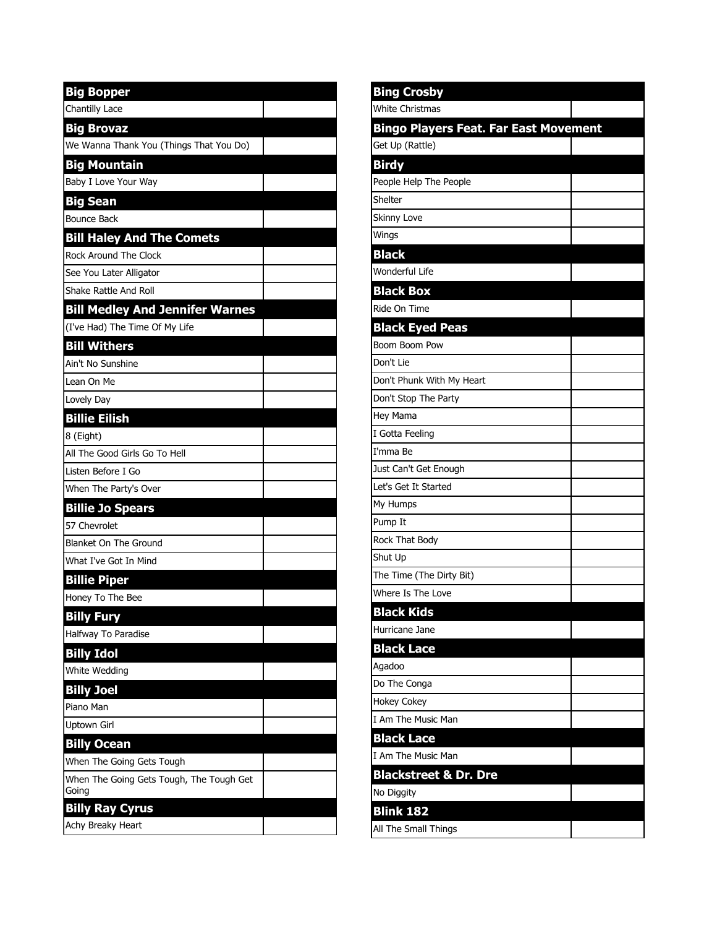| <b>Big Bopper</b>                                 |  |
|---------------------------------------------------|--|
| Chantilly Lace                                    |  |
| <b>Big Brovaz</b>                                 |  |
| We Wanna Thank You (Things That You Do)           |  |
| <b>Big Mountain</b>                               |  |
| Baby I Love Your Way                              |  |
| <b>Big Sean</b>                                   |  |
| <b>Bounce Back</b>                                |  |
| <b>Bill Haley And The Comets</b>                  |  |
| Rock Around The Clock                             |  |
| See You Later Alligator                           |  |
| Shake Rattle And Roll                             |  |
| <b>Bill Medley And Jennifer Warnes</b>            |  |
| (I've Had) The Time Of My Life                    |  |
| <b>Bill Withers</b>                               |  |
| Ain't No Sunshine                                 |  |
| Lean On Me                                        |  |
| Lovely Day                                        |  |
| <b>Billie Eilish</b>                              |  |
| 8 (Eight)                                         |  |
| All The Good Girls Go To Hell                     |  |
| Listen Before I Go                                |  |
| When The Party's Over                             |  |
| <b>Billie Jo Spears</b>                           |  |
| 57 Chevrolet                                      |  |
| <b>Blanket On The Ground</b>                      |  |
| What I've Got In Mind                             |  |
| <b>Billie Piper</b>                               |  |
| Honey To The Bee                                  |  |
| <b>Billy Fury</b>                                 |  |
| Halfway To Paradise                               |  |
| <b>Billy Idol</b>                                 |  |
| White Wedding                                     |  |
| <b>Billy Joel</b>                                 |  |
| Piano Man                                         |  |
| Uptown Girl                                       |  |
| <b>Billy Ocean</b>                                |  |
| When The Going Gets Tough                         |  |
| When The Going Gets Tough, The Tough Get<br>Going |  |
| <b>Billy Ray Cyrus</b>                            |  |
| Achy Breaky Heart                                 |  |

| <b>Bing Crosby</b>                           |  |
|----------------------------------------------|--|
| <b>White Christmas</b>                       |  |
| <b>Bingo Players Feat. Far East Movement</b> |  |
| Get Up (Rattle)                              |  |
| <b>Birdy</b>                                 |  |
| People Help The People                       |  |
| Shelter                                      |  |
| Skinny Love                                  |  |
| Wings                                        |  |
| <b>Black</b>                                 |  |
| Wonderful Life                               |  |
| <b>Black Box</b>                             |  |
| Ride On Time                                 |  |
| <b>Black Eyed Peas</b>                       |  |
| Boom Boom Pow                                |  |
| Don't Lie                                    |  |
| Don't Phunk With My Heart                    |  |
| Don't Stop The Party                         |  |
| <b>Hey Mama</b>                              |  |
| I Gotta Feeling                              |  |
| I'mma Be                                     |  |
| Just Can't Get Enough                        |  |
| Let's Get It Started                         |  |
| My Humps                                     |  |
| Pump It                                      |  |
| Rock That Body                               |  |
| Shut Up                                      |  |
| The Time (The Dirty Bit)                     |  |
| Where Is The Love                            |  |
| <b>Black Kids</b>                            |  |
| Hurricane Jane                               |  |
| <b>Black Lace</b>                            |  |
| Agadoo                                       |  |
| Do The Conga                                 |  |
| <b>Hokey Cokey</b>                           |  |
| I Am The Music Man                           |  |
| <b>Black Lace</b>                            |  |
| I Am The Music Man                           |  |
| <b>Blackstreet &amp; Dr. Dre</b>             |  |
| No Diggity                                   |  |
| <b>Blink 182</b>                             |  |
| All The Small Things                         |  |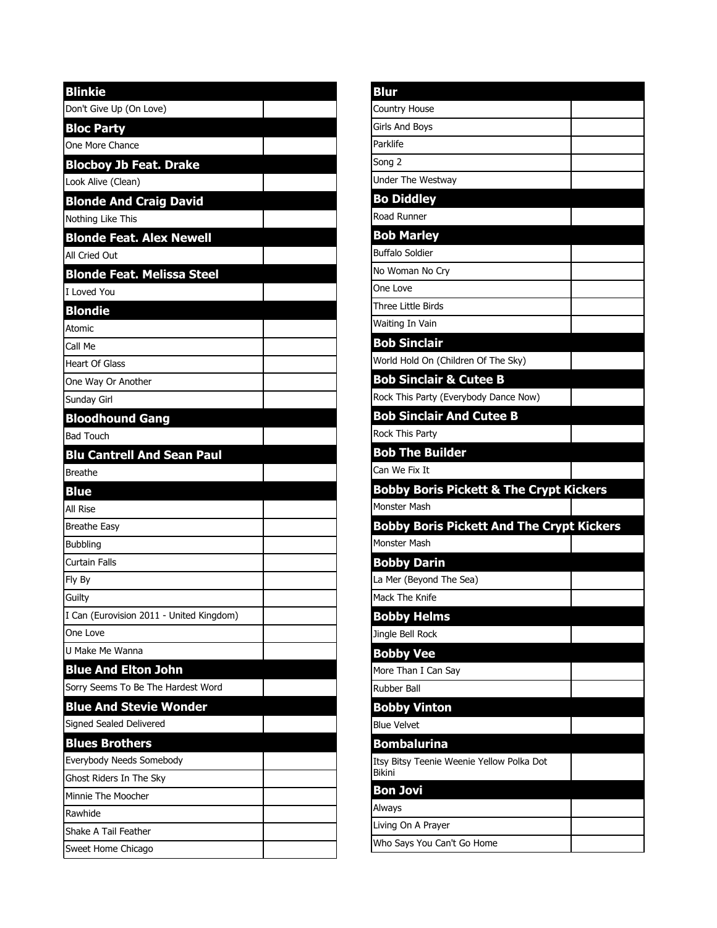| <b>Blinkie</b>                           |  |
|------------------------------------------|--|
| Don't Give Up (On Love)                  |  |
| <b>Bloc Party</b>                        |  |
| One More Chance                          |  |
| <b>Blocboy Jb Feat. Drake</b>            |  |
| Look Alive (Clean)                       |  |
| <b>Blonde And Craig David</b>            |  |
| Nothing Like This                        |  |
| <b>Blonde Feat. Alex Newell</b>          |  |
| All Cried Out                            |  |
| <b>Blonde Feat. Melissa Steel</b>        |  |
| I Loved You                              |  |
| <b>Blondie</b>                           |  |
| <b>Atomic</b>                            |  |
| Call Me                                  |  |
| <b>Heart Of Glass</b>                    |  |
| One Way Or Another                       |  |
| Sunday Girl                              |  |
| <b>Bloodhound Gang</b>                   |  |
| <b>Bad Touch</b>                         |  |
| <b>Blu Cantrell And Sean Paul</b>        |  |
| <b>Breathe</b>                           |  |
| <b>Blue</b>                              |  |
| All Rise                                 |  |
| <b>Breathe Easy</b>                      |  |
| <b>Bubbling</b>                          |  |
| <b>Curtain Falls</b>                     |  |
| Fly By                                   |  |
| Guilty                                   |  |
| I Can (Eurovision 2011 - United Kingdom) |  |
| One Love                                 |  |
| U Make Me Wanna                          |  |
| <b>Blue And Elton John</b>               |  |
| Sorry Seems To Be The Hardest Word       |  |
| <b>Blue And Stevie Wonder</b>            |  |
| Signed Sealed Delivered                  |  |
| <b>Blues Brothers</b>                    |  |
| Everybody Needs Somebody                 |  |
| Ghost Riders In The Sky                  |  |
|                                          |  |
| Minnie The Moocher                       |  |
| Rawhide                                  |  |
| Shake A Tail Feather                     |  |

| <b>Blur</b>                                                                                                                                                                                                                                                                                                                                                                                                                       |  |
|-----------------------------------------------------------------------------------------------------------------------------------------------------------------------------------------------------------------------------------------------------------------------------------------------------------------------------------------------------------------------------------------------------------------------------------|--|
| Country House                                                                                                                                                                                                                                                                                                                                                                                                                     |  |
| <b>Girls And Boys</b>                                                                                                                                                                                                                                                                                                                                                                                                             |  |
| Parklife                                                                                                                                                                                                                                                                                                                                                                                                                          |  |
| Song 2                                                                                                                                                                                                                                                                                                                                                                                                                            |  |
| Under The Westway                                                                                                                                                                                                                                                                                                                                                                                                                 |  |
| <b>Bo Diddley</b>                                                                                                                                                                                                                                                                                                                                                                                                                 |  |
| Road Runner                                                                                                                                                                                                                                                                                                                                                                                                                       |  |
| <b>Bob Marley</b>                                                                                                                                                                                                                                                                                                                                                                                                                 |  |
| <b>Buffalo Soldier</b>                                                                                                                                                                                                                                                                                                                                                                                                            |  |
| No Woman No Cry                                                                                                                                                                                                                                                                                                                                                                                                                   |  |
| One Love                                                                                                                                                                                                                                                                                                                                                                                                                          |  |
| <b>Three Little Birds</b>                                                                                                                                                                                                                                                                                                                                                                                                         |  |
| Waiting In Vain                                                                                                                                                                                                                                                                                                                                                                                                                   |  |
| <b>Bob Sinclair</b>                                                                                                                                                                                                                                                                                                                                                                                                               |  |
| World Hold On (Children Of The Sky)                                                                                                                                                                                                                                                                                                                                                                                               |  |
| <b>Bob Sinclair &amp; Cutee B</b>                                                                                                                                                                                                                                                                                                                                                                                                 |  |
| Rock This Party (Everybody Dance Now)                                                                                                                                                                                                                                                                                                                                                                                             |  |
| <b>Bob Sinclair And Cutee B</b>                                                                                                                                                                                                                                                                                                                                                                                                   |  |
| <b>Rock This Party</b>                                                                                                                                                                                                                                                                                                                                                                                                            |  |
| <b>Bob The Builder</b>                                                                                                                                                                                                                                                                                                                                                                                                            |  |
| Can We Fix It                                                                                                                                                                                                                                                                                                                                                                                                                     |  |
|                                                                                                                                                                                                                                                                                                                                                                                                                                   |  |
|                                                                                                                                                                                                                                                                                                                                                                                                                                   |  |
|                                                                                                                                                                                                                                                                                                                                                                                                                                   |  |
|                                                                                                                                                                                                                                                                                                                                                                                                                                   |  |
|                                                                                                                                                                                                                                                                                                                                                                                                                                   |  |
|                                                                                                                                                                                                                                                                                                                                                                                                                                   |  |
|                                                                                                                                                                                                                                                                                                                                                                                                                                   |  |
|                                                                                                                                                                                                                                                                                                                                                                                                                                   |  |
|                                                                                                                                                                                                                                                                                                                                                                                                                                   |  |
|                                                                                                                                                                                                                                                                                                                                                                                                                                   |  |
|                                                                                                                                                                                                                                                                                                                                                                                                                                   |  |
|                                                                                                                                                                                                                                                                                                                                                                                                                                   |  |
|                                                                                                                                                                                                                                                                                                                                                                                                                                   |  |
| <b>Bobby Vinton</b>                                                                                                                                                                                                                                                                                                                                                                                                               |  |
|                                                                                                                                                                                                                                                                                                                                                                                                                                   |  |
| <b>Bombalurina</b>                                                                                                                                                                                                                                                                                                                                                                                                                |  |
|                                                                                                                                                                                                                                                                                                                                                                                                                                   |  |
| Bon Jovi                                                                                                                                                                                                                                                                                                                                                                                                                          |  |
|                                                                                                                                                                                                                                                                                                                                                                                                                                   |  |
| <b>Bobby Boris Pickett &amp; The Crypt Kickers</b><br>Monster Mash<br><b>Bobby Boris Pickett And The Crypt Kickers</b><br>Monster Mash<br><b>Bobby Darin</b><br>La Mer (Beyond The Sea)<br>Mack The Knife<br><b>Bobby Helms</b><br>Jingle Bell Rock<br><b>Bobby Vee</b><br>More Than I Can Say<br><b>Rubber Ball</b><br><b>Blue Velvet</b><br>Itsy Bitsy Teenie Weenie Yellow Polka Dot<br>Bikini<br>Always<br>Living On A Prayer |  |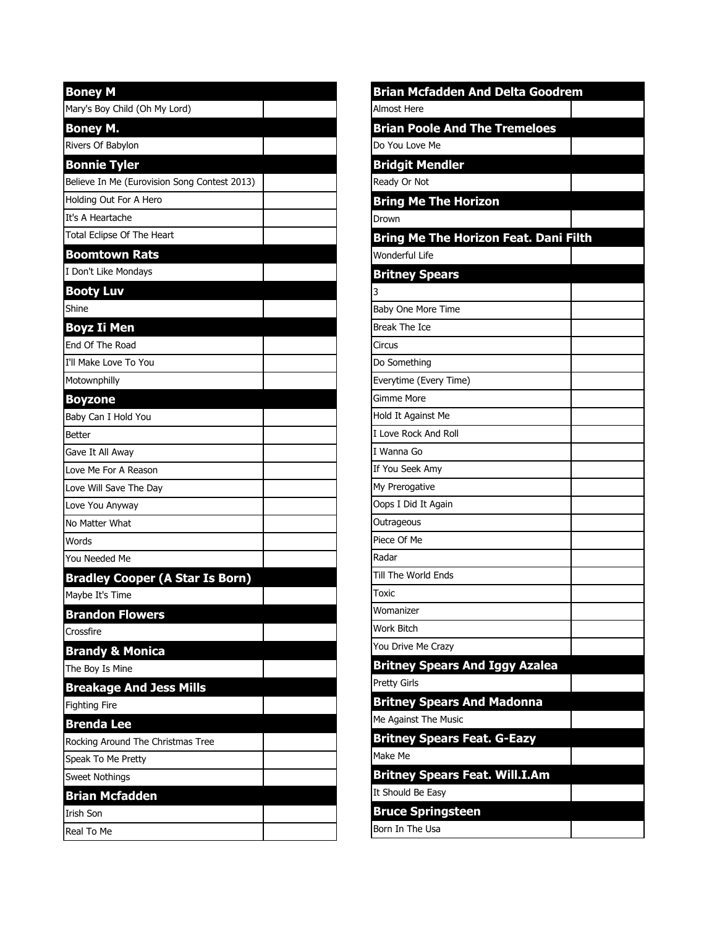| <b>Boney M</b>                               |  |
|----------------------------------------------|--|
| Mary's Boy Child (Oh My Lord)                |  |
| <b>Boney M.</b>                              |  |
| Rivers Of Babylon                            |  |
| <b>Bonnie Tyler</b>                          |  |
| Believe In Me (Eurovision Song Contest 2013) |  |
| Holding Out For A Hero                       |  |
| It's A Heartache                             |  |
| Total Eclipse Of The Heart                   |  |
| <b>Boomtown Rats</b>                         |  |
| I Don't Like Mondays                         |  |
| <b>Booty Luv</b>                             |  |
| Shine                                        |  |
| Boyz Ii Men                                  |  |
| End Of The Road                              |  |
| I'll Make Love To You                        |  |
| Motownphilly                                 |  |
| <b>Boyzone</b>                               |  |
| Baby Can I Hold You                          |  |
| Better                                       |  |
| Gave It All Away                             |  |
| Love Me For A Reason                         |  |
| Love Will Save The Day                       |  |
| Love You Anyway                              |  |
| No Matter What                               |  |
| Words                                        |  |
| You Needed Me                                |  |
| <b>Bradley Cooper (A Star Is Born)</b>       |  |
| Maybe It's Time                              |  |
| <b>Brandon Flowers</b>                       |  |
| Crossfire                                    |  |
| <b>Brandy &amp; Monica</b>                   |  |
| The Boy Is Mine                              |  |
| <b>Breakage And Jess Mills</b>               |  |
| <b>Fighting Fire</b>                         |  |
| <b>Brenda Lee</b>                            |  |
| Rocking Around The Christmas Tree            |  |
| Speak To Me Pretty                           |  |
| <b>Sweet Nothings</b>                        |  |
| <b>Brian Mcfadden</b>                        |  |
| <b>Irish Son</b>                             |  |
| Real To Me                                   |  |

| <b>Brian Mcfadden And Delta Goodrem</b> |  |
|-----------------------------------------|--|
| Almost Here                             |  |
| <b>Brian Poole And The Tremeloes</b>    |  |
| Do You Love Me                          |  |
| <b>Bridgit Mendler</b>                  |  |
| Ready Or Not                            |  |
| <b>Bring Me The Horizon</b>             |  |
| Drown                                   |  |
| Bring Me The Horizon Feat. Dani Filth   |  |
| Wonderful Life                          |  |
| <b>Britney Spears</b>                   |  |
| 3                                       |  |
| Baby One More Time                      |  |
| Break The Ice                           |  |
| Circus                                  |  |
| Do Something                            |  |
| Everytime (Every Time)                  |  |
| Gimme More                              |  |
| Hold It Against Me                      |  |
| I Love Rock And Roll                    |  |
| I Wanna Go                              |  |
| If You Seek Amy                         |  |
| My Prerogative                          |  |
| Oops I Did It Again                     |  |
| Outrageous                              |  |
| Piece Of Me                             |  |
| Radar                                   |  |
| Till The World Ends                     |  |
| Toxic                                   |  |
| Womanizer                               |  |
| Work Bitch                              |  |
| You Drive Me Crazy                      |  |
| <b>Britney Spears And Iggy Azalea</b>   |  |
| <b>Pretty Girls</b>                     |  |
| <b>Britney Spears And Madonna</b>       |  |
| Me Against The Music                    |  |
| <b>Britney Spears Feat. G-Eazy</b>      |  |
| Make Me                                 |  |
| <b>Britney Spears Feat. Will.I.Am</b>   |  |
| It Should Be Easy                       |  |
| <b>Bruce Springsteen</b>                |  |
| Born In The Usa                         |  |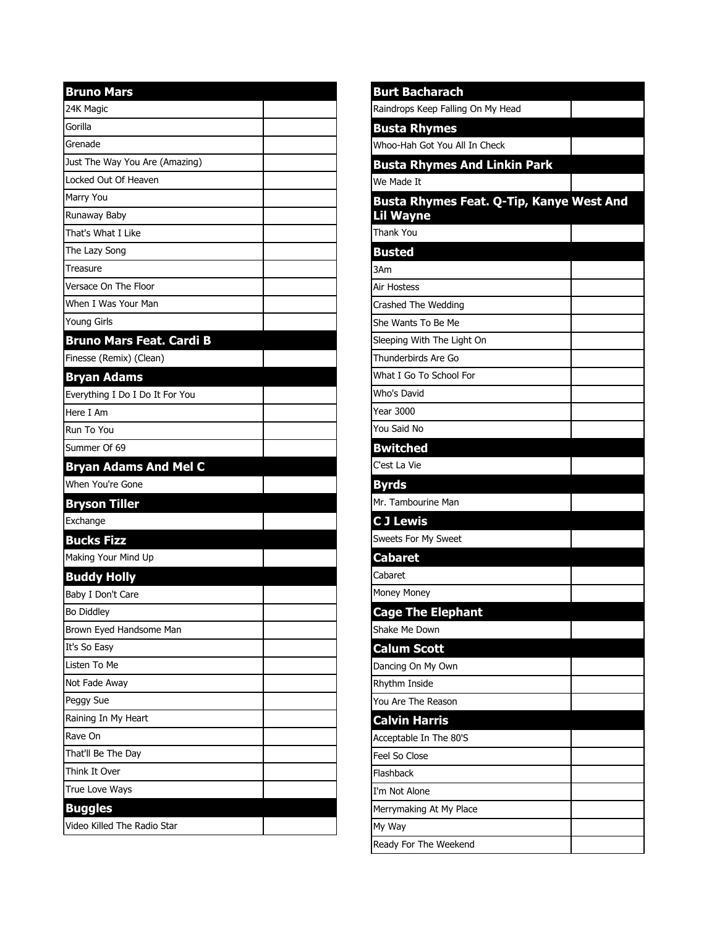| <b>Bruno Mars</b>               |  |
|---------------------------------|--|
| 24K Magic                       |  |
| Gorilla                         |  |
| Grenade                         |  |
| Just The Way You Are (Amazing)  |  |
| Locked Out Of Heaven            |  |
| Marry You                       |  |
| Runaway Baby                    |  |
| That's What I Like              |  |
| The Lazy Song                   |  |
| Treasure                        |  |
| Versace On The Floor            |  |
| When I Was Your Man             |  |
| Young Girls                     |  |
| <b>Bruno Mars Feat. Cardi B</b> |  |
| Finesse (Remix) (Clean)         |  |
| <b>Bryan Adams</b>              |  |
| Everything I Do I Do It For You |  |
| Here I Am                       |  |
| Run To You                      |  |
| Summer Of 69                    |  |
| <b>Bryan Adams And Mel C</b>    |  |
| When You're Gone                |  |
| <b>Bryson Tiller</b>            |  |
| Exchange                        |  |
| <b>Bucks Fizz</b>               |  |
| Making Your Mind Up             |  |
| <b>Buddy Holly</b>              |  |
| Baby I Don't Care               |  |
| Bo Diddley                      |  |
| Brown Eyed Handsome Man         |  |
| It's So Easy                    |  |
| Listen To Me                    |  |
| Not Fade Away                   |  |
| Peggy Sue                       |  |
| Raining In My Heart             |  |
| Rave On                         |  |
| That'll Be The Day              |  |
| Think It Over                   |  |
| True Love Ways                  |  |
| <b>Buggles</b>                  |  |
| Video Killed The Radio Star     |  |

| <b>Burt Bacharach</b>                    |  |
|------------------------------------------|--|
| Raindrops Keep Falling On My Head        |  |
| <b>Busta Rhymes</b>                      |  |
| Whoo-Hah Got You All In Check            |  |
| <b>Busta Rhymes And Linkin Park</b>      |  |
| We Made It                               |  |
| Busta Rhymes Feat. Q-Tip, Kanye West And |  |
| <b>Lil Wayne</b>                         |  |
| <b>Thank You</b>                         |  |
| <b>Busted</b>                            |  |
| 3Am                                      |  |
| Air Hostess                              |  |
| Crashed The Wedding                      |  |
| She Wants To Be Me                       |  |
| Sleeping With The Light On               |  |
| Thunderbirds Are Go                      |  |
| What I Go To School For                  |  |
| Who's David                              |  |
| Year 3000                                |  |
| You Said No                              |  |
| <b>Bwitched</b>                          |  |
| C'est La Vie                             |  |
| <b>Byrds</b>                             |  |
| Mr. Tambourine Man                       |  |
| <b>CJ Lewis</b>                          |  |
| Sweets For My Sweet                      |  |
| <b>Cabaret</b>                           |  |
| Cabaret                                  |  |
| Money Money                              |  |
| <b>Cage The Elephant</b>                 |  |
| Shake Me Down                            |  |
| <b>Calum Scott</b>                       |  |
| Dancing On My Own                        |  |
| Rhythm Inside                            |  |
| You Are The Reason                       |  |
| <b>Calvin Harris</b>                     |  |
| Acceptable In The 80'S                   |  |
| Feel So Close                            |  |
| Flashback                                |  |
| I'm Not Alone                            |  |
| Merrymaking At My Place                  |  |
| My Way                                   |  |
| Ready For The Weekend                    |  |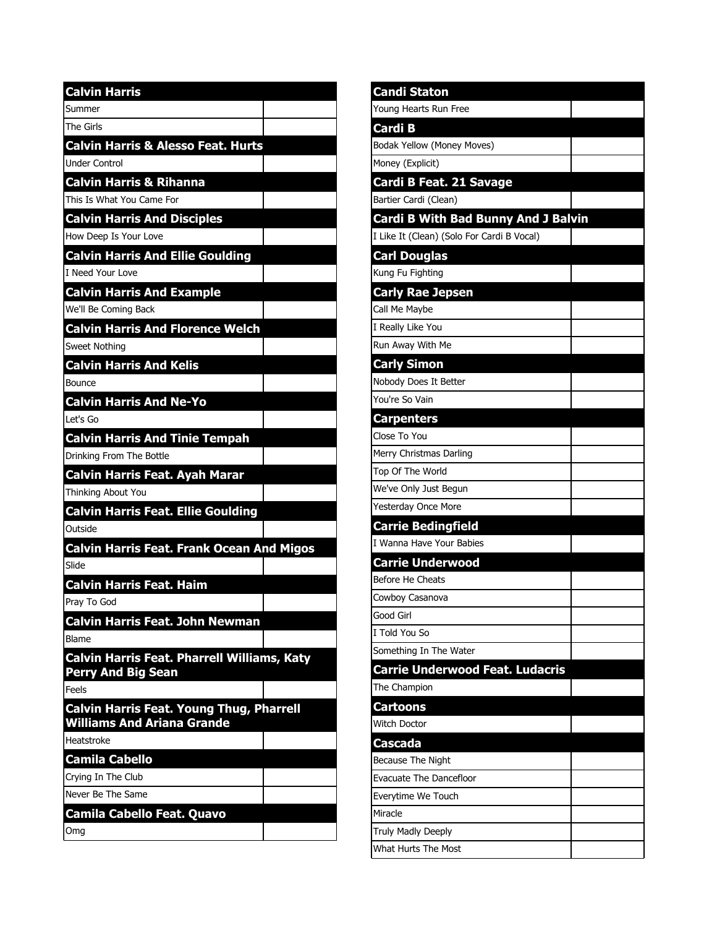| <b>Calvin Harris</b>                                                                 |  |
|--------------------------------------------------------------------------------------|--|
| Summer                                                                               |  |
| The Girls                                                                            |  |
| <b>Calvin Harris &amp; Alesso Feat. Hurts</b>                                        |  |
| Under Control                                                                        |  |
| <b>Calvin Harris &amp; Rihanna</b>                                                   |  |
| This Is What You Came For                                                            |  |
| <b>Calvin Harris And Disciples</b>                                                   |  |
| How Deep Is Your Love                                                                |  |
| <b>Calvin Harris And Ellie Goulding</b>                                              |  |
| I Need Your Love                                                                     |  |
| <b>Calvin Harris And Example</b>                                                     |  |
| We'll Be Coming Back                                                                 |  |
| <b>Calvin Harris And Florence Welch</b>                                              |  |
| <b>Sweet Nothing</b>                                                                 |  |
| <b>Calvin Harris And Kelis</b>                                                       |  |
| Bounce                                                                               |  |
| <b>Calvin Harris And Ne-Yo</b>                                                       |  |
| lLet's Go                                                                            |  |
| <b>Calvin Harris And Tinie Tempah</b>                                                |  |
| Drinking From The Bottle                                                             |  |
| <b>Calvin Harris Feat. Ayah Marar</b>                                                |  |
| Thinking About You                                                                   |  |
| <b>Calvin Harris Feat. Ellie Goulding</b>                                            |  |
| lOutside                                                                             |  |
| <b>Calvin Harris Feat. Frank Ocean And Migos</b>                                     |  |
| Slide                                                                                |  |
| <b>Calvin Harris Feat. Haim</b>                                                      |  |
| Pray To God                                                                          |  |
| <b>Calvin Harris Feat. John Newman</b>                                               |  |
| Blame                                                                                |  |
| <b>Calvin Harris Feat. Pharrell Williams, Katy</b><br><b>Perry And Big Sean</b>      |  |
| Feels                                                                                |  |
| <b>Calvin Harris Feat. Young Thug, Pharrell</b><br><b>Williams And Ariana Grande</b> |  |
| Heatstroke                                                                           |  |
| <b>Camila Cabello</b>                                                                |  |
| Crying In The Club                                                                   |  |
| Never Be The Same                                                                    |  |
| <b>Camila Cabello Feat. Quavo</b>                                                    |  |
| Omg                                                                                  |  |

| Candi Staton                               |  |
|--------------------------------------------|--|
| Young Hearts Run Free                      |  |
| Cardi B                                    |  |
| Bodak Yellow (Money Moves)                 |  |
| Money (Explicit)                           |  |
| <b>Cardi B Feat. 21 Savage</b>             |  |
| Bartier Cardi (Clean)                      |  |
| <b>Cardi B With Bad Bunny And J Balvin</b> |  |
| I Like It (Clean) (Solo For Cardi B Vocal) |  |
| <b>Carl Douglas</b>                        |  |
| Kung Fu Fighting                           |  |
| <b>Carly Rae Jepsen</b>                    |  |
| Call Me Maybe                              |  |
| I Really Like You                          |  |
| Run Away With Me                           |  |
| <b>Carly Simon</b>                         |  |
| Nobody Does It Better                      |  |
| You're So Vain                             |  |
| <b>Carpenters</b>                          |  |
| Close To You                               |  |
| Merry Christmas Darling                    |  |
| Top Of The World                           |  |
| We've Only Just Begun                      |  |
| Yesterday Once More                        |  |
| <b>Carrie Bedingfield</b>                  |  |
| I Wanna Have Your Babies                   |  |
| <b>Carrie Underwood</b>                    |  |
| Before He Cheats                           |  |
| Cowboy Casanova                            |  |
| Good Girl                                  |  |
| I Told You So                              |  |
| Something In The Water                     |  |
| <b>Carrie Underwood Feat. Ludacris</b>     |  |
| The Champion                               |  |
| <b>Cartoons</b>                            |  |
| Witch Doctor                               |  |
| <b>Cascada</b>                             |  |
| Because The Night                          |  |
| Evacuate The Dancefloor                    |  |
| Everytime We Touch                         |  |
| Miracle                                    |  |
| Truly Madly Deeply                         |  |
| What Hurts The Most                        |  |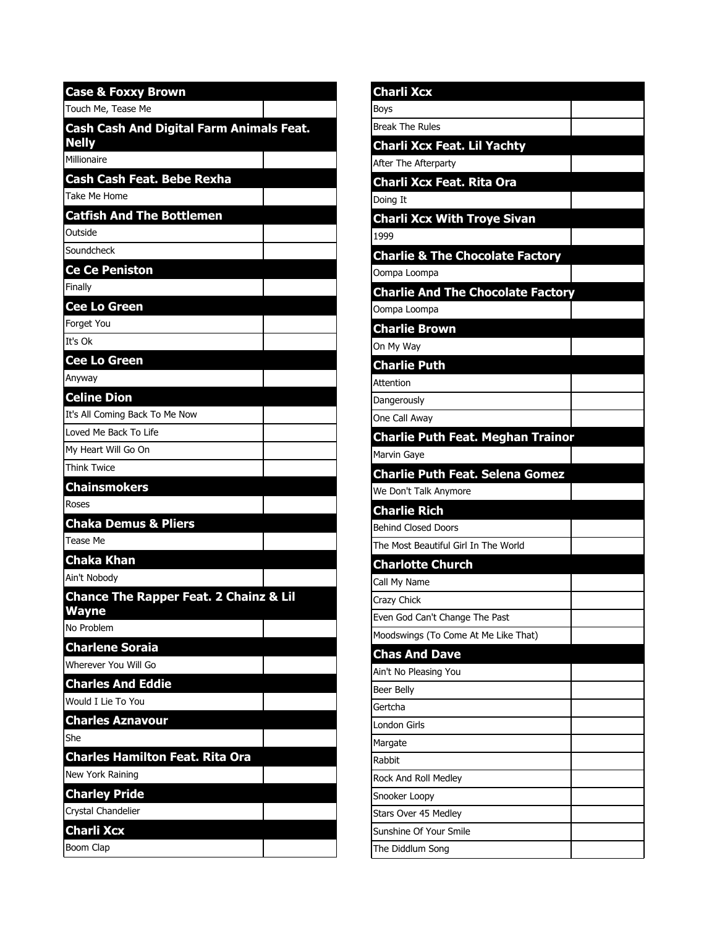| <b>Case &amp; Foxxy Brown</b>                            |  |
|----------------------------------------------------------|--|
| Touch Me, Tease Me                                       |  |
| Cash Cash And Digital Farm Animals Feat.<br><b>Nelly</b> |  |
| Millionaire                                              |  |
| Cash Cash Feat. Bebe Rexha                               |  |
| Take Me Home                                             |  |
| <b>Catfish And The Bottlemen</b>                         |  |
| Outside                                                  |  |
| Soundcheck                                               |  |
| Ce Ce Peniston                                           |  |
| Finally                                                  |  |
| <b>Cee Lo Green</b>                                      |  |
| Forget You                                               |  |
| Tt's Ok                                                  |  |
| <b>Cee Lo Green</b>                                      |  |
| Anyway                                                   |  |
| <b>Celine Dion</b>                                       |  |
| It's All Coming Back To Me Now                           |  |
| Loved Me Back To Life                                    |  |
| My Heart Will Go On                                      |  |
| Think Twice                                              |  |
| <b>Chainsmokers</b>                                      |  |
| Roses                                                    |  |
| <b>Chaka Demus &amp; Pliers</b>                          |  |
| Tease Me                                                 |  |
| <b>Chaka Khan</b>                                        |  |
| Ain't Nobody                                             |  |
| <b>Chance The Rapper Feat. 2 Chainz &amp; Lil</b>        |  |
| <b>Wayne</b><br>No Problem                               |  |
| <b>Charlene Soraia</b>                                   |  |
| Wherever You Will Go                                     |  |
| <b>Charles And Eddie</b>                                 |  |
| Would I Lie To You                                       |  |
| <b>Charles Aznavour</b>                                  |  |
| She                                                      |  |
| <b>Charles Hamilton Feat. Rita Ora</b>                   |  |
| New York Raining                                         |  |
| <b>Charley Pride</b>                                     |  |
| Crystal Chandelier                                       |  |
| <b>Charli Xcx</b>                                        |  |
| Boom Clap                                                |  |

| <b>Charli Xcx</b>                          |  |
|--------------------------------------------|--|
| Boys                                       |  |
| <b>Break The Rules</b>                     |  |
| <b>Charli Xcx Feat. Lil Yachty</b>         |  |
| After The Afterparty                       |  |
| Charli Xcx Feat. Rita Ora                  |  |
| Doing It                                   |  |
| <b>Charli Xcx With Troye Sivan</b>         |  |
| 1999                                       |  |
| <b>Charlie &amp; The Chocolate Factory</b> |  |
| Oompa Loompa                               |  |
| <b>Charlie And The Chocolate Factory</b>   |  |
| Oompa Loompa                               |  |
| <b>Charlie Brown</b>                       |  |
| On My Way                                  |  |
| <b>Charlie Puth</b>                        |  |
| Attention                                  |  |
| Dangerously                                |  |
| One Call Away                              |  |
| <b>Charlie Puth Feat. Meghan Trainor</b>   |  |
| Marvin Gaye                                |  |
| <b>Charlie Puth Feat. Selena Gomez</b>     |  |
| We Don't Talk Anymore                      |  |
| <b>Charlie Rich</b>                        |  |
| Behind Closed Doors                        |  |
| The Most Beautiful Girl In The World       |  |
| <b>Charlotte Church</b>                    |  |
| Call My Name                               |  |
| Crazy Chick                                |  |
| Even God Can't Change The Past             |  |
| Moodswings (To Come At Me Like That)       |  |
| <b>Chas And Dave</b>                       |  |
| Ain't No Pleasing You                      |  |
| Beer Belly                                 |  |
| Gertcha                                    |  |
| London Girls                               |  |
| Margate                                    |  |
| l Rabbit                                   |  |
| Rock And Roll Medley<br>Snooker Loopy      |  |
| Stars Over 45 Medley                       |  |
| Sunshine Of Your Smile                     |  |
| The Diddlum Song                           |  |
|                                            |  |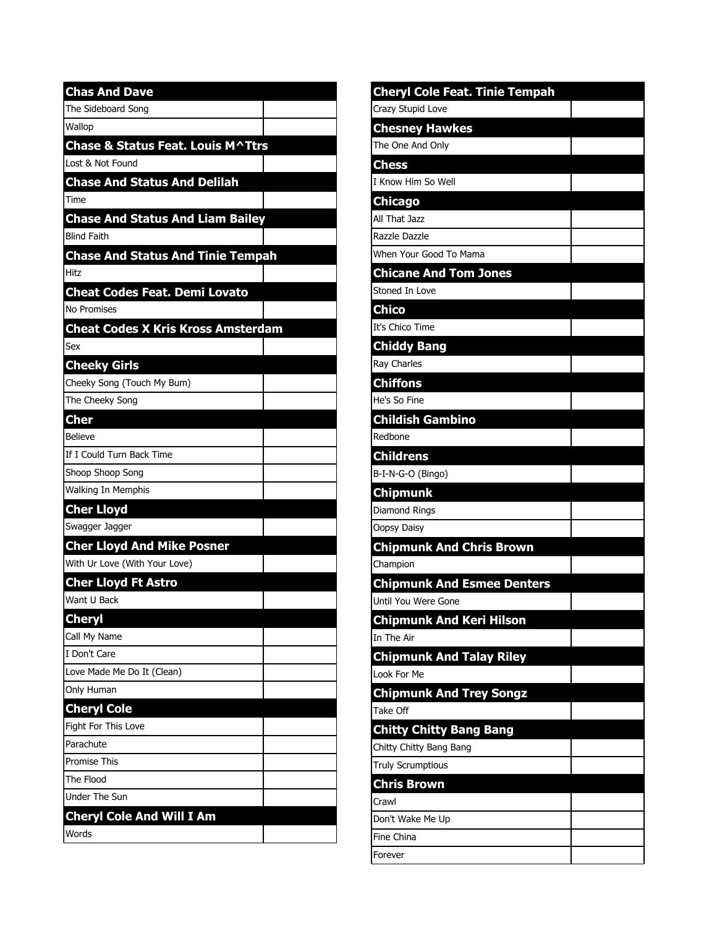| <b>Chas And Dave</b>                      |  |
|-------------------------------------------|--|
| The Sideboard Song                        |  |
| Wallop                                    |  |
| Chase & Status Feat. Louis M^Ttrs         |  |
| Lost & Not Found                          |  |
| <b>Chase And Status And Delilah</b>       |  |
| Time                                      |  |
| <b>Chase And Status And Liam Bailey</b>   |  |
| <b>Blind Faith</b>                        |  |
| <b>Chase And Status And Tinie Tempah</b>  |  |
| Hitz                                      |  |
| <b>Cheat Codes Feat. Demi Lovato</b>      |  |
| No Promises                               |  |
| <b>Cheat Codes X Kris Kross Amsterdam</b> |  |
| Sex                                       |  |
| <b>Cheeky Girls</b>                       |  |
| Cheeky Song (Touch My Bum)                |  |
| The Cheeky Song                           |  |
| <b>Cher</b>                               |  |
| <b>Believe</b>                            |  |
| If I Could Turn Back Time                 |  |
| Shoop Shoop Song                          |  |
| Walking In Memphis                        |  |
| <b>Cher Lloyd</b>                         |  |
| Swagger Jagger                            |  |
| <b>Cher Lloyd And Mike Posner</b>         |  |
| With Ur Love (With Your Love)             |  |
| <b>Cher Lloyd Ft Astro</b>                |  |
| Want U Back                               |  |
| <b>Cheryl</b>                             |  |
| Call My Name                              |  |
| I Don't Care                              |  |
| Love Made Me Do It (Clean)                |  |
| Only Human                                |  |
| <b>Cheryl Cole</b>                        |  |
| Fight For This Love                       |  |
| Parachute                                 |  |
| Promise This                              |  |
| The Flood                                 |  |
| Under The Sun                             |  |
| <b>Cheryl Cole And Will I Am</b>          |  |
| Words                                     |  |

| <b>Cheryl Cole Feat. Tinie Tempah</b> |  |
|---------------------------------------|--|
| Crazy Stupid Love                     |  |
| <b>Chesney Hawkes</b>                 |  |
| The One And Only                      |  |
| <b>Chess</b>                          |  |
| I Know Him So Well                    |  |
| <b>Chicago</b>                        |  |
| All That Jazz                         |  |
| Razzle Dazzle                         |  |
| When Your Good To Mama                |  |
| <b>Chicane And Tom Jones</b>          |  |
| Stoned In Love                        |  |
| <b>Chico</b>                          |  |
| It's Chico Time                       |  |
| <b>Chiddy Bang</b>                    |  |
| Ray Charles                           |  |
| <b>Chiffons</b>                       |  |
| He's So Fine                          |  |
| <b>Childish Gambino</b>               |  |
| Redbone                               |  |
| <b>Childrens</b>                      |  |
| B-I-N-G-O (Bingo)                     |  |
| Chipmunk                              |  |
| Diamond Rings                         |  |
| Oopsy Daisy                           |  |
| <b>Chipmunk And Chris Brown</b>       |  |
| Champion                              |  |
| <b>Chipmunk And Esmee Denters</b>     |  |
| Until You Were Gone                   |  |
| <b>Chipmunk And Keri Hilson</b>       |  |
| In The Air                            |  |
| <b>Chipmunk And Talay Riley</b>       |  |
| Look For Me                           |  |
| <b>Chipmunk And Trey Songz</b>        |  |
| Take Off                              |  |
| <b>Chitty Chitty Bang Bang</b>        |  |
| Chitty Chitty Bang Bang               |  |
| Truly Scrumptious                     |  |
| <b>Chris Brown</b>                    |  |
| Crawl                                 |  |
| Don't Wake Me Up                      |  |
| Fine China                            |  |
| Forever                               |  |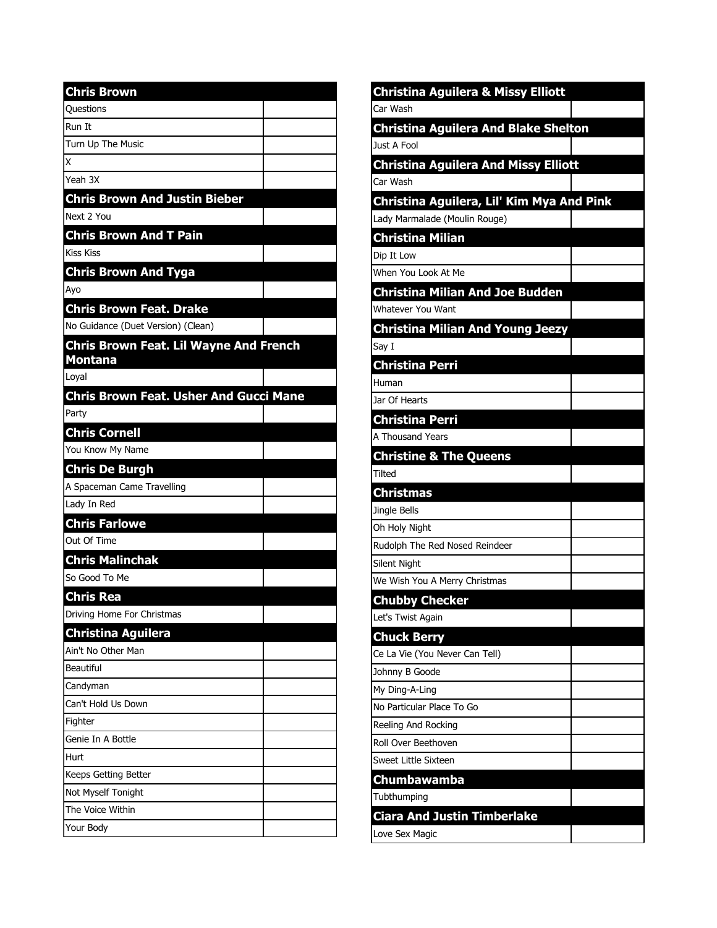| <b>Chris Brown</b>                                              |  |
|-----------------------------------------------------------------|--|
| Questions                                                       |  |
| Run It                                                          |  |
| Turn Up The Music                                               |  |
| Ιx                                                              |  |
| Yeah 3X                                                         |  |
| <b>Chris Brown And Justin Bieber</b>                            |  |
| Next 2 You                                                      |  |
| <b>Chris Brown And T Pain</b>                                   |  |
| <b>Kiss Kiss</b>                                                |  |
| <b>Chris Brown And Tyga</b>                                     |  |
| Ayo                                                             |  |
| <b>Chris Brown Feat. Drake</b>                                  |  |
| No Guidance (Duet Version) (Clean)                              |  |
| <b>Chris Brown Feat. Lil Wayne And French</b><br><b>Montana</b> |  |
| Loyal                                                           |  |
| <b>Chris Brown Feat. Usher And Gucci Mane</b>                   |  |
| Party                                                           |  |
| <b>Chris Cornell</b>                                            |  |
| You Know My Name                                                |  |
| <b>Chris De Burgh</b>                                           |  |
| A Spaceman Came Travelling                                      |  |
| Lady In Red                                                     |  |
| <b>Chris Farlowe</b>                                            |  |
| Out Of Time                                                     |  |
| <b>Chris Malinchak</b>                                          |  |
| So Good To Me                                                   |  |
| <b>Chris Rea</b>                                                |  |
| Driving Home For Christmas                                      |  |
| <b>Christina Aguilera</b>                                       |  |
| Ain't No Other Man                                              |  |
| Beautiful                                                       |  |
| Candyman                                                        |  |
| Can't Hold Us Down                                              |  |
| Fighter                                                         |  |
| Genie In A Bottle                                               |  |
| Hurt                                                            |  |
| Keeps Getting Better                                            |  |
| Not Myself Tonight                                              |  |
| The Voice Within                                                |  |
| Your Body                                                       |  |

| <b>Christina Aguilera &amp; Missy Elliott</b> |  |
|-----------------------------------------------|--|
| Car Wash                                      |  |
| <b>Christina Aguilera And Blake Shelton</b>   |  |
| Just A Fool                                   |  |
| <b>Christina Aguilera And Missy Elliott</b>   |  |
| Car Wash                                      |  |
| Christina Aguilera, Lil' Kim Mya And Pink     |  |
| Lady Marmalade (Moulin Rouge)                 |  |
| <b>Christina Milian</b>                       |  |
| Dip It Low                                    |  |
| When You Look At Me                           |  |
| <b>Christina Milian And Joe Budden</b>        |  |
| Whatever You Want                             |  |
| <b>Christina Milian And Young Jeezy</b>       |  |
| Say I                                         |  |
| <b>Christina Perri</b>                        |  |
| Human                                         |  |
| Jar Of Hearts                                 |  |
| <b>Christina Perri</b>                        |  |
| A Thousand Years                              |  |
| <b>Christine &amp; The Queens</b>             |  |
| <b>Tilted</b>                                 |  |
| <b>Christmas</b>                              |  |
| Jingle Bells                                  |  |
| Oh Holy Night                                 |  |
| Rudolph The Red Nosed Reindeer                |  |
| Silent Night                                  |  |
| We Wish You A Merry Christmas                 |  |
| <b>Chubby Checker</b>                         |  |
| Let's Twist Again                             |  |
| <b>Chuck Berry</b>                            |  |
| Ce La Vie (You Never Can Tell)                |  |
| Johnny B Goode                                |  |
|                                               |  |
| My Ding-A-Ling                                |  |
| No Particular Place To Go                     |  |
| Reeling And Rocking                           |  |
| Roll Over Beethoven                           |  |
| Sweet Little Sixteen                          |  |
| Chumbawamba                                   |  |
| Tubthumping                                   |  |
| <b>Ciara And Justin Timberlake</b>            |  |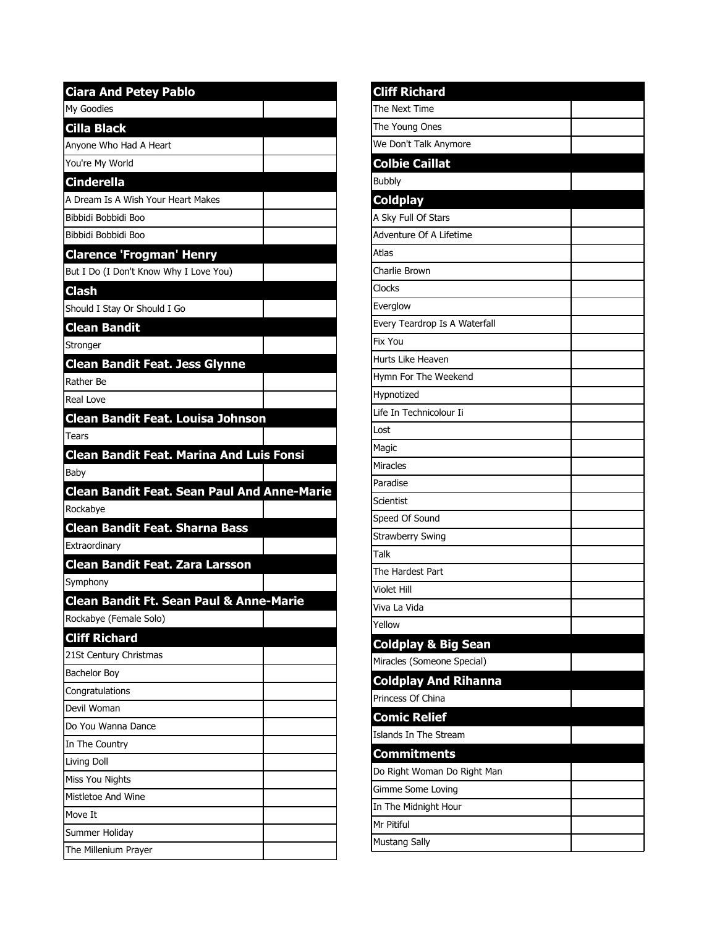| <b>Ciara And Petey Pablo</b>                       |  |
|----------------------------------------------------|--|
| My Goodies                                         |  |
| Cilla Black                                        |  |
| Anyone Who Had A Heart                             |  |
| You're My World                                    |  |
| Cinderella                                         |  |
| A Dream Is A Wish Your Heart Makes                 |  |
| Bibbidi Bobbidi Boo                                |  |
| Bibbidi Bobbidi Boo                                |  |
| <b>Clarence 'Frogman' Henry</b>                    |  |
| But I Do (I Don't Know Why I Love You)             |  |
| <b>Clash</b>                                       |  |
| Should I Stay Or Should I Go                       |  |
| <b>Clean Bandit</b>                                |  |
| Stronger                                           |  |
| Clean Bandit Feat. Jess Glynne                     |  |
| Rather Be                                          |  |
| Real Love                                          |  |
| Clean Bandit Feat. Louisa Johnson                  |  |
| Tears                                              |  |
| <b>Clean Bandit Feat. Marina And Luis Fonsi</b>    |  |
| Baby                                               |  |
|                                                    |  |
| <b>Clean Bandit Feat. Sean Paul And Anne-Marie</b> |  |
| Rockabye                                           |  |
| <b>Clean Bandit Feat. Sharna Bass</b>              |  |
| Extraordinary                                      |  |
| <b>Clean Bandit Feat. Zara Larsson</b>             |  |
| Symphony                                           |  |
| <b>Clean Bandit Ft. Sean Paul &amp; Anne-Marie</b> |  |
| Rockabye (Female Solo)                             |  |
| <b>Cliff Richard</b>                               |  |
| 21St Century Christmas                             |  |
| <b>Bachelor Boy</b>                                |  |
| Congratulations                                    |  |
| Devil Woman                                        |  |
| Do You Wanna Dance                                 |  |
| In The Country                                     |  |
| Living Doll                                        |  |
| Miss You Nights                                    |  |
| Mistletoe And Wine                                 |  |
| Move It                                            |  |
| Summer Holiday                                     |  |

| <b>Cliff Richard</b>          |  |
|-------------------------------|--|
| The Next Time                 |  |
| The Young Ones                |  |
| We Don't Talk Anymore         |  |
| <b>Colbie Caillat</b>         |  |
| <b>Bubbly</b>                 |  |
| <b>Coldplay</b>               |  |
| A Sky Full Of Stars           |  |
| Adventure Of A Lifetime       |  |
| <b>Atlas</b>                  |  |
| Charlie Brown                 |  |
| Clocks                        |  |
| Everglow                      |  |
| Every Teardrop Is A Waterfall |  |
| <b>Fix You</b>                |  |
| Hurts Like Heaven             |  |
| Hymn For The Weekend          |  |
| Hypnotized                    |  |
| Life In Technicolour Ii       |  |
| Lost                          |  |
| Magic                         |  |
| Miracles                      |  |
| Paradise                      |  |
| <b>Scientist</b>              |  |
| Speed Of Sound                |  |
| Strawberry Swing              |  |
| Talk                          |  |
| The Hardest Part              |  |
| <b>Violet Hill</b>            |  |
| Viva La Vida                  |  |
| Yellow                        |  |
| Coldplay & Big Sean           |  |
| Miracles (Someone Special)    |  |
| <b>Coldplay And Rihanna</b>   |  |
| Princess Of China             |  |
| <b>Comic Relief</b>           |  |
| Islands In The Stream         |  |
| <b>Commitments</b>            |  |
| Do Right Woman Do Right Man   |  |
| Gimme Some Loving             |  |
| In The Midnight Hour          |  |
| Mr Pitiful                    |  |
| <b>Mustang Sally</b>          |  |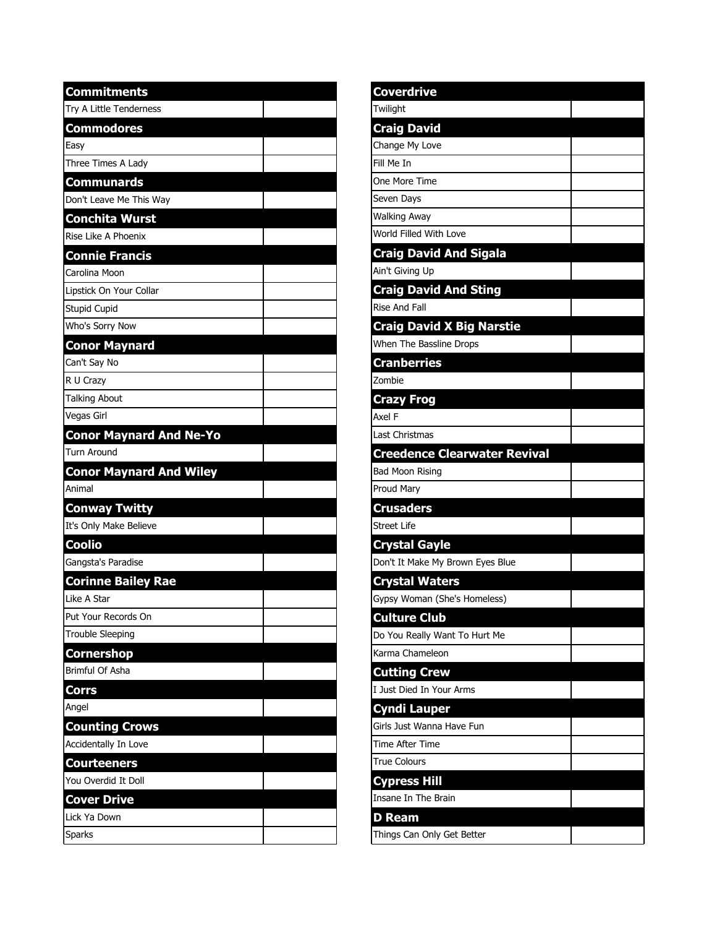| <b>Commitments</b>             |  |
|--------------------------------|--|
| Try A Little Tenderness        |  |
| <b>Commodores</b>              |  |
| Easy                           |  |
| Three Times A Lady             |  |
| <b>Communards</b>              |  |
| Don't Leave Me This Way        |  |
| <b>Conchita Wurst</b>          |  |
| Rise Like A Phoenix            |  |
| <b>Connie Francis</b>          |  |
| Carolina Moon                  |  |
| Lipstick On Your Collar        |  |
| <b>Stupid Cupid</b>            |  |
| Who's Sorry Now                |  |
| <b>Conor Maynard</b>           |  |
| Can't Say No                   |  |
| R U Crazy                      |  |
| <b>Talking About</b>           |  |
| Vegas Girl                     |  |
| <b>Conor Maynard And Ne-Yo</b> |  |
| <b>Turn Around</b>             |  |
| <b>Conor Maynard And Wiley</b> |  |
| Animal                         |  |
| <b>Conway Twitty</b>           |  |
| It's Only Make Believe         |  |
| <b>Coolio</b>                  |  |
| Gangsta's Paradise             |  |
| <b>Corinne Bailey Rae</b>      |  |
| Like A Star                    |  |
| Put Your Records On            |  |
| <b>Trouble Sleeping</b>        |  |
| Cornershop                     |  |
| Brimful Of Asha                |  |
| <b>Corrs</b>                   |  |
| Angel                          |  |
| <b>Counting Crows</b>          |  |
| Accidentally In Love           |  |
| <b>Courteeners</b>             |  |
| You Overdid It Doll            |  |
| <b>Cover Drive</b>             |  |
| Lick Ya Down                   |  |
| <b>Sparks</b>                  |  |

| Coverdrive                          |  |
|-------------------------------------|--|
| Twilight                            |  |
| <b>Craig David</b>                  |  |
| Change My Love                      |  |
| Fill Me In                          |  |
| One More Time                       |  |
| Seven Days                          |  |
| <b>Walking Away</b>                 |  |
| World Filled With Love              |  |
| <b>Craig David And Sigala</b>       |  |
| Ain't Giving Up                     |  |
| <b>Craig David And Sting</b>        |  |
| Rise And Fall                       |  |
| <b>Craig David X Big Narstie</b>    |  |
| When The Bassline Drops             |  |
| <b>Cranberries</b>                  |  |
| Zombie                              |  |
| <b>Crazy Frog</b>                   |  |
| Axel F                              |  |
| Last Christmas                      |  |
| <b>Creedence Clearwater Revival</b> |  |
| <b>Bad Moon Rising</b>              |  |
| Proud Mary                          |  |
| <b>Crusaders</b>                    |  |
| <b>Street Life</b>                  |  |
| <b>Crystal Gayle</b>                |  |
| Don't It Make My Brown Eyes Blue    |  |
| <b>Crystal Waters</b>               |  |
| Gypsy Woman (She's Homeless)        |  |
| <b>Culture Club</b>                 |  |
| Do You Really Want To Hurt Me       |  |
| Karma Chameleon                     |  |
| <b>Cutting Crew</b>                 |  |
| I Just Died In Your Arms            |  |
| <b>Cyndi Lauper</b>                 |  |
| Girls Just Wanna Have Fun           |  |
| <b>Time After Time</b>              |  |
| <b>True Colours</b>                 |  |
| <b>Cypress Hill</b>                 |  |
| Insane In The Brain                 |  |
| <b>D</b> Ream                       |  |
| Things Can Only Get Better          |  |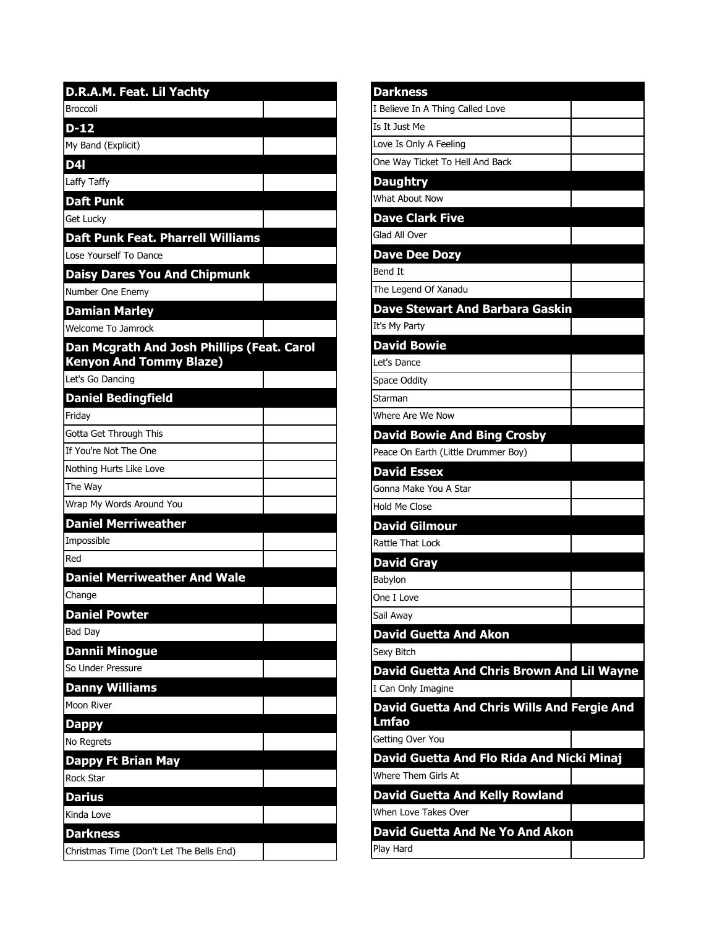| D.R.A.M. Feat. Lil Yachty                  |
|--------------------------------------------|
| <b>Broccoli</b>                            |
| $D-12$                                     |
| My Band (Explicit)                         |
| D4I                                        |
| Laffy Taffy                                |
| <b>Daft Punk</b>                           |
| Get Lucky                                  |
| <b>Daft Punk Feat. Pharrell Williams</b>   |
| Lose Yourself To Dance                     |
| <b>Daisy Dares You And Chipmunk</b>        |
| Number One Enemy                           |
| <b>Damian Marley</b>                       |
| Welcome To Jamrock                         |
| Dan Mcgrath And Josh Phillips (Feat. Carol |
| <b>Kenyon And Tommy Blaze)</b>             |
| Let's Go Dancing                           |
| <b>Daniel Bedingfield</b>                  |
| Friday                                     |
| Gotta Get Through This                     |
| If You're Not The One                      |
| Nothing Hurts Like Love                    |
| The Way                                    |
| Wrap My Words Around You                   |
| <b>Daniel Merriweather</b>                 |
| Impossible                                 |
| Red                                        |
| <b>Daniel Merriweather And Wale</b>        |
| Change                                     |
| <b>Daniel Powter</b>                       |
| <b>Bad Day</b>                             |
| <b>Dannii Minogue</b>                      |
| So Under Pressure                          |
| <b>Danny Williams</b>                      |
| Moon River                                 |
| Dappy                                      |
| No Regrets                                 |
| Dappy Ft Brian May                         |
| Rock Star                                  |
| <b>Darius</b>                              |
| Kinda Love                                 |
| <b>Darkness</b>                            |
| Christmas Time (Don't Let The Bells End)   |

| <b>Darkness</b>                             |  |
|---------------------------------------------|--|
| I Believe In A Thing Called Love            |  |
| Is It Just Me                               |  |
| Love Is Only A Feeling                      |  |
| One Way Ticket To Hell And Back             |  |
| <b>Daughtry</b>                             |  |
| What About Now                              |  |
| <b>Dave Clark Five</b>                      |  |
| Glad All Over                               |  |
| <b>Dave Dee Dozy</b>                        |  |
| Bend It                                     |  |
| The Legend Of Xanadu                        |  |
| <b>Dave Stewart And Barbara Gaskin</b>      |  |
| It's My Party                               |  |
| <b>David Bowie</b>                          |  |
| Let's Dance                                 |  |
| <b>Space Oddity</b>                         |  |
| Starman                                     |  |
| Where Are We Now                            |  |
| <b>David Bowie And Bing Crosby</b>          |  |
| Peace On Earth (Little Drummer Boy)         |  |
| <b>David Essex</b>                          |  |
| Gonna Make You A Star                       |  |
| Hold Me Close                               |  |
| <b>David Gilmour</b>                        |  |
| Rattle That Lock                            |  |
| <b>David Gray</b>                           |  |
| Babylon                                     |  |
| One I Love                                  |  |
| Sail Awav                                   |  |
| <b>David Guetta And Akon</b>                |  |
| Sexy Bitch                                  |  |
| David Guetta And Chris Brown And Lil Wayne  |  |
| I Can Only Imagine                          |  |
| David Guetta And Chris Wills And Fergie And |  |
| Lmfao<br>Getting Over You                   |  |
| David Guetta And Flo Rida And Nicki Minaj   |  |
| Where Them Girls At                         |  |
| <b>David Guetta And Kelly Rowland</b>       |  |
| When Love Takes Over                        |  |
| David Guetta And Ne Yo And Akon             |  |
| Play Hard                                   |  |
|                                             |  |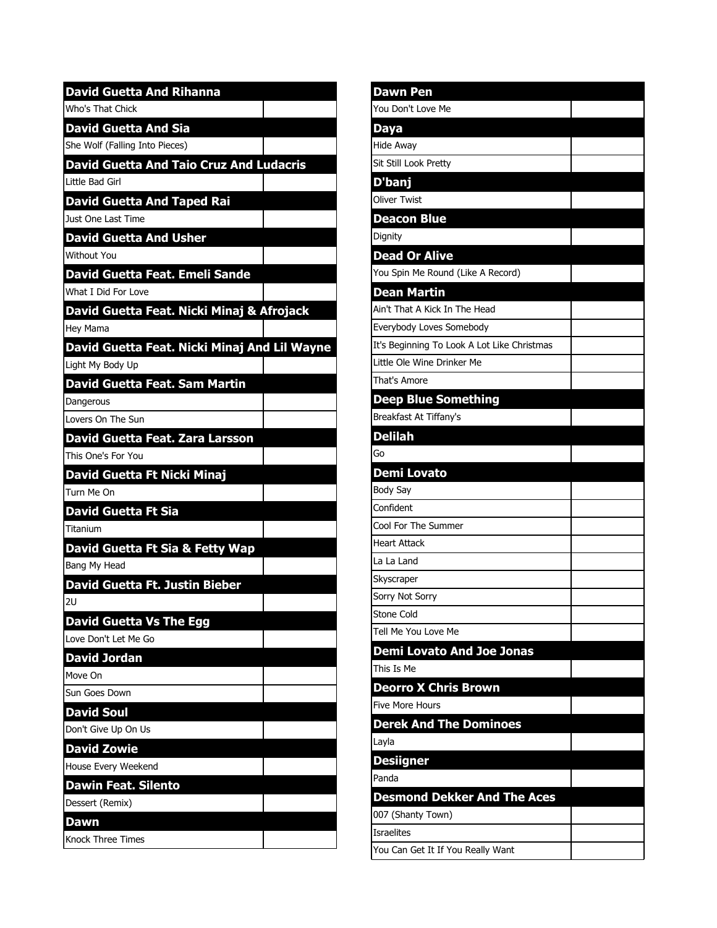| <b>David Guetta And Rihanna</b>                |
|------------------------------------------------|
| Who's That Chick                               |
| <b>David Guetta And Sia</b>                    |
| She Wolf (Falling Into Pieces)                 |
| <b>David Guetta And Taio Cruz And Ludacris</b> |
| Little Bad Girl                                |
| <b>David Guetta And Taped Rai</b>              |
| Just One Last Time                             |
| <b>David Guetta And Usher</b>                  |
| Without You                                    |
| David Guetta Feat. Emeli Sande                 |
| What I Did For Love                            |
| David Guetta Feat. Nicki Minaj & Afrojack      |
| Hey Mama                                       |
| David Guetta Feat. Nicki Minaj And Lil Wayne   |
| Light My Body Up                               |
| David Guetta Feat. Sam Martin                  |
| Dangerous                                      |
| Lovers On The Sun                              |
| <b>David Guetta Feat. Zara Larsson</b>         |
| This One's For You                             |
| David Guetta Ft Nicki Minaj                    |
| Turn Me On                                     |
| <b>David Guetta Ft Sia</b>                     |
| Titanium                                       |
| David Guetta Ft Sia & Fetty Wap                |
| Bang My Head                                   |
| David Guetta Ft. Justin Bieber                 |
| 2U                                             |
| <b>David Guetta Vs The Egg</b>                 |
| Love Don't Let Me Go                           |
| David Jordan                                   |
| Move On                                        |
| Sun Goes Down                                  |
| <b>David Soul</b>                              |
| Don't Give Up On Us                            |
| <b>David Zowie</b>                             |
| House Every Weekend                            |
| <b>Dawin Feat. Silento</b>                     |
| Dessert (Remix)                                |
| Dawn                                           |
| Knock Three Times                              |

| <b>Dawn Pen</b>                                        |  |
|--------------------------------------------------------|--|
| You Don't Love Me                                      |  |
| <b>Daya</b>                                            |  |
| <b>Hide Away</b>                                       |  |
| Sit Still Look Pretty                                  |  |
| D'banj                                                 |  |
| <b>Oliver Twist</b>                                    |  |
| <b>Deacon Blue</b>                                     |  |
| Dignity                                                |  |
| <b>Dead Or Alive</b>                                   |  |
| You Spin Me Round (Like A Record)                      |  |
| <b>Dean Martin</b>                                     |  |
| Ain't That A Kick In The Head                          |  |
| Everybody Loves Somebody                               |  |
| It's Beginning To Look A Lot Like Christmas            |  |
| Little Ole Wine Drinker Me                             |  |
| That's Amore                                           |  |
| <b>Deep Blue Something</b>                             |  |
| Breakfast At Tiffany's                                 |  |
| <b>Delilah</b>                                         |  |
| Go                                                     |  |
| Demi Lovato                                            |  |
|                                                        |  |
| Body Say                                               |  |
| Confident                                              |  |
| Cool For The Summer                                    |  |
| <b>Heart Attack</b>                                    |  |
| La La Land                                             |  |
| Skyscraper                                             |  |
| Sorry Not Sorry                                        |  |
| Stone Cold                                             |  |
| Tell Me You Love Me                                    |  |
| <b>Demi Lovato And Joe Jonas</b>                       |  |
| This Is Me                                             |  |
| <b>Deorro X Chris Brown</b>                            |  |
| Five More Hours                                        |  |
| <b>Derek And The Dominoes</b>                          |  |
| Layla                                                  |  |
| <b>Desiigner</b>                                       |  |
| Panda                                                  |  |
| <b>Desmond Dekker And The Aces</b>                     |  |
| 007 (Shanty Town)                                      |  |
| <b>Israelites</b><br>You Can Get It If You Really Want |  |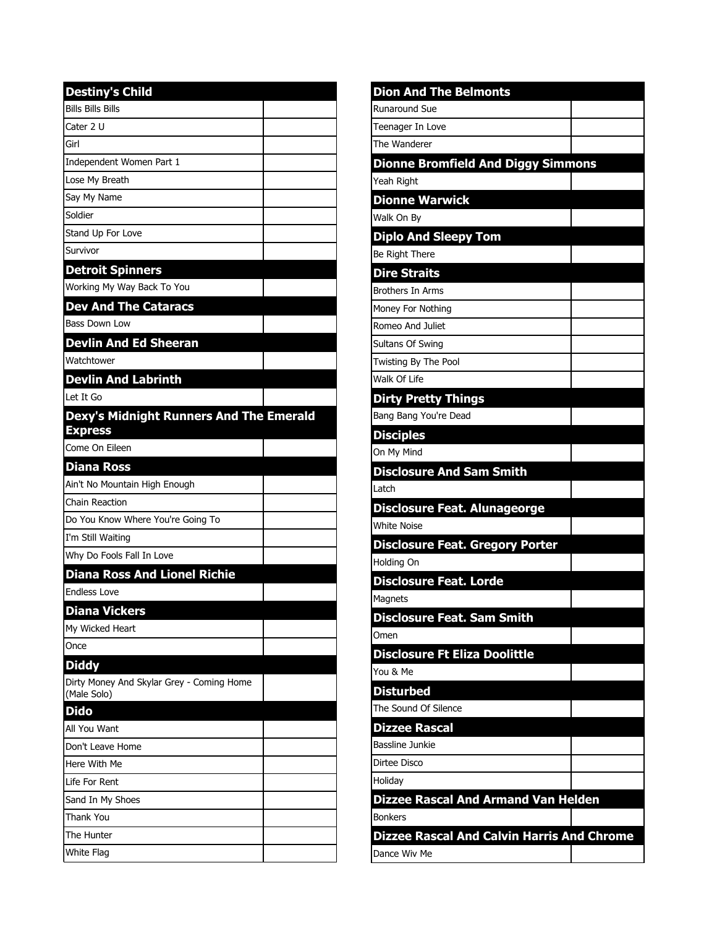| <b>Destiny's Child</b>                                   |
|----------------------------------------------------------|
| <b>Bills Bills Bills</b>                                 |
| Cater 2 U                                                |
| Girl                                                     |
| Independent Women Part 1                                 |
| Lose My Breath                                           |
| Say My Name                                              |
| Soldier                                                  |
| Stand Up For Love                                        |
| Survivor                                                 |
| <b>Detroit Spinners</b>                                  |
| Working My Way Back To You                               |
| <b>Dev And The Cataracs</b>                              |
| <b>Bass Down Low</b>                                     |
| <b>Devlin And Ed Sheeran</b>                             |
| Watchtower                                               |
| <b>Devlin And Labrinth</b>                               |
| Let It Go                                                |
| Dexy's Midnight Runners And The Emerald                  |
| <b>Express</b>                                           |
| Come On Eileen                                           |
| <b>Diana Ross</b>                                        |
| Ain't No Mountain High Enough                            |
| Chain Reaction                                           |
| Do You Know Where You're Going To                        |
| I'm Still Waiting                                        |
| Why Do Fools Fall In Love                                |
| <b>Diana Ross And Lionel Richie</b>                      |
| <b>Endless Love</b>                                      |
| <b>Diana Vickers</b>                                     |
| My Wicked Heart                                          |
| Once                                                     |
| <b>Diddy</b>                                             |
| Dirty Money And Skylar Grey - Coming Home<br>(Male Solo) |
| <b>Dido</b>                                              |
| All You Want                                             |
| Don't Leave Home                                         |
| Here With Me                                             |
| Life For Rent                                            |
| Sand In My Shoes                                         |
| Thank You                                                |
| The Hunter                                               |
| White Flag                                               |

| <b>Dion And The Belmonts</b>                        |  |
|-----------------------------------------------------|--|
| Runaround Sue                                       |  |
| Teenager In Love                                    |  |
| The Wanderer                                        |  |
| <b>Dionne Bromfield And Diggy Simmons</b>           |  |
| Yeah Right                                          |  |
| <b>Dionne Warwick</b>                               |  |
| Walk On By                                          |  |
| <b>Diplo And Sleepy Tom</b>                         |  |
| Be Right There                                      |  |
| <b>Dire Straits</b>                                 |  |
| <b>Brothers In Arms</b>                             |  |
| Money For Nothing                                   |  |
| Romeo And Juliet                                    |  |
| Sultans Of Swing                                    |  |
| Twisting By The Pool                                |  |
| Walk Of Life                                        |  |
| <b>Dirty Pretty Things</b><br>Bang Bang You're Dead |  |
|                                                     |  |
| <b>Disciples</b><br>On My Mind                      |  |
| <b>Disclosure And Sam Smith</b>                     |  |
| Latch                                               |  |
| <b>Disclosure Feat. Alunageorge</b>                 |  |
| <b>White Noise</b>                                  |  |
| <b>Disclosure Feat. Gregory Porter</b>              |  |
| <b>Holding On</b>                                   |  |
| <b>Disclosure Feat. Lorde</b>                       |  |
| Magnets                                             |  |
| <b>Disclosure Feat. Sam Smith</b>                   |  |
| Omen                                                |  |
| <b>Disclosure Ft Eliza Doolittle</b>                |  |
| You & Me                                            |  |
| <b>Disturbed</b>                                    |  |
| The Sound Of Silence                                |  |
| <b>Dizzee Rascal</b>                                |  |
| <b>Bassline Junkie</b>                              |  |
| Dirtee Disco                                        |  |
| Holiday                                             |  |
| <b>Dizzee Rascal And Armand Van Helden</b>          |  |
| <b>Bonkers</b>                                      |  |
| <b>Dizzee Rascal And Calvin Harris And Chrome</b>   |  |
| Dance Wiv Me                                        |  |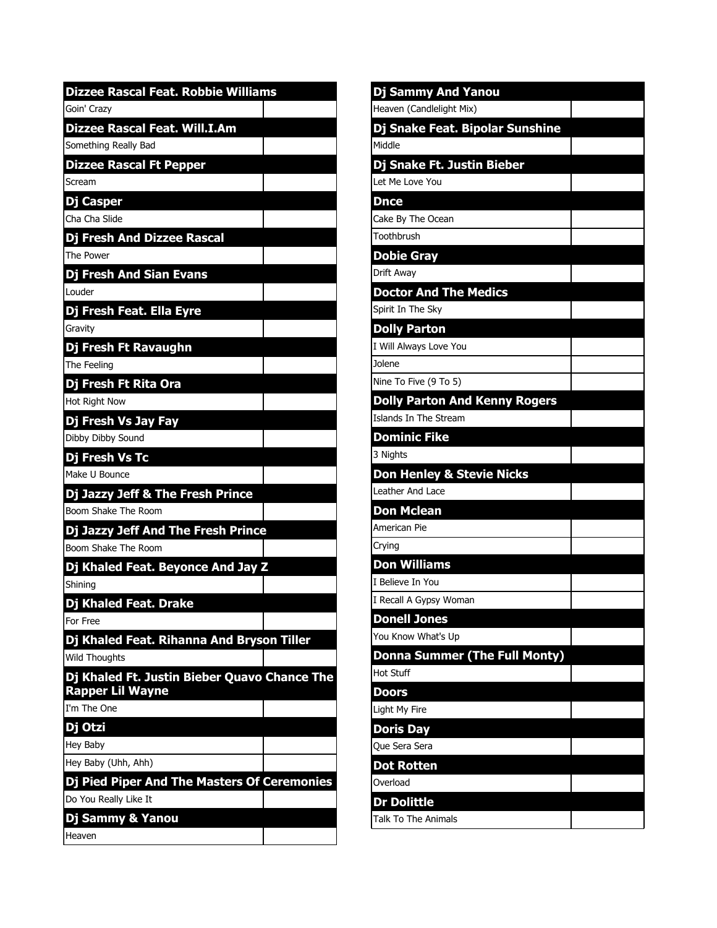| <b>Dizzee Rascal Feat. Robbie Williams</b>   | Dj S              |
|----------------------------------------------|-------------------|
| Goin' Crazy                                  | Heave             |
| <b>Dizzee Rascal Feat. Will.I.Am</b>         | Dj S              |
| Something Really Bad                         | Middle            |
| <b>Dizzee Rascal Ft Pepper</b>               | Dj S              |
| Scream                                       | Let M             |
| Dj Casper                                    | <b>Dnc</b>        |
| <b>Cha Cha Slide</b>                         | Cake              |
| <b>Dj Fresh And Dizzee Rascal</b>            | Tooth             |
| The Power                                    | Dob               |
| <b>Dj Fresh And Sian Evans</b>               | Drift /           |
| Louder                                       | <b>Doc</b>        |
| Dj Fresh Feat. Ella Eyre                     | Spirit            |
| Gravity                                      | <b>Doll</b>       |
| Dj Fresh Ft Ravaughn                         | I Will            |
| The Feeling                                  | Jolene            |
| Dj Fresh Ft Rita Ora                         | Nine <sup>-</sup> |
| Hot Right Now                                | Doll              |
| Dj Fresh Vs Jay Fay                          | Islanc            |
| Dibby Dibby Sound                            | Don               |
| Dj Fresh Vs Tc                               | 3 Nigh            |
| Make U Bounce                                | Don               |
| Dj Jazzy Jeff & The Fresh Prince             | Leath             |
| Boom Shake The Room                          | Don               |
| Dj Jazzy Jeff And The Fresh Prince           | Ameri             |
| Boom Shake The Room                          | Cryino            |
| Dj Khaled Feat. Beyonce And Jay Z            | Don               |
| Shining                                      | I Belie           |
| Di Khaled Feat. Drake                        | I Reca            |
| For Free                                     | Don               |
| Dj Khaled Feat. Rihanna And Bryson Tiller    | You K             |
| <b>Wild Thoughts</b>                         | Don               |
| Dj Khaled Ft. Justin Bieber Quavo Chance The | Hot S             |
| <b>Rapper Lil Wayne</b>                      | Doo               |
| I'm The One                                  | Light             |
| Dj Otzi                                      | Dori              |
| Hey Baby                                     | Que S             |
| Hey Baby (Uhh, Ahh)                          | Dot               |
| Dj Pied Piper And The Masters Of Ceremonies  | Overk             |
| Do You Really Like It                        | Dr D              |
| Dj Sammy & Yanou                             | Talk 1            |
| Heaven                                       |                   |

| Dj Sammy And Yanou                      |  |
|-----------------------------------------|--|
| Heaven (Candlelight Mix)                |  |
| Dj Snake Feat. Bipolar Sunshine         |  |
| Middle                                  |  |
| Dj Snake Ft. Justin Bieber              |  |
| Let Me Love You                         |  |
| <b>Dnce</b>                             |  |
| Cake By The Ocean                       |  |
| Toothbrush                              |  |
| <b>Dobie Gray</b>                       |  |
| Drift Away                              |  |
| <b>Doctor And The Medics</b>            |  |
| Spirit In The Sky                       |  |
| <b>Dolly Parton</b>                     |  |
| I Will Always Love You                  |  |
| Jolene                                  |  |
| Nine To Five (9 To 5)                   |  |
| <b>Dolly Parton And Kenny Rogers</b>    |  |
| Islands In The Stream                   |  |
| <b>Dominic Fike</b>                     |  |
| 3 Nights                                |  |
| <b>Don Henley &amp; Stevie Nicks</b>    |  |
| Leather And Lace                        |  |
| <b>Don Mclean</b>                       |  |
| American Pie                            |  |
| Crying                                  |  |
| <b>Don Williams</b><br>I Believe In You |  |
| I Recall A Gypsy Woman                  |  |
| <b>Donell Jones</b>                     |  |
| You Know What's Up                      |  |
| <b>Donna Summer (The Full Monty)</b>    |  |
| Hot Stuff                               |  |
| <b>Doors</b>                            |  |
| Light My Fire                           |  |
| <b>Doris Day</b>                        |  |
| Que Sera Sera                           |  |
| <b>Dot Rotten</b>                       |  |
| Overload                                |  |
| <b>Dr Dolittle</b>                      |  |
| Talk To The Animals                     |  |
|                                         |  |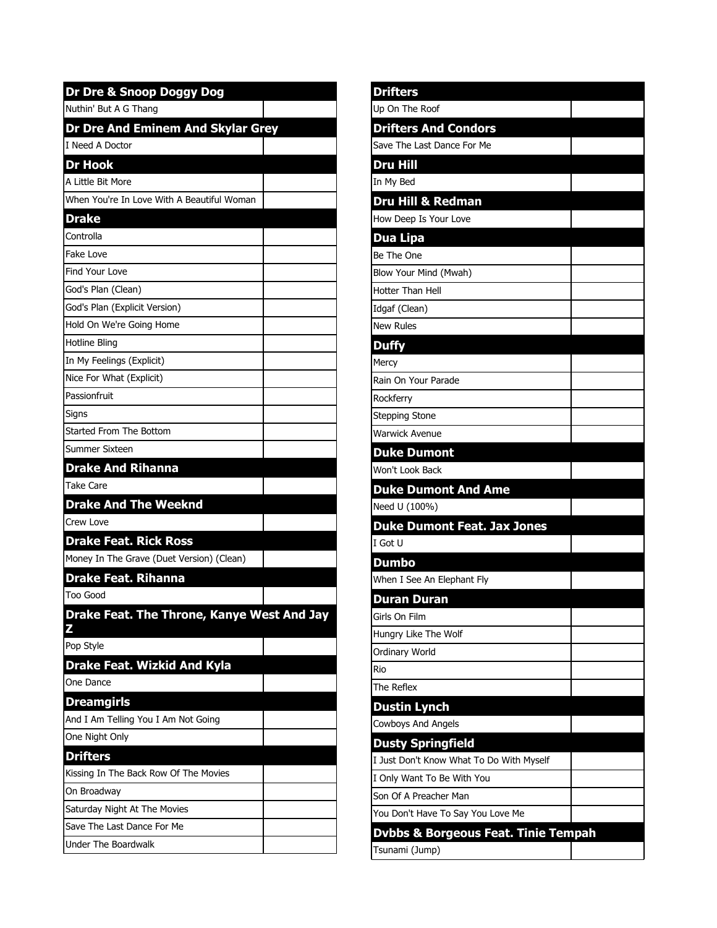| Dr Dre & Snoop Doggy Dog                   |  |
|--------------------------------------------|--|
| Nuthin' But A G Thang                      |  |
| Dr Dre And Eminem And Skylar Grey          |  |
| I Need A Doctor                            |  |
| <b>Dr Hook</b>                             |  |
| A Little Bit More                          |  |
| When You're In Love With A Beautiful Woman |  |
| <b>Drake</b>                               |  |
| Controlla                                  |  |
| Fake Love                                  |  |
| <b>Find Your Love</b>                      |  |
| God's Plan (Clean)                         |  |
| God's Plan (Explicit Version)              |  |
| Hold On We're Going Home                   |  |
| <b>Hotline Bling</b>                       |  |
| In My Feelings (Explicit)                  |  |
| Nice For What (Explicit)                   |  |
| Passionfruit                               |  |
| Signs                                      |  |
| Started From The Bottom                    |  |
| Summer Sixteen                             |  |
| <b>Drake And Rihanna</b>                   |  |
| Take Care                                  |  |
| <b>Drake And The Weeknd</b>                |  |
| Crew Love                                  |  |
| <b>Drake Feat. Rick Ross</b>               |  |
| Money In The Grave (Duet Version) (Clean)  |  |
| <b>Drake Feat. Rihanna</b>                 |  |
| Too Good                                   |  |
| Drake Feat. The Throne, Kanye West And Jay |  |
| Z                                          |  |
| Pop Style                                  |  |
| <b>Drake Feat. Wizkid And Kyla</b>         |  |
| One Dance                                  |  |
| <b>Dreamgirls</b>                          |  |
| And I Am Telling You I Am Not Going        |  |
| One Night Only                             |  |
| <b>Drifters</b>                            |  |
| Kissing In The Back Row Of The Movies      |  |
| On Broadway                                |  |
| Saturday Night At The Movies               |  |
| Save The Last Dance For Me                 |  |
| Under The Boardwalk                        |  |

| <b>Drifters</b>                                |
|------------------------------------------------|
| Up On The Roof                                 |
| <b>Drifters And Condors</b>                    |
| Save The Last Dance For Me                     |
| <b>Dru Hill</b>                                |
| In My Bed                                      |
| <b>Dru Hill &amp; Redman</b>                   |
| How Deep Is Your Love                          |
| <b>Dua Lipa</b>                                |
| Be The One                                     |
| Blow Your Mind (Mwah)                          |
| Hotter Than Hell                               |
| Idgaf (Clean)                                  |
| <b>New Rules</b>                               |
| <b>Duffy</b>                                   |
| Mercy                                          |
| Rain On Your Parade                            |
| Rockferry                                      |
| <b>Stepping Stone</b>                          |
| Warwick Avenue                                 |
| <b>Duke Dumont</b>                             |
| Won't Look Back                                |
| <b>Duke Dumont And Ame</b>                     |
| Need U (100%)                                  |
| <b>Duke Dumont Feat. Jax Jones</b>             |
| I Got U                                        |
| <b>Dumbo</b>                                   |
| When I See An Elephant Fly                     |
| <b>Duran Duran</b>                             |
| Girls On Film                                  |
| Hungry Like The Wolf                           |
| Ordinary World                                 |
| Rio                                            |
| The Reflex                                     |
| <b>Dustin Lynch</b>                            |
| Cowboys And Angels                             |
| <b>Dusty Springfield</b>                       |
| I Just Don't Know What To Do With Myself       |
| I Only Want To Be With You                     |
| Son Of A Preacher Man                          |
| You Don't Have To Say You Love Me              |
| <b>Dvbbs &amp; Borgeous Feat. Tinie Tempah</b> |
| Tsunami (Jump)                                 |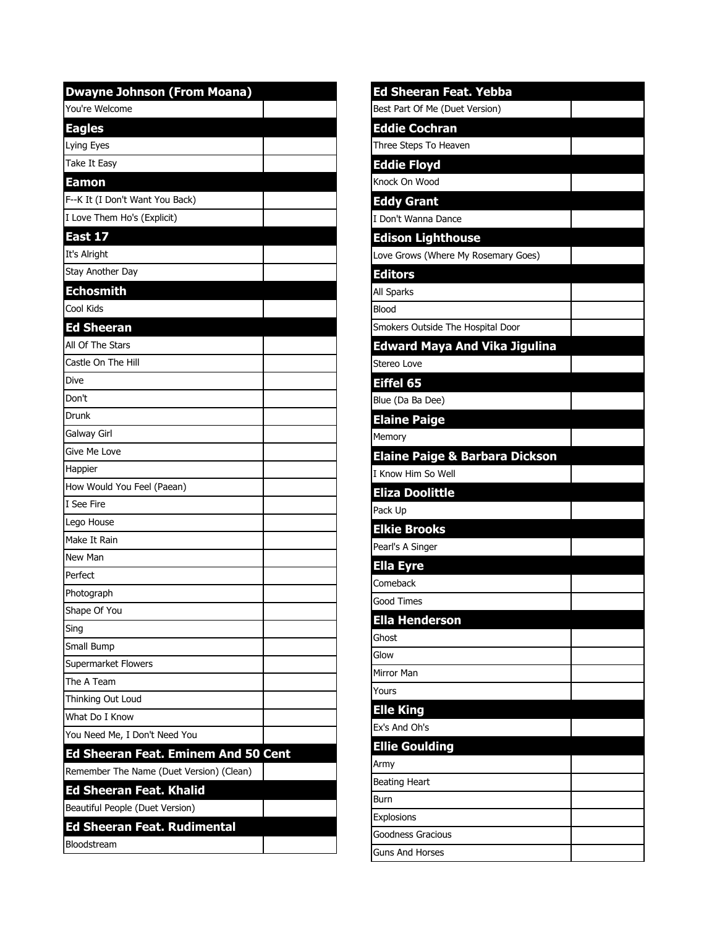| <b>Dwayne Johnson (From Moana)</b>         |  |
|--------------------------------------------|--|
| You're Welcome                             |  |
| <b>Eagles</b>                              |  |
| Lying Eyes                                 |  |
| Take It Easy                               |  |
| <u>Eamon</u>                               |  |
| F--K It (I Don't Want You Back)            |  |
| I Love Them Ho's (Explicit)                |  |
| East 17                                    |  |
| It's Alright                               |  |
| Stay Another Day                           |  |
| <b>Echosmith</b>                           |  |
| Cool Kids                                  |  |
| <b>Ed Sheeran</b>                          |  |
| All Of The Stars                           |  |
| Castle On The Hill                         |  |
| Dive                                       |  |
| Don't                                      |  |
| Drunk                                      |  |
| Galway Girl                                |  |
| Give Me Love                               |  |
| Happier                                    |  |
| How Would You Feel (Paean)                 |  |
| I See Fire                                 |  |
| Lego House                                 |  |
| Make It Rain                               |  |
| New Man                                    |  |
| Perfect                                    |  |
| Photograph                                 |  |
| Shape Of You                               |  |
| Sing                                       |  |
| Small Bump                                 |  |
| <b>Supermarket Flowers</b>                 |  |
| The A Team                                 |  |
| Thinking Out Loud                          |  |
| What Do I Know                             |  |
| You Need Me, I Don't Need You              |  |
| <b>Ed Sheeran Feat. Eminem And 50 Cent</b> |  |
| Remember The Name (Duet Version) (Clean)   |  |
| <b>Ed Sheeran Feat. Khalid</b>             |  |
| Beautiful People (Duet Version)            |  |
| <b>Ed Sheeran Feat. Rudimental</b>         |  |
| Bloodstream                                |  |

| <b>Ed Sheeran Feat. Yebba</b>             |  |
|-------------------------------------------|--|
| Best Part Of Me (Duet Version)            |  |
| <b>Eddie Cochran</b>                      |  |
| Three Steps To Heaven                     |  |
| <b>Eddie Floyd</b>                        |  |
| Knock On Wood                             |  |
| <b>Eddy Grant</b>                         |  |
| I Don't Wanna Dance                       |  |
| <b>Edison Lighthouse</b>                  |  |
| Love Grows (Where My Rosemary Goes)       |  |
| <b>Editors</b>                            |  |
| All Sparks                                |  |
| <b>Blood</b>                              |  |
| Smokers Outside The Hospital Door         |  |
| <b>Edward Maya And Vika Jigulina</b>      |  |
| Stereo Love                               |  |
| Eiffel 65                                 |  |
| Blue (Da Ba Dee)                          |  |
| <b>Elaine Paige</b>                       |  |
| Memory                                    |  |
| <b>Elaine Paige &amp; Barbara Dickson</b> |  |
| I Know Him So Well                        |  |
| <b>Eliza Doolittle</b>                    |  |
| Pack Up                                   |  |
| <b>Elkie Brooks</b>                       |  |
| Pearl's A Singer                          |  |
| <b>Ella Eyre</b>                          |  |
| Comeback                                  |  |
| Good Times                                |  |
| <b>Ella Henderson</b>                     |  |
| Ghost                                     |  |
| Glow                                      |  |
| Mirror Man                                |  |
| Yours                                     |  |
| <b>Elle King</b>                          |  |
| Ex's And Oh's                             |  |
| <b>Ellie Goulding</b>                     |  |
| Army                                      |  |
| <b>Beating Heart</b>                      |  |
| <b>Burn</b>                               |  |
| Explosions                                |  |
| <b>Goodness Gracious</b>                  |  |
| <b>Guns And Horses</b>                    |  |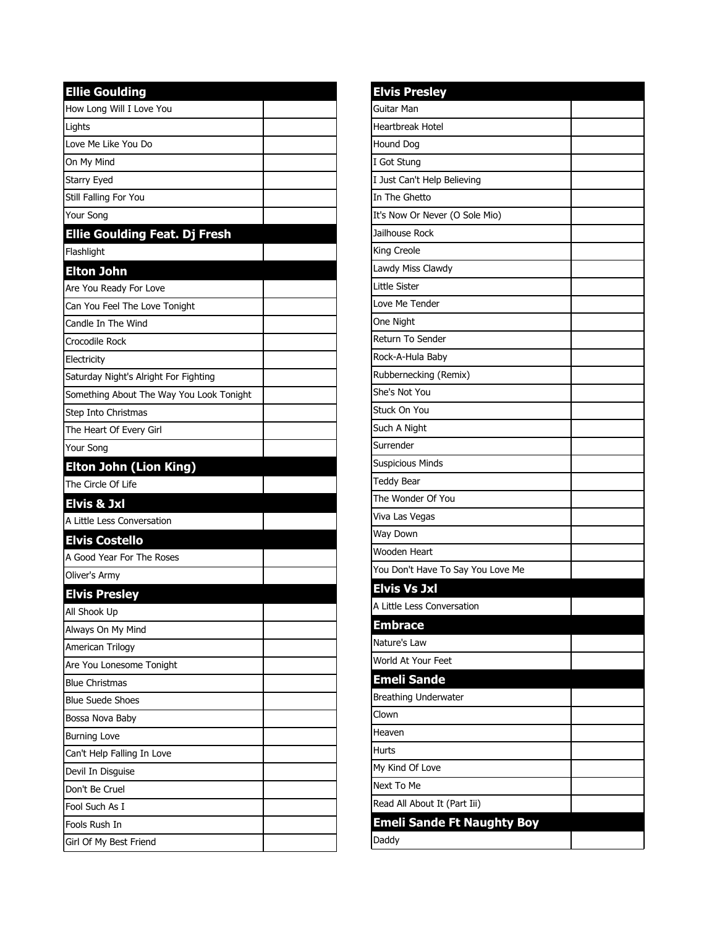| <b>Ellie Goulding</b>                    |  |
|------------------------------------------|--|
| How Long Will I Love You                 |  |
| Lights                                   |  |
| Love Me Like You Do                      |  |
| On My Mind                               |  |
| Starry Eyed                              |  |
| Still Falling For You                    |  |
| Your Song                                |  |
| <b>Ellie Goulding Feat. Dj Fresh</b>     |  |
| Flashlight                               |  |
| <b>Elton John</b>                        |  |
| Are You Ready For Love                   |  |
| Can You Feel The Love Tonight            |  |
| Candle In The Wind                       |  |
| Crocodile Rock                           |  |
| Electricity                              |  |
| Saturday Night's Alright For Fighting    |  |
| Something About The Way You Look Tonight |  |
| Step Into Christmas                      |  |
| The Heart Of Every Girl                  |  |
| Your Song                                |  |
| <b>Elton John (Lion King)</b>            |  |
| The Circle Of Life                       |  |
| Elvis & Jxl                              |  |
| A Little Less Conversation               |  |
| <b>Elvis Costello</b>                    |  |
| A Good Year For The Roses                |  |
| Oliver's Army                            |  |
| <b>Elvis Presley</b>                     |  |
| All Shook Up                             |  |
| Always On My Mind                        |  |
| American Trilogy                         |  |
| Are You Lonesome Tonight                 |  |
| <b>Blue Christmas</b>                    |  |
| <b>Blue Suede Shoes</b>                  |  |
| Bossa Nova Baby                          |  |
| <b>Burning Love</b>                      |  |
| Can't Help Falling In Love               |  |
| Devil In Disguise                        |  |
| Don't Be Cruel                           |  |
| Fool Such As I                           |  |
| Fools Rush In                            |  |
| Girl Of My Best Friend                   |  |

| <b>Elvis Presley</b>              |  |
|-----------------------------------|--|
| Guitar Man                        |  |
| <b>Heartbreak Hotel</b>           |  |
| <b>Hound Dog</b>                  |  |
| I Got Stung                       |  |
| I Just Can't Help Believing       |  |
| In The Ghetto                     |  |
| It's Now Or Never (O Sole Mio)    |  |
| Jailhouse Rock                    |  |
| King Creole                       |  |
| Lawdy Miss Clawdy                 |  |
| Little Sister                     |  |
| Love Me Tender                    |  |
| One Night                         |  |
| Return To Sender                  |  |
| Rock-A-Hula Baby                  |  |
| Rubbernecking (Remix)             |  |
| She's Not You                     |  |
| Stuck On You                      |  |
| Such A Night                      |  |
| Surrender                         |  |
| <b>Suspicious Minds</b>           |  |
| <b>Teddy Bear</b>                 |  |
| The Wonder Of You                 |  |
| Viva Las Vegas                    |  |
| Way Down                          |  |
| Wooden Heart                      |  |
| You Don't Have To Say You Love Me |  |
| <b>Elvis Vs Jxl</b>               |  |
| A Little Less Conversation        |  |
| <b>Embrace</b>                    |  |
| Nature's Law                      |  |
| World At Your Feet                |  |
| <b>Emeli Sande</b>                |  |
| <b>Breathing Underwater</b>       |  |
| Clown                             |  |
| Heaven                            |  |
| Hurts                             |  |
| My Kind Of Love                   |  |
| Next To Me                        |  |
| Read All About It (Part Iii)      |  |
| <b>Emeli Sande Ft Naughty Boy</b> |  |
| Daddy                             |  |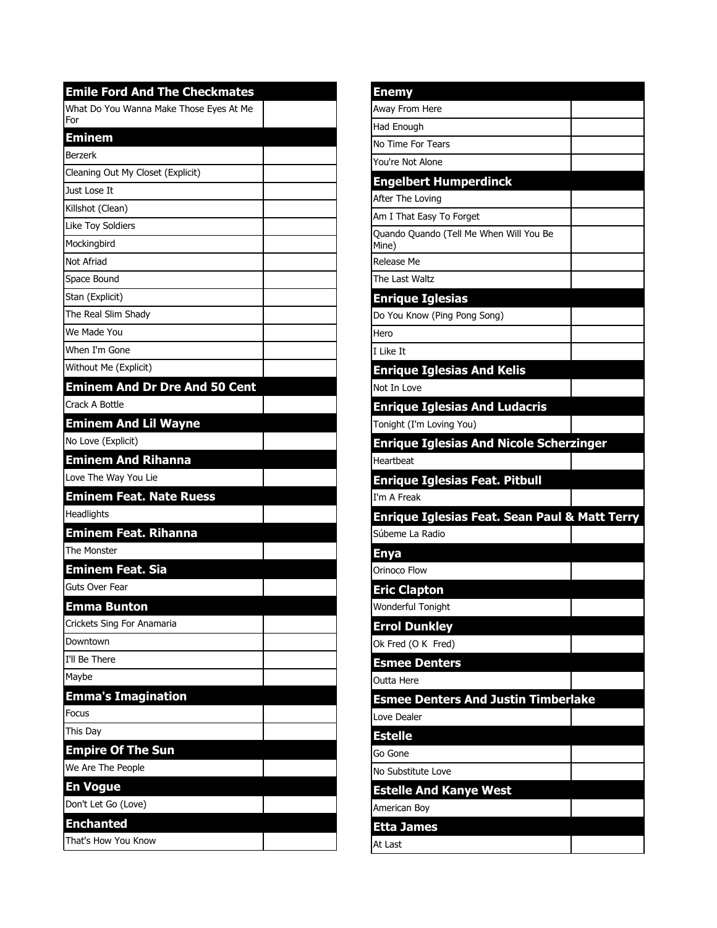| <b>Emile Ford And The Checkmates</b>           |  |
|------------------------------------------------|--|
| What Do You Wanna Make Those Eyes At Me<br>For |  |
| <b>Eminem</b>                                  |  |
| <b>Berzerk</b>                                 |  |
| Cleaning Out My Closet (Explicit)              |  |
| Just Lose It                                   |  |
| Killshot (Clean)                               |  |
| Like Toy Soldiers                              |  |
| Mockingbird                                    |  |
| Not Afriad                                     |  |
| Space Bound                                    |  |
| Stan (Explicit)                                |  |
| The Real Slim Shady                            |  |
| We Made You                                    |  |
| When I'm Gone                                  |  |
| Without Me (Explicit)                          |  |
| <b>Eminem And Dr Dre And 50 Cent</b>           |  |
| Crack A Bottle                                 |  |
| <b>Eminem And Lil Wayne</b>                    |  |
| No Love (Explicit)                             |  |
| <b>Eminem And Rihanna</b>                      |  |
| Love The Way You Lie                           |  |
| <b>Eminem Feat. Nate Ruess</b>                 |  |
| Headlights                                     |  |
| Eminem Feat. Rihanna                           |  |
| The Monster                                    |  |
| <b>Eminem Feat. Sia</b>                        |  |
| Guts Over Fear                                 |  |
| <b>Emma Bunton</b>                             |  |
| Crickets Sing For Anamaria                     |  |
| Downtown                                       |  |
| I'll Be There                                  |  |
| Maybe                                          |  |
| Emma's Imagination                             |  |
| Focus                                          |  |
| This Day                                       |  |
| <b>Empire Of The Sun</b>                       |  |
| We Are The People                              |  |
| <b>En Vogue</b>                                |  |
| Don't Let Go (Love)                            |  |
| <b>Enchanted</b>                               |  |
| That's How You Know                            |  |
|                                                |  |

| <b>Enemy</b>                                             |  |
|----------------------------------------------------------|--|
| Away From Here                                           |  |
| Had Enough                                               |  |
| No Time For Tears                                        |  |
| You're Not Alone                                         |  |
| <b>Engelbert Humperdinck</b>                             |  |
| After The Loving                                         |  |
| Am I That Easy To Forget                                 |  |
| Quando Quando (Tell Me When Will You Be<br>Mine)         |  |
| Release Me                                               |  |
| The Last Waltz                                           |  |
| <b>Enrique Iglesias</b>                                  |  |
| Do You Know (Ping Pong Song)                             |  |
| Hero                                                     |  |
| I Like It                                                |  |
| <b>Enrique Iglesias And Kelis</b>                        |  |
| Not In Love                                              |  |
| <b>Enrique Iglesias And Ludacris</b>                     |  |
| Tonight (I'm Loving You)                                 |  |
| <b>Enrique Iglesias And Nicole Scherzinger</b>           |  |
| Heartbeat                                                |  |
| <b>Enrique Iglesias Feat. Pitbull</b>                    |  |
| I'm A Freak                                              |  |
| <b>Enrique Iglesias Feat. Sean Paul &amp; Matt Terry</b> |  |
| Súbeme La Radio                                          |  |
| <b>Enya</b>                                              |  |
| Orinoco Flow                                             |  |
| <b>Eric Clapton</b>                                      |  |
| Wonderful Tonight                                        |  |
| <b>Errol Dunkley</b>                                     |  |
| Ok Fred (O K Fred)                                       |  |
| <b>Esmee Denters</b>                                     |  |
| Outta Here                                               |  |
| <b>Esmee Denters And Justin Timberlake</b>               |  |
| Love Dealer                                              |  |
| <b>Estelle</b>                                           |  |
| Go Gone                                                  |  |
| No Substitute Love                                       |  |
| <b>Estelle And Kanye West</b>                            |  |
| American Boy                                             |  |
| <b>Etta James</b>                                        |  |
| At Last                                                  |  |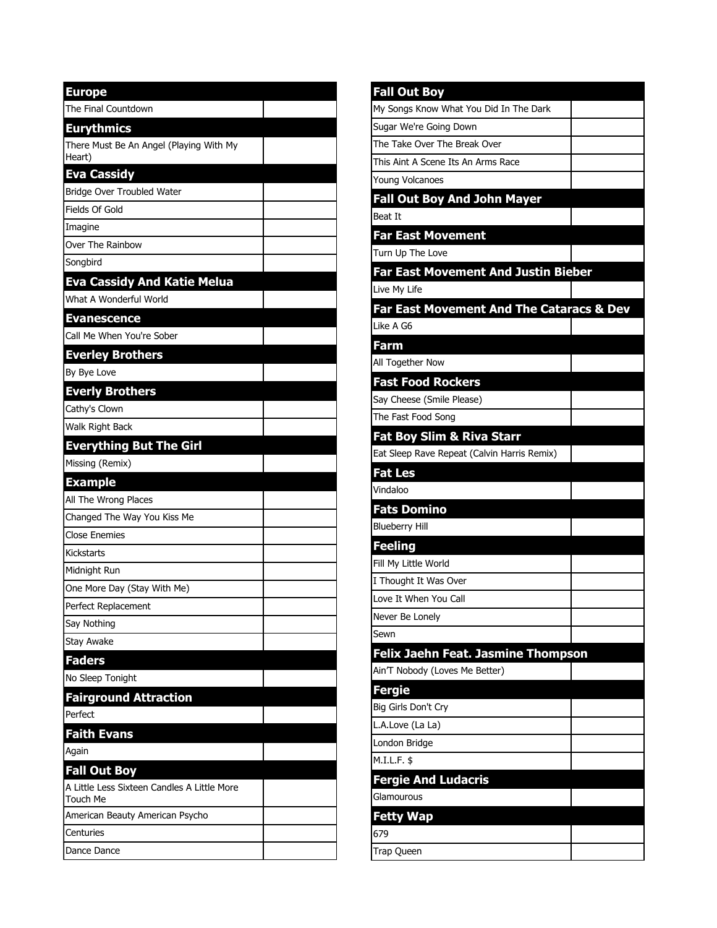| <b>Europe</b>                                           |  |
|---------------------------------------------------------|--|
| The Final Countdown                                     |  |
| <b>Eurythmics</b>                                       |  |
| There Must Be An Angel (Playing With My                 |  |
| Heart)                                                  |  |
| <b>Eva Cassidy</b>                                      |  |
| Bridge Over Troubled Water                              |  |
| Fields Of Gold                                          |  |
| Imagine                                                 |  |
| Over The Rainbow                                        |  |
| Songbird                                                |  |
| <b>Eva Cassidy And Katie Melua</b>                      |  |
| What A Wonderful World                                  |  |
| <b>Evanescence</b>                                      |  |
| Call Me When You're Sober                               |  |
| <b>Everley Brothers</b>                                 |  |
| By Bye Love                                             |  |
| <b>Everly Brothers</b>                                  |  |
| Cathy's Clown                                           |  |
| Walk Right Back                                         |  |
| <b>Everything But The Girl</b>                          |  |
| Missing (Remix)                                         |  |
| <b>Example</b>                                          |  |
| All The Wrong Places                                    |  |
| Changed The Way You Kiss Me                             |  |
| <b>Close Enemies</b>                                    |  |
| Kickstarts                                              |  |
| Midnight Run                                            |  |
| One More Day (Stay With Me)                             |  |
| Perfect Replacement                                     |  |
| Say Nothing                                             |  |
| <b>Stay Awake</b>                                       |  |
| <b>Faders</b>                                           |  |
| No Sleep Tonight                                        |  |
| <b>Fairground Attraction</b>                            |  |
| Perfect                                                 |  |
|                                                         |  |
| <b>Faith Evans</b>                                      |  |
| Again                                                   |  |
| <b>Fall Out Boy</b>                                     |  |
| A Little Less Sixteen Candles A Little More<br>Touch Me |  |
| American Beauty American Psycho                         |  |
| Centuries                                               |  |

| <b>Fall Out Boy</b>                         |  |
|---------------------------------------------|--|
| My Songs Know What You Did In The Dark      |  |
| Sugar We're Going Down                      |  |
| The Take Over The Break Over                |  |
| This Aint A Scene Its An Arms Race          |  |
| <b>Young Volcanoes</b>                      |  |
| <b>Fall Out Boy And John Mayer</b>          |  |
| <b>Beat It</b>                              |  |
| <b>Far East Movement</b>                    |  |
| Turn Up The Love                            |  |
| <b>Far East Movement And Justin Bieber</b>  |  |
| Live My Life                                |  |
| Far East Movement And The Cataracs & Dev    |  |
| Like A G6                                   |  |
| Farm                                        |  |
| All Together Now                            |  |
| <b>Fast Food Rockers</b>                    |  |
| Say Cheese (Smile Please)                   |  |
| The Fast Food Song                          |  |
| <b>Fat Boy Slim &amp; Riva Starr</b>        |  |
| Eat Sleep Rave Repeat (Calvin Harris Remix) |  |
| <b>Fat Les</b>                              |  |
| Vindaloo                                    |  |
| <b>Fats Domino</b>                          |  |
| <b>Blueberry Hill</b>                       |  |
| <b>Feeling</b>                              |  |
| Fill My Little World                        |  |
| I Thought It Was Over                       |  |
| Love It When You Call                       |  |
| Never Be Lonely                             |  |
| Sewn                                        |  |
| Felix Jaehn Feat. Jasmine Thompson          |  |
| Ain'T Nobody (Loves Me Better)              |  |
| <b>Fergie</b>                               |  |
| Big Girls Don't Cry                         |  |
| L.A.Love (La La)                            |  |
| London Bridge                               |  |
| M.I.L.F. \$                                 |  |
| <b>Fergie And Ludacris</b>                  |  |
| Glamourous                                  |  |
| <b>Fetty Wap</b>                            |  |
| 679                                         |  |
| Trap Queen                                  |  |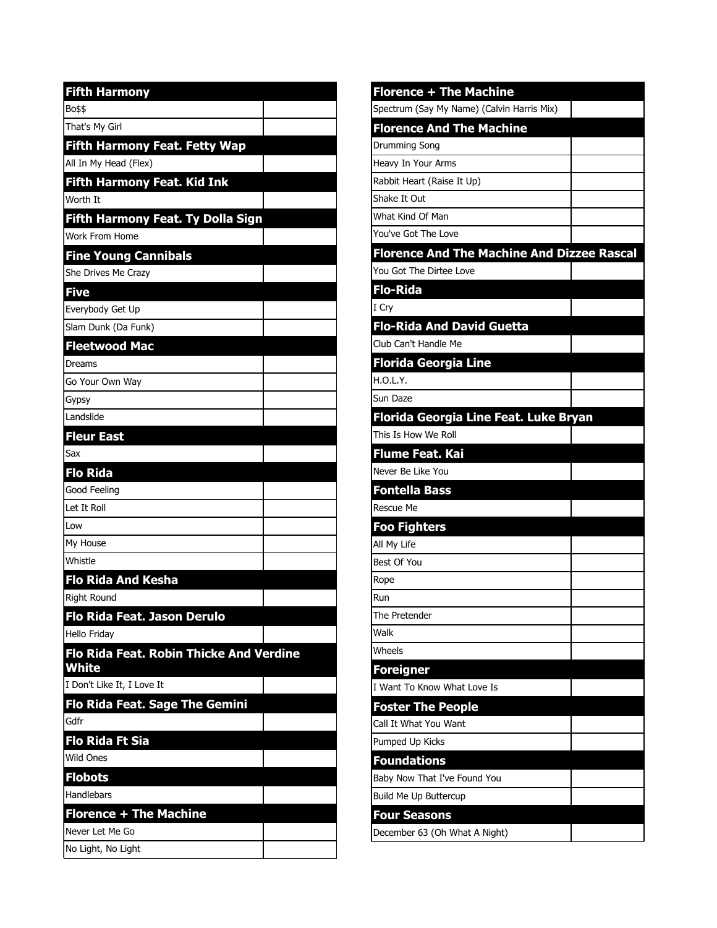| <b>Fifth Harmony</b>                                    |  |
|---------------------------------------------------------|--|
| Bo\$\$                                                  |  |
| That's My Girl                                          |  |
| <b>Fifth Harmony Feat. Fetty Wap</b>                    |  |
| All In My Head (Flex)                                   |  |
| <b>Fifth Harmony Feat. Kid Ink</b>                      |  |
| Worth It                                                |  |
| <b>Fifth Harmony Feat. Ty Dolla Sign</b>                |  |
| Work From Home                                          |  |
| <b>Fine Young Cannibals</b>                             |  |
| She Drives Me Crazy                                     |  |
| <b>Five</b>                                             |  |
| Everybody Get Up                                        |  |
| Slam Dunk (Da Funk)                                     |  |
| <b>Fleetwood Mac</b>                                    |  |
| Dreams                                                  |  |
| Go Your Own Way                                         |  |
| Gypsy                                                   |  |
| Landslide                                               |  |
| <b>Fleur East</b>                                       |  |
| Sax                                                     |  |
| <b>Flo Rida</b>                                         |  |
| Good Feeling                                            |  |
| Let It Roll                                             |  |
| Low                                                     |  |
| My House                                                |  |
| Whistle                                                 |  |
| <b>Flo Rida And Kesha</b>                               |  |
| <b>Right Round</b>                                      |  |
| Flo Rida Feat. Jason Derulo                             |  |
| <b>Hello Friday</b>                                     |  |
| <b>Flo Rida Feat. Robin Thicke And Verdine</b><br>White |  |
| I Don't Like It. I Love It                              |  |
| Flo Rida Feat. Sage The Gemini                          |  |
| Gdfr                                                    |  |
| <b>Flo Rida Ft Sia</b>                                  |  |
| Wild Ones                                               |  |
| <b>Flobots</b>                                          |  |
| Handlebars                                              |  |
| <b>Florence + The Machine</b>                           |  |
| Never Let Me Go                                         |  |
| No Light, No Light                                      |  |

| <b>Florence + The Machine</b>                     |  |
|---------------------------------------------------|--|
| Spectrum (Say My Name) (Calvin Harris Mix)        |  |
| <b>Florence And The Machine</b>                   |  |
| Drumming Song                                     |  |
| Heavy In Your Arms                                |  |
| Rabbit Heart (Raise It Up)                        |  |
| Shake It Out                                      |  |
| What Kind Of Man                                  |  |
| You've Got The Love                               |  |
| <b>Florence And The Machine And Dizzee Rascal</b> |  |
| You Got The Dirtee Love                           |  |
| <b>Flo-Rida</b>                                   |  |
| I Cry                                             |  |
| <b>Flo-Rida And David Guetta</b>                  |  |
| Club Can't Handle Me                              |  |
| <b>Florida Georgia Line</b>                       |  |
| H.O.L.Y.                                          |  |
| Sun Daze                                          |  |
| Florida Georgia Line Feat. Luke Bryan             |  |
| This Is How We Roll                               |  |
| <b>Flume Feat. Kai</b>                            |  |
| Never Be Like You                                 |  |
| <b>Fontella Bass</b>                              |  |
| <b>Rescue Me</b>                                  |  |
| <b>Foo Fighters</b>                               |  |
| All My Life                                       |  |
| Best Of You                                       |  |
| Rope                                              |  |
| Run                                               |  |
| The Pretender                                     |  |
| Walk                                              |  |
| Wheels                                            |  |
| <b>Foreigner</b>                                  |  |
| I Want To Know What Love Is                       |  |
| <b>Foster The People</b>                          |  |
| Call It What You Want                             |  |
| Pumped Up Kicks                                   |  |
| <b>Foundations</b>                                |  |
| Baby Now That I've Found You                      |  |
| Build Me Up Buttercup                             |  |
| <b>Four Seasons</b>                               |  |
| December 63 (Oh What A Night)                     |  |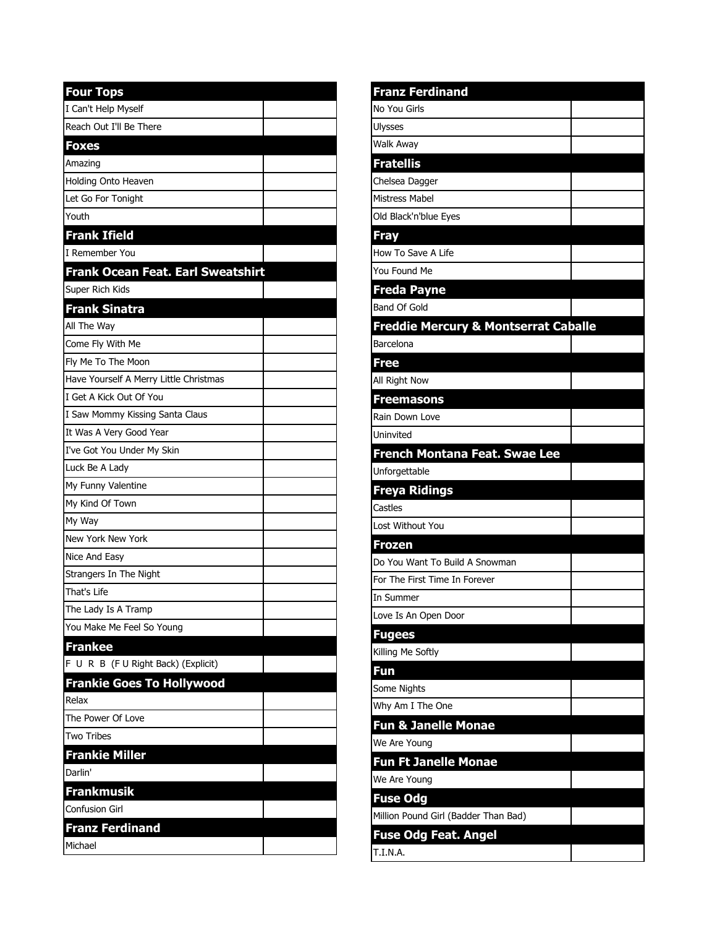| <b>Four Tops</b>                       |  |
|----------------------------------------|--|
| I Can't Help Myself                    |  |
| Reach Out I'll Be There                |  |
| <b>Foxes</b>                           |  |
| Amazing                                |  |
| Holding Onto Heaven                    |  |
| Let Go For Tonight                     |  |
| Youth                                  |  |
| <b>Frank Ifield</b>                    |  |
| I Remember You                         |  |
| Frank Ocean Feat. Earl Sweatshirt      |  |
| Super Rich Kids                        |  |
| <b>Frank Sinatra</b>                   |  |
| All The Way                            |  |
| Come Fly With Me                       |  |
| Fly Me To The Moon                     |  |
| Have Yourself A Merry Little Christmas |  |
| I Get A Kick Out Of You                |  |
| I Saw Mommy Kissing Santa Claus        |  |
| It Was A Very Good Year                |  |
| I've Got You Under My Skin             |  |
| Luck Be A Lady                         |  |
| My Funny Valentine                     |  |
| My Kind Of Town                        |  |
| My Way                                 |  |
| New York New York                      |  |
| Nice And Easy                          |  |
| Strangers In The Night                 |  |
| That's Life                            |  |
| The Lady Is A Tramp                    |  |
| You Make Me Feel So Young              |  |
| <b>Frankee</b>                         |  |
| F U R B (F U Right Back) (Explicit)    |  |
| <b>Frankie Goes To Hollywood</b>       |  |
| Relax                                  |  |
| The Power Of Love                      |  |
| <b>Two Tribes</b>                      |  |
| <b>Frankie Miller</b>                  |  |
| Darlin'                                |  |
| <b>Frankmusik</b>                      |  |
| <b>Confusion Girl</b>                  |  |
| <b>Franz Ferdinand</b>                 |  |
| Michael                                |  |

L

| <b>Franz Ferdinand</b>                          |  |
|-------------------------------------------------|--|
| No You Girls                                    |  |
| Ulysses                                         |  |
| Walk Away                                       |  |
| <b>Fratellis</b>                                |  |
| Chelsea Dagger                                  |  |
| <b>Mistress Mabel</b>                           |  |
| Old Black'n'blue Eyes                           |  |
| <b>Fray</b>                                     |  |
| How To Save A Life                              |  |
| You Found Me                                    |  |
| <b>Freda Payne</b>                              |  |
| Band Of Gold                                    |  |
| <b>Freddie Mercury &amp; Montserrat Caballe</b> |  |
| Barcelona                                       |  |
| <b>Free</b>                                     |  |
| All Right Now                                   |  |
| <b>Freemasons</b>                               |  |
| Rain Down Love                                  |  |
| Uninvited                                       |  |
| French Montana Feat. Swae Lee                   |  |
| Unforgettable                                   |  |
| <b>Freya Ridings</b>                            |  |
| Castles                                         |  |
| Lost Without You                                |  |
| <b>Frozen</b>                                   |  |
| Do You Want To Build A Snowman                  |  |
| For The First Time In Forever                   |  |
| In Summer                                       |  |
| Love Is An Open Door                            |  |
| <b>Fugees</b>                                   |  |
| Killing Me Softly                               |  |
| Fun                                             |  |
| Some Nights                                     |  |
| Why Am I The One                                |  |
| <b>Fun &amp; Janelle Monae</b>                  |  |
| We Are Young                                    |  |
| <b>Fun Ft Janelle Monae</b>                     |  |
| We Are Young                                    |  |
| <b>Fuse Odg</b>                                 |  |
| Million Pound Girl (Badder Than Bad)            |  |
| <b>Fuse Odg Feat. Angel</b>                     |  |
| <b>T.I.N.A.</b>                                 |  |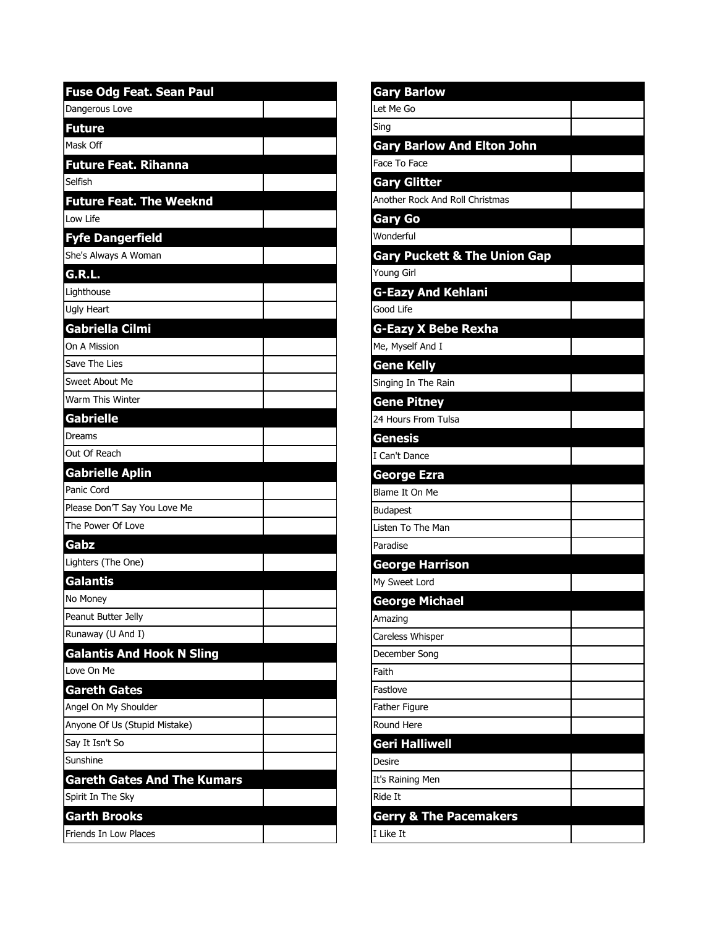| <b>Fuse Odg Feat. Sean Paul</b>    |  |
|------------------------------------|--|
| Dangerous Love                     |  |
| <b>Future</b>                      |  |
| Mask Off                           |  |
| <b>Future Feat. Rihanna</b>        |  |
| Selfish                            |  |
| <b>Future Feat. The Weeknd</b>     |  |
| Low Life                           |  |
| <b>Fyfe Dangerfield</b>            |  |
| She's Always A Woman               |  |
| G.R.L.                             |  |
| Lighthouse                         |  |
| <b>Ugly Heart</b>                  |  |
| <b>Gabriella Cilmi</b>             |  |
| On A Mission                       |  |
| Save The Lies                      |  |
| Sweet About Me                     |  |
| Warm This Winter                   |  |
| <b>Gabrielle</b>                   |  |
| <b>Dreams</b>                      |  |
| Out Of Reach                       |  |
| <b>Gabrielle Aplin</b>             |  |
| Panic Cord                         |  |
| Please Don'T Say You Love Me       |  |
| The Power Of Love                  |  |
| Gabz                               |  |
| Lighters (The One)                 |  |
| <b>Galantis</b>                    |  |
| No Money                           |  |
| Peanut Butter Jelly                |  |
| Runaway (U And I)                  |  |
| <b>Galantis And Hook N Sling</b>   |  |
| Love On Me                         |  |
| <b>Gareth Gates</b>                |  |
| Angel On My Shoulder               |  |
| Anyone Of Us (Stupid Mistake)      |  |
| Say It Isn't So                    |  |
| Sunshine                           |  |
| <b>Gareth Gates And The Kumars</b> |  |
| Spirit In The Sky                  |  |
| <b>Garth Brooks</b>                |  |
| Friends In Low Places              |  |

| <b>Gary Barlow</b>                      |  |
|-----------------------------------------|--|
| Let Me Go                               |  |
| Sing                                    |  |
| <b>Gary Barlow And Elton John</b>       |  |
| Face To Face                            |  |
| <b>Gary Glitter</b>                     |  |
| Another Rock And Roll Christmas         |  |
| <b>Gary Go</b>                          |  |
| Wonderful                               |  |
| <b>Gary Puckett &amp; The Union Gap</b> |  |
| Young Girl                              |  |
| <b>G-Eazy And Kehlani</b>               |  |
| Good Life                               |  |
| <b>G-Eazy X Bebe Rexha</b>              |  |
| Me, Myself And I                        |  |
| <b>Gene Kelly</b>                       |  |
| Singing In The Rain                     |  |
| <b>Gene Pitney</b>                      |  |
| 24 Hours From Tulsa                     |  |
| <b>Genesis</b>                          |  |
| I Can't Dance                           |  |
| <b>George Ezra</b>                      |  |
| Blame It On Me                          |  |
| <b>Budapest</b>                         |  |
| Listen To The Man                       |  |
| Paradise                                |  |
| <b>George Harrison</b>                  |  |
| My Sweet Lord                           |  |
| George Michael                          |  |
| Amazing                                 |  |
| Careless Whisper                        |  |
| December Song                           |  |
| Faith                                   |  |
| Fastlove                                |  |
| Father Figure                           |  |
| Round Here                              |  |
| Geri Halliwell                          |  |
| Desire                                  |  |
| It's Raining Men                        |  |
| Ride It                                 |  |
| <b>Gerry &amp; The Pacemakers</b>       |  |
| I Like It                               |  |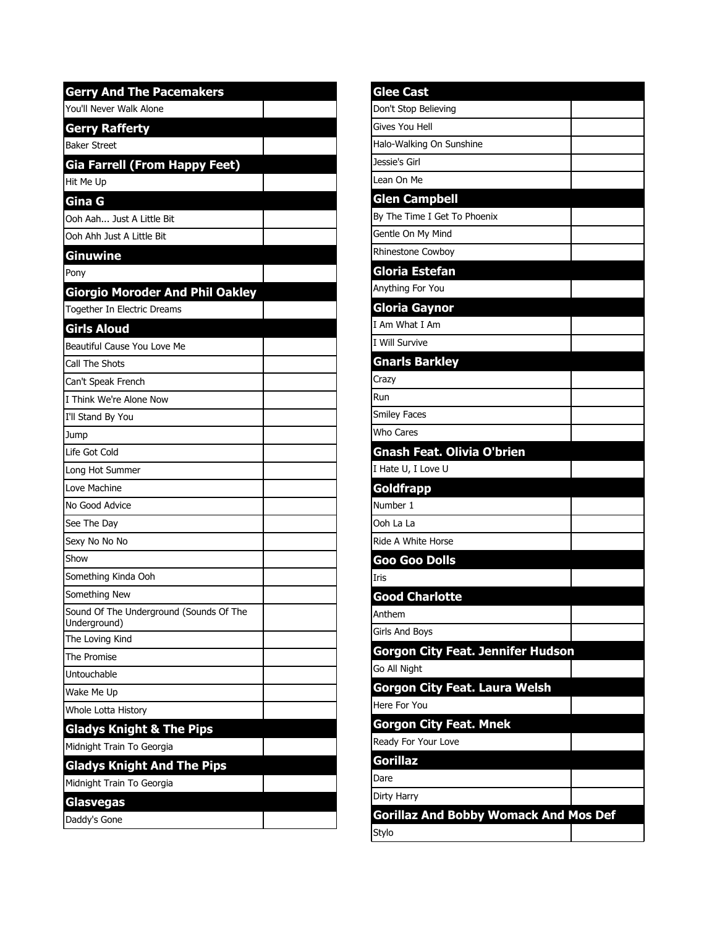| <b>Gerry And The Pacemakers</b>                         |  |
|---------------------------------------------------------|--|
| You'll Never Walk Alone                                 |  |
| <b>Gerry Rafferty</b>                                   |  |
| <b>Baker Street</b>                                     |  |
| Gia Farrell (From Happy Feet)                           |  |
| Hit Me Up                                               |  |
| Gina G                                                  |  |
| Ooh Aah Just A Little Bit                               |  |
| Ooh Ahh Just A Little Bit                               |  |
| Ginuwine                                                |  |
| Pony                                                    |  |
| <b>Giorgio Moroder And Phil Oakley</b>                  |  |
| Together In Electric Dreams                             |  |
| Girls Aloud                                             |  |
| Beautiful Cause You Love Me                             |  |
| Call The Shots                                          |  |
| Can't Speak French                                      |  |
| I Think We're Alone Now                                 |  |
| I'll Stand By You                                       |  |
| Jump                                                    |  |
| Life Got Cold                                           |  |
| Long Hot Summer                                         |  |
| Love Machine                                            |  |
| No Good Advice                                          |  |
| See The Day                                             |  |
| Sexy No No No                                           |  |
| Show                                                    |  |
| Something Kinda Ooh                                     |  |
| Something New                                           |  |
| Sound Of The Underground (Sounds Of The<br>Underground) |  |
| The Loving Kind                                         |  |
| The Promise                                             |  |
| Untouchable                                             |  |
| Wake Me Up                                              |  |
| Whole Lotta History                                     |  |
| <b>Gladys Knight &amp; The Pips</b>                     |  |
| Midnight Train To Georgia                               |  |
| <b>Gladys Knight And The Pips</b>                       |  |
| Midnight Train To Georgia                               |  |
| Glasvegas                                               |  |
| Daddy's Gone                                            |  |

| <b>Glee Cast</b>                             |  |
|----------------------------------------------|--|
| Don't Stop Believing                         |  |
| Gives You Hell                               |  |
| Halo-Walking On Sunshine                     |  |
| Jessie's Girl                                |  |
| Lean On Me                                   |  |
| <b>Glen Campbell</b>                         |  |
| By The Time I Get To Phoenix                 |  |
| Gentle On My Mind                            |  |
| Rhinestone Cowboy                            |  |
| <b>Gloria Estefan</b>                        |  |
| Anything For You                             |  |
| Gloria Gaynor                                |  |
| I Am What I Am                               |  |
| I Will Survive                               |  |
| <b>Gnarls Barkley</b>                        |  |
| Crazy                                        |  |
| Run                                          |  |
| <b>Smiley Faces</b>                          |  |
| Who Cares                                    |  |
| <b>Gnash Feat. Olivia O'brien</b>            |  |
| I Hate U, I Love U                           |  |
| <b>Goldfrapp</b>                             |  |
| Number 1                                     |  |
| Ooh La La                                    |  |
| Ride A White Horse                           |  |
| Goo Goo Dolls                                |  |
| Iris                                         |  |
| <b>Good Charlotte</b>                        |  |
| Anthem                                       |  |
| <b>Girls And Boys</b>                        |  |
| <b>Gorgon City Feat. Jennifer Hudson</b>     |  |
| Go All Night                                 |  |
| Gorgon City Feat. Laura Welsh                |  |
| Here For You                                 |  |
| <b>Gorgon City Feat. Mnek</b>                |  |
| Ready For Your Love                          |  |
| Gorillaz                                     |  |
| Dare                                         |  |
| Dirty Harry                                  |  |
| <b>Gorillaz And Bobby Womack And Mos Def</b> |  |
| Stylo                                        |  |
|                                              |  |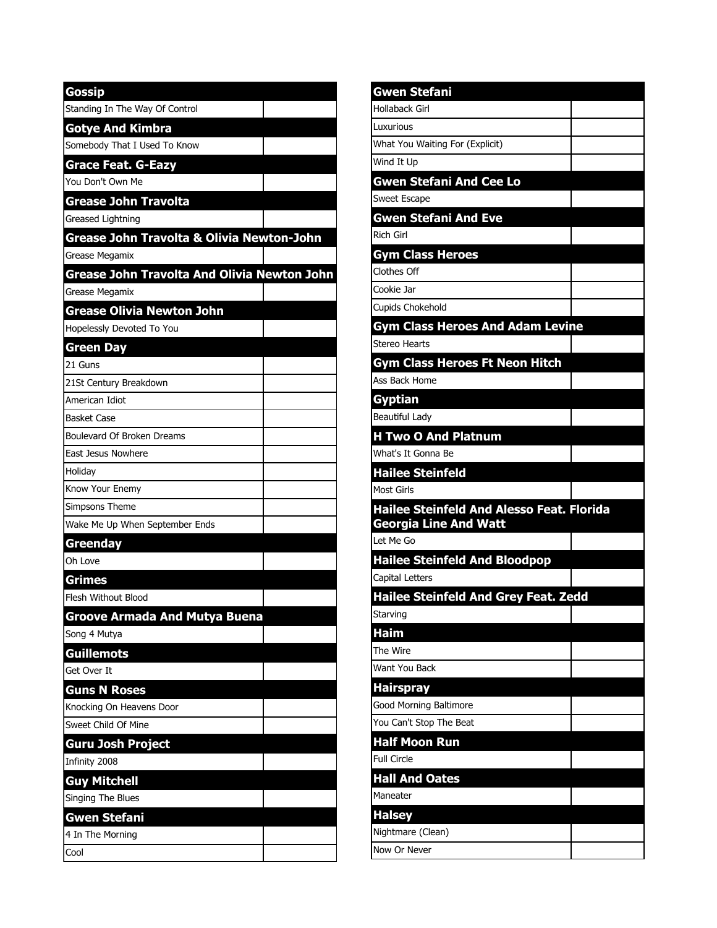| Gossip                                      |  |
|---------------------------------------------|--|
| Standing In The Way Of Control              |  |
| <b>Gotye And Kimbra</b>                     |  |
| Somebody That I Used To Know                |  |
| <b>Grace Feat. G-Eazy</b>                   |  |
| You Don't Own Me                            |  |
| Grease John Travolta                        |  |
| Greased Lightning                           |  |
| Grease John Travolta & Olivia Newton-John   |  |
| Grease Megamix                              |  |
| Grease John Travolta And Olivia Newton John |  |
| Grease Megamix                              |  |
| Grease Olivia Newton John                   |  |
| Hopelessly Devoted To You                   |  |
| Green Day                                   |  |
| 21 Guns                                     |  |
| 21St Century Breakdown                      |  |
| American Idiot                              |  |
| <b>Basket Case</b>                          |  |
| Boulevard Of Broken Dreams                  |  |
| East Jesus Nowhere                          |  |
| Holiday                                     |  |
| Know Your Enemy                             |  |
| Simpsons Theme                              |  |
| Wake Me Up When September Ends              |  |
| Greenday                                    |  |
| Oh Love                                     |  |
| <u>Grimes</u>                               |  |
| Flesh Without Blood                         |  |
| <b>Groove Armada And Mutya Buena</b>        |  |
| Song 4 Mutya                                |  |
| <b>Guillemots</b>                           |  |
| Get Over It                                 |  |
| <b>Guns N Roses</b>                         |  |
| Knocking On Heavens Door                    |  |
| Sweet Child Of Mine                         |  |
| Guru Josh Project                           |  |
| Infinity 2008                               |  |
| <b>Guy Mitchell</b>                         |  |
| Singing The Blues                           |  |
| <b>Gwen Stefani</b>                         |  |
| 4 In The Morning                            |  |
| Cool                                        |  |

| Gwen Stefani                                                          |  |
|-----------------------------------------------------------------------|--|
| Hollaback Girl                                                        |  |
| Luxurious                                                             |  |
| What You Waiting For (Explicit)                                       |  |
| Wind It Up                                                            |  |
| <b>Gwen Stefani And Cee Lo</b>                                        |  |
| Sweet Escape                                                          |  |
| <b>Gwen Stefani And Eve</b>                                           |  |
| Rich Girl                                                             |  |
| <b>Gym Class Heroes</b>                                               |  |
| Clothes Off                                                           |  |
| Cookie Jar                                                            |  |
| Cupids Chokehold                                                      |  |
| <b>Gym Class Heroes And Adam Levine</b>                               |  |
| <b>Stereo Hearts</b>                                                  |  |
| <b>Gym Class Heroes Ft Neon Hitch</b>                                 |  |
| Ass Back Home                                                         |  |
| <b>Gyptian</b>                                                        |  |
| Beautiful Lady                                                        |  |
| <b>H Two O And Platnum</b>                                            |  |
| What's It Gonna Be                                                    |  |
|                                                                       |  |
| <b>Hailee Steinfeld</b>                                               |  |
|                                                                       |  |
| <b>Most Girls</b><br><b>Hailee Steinfeld And Alesso Feat. Florida</b> |  |
| <b>Georgia Line And Watt</b>                                          |  |
|                                                                       |  |
| Let Me Go<br><b>Hailee Steinfeld And Bloodpop</b>                     |  |
| Capital Letters                                                       |  |
| <b>Hailee Steinfeld And Grey Feat. Zedd</b>                           |  |
| Starving                                                              |  |
| Haim                                                                  |  |
| The Wire                                                              |  |
| Want You Back                                                         |  |
| <b>Hairspray</b>                                                      |  |
| Good Morning Baltimore                                                |  |
|                                                                       |  |
| You Can't Stop The Beat<br><b>Half Moon Run</b>                       |  |
|                                                                       |  |
| <b>Full Circle</b><br><b>Hall And Oates</b>                           |  |
| Maneater                                                              |  |
| <b>Halsey</b>                                                         |  |
| Nightmare (Clean)                                                     |  |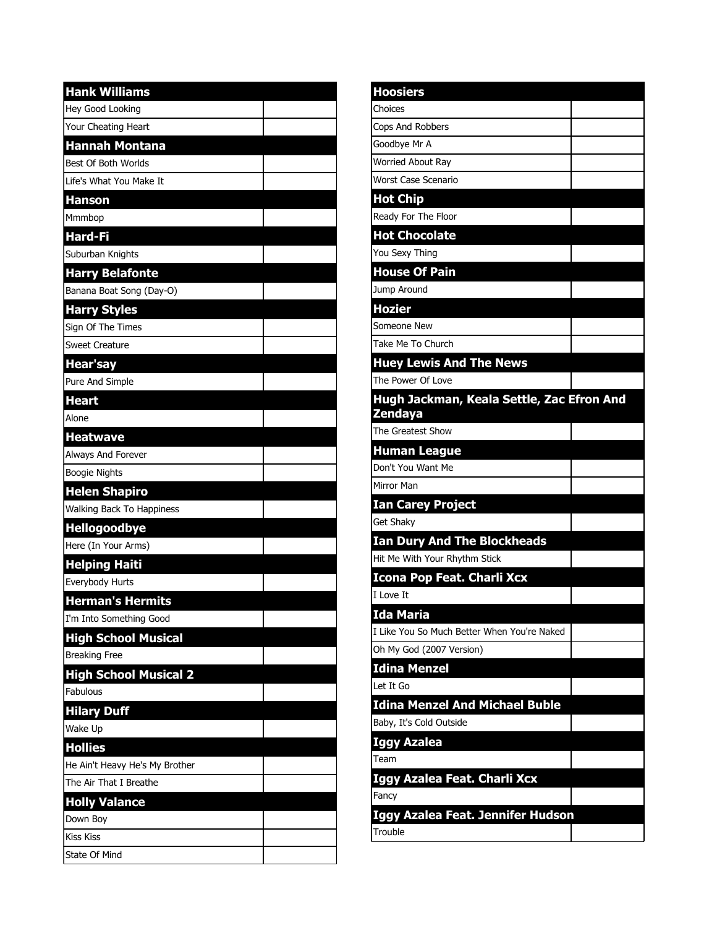| <b>Hank Williams</b>             |  |
|----------------------------------|--|
| Hey Good Looking                 |  |
| Your Cheating Heart              |  |
| <u>Hannah Montana</u>            |  |
| Best Of Both Worlds              |  |
| Life's What You Make It          |  |
| <b>Hanson</b>                    |  |
| Mmmbop                           |  |
| Hard-Fi                          |  |
| Suburban Knights                 |  |
| <b>Harry Belafonte</b>           |  |
| Banana Boat Song (Day-O)         |  |
| <b>Harry Styles</b>              |  |
| Sign Of The Times                |  |
| <b>Sweet Creature</b>            |  |
| <b>Hear'say</b>                  |  |
| Pure And Simple                  |  |
| <b>Heart</b>                     |  |
| Alone                            |  |
| <b>Heatwave</b>                  |  |
| Always And Forever               |  |
| <b>Boogie Nights</b>             |  |
| <b>Helen Shapiro</b>             |  |
| <b>Walking Back To Happiness</b> |  |
| <b>Hellogoodbye</b>              |  |
| Here (In Your Arms)              |  |
| <b>Helping Haiti</b>             |  |
| Everybody Hurts                  |  |
| <b>Herman's Hermits</b>          |  |
| I'm Into Something Good          |  |
| <b>High School Musical</b>       |  |
| <b>Breaking Free</b>             |  |
| <b>High School Musical 2</b>     |  |
| Fabulous                         |  |
| <b>Hilary Duff</b>               |  |
| Wake Up                          |  |
| <b>Hollies</b>                   |  |
| He Ain't Heavy He's My Brother   |  |
| The Air That I Breathe           |  |
| <b>Holly Valance</b>             |  |
| Down Boy                         |  |
| <b>Kiss Kiss</b>                 |  |
| State Of Mind                    |  |

| <b>Hoosiers</b>                                      |  |
|------------------------------------------------------|--|
| Choices                                              |  |
| Cops And Robbers                                     |  |
| Goodbye Mr A                                         |  |
| Worried About Ray                                    |  |
| <b>Worst Case Scenario</b>                           |  |
| <b>Hot Chip</b>                                      |  |
| Ready For The Floor                                  |  |
| <b>Hot Chocolate</b>                                 |  |
| You Sexy Thing                                       |  |
| <b>House Of Pain</b>                                 |  |
| Jump Around                                          |  |
| <b>Hozier</b>                                        |  |
| Someone New                                          |  |
| Take Me To Church                                    |  |
| <b>Huey Lewis And The News</b>                       |  |
| The Power Of Love                                    |  |
| Hugh Jackman, Keala Settle, Zac Efron And<br>Zendaya |  |
| The Greatest Show                                    |  |
| <b>Human League</b>                                  |  |
| Don't You Want Me                                    |  |
| Mirror Man                                           |  |
| <b>Ian Carey Project</b>                             |  |
| Get Shaky                                            |  |
| <b>Ian Dury And The Blockheads</b>                   |  |
| Hit Me With Your Rhythm Stick                        |  |
| Icona Pop Feat. Charli Xcx                           |  |
| I Love It                                            |  |
| Ida Maria                                            |  |
| I Like You So Much Better When You're Naked          |  |
| Oh My God (2007 Version)                             |  |
| <u> Idina Menzel</u>                                 |  |
| Let It Go                                            |  |
| <b>Idina Menzel And Michael Buble</b>                |  |
| Baby, It's Cold Outside                              |  |
| Iggy Azalea                                          |  |
| Team                                                 |  |
| Iggy Azalea Feat. Charli Xcx                         |  |
| Fancy                                                |  |
| Iggy Azalea Feat. Jennifer Hudson                    |  |
| Trouble                                              |  |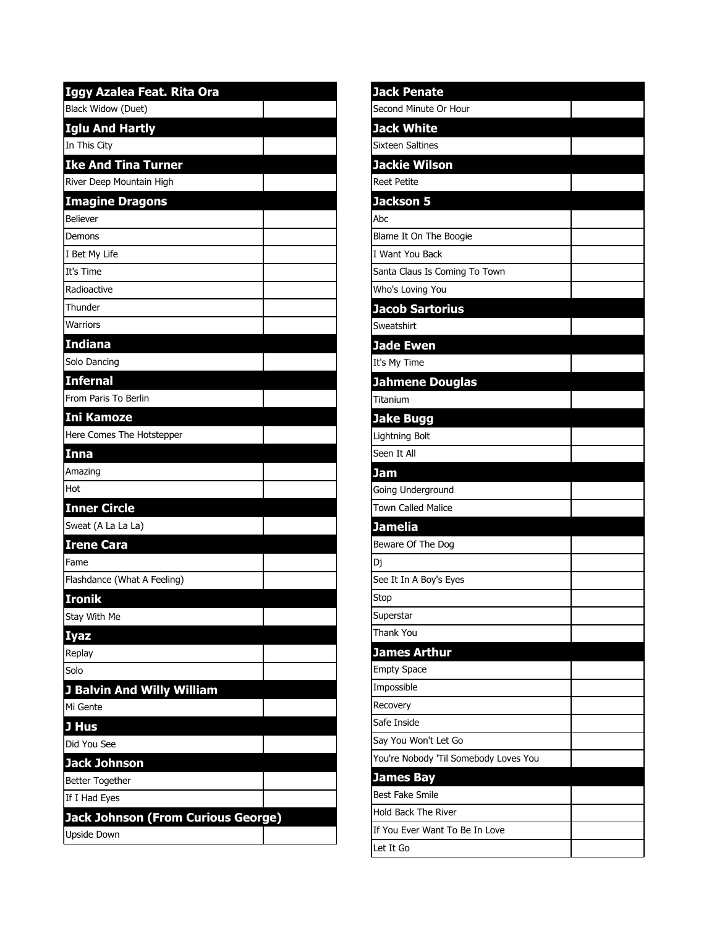| Iggy Azalea Feat. Rita Ora                |  |
|-------------------------------------------|--|
| Black Widow (Duet)                        |  |
| <b>Iglu And Hartly</b>                    |  |
| In This City                              |  |
| <b>Ike And Tina Turner</b>                |  |
| River Deep Mountain High                  |  |
| <b>Imagine Dragons</b>                    |  |
| <b>Believer</b>                           |  |
| Demons                                    |  |
| I Bet My Life                             |  |
| It's Time                                 |  |
| Radioactive                               |  |
| Thunder                                   |  |
| Warriors                                  |  |
| <b>Indiana</b>                            |  |
| Solo Dancing                              |  |
| <b>Infernal</b>                           |  |
| From Paris To Berlin                      |  |
| <b>Ini Kamoze</b>                         |  |
| Here Comes The Hotstepper                 |  |
| <b>Inna</b>                               |  |
| Amazing                                   |  |
| Hot                                       |  |
| <b>Inner Circle</b>                       |  |
| Sweat (A La La La)                        |  |
| <b>Irene Cara</b>                         |  |
| Fame                                      |  |
| Flashdance (What A Feeling)               |  |
| <b>Ironik</b>                             |  |
| Stay With Me                              |  |
| <b>Iyaz</b>                               |  |
| Replay                                    |  |
| Solo                                      |  |
| <b>J Balvin And Willy William</b>         |  |
| Mi Gente                                  |  |
| J Hus                                     |  |
| Did You See                               |  |
| <b>Jack Johnson</b>                       |  |
| <b>Better Together</b>                    |  |
| If I Had Eyes                             |  |
| <b>Jack Johnson (From Curious George)</b> |  |
| Upside Down                               |  |

| <b>Jack Penate</b>                             |  |
|------------------------------------------------|--|
| Second Minute Or Hour                          |  |
| <b>Jack White</b>                              |  |
| <b>Sixteen Saltines</b>                        |  |
| <b>Jackie Wilson</b>                           |  |
| <b>Reet Petite</b>                             |  |
| <b>Jackson 5</b>                               |  |
| Abc                                            |  |
| Blame It On The Boogie                         |  |
| I Want You Back                                |  |
| Santa Claus Is Coming To Town                  |  |
| Who's Loving You                               |  |
| <b>Jacob Sartorius</b>                         |  |
| Sweatshirt                                     |  |
| <b>Jade Ewen</b>                               |  |
| It's My Time                                   |  |
| <b>Jahmene Douglas</b>                         |  |
| Titanium                                       |  |
| <b>Jake Bugg</b>                               |  |
| Lightning Bolt                                 |  |
| Seen It All                                    |  |
| <b>Jam</b>                                     |  |
| Going Underground<br><b>Town Called Malice</b> |  |
|                                                |  |
|                                                |  |
| <b>Jamelia</b>                                 |  |
| Beware Of The Dog                              |  |
| Dj                                             |  |
| See It In A Boy's Eyes                         |  |
| Stop                                           |  |
| Superstar<br><b>Thank You</b>                  |  |
|                                                |  |
| <b>James Arthur</b>                            |  |
| Empty Space<br>Impossible                      |  |
| <b>Recovery</b>                                |  |
| Safe Inside                                    |  |
| Say You Won't Let Go                           |  |
| You're Nobody 'Til Somebody Loves You          |  |
| <b>James Bay</b>                               |  |
| <b>Best Fake Smile</b>                         |  |
| <b>Hold Back The River</b>                     |  |
| If You Ever Want To Be In Love                 |  |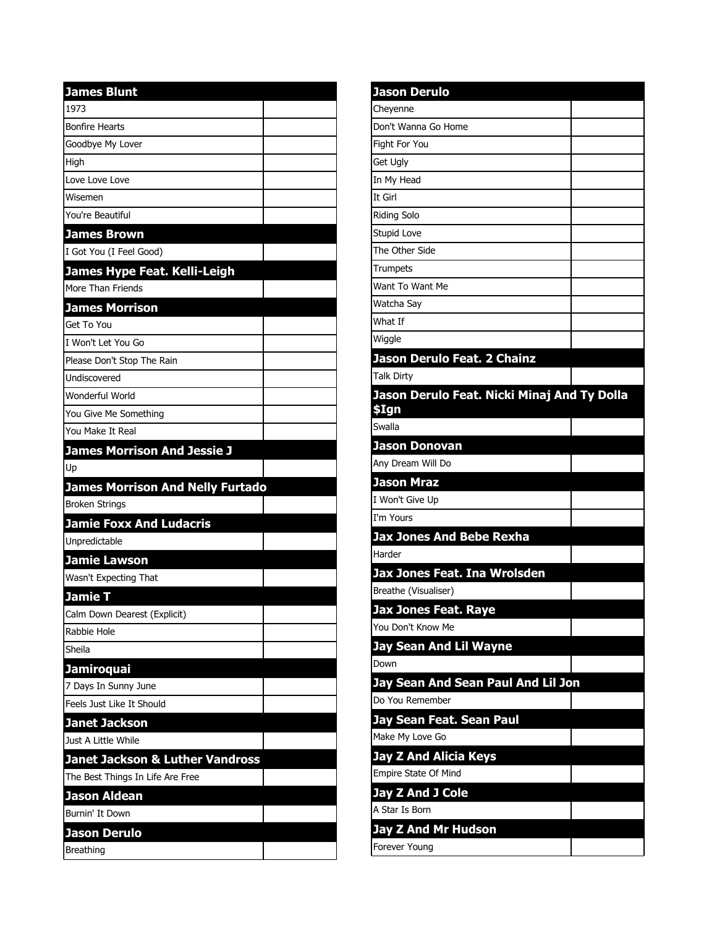| <b>James Blunt</b>                         |  |
|--------------------------------------------|--|
| 1973                                       |  |
| <b>Bonfire Hearts</b>                      |  |
| Goodbye My Lover                           |  |
| High                                       |  |
| Love Love Love                             |  |
| Wisemen                                    |  |
| You're Beautiful                           |  |
| <b>James Brown</b>                         |  |
| I Got You (I Feel Good)                    |  |
| James Hype Feat. Kelli-Leigh               |  |
| More Than Friends                          |  |
| <b>James Morrison</b>                      |  |
| Get To You                                 |  |
| I Won't Let You Go                         |  |
| Please Don't Stop The Rain                 |  |
| Undiscovered                               |  |
| Wonderful World                            |  |
| You Give Me Something                      |  |
| You Make It Real                           |  |
| <b>James Morrison And Jessie J</b>         |  |
| Up                                         |  |
| <b>James Morrison And Nelly Furtado</b>    |  |
| <b>Broken Strings</b>                      |  |
| <b>Jamie Foxx And Ludacris</b>             |  |
| Unpredictable                              |  |
| <b>Jamie Lawson</b>                        |  |
| Wasn't Expecting That                      |  |
| <b>Jamie T</b>                             |  |
| Calm Down Dearest (Explicit)               |  |
| Rabbie Hole                                |  |
| Sheila                                     |  |
| <b>Jamiroquai</b>                          |  |
| 7 Days In Sunny June                       |  |
| Feels Just Like It Should                  |  |
| <b>Janet Jackson</b>                       |  |
| Just A Little While                        |  |
| <b>Janet Jackson &amp; Luther Vandross</b> |  |
| The Best Things In Life Are Free           |  |
| <b>Jason Aldean</b>                        |  |
| Burnin' It Down                            |  |
| <b>Jason Derulo</b>                        |  |
| Breathing                                  |  |

| Jason Derulo                                |  |
|---------------------------------------------|--|
| Cheyenne                                    |  |
| Don't Wanna Go Home                         |  |
| Fight For You                               |  |
| Get Ugly                                    |  |
| In My Head                                  |  |
| It Girl                                     |  |
| <b>Riding Solo</b>                          |  |
| Stupid Love                                 |  |
| The Other Side                              |  |
| Trumpets                                    |  |
| Want To Want Me                             |  |
| Watcha Say                                  |  |
| What If                                     |  |
| Wiggle                                      |  |
| Jason Derulo Feat. 2 Chainz                 |  |
| <b>Talk Dirty</b>                           |  |
| Jason Derulo Feat. Nicki Minaj And Ty Dolla |  |
| \$Ign                                       |  |
| Swalla                                      |  |
| Jason Donovan                               |  |
| Any Dream Will Do                           |  |
| Jason Mraz                                  |  |
| I Won't Give Up                             |  |
| I'm Yours                                   |  |
| <b>Jax Jones And Bebe Rexha</b>             |  |
| Harder                                      |  |
| Jax Jones Feat. Ina Wrolsden                |  |
| Breathe (Visualiser)                        |  |
| Jax Jones Feat. Raye                        |  |
| You Don't Know Me                           |  |
| Jay Sean And Lil Wayne                      |  |
| Down                                        |  |
| Jay Sean And Sean Paul And Lil Jon          |  |
| Do You Remember                             |  |
| Jay Sean Feat. Sean Paul                    |  |
| Make My Love Go                             |  |
| Jay Z And Alicia Keys                       |  |
| Empire State Of Mind                        |  |
| <b>Jay Z And J Cole</b>                     |  |
| A Star Is Born                              |  |
| Jay Z And Mr Hudson                         |  |
| Forever Young                               |  |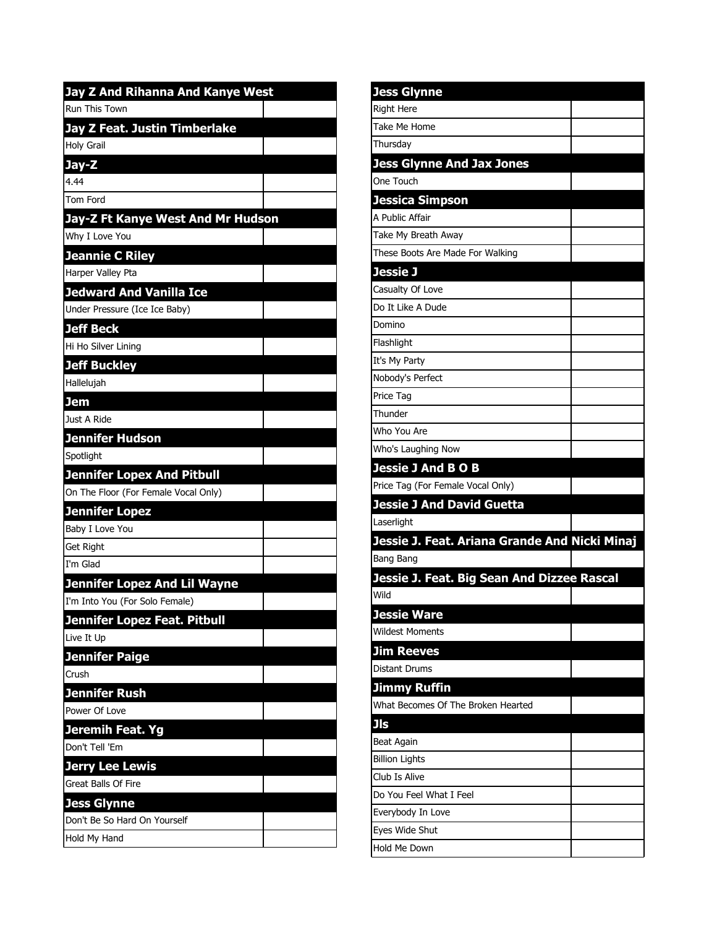| <b>Jay Z And Rihanna And Kanye West</b>              |  |
|------------------------------------------------------|--|
| Run This Town                                        |  |
| Jay Z Feat. Justin Timberlake                        |  |
| <b>Holy Grail</b>                                    |  |
| Jay-Z                                                |  |
| 4.44                                                 |  |
| Tom Ford                                             |  |
| Jay-Z Ft Kanye West And Mr Hudson                    |  |
| Why I Love You                                       |  |
| <b>Jeannie C Riley</b>                               |  |
| Harper Valley Pta                                    |  |
| <b>Jedward And Vanilla Ice</b>                       |  |
| Under Pressure (Ice Ice Baby)                        |  |
| <b>Jeff Beck</b>                                     |  |
| Hi Ho Silver Lining                                  |  |
| <b>Jeff Buckley</b>                                  |  |
| Hallelujah                                           |  |
| <b>Jem</b>                                           |  |
| Just A Ride                                          |  |
| <b>Jennifer Hudson</b>                               |  |
| Spotlight                                            |  |
| <b>Jennifer Lopex And Pitbull</b>                    |  |
| On The Floor (For Female Vocal Only)                 |  |
| <b>Jennifer Lopez</b>                                |  |
| Baby I Love You                                      |  |
| <b>Get Right</b>                                     |  |
| I'm Glad                                             |  |
| <b>Jennifer Lopez And Lil Wayne</b>                  |  |
| I'm Into You (For Solo Female)                       |  |
| <b>Jennifer Lopez Feat. Pitbull</b>                  |  |
| Live It Up                                           |  |
| <b>Jennifer Paige</b>                                |  |
| Crush                                                |  |
| <b>Jennifer Rush</b><br>Power Of Love                |  |
|                                                      |  |
| Jeremih Feat. Yg<br>Don't Tell 'Em                   |  |
|                                                      |  |
| <b>Jerry Lee Lewis</b><br><b>Great Balls Of Fire</b> |  |
|                                                      |  |
| <b>Jess Glynne</b><br>Don't Be So Hard On Yourself   |  |
| Hold My Hand                                         |  |
|                                                      |  |

| <b>Jess Glynne</b>                                            |  |
|---------------------------------------------------------------|--|
| <b>Right Here</b>                                             |  |
| Take Me Home                                                  |  |
| Thursday                                                      |  |
| <b>Jess Glynne And Jax Jones</b>                              |  |
| One Touch                                                     |  |
| Jessica Simpson                                               |  |
| A Public Affair                                               |  |
| Take My Breath Away                                           |  |
| These Boots Are Made For Walking                              |  |
| Jessie J                                                      |  |
| Casualty Of Love                                              |  |
| Do It Like A Dude                                             |  |
| Domino                                                        |  |
| Flashlight                                                    |  |
| It's My Party                                                 |  |
| Nobody's Perfect                                              |  |
| Price Tag                                                     |  |
| Thunder                                                       |  |
| Who You Are                                                   |  |
| Who's Laughing Now                                            |  |
| <b>Jessie J And B O B</b>                                     |  |
| Price Tag (For Female Vocal Only)                             |  |
| <b>Jessie J And David Guetta</b>                              |  |
|                                                               |  |
| Laserlight                                                    |  |
| Jessie J. Feat. Ariana Grande And Nicki Minaj                 |  |
| Bang Bang                                                     |  |
| Jessie J. Feat. Big Sean And Dizzee Rascal                    |  |
| Wild                                                          |  |
|                                                               |  |
| Jessie Ware<br><b>Wildest Moments</b>                         |  |
| <b>Jim Reeves</b>                                             |  |
| <b>Distant Drums</b>                                          |  |
|                                                               |  |
| Jimmy Ruffin<br>What Becomes Of The Broken Hearted            |  |
| <b>Jls</b>                                                    |  |
| Beat Again                                                    |  |
| <b>Billion Lights</b>                                         |  |
|                                                               |  |
|                                                               |  |
| Club Is Alive<br>Do You Feel What I Feel<br>Everybody In Love |  |
| Eyes Wide Shut                                                |  |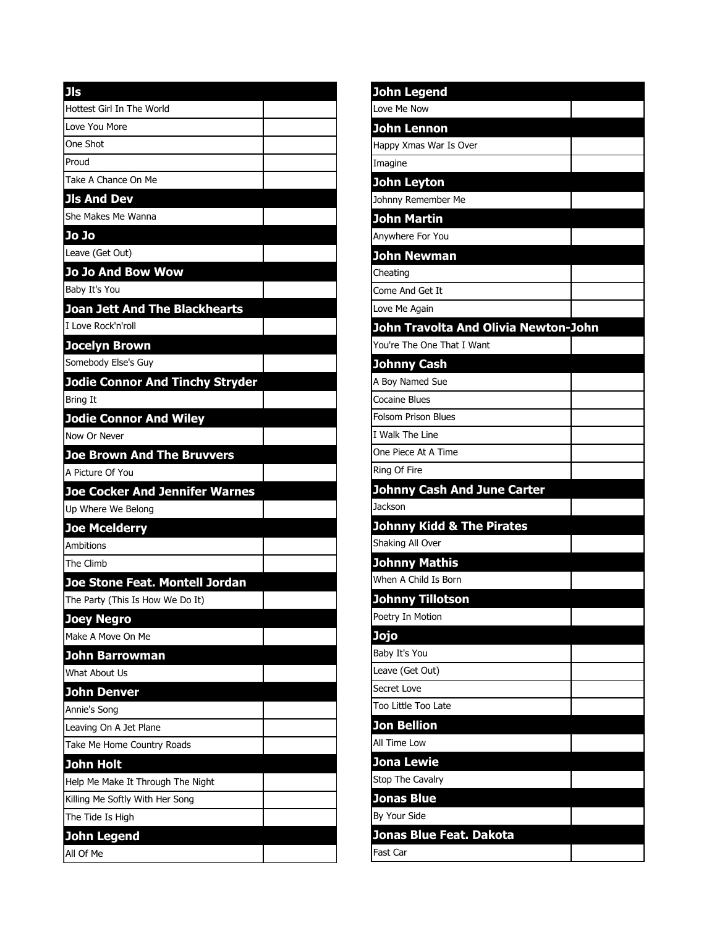| <b>Jls</b>                             |  |
|----------------------------------------|--|
| Hottest Girl In The World              |  |
| Love You More                          |  |
| One Shot                               |  |
| Proud                                  |  |
| Take A Chance On Me                    |  |
| <b>Jls And Dev</b>                     |  |
| She Makes Me Wanna                     |  |
| Jo Jo                                  |  |
| Leave (Get Out)                        |  |
| <b>Jo Jo And Bow Wow</b>               |  |
| Baby It's You                          |  |
| <b>Joan Jett And The Blackhearts</b>   |  |
| I Love Rock'n'roll                     |  |
| <b>Jocelyn Brown</b>                   |  |
| Somebody Else's Guy                    |  |
| <b>Jodie Connor And Tinchy Stryder</b> |  |
| <b>Bring It</b>                        |  |
| <b>Jodie Connor And Wiley</b>          |  |
| Now Or Never                           |  |
| <b>Joe Brown And The Bruvvers</b>      |  |
| A Picture Of You                       |  |
| <b>Joe Cocker And Jennifer Warnes</b>  |  |
| Up Where We Belong                     |  |
| <b>Joe Mcelderry</b>                   |  |
| Ambitions                              |  |
| The Climb                              |  |
| Joe Stone Feat. Montell Jordan         |  |
| The Party (This Is How We Do It)       |  |
| <b>Joey Negro</b>                      |  |
| Make A Move On Me                      |  |
| <b>John Barrowman</b>                  |  |
| What About Us                          |  |
| John Denver                            |  |
| Annie's Song                           |  |
| Leaving On A Jet Plane                 |  |
| Take Me Home Country Roads             |  |
| John Holt                              |  |
| Help Me Make It Through The Night      |  |
| Killing Me Softly With Her Song        |  |
| The Tide Is High                       |  |
| John Legend                            |  |
| All Of Me                              |  |

| John Legend                          |  |
|--------------------------------------|--|
| Love Me Now                          |  |
| <b>John Lennon</b>                   |  |
| Happy Xmas War Is Over               |  |
| Imagine                              |  |
| <b>John Leyton</b>                   |  |
| Johnny Remember Me                   |  |
| <b>John Martin</b>                   |  |
| Anywhere For You                     |  |
| <b>John Newman</b>                   |  |
| Cheating                             |  |
| Come And Get It                      |  |
| Love Me Again                        |  |
| John Travolta And Olivia Newton-John |  |
| You're The One That I Want           |  |
| <b>Johnny Cash</b>                   |  |
| A Boy Named Sue                      |  |
| <b>Cocaine Blues</b>                 |  |
| <b>Folsom Prison Blues</b>           |  |
| I Walk The Line                      |  |
| One Piece At A Time                  |  |
| Ring Of Fire                         |  |
| <b>Johnny Cash And June Carter</b>   |  |
| Jackson                              |  |
| <b>Johnny Kidd &amp; The Pirates</b> |  |
| Shaking All Over                     |  |
| <b>Johnny Mathis</b>                 |  |
| When A Child Is Born                 |  |
| <b>Johnny Tillotson</b>              |  |
| Poetry In Motion                     |  |
| Jojo                                 |  |
| Baby It's You                        |  |
| Leave (Get Out)                      |  |
| Secret Love                          |  |
| Too Little Too Late                  |  |
| <b>Jon Bellion</b>                   |  |
| All Time Low                         |  |
| <b>Jona Lewie</b>                    |  |
| Stop The Cavalry                     |  |
| <b>Jonas Blue</b>                    |  |
| By Your Side                         |  |
| Jonas Blue Feat. Dakota              |  |
| Fast Car                             |  |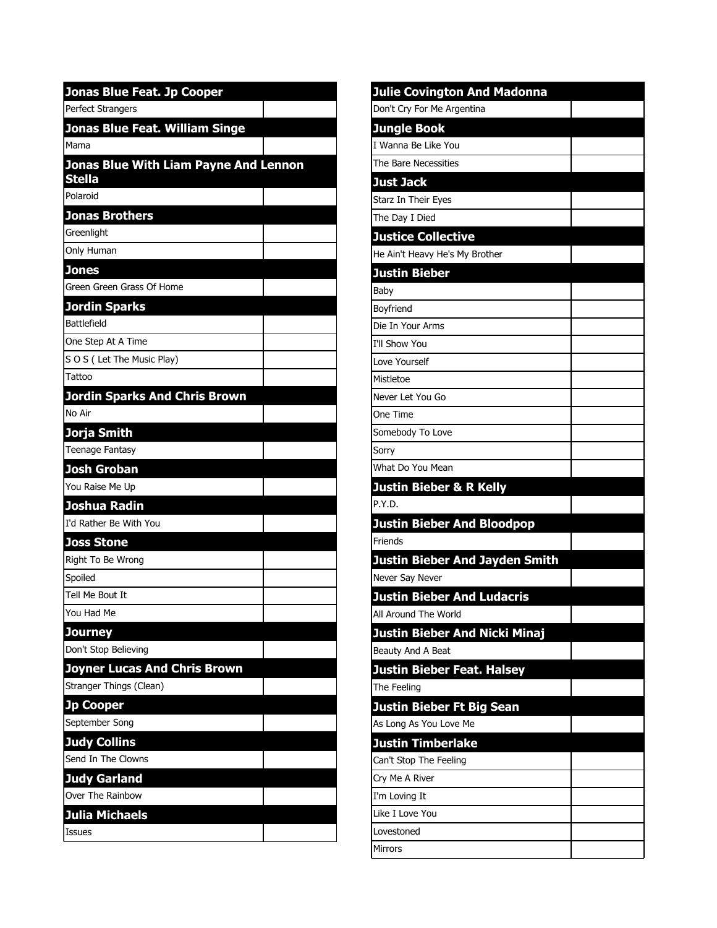| <b>Jonas Blue Feat. Jp Cooper</b>                      |  |
|--------------------------------------------------------|--|
| Perfect Strangers                                      |  |
| Jonas Blue Feat. William Singe                         |  |
| Mama                                                   |  |
| Jonas Blue With Liam Payne And Lennon<br><b>Stella</b> |  |
| Polaroid                                               |  |
| <b>Jonas Brothers</b>                                  |  |
| Greenlight                                             |  |
| Only Human                                             |  |
| <b>Jones</b>                                           |  |
| Green Green Grass Of Home                              |  |
| <b>Jordin Sparks</b>                                   |  |
| Battlefield                                            |  |
| One Step At A Time                                     |  |
| SOS (Let The Music Play)                               |  |
| Tattoo                                                 |  |
| <b>Jordin Sparks And Chris Brown</b>                   |  |
| No Air                                                 |  |
| Jorja Smith                                            |  |
| Teenage Fantasy                                        |  |
| <b>Josh Groban</b>                                     |  |
| You Raise Me Up                                        |  |
| Joshua Radin                                           |  |
| I'd Rather Be With You                                 |  |
| <b>Joss Stone</b>                                      |  |
| Right To Be Wrong                                      |  |
| Spoiled                                                |  |
| Tell Me Bout It                                        |  |
| You Had Me                                             |  |
| <b>Journey</b>                                         |  |
| Don't Stop Believing                                   |  |
| <b>Joyner Lucas And Chris Brown</b>                    |  |
| Stranger Things (Clean)                                |  |
| <b>Jp Cooper</b>                                       |  |
| September Song                                         |  |
| <b>Judy Collins</b>                                    |  |
| Send In The Clowns                                     |  |
| <b>Judy Garland</b>                                    |  |
| Over The Rainbow                                       |  |
| Julia Michaels                                         |  |
| Issues                                                 |  |

| <b>Julie Covington And Madonna</b>                                                                                                                                          |  |
|-----------------------------------------------------------------------------------------------------------------------------------------------------------------------------|--|
| Don't Cry For Me Argentina                                                                                                                                                  |  |
| <b>Jungle Book</b>                                                                                                                                                          |  |
| I Wanna Be Like You                                                                                                                                                         |  |
| The Bare Necessities                                                                                                                                                        |  |
| <b>Just Jack</b>                                                                                                                                                            |  |
| Starz In Their Eyes                                                                                                                                                         |  |
| The Day I Died                                                                                                                                                              |  |
| <b>Justice Collective</b>                                                                                                                                                   |  |
| He Ain't Heavy He's My Brother                                                                                                                                              |  |
| <b>Justin Bieber</b>                                                                                                                                                        |  |
| Baby                                                                                                                                                                        |  |
| Boyfriend                                                                                                                                                                   |  |
| Die In Your Arms                                                                                                                                                            |  |
| I'll Show You                                                                                                                                                               |  |
| Love Yourself                                                                                                                                                               |  |
| Mistletoe                                                                                                                                                                   |  |
| Never Let You Go                                                                                                                                                            |  |
| One Time                                                                                                                                                                    |  |
| Somebody To Love                                                                                                                                                            |  |
| Sorry                                                                                                                                                                       |  |
| What Do You Mean                                                                                                                                                            |  |
|                                                                                                                                                                             |  |
| <b>Justin Bieber &amp; R Kelly</b>                                                                                                                                          |  |
| P.Y.D.                                                                                                                                                                      |  |
| <b>Justin Bieber And Bloodpop</b>                                                                                                                                           |  |
|                                                                                                                                                                             |  |
| <b>Justin Bieber And Jayden Smith</b>                                                                                                                                       |  |
|                                                                                                                                                                             |  |
|                                                                                                                                                                             |  |
| All Around The World                                                                                                                                                        |  |
| Justin Bieber And Nicki Minaj                                                                                                                                               |  |
|                                                                                                                                                                             |  |
| Justin Bieber Feat. Halsey                                                                                                                                                  |  |
| The Feeling                                                                                                                                                                 |  |
| <b>Justin Bieber Ft Big Sean</b>                                                                                                                                            |  |
|                                                                                                                                                                             |  |
| Justin Timberlake                                                                                                                                                           |  |
|                                                                                                                                                                             |  |
|                                                                                                                                                                             |  |
| Friends<br>Never Say Never<br><b>Justin Bieber And Ludacris</b><br>Beauty And A Beat<br>As Long As You Love Me<br>Can't Stop The Feeling<br>Cry Me A River<br>I'm Loving It |  |
| Like I Love You                                                                                                                                                             |  |
| Lovestoned<br><b>Mirrors</b>                                                                                                                                                |  |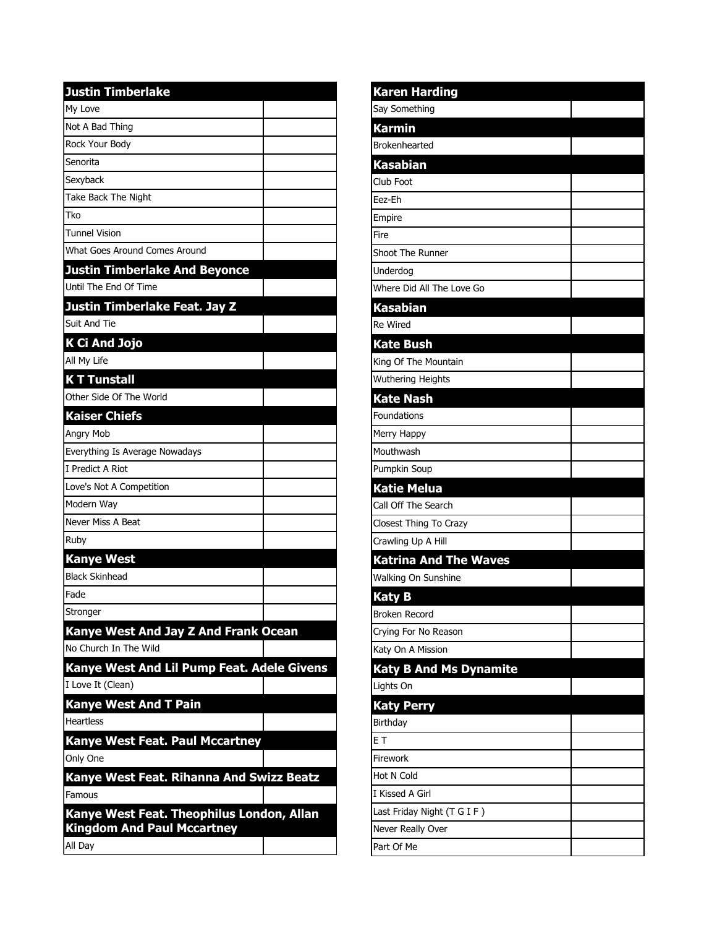| <b>Justin Timberlake</b>                   |
|--------------------------------------------|
| My Love                                    |
| Not A Bad Thing                            |
| Rock Your Body                             |
| Senorita                                   |
| Sexyback                                   |
| Take Back The Night                        |
| Tko                                        |
| <b>Tunnel Vision</b>                       |
| What Goes Around Comes Around              |
| <b>Justin Timberlake And Beyonce</b>       |
| Until The End Of Time                      |
| Justin Timberlake Feat. Jay Z              |
| Suit And Tie                               |
| K Ci And Jojo                              |
| All My Life                                |
| <b>KT Tunstall</b>                         |
| Other Side Of The World                    |
| <b>Kaiser Chiefs</b>                       |
| Angry Mob                                  |
| Everything Is Average Nowadays             |
| I Predict A Riot                           |
| Love's Not A Competition                   |
| Modern Way                                 |
| Never Miss A Beat                          |
| Ruby                                       |
| <b>Kanye West</b>                          |
| <b>Black Skinhead</b>                      |
| Fade                                       |
| Stronger                                   |
| Kanye West And Jay Z And Frank Ocean       |
| No Church In The Wild                      |
| Kanye West And Lil Pump Feat. Adele Givens |
| I Love It (Clean)                          |
| <b>Kanye West And T Pain</b>               |
| <b>Heartless</b>                           |
| <b>Kanye West Feat. Paul Mccartney</b>     |
| Only One                                   |
| Kanye West Feat. Rihanna And Swizz Beatz   |
| Famous                                     |
| Kanye West Feat. Theophilus London, Allan  |
| <b>Kingdom And Paul Mccartney</b>          |
| All Day                                    |

| <b>Karen Harding</b>          |  |
|-------------------------------|--|
| Say Something                 |  |
| <b>Karmin</b>                 |  |
| Brokenhearted                 |  |
| Kasabian                      |  |
| Club Foot                     |  |
| Eez-Eh                        |  |
| Empire                        |  |
| Fire                          |  |
| Shoot The Runner              |  |
| Underdog                      |  |
| Where Did All The Love Go     |  |
| Kasabian                      |  |
| <b>Re Wired</b>               |  |
| <b>Kate Bush</b>              |  |
| King Of The Mountain          |  |
| Wuthering Heights             |  |
| <b>Kate Nash</b>              |  |
| <b>Foundations</b>            |  |
| Merry Happy                   |  |
| Mouthwash                     |  |
| Pumpkin Soup                  |  |
| <b>Katie Melua</b>            |  |
| Call Off The Search           |  |
| Closest Thing To Crazy        |  |
| Crawling Up A Hill            |  |
| <b>Katrina And The Waves</b>  |  |
| Walking On Sunshine           |  |
| <b>Katy B</b>                 |  |
| Broken Record                 |  |
| Crying For No Reason          |  |
| Katy On A Mission             |  |
| <b>Katy B And Ms Dynamite</b> |  |
| Lights On                     |  |
| <b>Katy Perry</b>             |  |
| Birthday                      |  |
| E T                           |  |
| Firework                      |  |
| Hot N Cold                    |  |
| I Kissed A Girl               |  |
| Last Friday Night (T G I F)   |  |
| Never Really Over             |  |
| Part Of Me                    |  |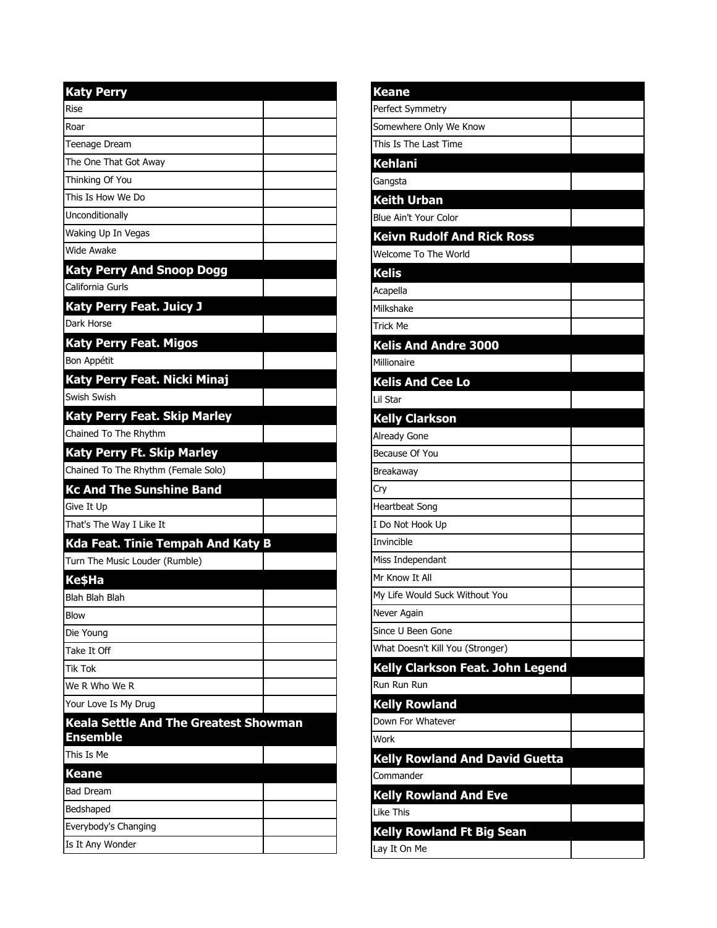| <b>Katy Perry</b>                            |  |
|----------------------------------------------|--|
| <b>Rise</b>                                  |  |
| Roar                                         |  |
| <b>Teenage Dream</b>                         |  |
| The One That Got Away                        |  |
| Thinking Of You                              |  |
| This Is How We Do                            |  |
| Unconditionally                              |  |
| Waking Up In Vegas                           |  |
| Wide Awake                                   |  |
| <b>Katy Perry And Snoop Dogg</b>             |  |
| California Gurls                             |  |
| <b>Katy Perry Feat. Juicy J</b>              |  |
| Dark Horse                                   |  |
| <b>Katy Perry Feat. Migos</b>                |  |
| Bon Appétit                                  |  |
| Katy Perry Feat. Nicki Minaj                 |  |
| Swish Swish                                  |  |
| <b>Katy Perry Feat. Skip Marley</b>          |  |
| Chained To The Rhythm                        |  |
| <b>Katy Perry Ft. Skip Marley</b>            |  |
| Chained To The Rhythm (Female Solo)          |  |
| <b>Kc And The Sunshine Band</b>              |  |
| Give It Up                                   |  |
| That's The Way I Like It                     |  |
| <b>Kda Feat. Tinie Tempah And Katy B</b>     |  |
| Turn The Music Louder (Rumble)               |  |
| <b>KesHa</b>                                 |  |
| Blah Blah Blah                               |  |
| <b>Blow</b>                                  |  |
| Die Young                                    |  |
| Take It Off                                  |  |
| <b>Tik Tok</b>                               |  |
| We R Who We R                                |  |
| Your Love Is My Drug                         |  |
| <b>Keala Settle And The Greatest Showman</b> |  |
| <b>Ensemble</b>                              |  |
| This Is Me                                   |  |
| <b>Keane</b>                                 |  |
| <b>Bad Dream</b>                             |  |
| Bedshaped                                    |  |
| Everybody's Changing<br>Is It Any Wonder     |  |
|                                              |  |

ı

| <b>Keane</b>                            |  |
|-----------------------------------------|--|
| Perfect Symmetry                        |  |
| Somewhere Only We Know                  |  |
| This Is The Last Time                   |  |
| <b>Kehlani</b>                          |  |
| Gangsta                                 |  |
| <b>Keith Urban</b>                      |  |
| Blue Ain't Your Color                   |  |
| <b>Keivn Rudolf And Rick Ross</b>       |  |
| Welcome To The World                    |  |
| <b>Kelis</b>                            |  |
| Acapella                                |  |
| Milkshake                               |  |
| <b>Trick Me</b>                         |  |
| <b>Kelis And Andre 3000</b>             |  |
| Millionaire                             |  |
| <b>Kelis And Cee Lo</b>                 |  |
| Lil Star                                |  |
| <b>Kelly Clarkson</b>                   |  |
| Already Gone                            |  |
| Because Of You                          |  |
| Breakaway                               |  |
| Cry                                     |  |
| <b>Heartbeat Song</b>                   |  |
| I Do Not Hook Up                        |  |
| Invincible                              |  |
| Miss Independant                        |  |
| Mr Know It All                          |  |
| My Life Would Suck Without You          |  |
| Never Again                             |  |
| Since U Been Gone                       |  |
| What Doesn't Kill You (Stronger)        |  |
| <b>Kelly Clarkson Feat. John Legend</b> |  |
| Run Run Run                             |  |
| <b>Kelly Rowland</b>                    |  |
| Down For Whatever                       |  |
| Work                                    |  |
| <b>Kelly Rowland And David Guetta</b>   |  |
| Commander                               |  |
| <b>Kelly Rowland And Eve</b>            |  |
| <b>Like This</b>                        |  |
| <b>Kelly Rowland Ft Big Sean</b>        |  |
| Lay It On Me                            |  |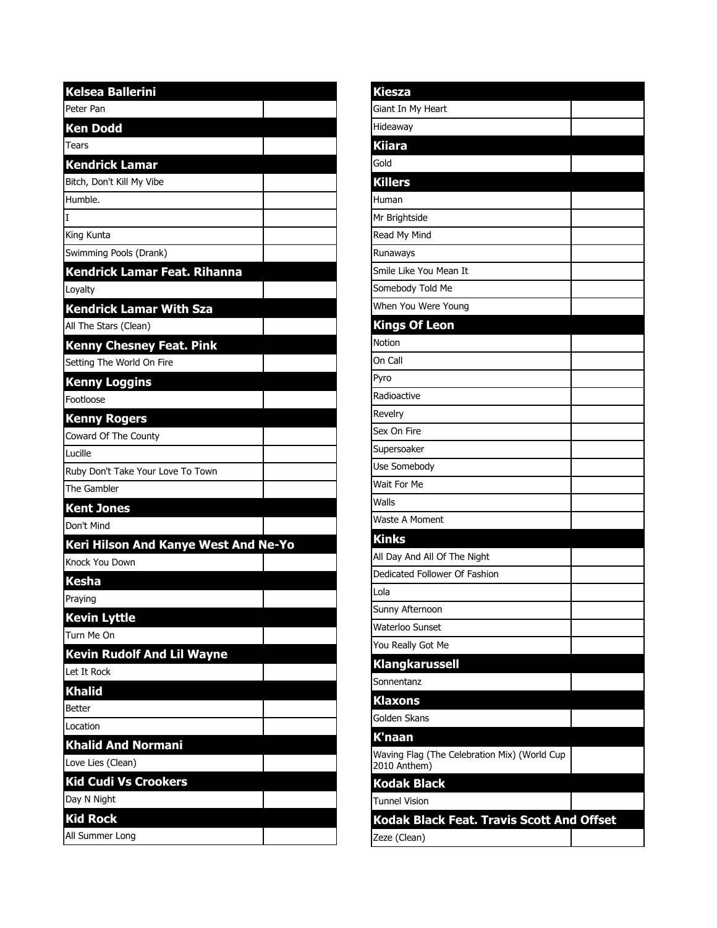| <b>Kelsea Ballerini</b>              |  |
|--------------------------------------|--|
| Peter Pan                            |  |
| <b>Ken Dodd</b>                      |  |
| Tears                                |  |
| <b>Kendrick Lamar</b>                |  |
| Bitch, Don't Kill My Vibe            |  |
| Humble.                              |  |
| T                                    |  |
| King Kunta                           |  |
| Swimming Pools (Drank)               |  |
| Kendrick Lamar Feat. Rihanna         |  |
| Loyalty                              |  |
| <b>Kendrick Lamar With Sza</b>       |  |
| All The Stars (Clean)                |  |
| <b>Kenny Chesney Feat. Pink</b>      |  |
| Setting The World On Fire            |  |
| <b>Kenny Loggins</b>                 |  |
| Footloose                            |  |
| <b>Kenny Rogers</b>                  |  |
| Coward Of The County                 |  |
| Lucille                              |  |
| Ruby Don't Take Your Love To Town    |  |
| The Gambler                          |  |
| <b>Kent Jones</b>                    |  |
| Don't Mind                           |  |
| Keri Hilson And Kanye West And Ne-Yo |  |
| Knock You Down                       |  |
| <b>Kesha</b>                         |  |
| Praying                              |  |
| <b>Kevin Lyttle</b>                  |  |
| Turn Me On                           |  |
| <b>Kevin Rudolf And Lil Wayne</b>    |  |
| Let It Rock                          |  |
| <b>Khalid</b>                        |  |
| <b>Better</b>                        |  |
| Location                             |  |
| <b>Khalid And Normani</b>            |  |
| Love Lies (Clean)                    |  |
| <b>Kid Cudi Vs Crookers</b>          |  |
| Day N Night                          |  |
| <b>Kid Rock</b>                      |  |
| All Summer Long                      |  |

| <b>Kiesza</b>                                                |  |
|--------------------------------------------------------------|--|
| Giant In My Heart                                            |  |
| Hideaway                                                     |  |
| <b>Kiiara</b>                                                |  |
| Gold                                                         |  |
| <b>Killers</b>                                               |  |
| Human                                                        |  |
| Mr Brightside                                                |  |
| Read My Mind                                                 |  |
| Runaways                                                     |  |
| Smile Like You Mean It                                       |  |
| Somebody Told Me                                             |  |
| When You Were Young                                          |  |
| <b>Kings Of Leon</b>                                         |  |
| Notion                                                       |  |
| On Call                                                      |  |
| Pyro                                                         |  |
| Radioactive                                                  |  |
| Revelry                                                      |  |
| Sex On Fire                                                  |  |
| Supersoaker                                                  |  |
| Use Somebody                                                 |  |
| Wait For Me                                                  |  |
| Walls                                                        |  |
| Waste A Moment                                               |  |
| <b>Kinks</b>                                                 |  |
| All Day And All Of The Night                                 |  |
| Dedicated Follower Of Fashion                                |  |
| Lola                                                         |  |
| Sunny Afternoon                                              |  |
| Waterloo Sunset                                              |  |
| You Really Got Me                                            |  |
| <b>Klangkarussell</b>                                        |  |
| Sonnentanz                                                   |  |
| <b>Klaxons</b>                                               |  |
| Golden Skans                                                 |  |
| K'naan                                                       |  |
| Waving Flag (The Celebration Mix) (World Cup<br>2010 Anthem) |  |
| <b>Kodak Black</b>                                           |  |
| <b>Tunnel Vision</b>                                         |  |
| Kodak Black Feat. Travis Scott And Offset                    |  |
| Zeze (Clean)                                                 |  |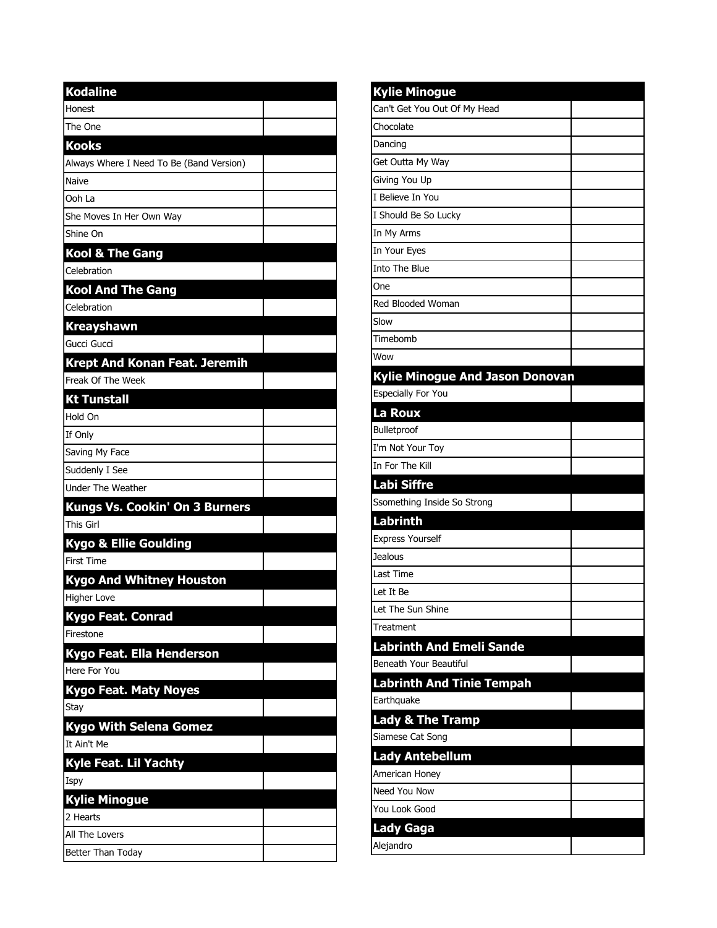| <b>Kodaline</b>                          |  |
|------------------------------------------|--|
| Honest                                   |  |
| The One                                  |  |
| <b>Kooks</b>                             |  |
| Always Where I Need To Be (Band Version) |  |
| Naive                                    |  |
| Ooh I a                                  |  |
| She Moves In Her Own Way                 |  |
| Shine On                                 |  |
| <b>Kool &amp; The Gang</b>               |  |
| Celebration                              |  |
| <b>Kool And The Gang</b>                 |  |
| Celebration                              |  |
| <b>Kreayshawn</b>                        |  |
| Gucci Gucci                              |  |
| <b>Krept And Konan Feat. Jeremih</b>     |  |
| Freak Of The Week                        |  |
| <b>Kt Tunstall</b>                       |  |
| Hold On                                  |  |
| If Only                                  |  |
| Saving My Face                           |  |
| Suddenly I See                           |  |
| <b>Under The Weather</b>                 |  |
| <b>Kungs Vs. Cookin' On 3 Burners</b>    |  |
| This Girl                                |  |
| <b>Kygo &amp; Ellie Goulding</b>         |  |
| <b>First Time</b>                        |  |
| <b>Kygo And Whitney Houston</b>          |  |
| <b>Higher Love</b>                       |  |
| <b>Kygo Feat. Conrad</b>                 |  |
| Firestone                                |  |
| Kygo Feat. Ella Henderson                |  |
| Here For You                             |  |
| <b>Kygo Feat. Maty Noyes</b>             |  |
| Stay                                     |  |
| <b>Kygo With Selena Gomez</b>            |  |
| It Ain't Me                              |  |
| Kyle Feat. Lil Yachty                    |  |
| Ispy                                     |  |
| <b>Kylie Minogue</b>                     |  |
| 2 Hearts                                 |  |
| All The Lovers                           |  |
| Better Than Today                        |  |

| <b>Kylie Minogue</b>                   |  |
|----------------------------------------|--|
| Can't Get You Out Of My Head           |  |
| Chocolate                              |  |
| Dancing                                |  |
| Get Outta My Way                       |  |
| Giving You Up                          |  |
| I Believe In You                       |  |
| I Should Be So Lucky                   |  |
| In My Arms                             |  |
| In Your Eyes                           |  |
| Into The Blue                          |  |
| One                                    |  |
| Red Blooded Woman                      |  |
| Slow                                   |  |
| Timebomb                               |  |
| Wow                                    |  |
| <b>Kylie Minogue And Jason Donovan</b> |  |
| <b>Especially For You</b>              |  |
| La Roux                                |  |
| Bulletproof                            |  |
| I'm Not Your Toy                       |  |
| In For The Kill                        |  |
| <b>Labi Siffre</b>                     |  |
| Ssomething Inside So Strong            |  |
| <b>Labrinth</b>                        |  |
|                                        |  |
| <b>Express Yourself</b>                |  |
| Jealous                                |  |
| Last Time                              |  |
| Let It Be                              |  |
| Let The Sun Shine                      |  |
| Treatment                              |  |
| <b>Labrinth And Emeli Sande</b>        |  |
| Beneath Your Beautiful                 |  |
| <b>Labrinth And Tinie Tempah</b>       |  |
| Earthquake                             |  |
| <b>Lady &amp; The Tramp</b>            |  |
| Siamese Cat Song                       |  |
| Lady Antebellum                        |  |
| American Honey                         |  |
| Need You Now                           |  |
| You Look Good                          |  |
| Lady Gaga                              |  |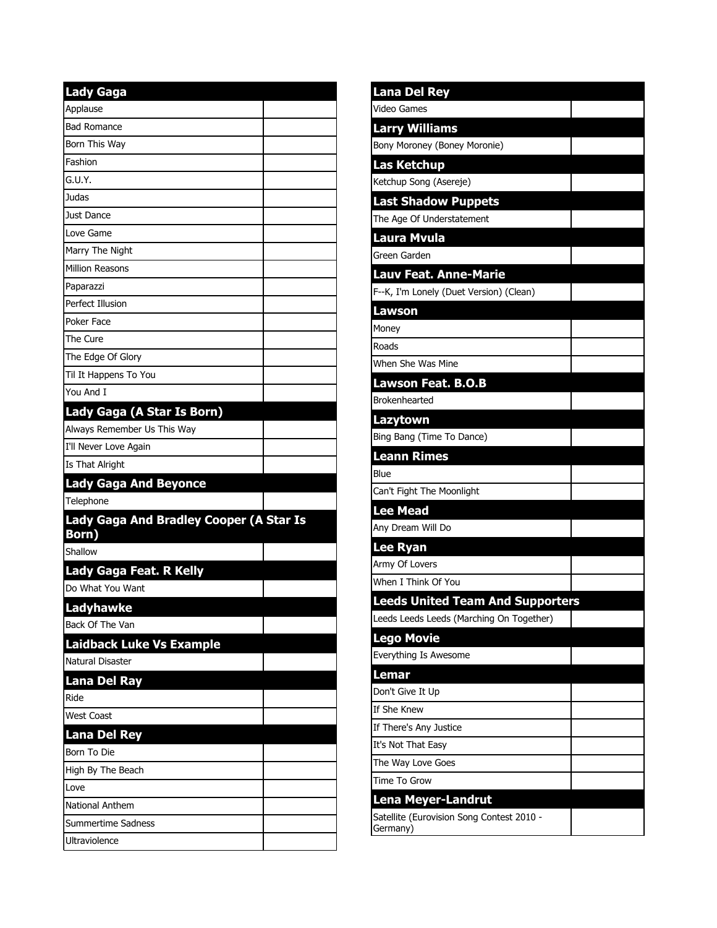| <b>Lady Gaga</b>                                        |  |
|---------------------------------------------------------|--|
| Applause                                                |  |
| <b>Bad Romance</b>                                      |  |
| Born This Way                                           |  |
| Fashion                                                 |  |
| G.U.Y.                                                  |  |
| Judas                                                   |  |
| Just Dance                                              |  |
| Love Game                                               |  |
| Marry The Night                                         |  |
| <b>Million Reasons</b>                                  |  |
| Paparazzi                                               |  |
| Perfect Illusion                                        |  |
| Poker Face                                              |  |
| The Cure                                                |  |
| The Edge Of Glory                                       |  |
| Til It Happens To You                                   |  |
| You And I                                               |  |
| Lady Gaga (A Star Is Born)                              |  |
| Always Remember Us This Way                             |  |
| I'll Never Love Again                                   |  |
| Is That Alright                                         |  |
| <b>Lady Gaga And Beyonce</b>                            |  |
| Telephone                                               |  |
| <b>Lady Gaga And Bradley Cooper (A Star Is</b><br>Born) |  |
| Shallow                                                 |  |
| Lady Gaga Feat. R Kelly                                 |  |
| Do What You Want                                        |  |
| Ladyhawke                                               |  |
| Back Of The Van                                         |  |
| <b>Laidback Luke Vs Example</b>                         |  |
| Natural Disaster                                        |  |
| <b>Lana Del Ray</b>                                     |  |
| Ride                                                    |  |
| <b>West Coast</b>                                       |  |
| <b>Lana Del Rey</b>                                     |  |
| Born To Die                                             |  |
| High By The Beach                                       |  |
| Love                                                    |  |
| <b>National Anthem</b>                                  |  |
| Summertime Sadness                                      |  |
| Ultraviolence                                           |  |

| <b>Lana Del Rey</b>                                   |  |
|-------------------------------------------------------|--|
| <b>Video Games</b>                                    |  |
| <b>Larry Williams</b>                                 |  |
| Bony Moroney (Boney Moronie)                          |  |
| <b>Las Ketchup</b>                                    |  |
| Ketchup Song (Asereje)                                |  |
| <b>Last Shadow Puppets</b>                            |  |
| The Age Of Understatement                             |  |
| <b>Laura Mvula</b>                                    |  |
| Green Garden                                          |  |
| <b>Lauv Feat. Anne-Marie</b>                          |  |
| F--K, I'm Lonely (Duet Version) (Clean)               |  |
| <b>Lawson</b>                                         |  |
| Money                                                 |  |
| Roads                                                 |  |
| When She Was Mine                                     |  |
| <b>Lawson Feat. B.O.B</b>                             |  |
| Brokenhearted                                         |  |
| Lazytown                                              |  |
| Bing Bang (Time To Dance)                             |  |
| <b>Leann Rimes</b>                                    |  |
| Blue                                                  |  |
| Can't Fight The Moonlight                             |  |
| <b>Lee Mead</b>                                       |  |
| Any Dream Will Do                                     |  |
| <b>Lee Ryan</b>                                       |  |
| Army Of Lovers                                        |  |
| When I Think Of You                                   |  |
| <b>Leeds United Team And Supporters</b>               |  |
| Leeds Leeds Leeds (Marching On Together)              |  |
| <b>Lego Movie</b>                                     |  |
| Everything Is Awesome                                 |  |
| Lemar                                                 |  |
| Don't Give It Up                                      |  |
| If She Knew                                           |  |
| If There's Any Justice                                |  |
| It's Not That Easy                                    |  |
| The Way Love Goes                                     |  |
| Time To Grow                                          |  |
| <b>Lena Meyer-Landrut</b>                             |  |
| Satellite (Eurovision Song Contest 2010 -<br>Germany) |  |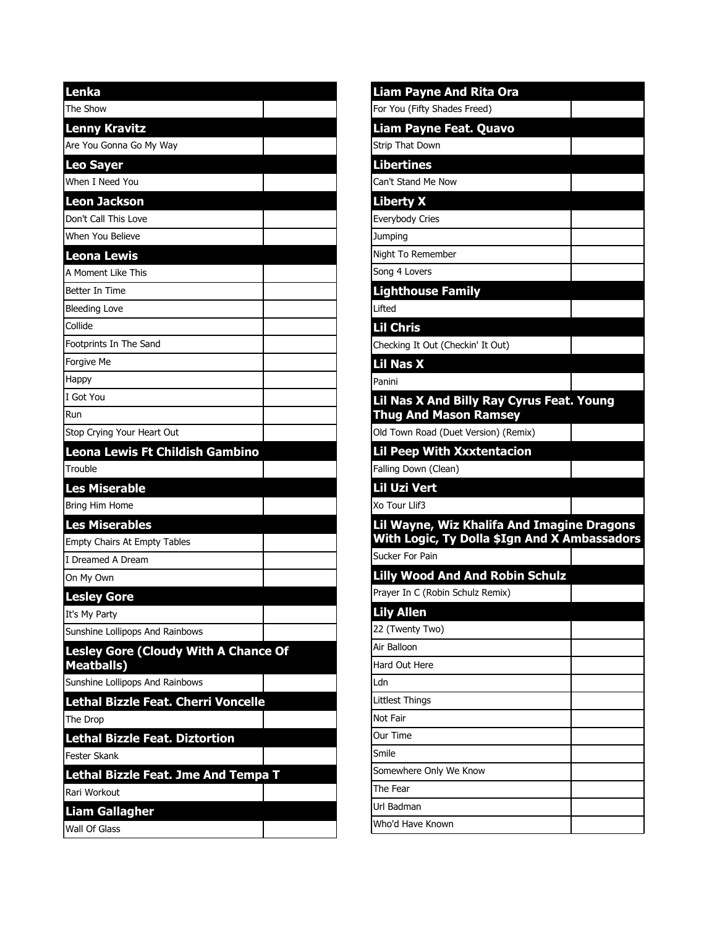| Lenka                                                     |
|-----------------------------------------------------------|
| The Show                                                  |
| <b>Lenny Kravitz</b>                                      |
| Are You Gonna Go My Way                                   |
| <b>Leo Sayer</b>                                          |
| When I Need You                                           |
| <b>Leon Jackson</b>                                       |
| Don't Call This Love                                      |
| When You Believe                                          |
| Leona Lewis                                               |
| A Moment Like This                                        |
| Better In Time                                            |
| <b>Bleeding Love</b>                                      |
| Collide                                                   |
| Footprints In The Sand                                    |
| Forgive Me                                                |
| Happy                                                     |
| I Got You                                                 |
| Run                                                       |
| Stop Crying Your Heart Out                                |
| Leona Lewis Ft Childish Gambino                           |
| Trouble                                                   |
| Les Miserable                                             |
| Bring Him Home                                            |
| <b>Les Miserables</b>                                     |
| <b>Empty Chairs At Empty Tables</b>                       |
| I Dreamed A Dream                                         |
| On My Own                                                 |
| <b>Lesley Gore</b>                                        |
| It's My Party                                             |
| Sunshine Lollipops And Rainbows                           |
| Lesley Gore (Cloudy With A Chance Of<br><b>Meatballs)</b> |
| Sunshine Lollipops And Rainbows                           |
| Lethal Bizzle Feat. Cherri Voncelle                       |
| The Drop                                                  |
| <b>Lethal Bizzle Feat. Diztortion</b>                     |
| <b>Fester Skank</b>                                       |
| Lethal Bizzle Feat. Jme And Tempa T                       |
| Rari Workout                                              |
| <b>Liam Gallagher</b>                                     |
|                                                           |

| <b>Liam Payne And Rita Ora</b>                                             |  |
|----------------------------------------------------------------------------|--|
| For You (Fifty Shades Freed)                                               |  |
| <b>Liam Payne Feat. Quavo</b>                                              |  |
| Strip That Down                                                            |  |
| <b>Libertines</b>                                                          |  |
| Can't Stand Me Now                                                         |  |
| <b>Liberty X</b>                                                           |  |
| Everybody Cries                                                            |  |
| Jumping                                                                    |  |
| Night To Remember                                                          |  |
| Song 4 Lovers                                                              |  |
| <b>Lighthouse Family</b>                                                   |  |
| Lifted                                                                     |  |
| <b>Lil Chris</b>                                                           |  |
| Checking It Out (Checkin' It Out)                                          |  |
| <b>Lil Nas X</b>                                                           |  |
| Panini                                                                     |  |
| Lil Nas X And Billy Ray Cyrus Feat. Young                                  |  |
| <b>Thug And Mason Ramsey</b>                                               |  |
| Old Town Road (Duet Version) (Remix)                                       |  |
| <b>Lil Peep With Xxxtentacion</b>                                          |  |
| Falling Down (Clean)                                                       |  |
| Lil Uzi Vert                                                               |  |
| Xo Tour Llif3                                                              |  |
| Lil Wayne, Wiz Khalifa And Imagine Dragons                                 |  |
| With Logic, Ty Dolla \$Ign And X Ambassadors<br>Sucker For Pain            |  |
|                                                                            |  |
| <b>Lilly Wood And And Robin Schulz</b><br>Prayer In C (Robin Schulz Remix) |  |
|                                                                            |  |
| <b>Lily Allen</b>                                                          |  |
| 22 (Twenty Two)<br>Air Balloon                                             |  |
| Hard Out Here                                                              |  |
|                                                                            |  |
|                                                                            |  |
| Ldn                                                                        |  |
| Littlest Things                                                            |  |
| Not Fair<br>Our Time                                                       |  |
| Smile                                                                      |  |
|                                                                            |  |
| Somewhere Only We Know<br>The Fear                                         |  |
| Url Badman                                                                 |  |
| Who'd Have Known                                                           |  |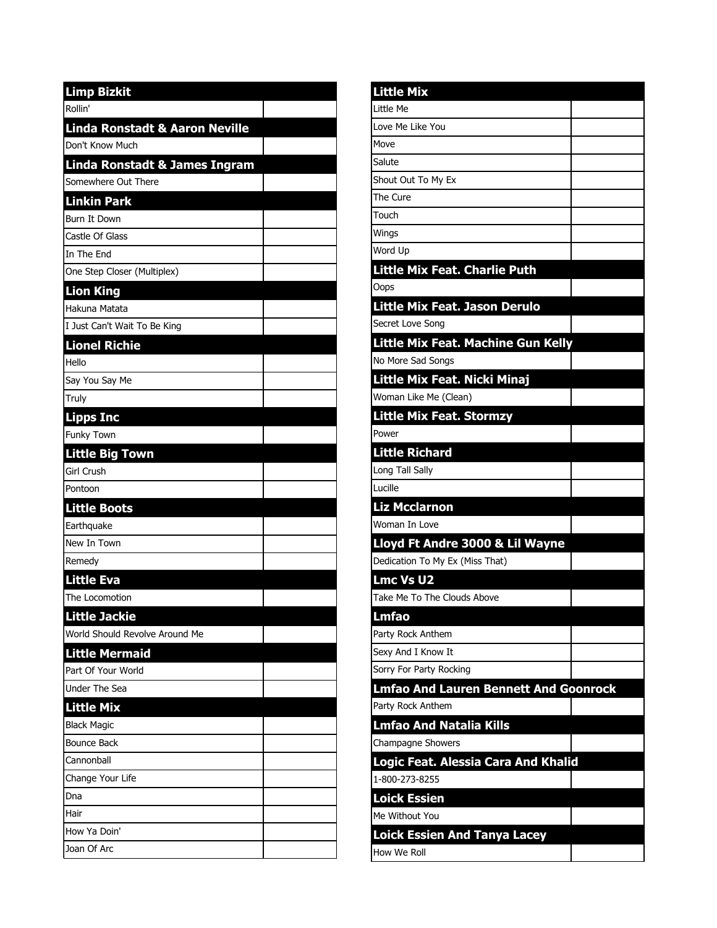| <b>Limp Bizkit</b>                       |  |
|------------------------------------------|--|
| Rollin'                                  |  |
| Linda Ronstadt & Aaron Neville           |  |
| Don't Know Much                          |  |
| <b>Linda Ronstadt &amp; James Ingram</b> |  |
| Somewhere Out There                      |  |
| <b>Linkin Park</b>                       |  |
| <b>Burn It Down</b>                      |  |
| Castle Of Glass                          |  |
| In The End                               |  |
| One Step Closer (Multiplex)              |  |
| <b>Lion King</b>                         |  |
| Hakuna Matata                            |  |
| I Just Can't Wait To Be King             |  |
| <b>Lionel Richie</b>                     |  |
| Hello                                    |  |
| Say You Say Me                           |  |
| Truly                                    |  |
| <b>Lipps Inc</b>                         |  |
| Funky Town                               |  |
| <b>Little Big Town</b>                   |  |
| <b>Girl Crush</b>                        |  |
| Pontoon                                  |  |
| <b>Little Boots</b>                      |  |
| Earthquake                               |  |
| New In Town                              |  |
| Remedy                                   |  |
| <b>Little Eva</b>                        |  |
| The Locomotion                           |  |
| <b>Little Jackie</b>                     |  |
| World Should Revolve Around Me           |  |
| <b>Little Mermaid</b>                    |  |
| Part Of Your World                       |  |
| Under The Sea                            |  |
| <b>Little Mix</b>                        |  |
| <b>Black Magic</b>                       |  |
| <b>Bounce Back</b>                       |  |
| Cannonball                               |  |
| Change Your Life                         |  |
| Dna                                      |  |
| Hair                                     |  |
| How Ya Doin'                             |  |
| Joan Of Arc                              |  |

| <b>Little Mix</b>                            |  |
|----------------------------------------------|--|
| Little Me                                    |  |
| Love Me Like You                             |  |
| Move                                         |  |
| Salute                                       |  |
| Shout Out To My Ex                           |  |
| The Cure                                     |  |
| Touch                                        |  |
| Wings                                        |  |
| Word Up                                      |  |
| <b>Little Mix Feat. Charlie Puth</b>         |  |
| Oops                                         |  |
| Little Mix Feat. Jason Derulo                |  |
| Secret Love Song                             |  |
| <b>Little Mix Feat. Machine Gun Kelly</b>    |  |
| No More Sad Songs                            |  |
| Little Mix Feat. Nicki Minaj                 |  |
| Woman Like Me (Clean)                        |  |
| <b>Little Mix Feat. Stormzy</b>              |  |
| Power                                        |  |
| <b>Little Richard</b>                        |  |
| Long Tall Sally                              |  |
| Lucille                                      |  |
| <b>Liz Mcclarnon</b>                         |  |
| Woman In Love                                |  |
| Lloyd Ft Andre 3000 & Lil Wayne              |  |
| Dedication To My Ex (Miss That)              |  |
| <b>Lmc Vs U2</b>                             |  |
| Take Me To The Clouds Above                  |  |
| Lmfao                                        |  |
| Party Rock Anthem                            |  |
| Sexy And I Know It                           |  |
| Sorry For Party Rocking                      |  |
| <b>Lmfao And Lauren Bennett And Goonrock</b> |  |
| Party Rock Anthem                            |  |
| <b>Lmfao And Natalia Kills</b>               |  |
| Champagne Showers                            |  |
| Logic Feat. Alessia Cara And Khalid          |  |
| 1-800-273-8255                               |  |
| <b>Loick Essien</b>                          |  |
| Me Without You                               |  |
| <b>Loick Essien And Tanya Lacey</b>          |  |
| How We Roll                                  |  |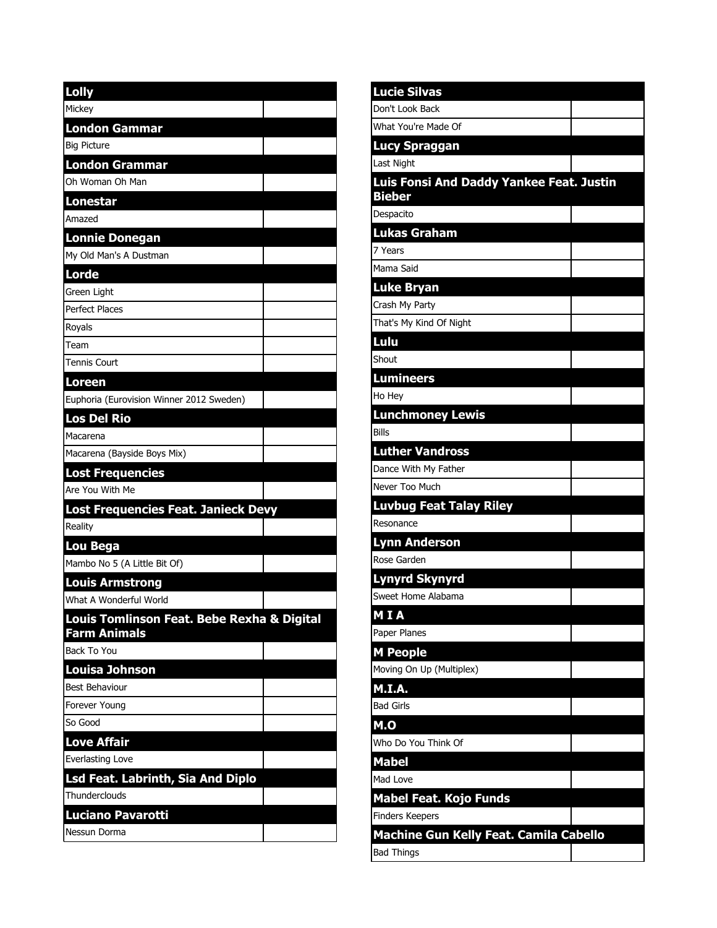| <b>Lolly</b>                               |  |
|--------------------------------------------|--|
| Mickey                                     |  |
| <b>London Gammar</b>                       |  |
| <b>Big Picture</b>                         |  |
| <b>London Grammar</b>                      |  |
| Oh Woman Oh Man                            |  |
| <b>Lonestar</b>                            |  |
| Amazed                                     |  |
| <b>Lonnie Donegan</b>                      |  |
| My Old Man's A Dustman                     |  |
| <b>Lorde</b>                               |  |
| Green Light                                |  |
| <b>Perfect Places</b>                      |  |
| Royals                                     |  |
| Team                                       |  |
| Tennis Court                               |  |
| <b>Loreen</b>                              |  |
| Euphoria (Eurovision Winner 2012 Sweden)   |  |
| <b>Los Del Rio</b>                         |  |
| Macarena                                   |  |
| Macarena (Bayside Boys Mix)                |  |
| <b>Lost Frequencies</b>                    |  |
| Are You With Me                            |  |
| Lost Frequencies Feat. Janieck Devy        |  |
| Reality                                    |  |
| Lou Bega                                   |  |
| Mambo No 5 (A Little Bit Of)               |  |
| <b>Louis Armstrong</b>                     |  |
| What A Wonderful World                     |  |
| Louis Tomlinson Feat. Bebe Rexha & Digital |  |
| <b>Farm Animals</b>                        |  |
| <b>Back To You</b>                         |  |
| <b>Louisa Johnson</b>                      |  |
| <b>Best Behaviour</b>                      |  |
| Forever Young                              |  |
| So Good                                    |  |
| <b>Love Affair</b>                         |  |
| Everlasting Love                           |  |
| Lsd Feat. Labrinth, Sia And Diplo          |  |
| Thunderclouds                              |  |
| <b>Luciano Pavarotti</b>                   |  |
| Nessun Dorma                               |  |

| <b>Lucie Silvas</b>                             |  |
|-------------------------------------------------|--|
| Don't Look Back                                 |  |
| What You're Made Of                             |  |
| <b>Lucy Spraggan</b>                            |  |
| <b>Last Night</b>                               |  |
| <b>Luis Fonsi And Daddy Yankee Feat. Justin</b> |  |
| <b>Bieber</b><br>Despacito                      |  |
| <b>Lukas Graham</b>                             |  |
| 7 Years                                         |  |
| Mama Said                                       |  |
| <b>Luke Bryan</b>                               |  |
| Crash My Party                                  |  |
| That's My Kind Of Night                         |  |
| Lulu                                            |  |
| Shout                                           |  |
| <b>Lumineers</b>                                |  |
| Ho Hey                                          |  |
| <b>Lunchmoney Lewis</b>                         |  |
| <b>Bills</b>                                    |  |
| <b>Luther Vandross</b>                          |  |
| Dance With My Father                            |  |
| Never Too Much                                  |  |
| <b>Luvbug Feat Talay Riley</b>                  |  |
| Resonance                                       |  |
| <b>Lynn Anderson</b>                            |  |
| Rose Garden                                     |  |
| <b>Lynyrd Skynyrd</b>                           |  |
| Sweet Home Alabama                              |  |
| M I A                                           |  |
| Paper Planes                                    |  |
| <b>M People</b>                                 |  |
| Moving On Up (Multiplex)                        |  |
| M.I.A.                                          |  |
| <b>Bad Girls</b>                                |  |
| M.O                                             |  |
| Who Do You Think Of                             |  |
| <b>Mabel</b>                                    |  |
| Mad Love                                        |  |
| <b>Mabel Feat. Kojo Funds</b>                   |  |
| <b>Finders Keepers</b>                          |  |
| <b>Machine Gun Kelly Feat. Camila Cabello</b>   |  |
| <b>Bad Things</b>                               |  |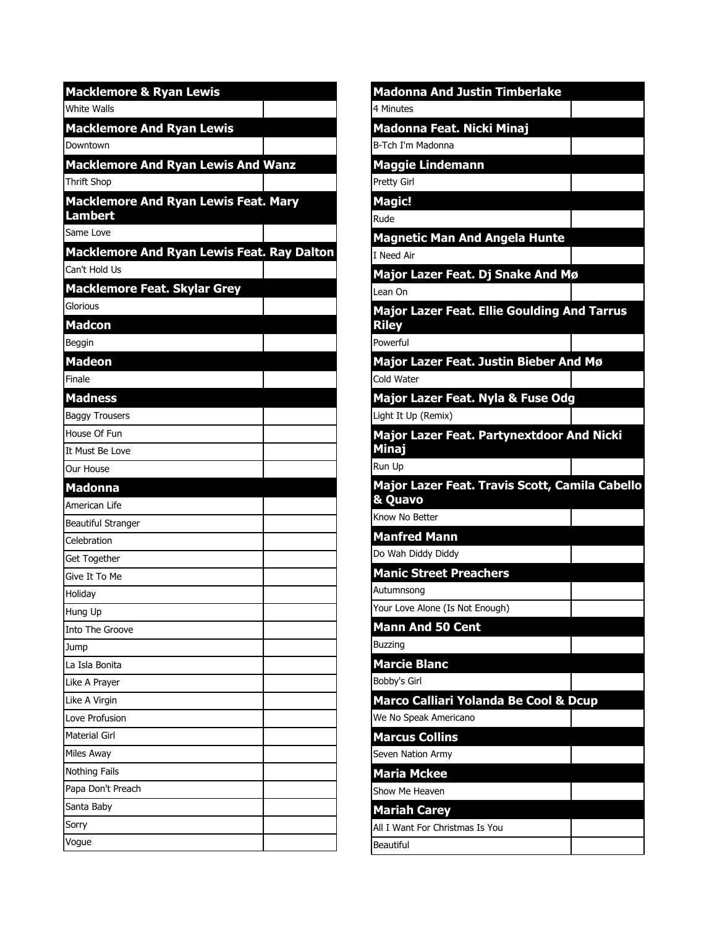| <b>Macklemore &amp; Ryan Lewis</b>                |  |
|---------------------------------------------------|--|
| <b>White Walls</b>                                |  |
| <b>Macklemore And Ryan Lewis</b>                  |  |
| Downtown                                          |  |
| <b>Macklemore And Ryan Lewis And Wanz</b>         |  |
| <b>Thrift Shop</b>                                |  |
| <b>Macklemore And Ryan Lewis Feat. Mary</b>       |  |
| <b>Lambert</b>                                    |  |
| Same Love                                         |  |
| <b>Macklemore And Ryan Lewis Feat. Ray Dalton</b> |  |
| Can't Hold Us                                     |  |
| <b>Macklemore Feat. Skylar Grey</b>               |  |
| Glorious                                          |  |
| <b>Madcon</b>                                     |  |
| Beggin                                            |  |
| <b>Madeon</b>                                     |  |
| Finale                                            |  |
| <b>Madness</b>                                    |  |
| <b>Baggy Trousers</b>                             |  |
| House Of Fun                                      |  |
| It Must Be Love                                   |  |
| Our House                                         |  |
| <b>Madonna</b><br>American Life                   |  |
| <b>Beautiful Stranger</b>                         |  |
| Celebration                                       |  |
| Get Together                                      |  |
| Give It To Me                                     |  |
| Holiday                                           |  |
| Hung Up                                           |  |
| Into The Groove                                   |  |
| Jump                                              |  |
| La Isla Bonita                                    |  |
| Like A Prayer                                     |  |
| Like A Virgin                                     |  |
| Love Profusion                                    |  |
| Material Girl                                     |  |
| Miles Away                                        |  |
| Nothing Fails                                     |  |
| Papa Don't Preach                                 |  |
| Santa Baby                                        |  |
| Sorry                                             |  |
| Vogue                                             |  |

| <b>Madonna And Justin Timberlake</b>                                                           |  |
|------------------------------------------------------------------------------------------------|--|
| 4 Minutes                                                                                      |  |
| Madonna Feat. Nicki Minaj                                                                      |  |
| B-Tch I'm Madonna                                                                              |  |
| <b>Maggie Lindemann</b>                                                                        |  |
| Pretty Girl                                                                                    |  |
| <b>Magic!</b>                                                                                  |  |
| Rude                                                                                           |  |
| <b>Magnetic Man And Angela Hunte</b>                                                           |  |
| I Need Air                                                                                     |  |
| Major Lazer Feat. Dj Snake And Mø                                                              |  |
| Lean On                                                                                        |  |
| <b>Major Lazer Feat. Ellie Goulding And Tarrus</b>                                             |  |
| <b>Riley</b><br>Powerful                                                                       |  |
|                                                                                                |  |
| Major Lazer Feat. Justin Bieber And Mø<br>Cold Water                                           |  |
| Major Lazer Feat. Nyla & Fuse Odg                                                              |  |
| Light It Up (Remix)                                                                            |  |
| <b>Major Lazer Feat. Partynextdoor And Nicki</b>                                               |  |
| <b>Minaj</b>                                                                                   |  |
| Run Up                                                                                         |  |
|                                                                                                |  |
| Major Lazer Feat. Travis Scott, Camila Cabello                                                 |  |
| & Quavo                                                                                        |  |
| Know No Better                                                                                 |  |
| <b>Manfred Mann</b>                                                                            |  |
|                                                                                                |  |
| <b>Manic Street Preachers</b>                                                                  |  |
|                                                                                                |  |
|                                                                                                |  |
| Do Wah Diddy Diddy<br>Autumnsona<br>Your Love Alone (Is Not Enough)<br><b>Mann And 50 Cent</b> |  |
| <b>Buzzing</b>                                                                                 |  |
| <b>Marcie Blanc</b>                                                                            |  |
| Bobby's Girl                                                                                   |  |
| Marco Calliari Yolanda Be Cool & Dcup                                                          |  |
| We No Speak Americano                                                                          |  |
| <b>Marcus Collins</b>                                                                          |  |
| Seven Nation Army                                                                              |  |
| <b>Maria Mckee</b>                                                                             |  |
| Show Me Heaven                                                                                 |  |
| <b>Mariah Carey</b>                                                                            |  |
| All I Want For Christmas Is You<br><b>Beautiful</b>                                            |  |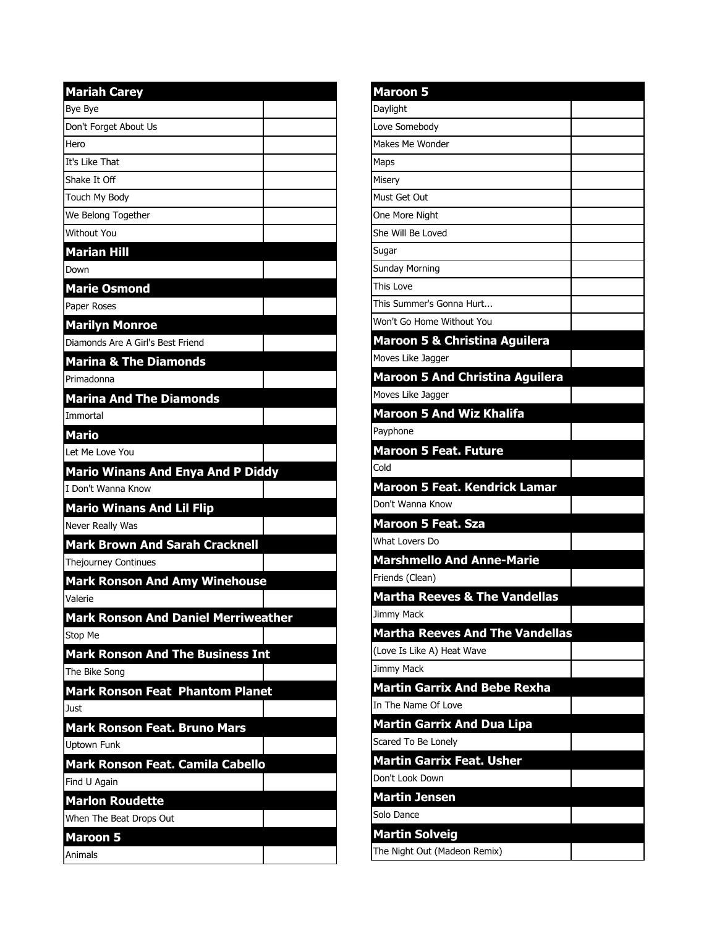| <b>Mariah Carey</b>                        |  |
|--------------------------------------------|--|
| Bye Bye                                    |  |
| Don't Forget About Us                      |  |
| Hero                                       |  |
| It's Like That                             |  |
| Shake It Off                               |  |
| Touch My Body                              |  |
| We Belong Together                         |  |
| Without You                                |  |
| <b>Marian Hill</b>                         |  |
| Down                                       |  |
| <b>Marie Osmond</b>                        |  |
| Paper Roses                                |  |
| <b>Marilyn Monroe</b>                      |  |
| Diamonds Are A Girl's Best Friend          |  |
| <b>Marina &amp; The Diamonds</b>           |  |
| Primadonna                                 |  |
| <b>Marina And The Diamonds</b>             |  |
| Immortal                                   |  |
| <b>Mario</b>                               |  |
| Let Me Love You                            |  |
| <b>Mario Winans And Enya And P Diddy</b>   |  |
| I Don't Wanna Know                         |  |
| <b>Mario Winans And Lil Flip</b>           |  |
| Never Really Was                           |  |
| <b>Mark Brown And Sarah Cracknell</b>      |  |
| Thejourney Continues                       |  |
| <b>Mark Ronson And Amy Winehouse</b>       |  |
| Valerie                                    |  |
| <b>Mark Ronson And Daniel Merriweather</b> |  |
| Stop Me                                    |  |
| <b>Mark Ronson And The Business Int</b>    |  |
| The Bike Song                              |  |
| <b>Mark Ronson Feat Phantom Planet</b>     |  |
| Just                                       |  |
| <b>Mark Ronson Feat. Bruno Mars</b>        |  |
| <b>Uptown Funk</b>                         |  |
| Mark Ronson Feat. Camila Cabello           |  |
| Find U Again                               |  |
| <b>Marlon Roudette</b>                     |  |
| When The Beat Drops Out                    |  |
| <b>Maroon 5</b>                            |  |
| Animals                                    |  |
|                                            |  |

| <b>Maroon 5</b>                          |  |
|------------------------------------------|--|
| Daylight                                 |  |
| Love Somebody                            |  |
| Makes Me Wonder                          |  |
| Maps                                     |  |
| Misery                                   |  |
| Must Get Out                             |  |
| One More Night                           |  |
| She Will Be Loved                        |  |
| Sugar                                    |  |
| Sunday Morning                           |  |
| This Love                                |  |
| This Summer's Gonna Hurt                 |  |
| Won't Go Home Without You                |  |
| <b>Maroon 5 &amp; Christina Aguilera</b> |  |
| Moves Like Jagger                        |  |
| <b>Maroon 5 And Christina Aguilera</b>   |  |
| Moves Like Jagger                        |  |
| <b>Maroon 5 And Wiz Khalifa</b>          |  |
| Payphone                                 |  |
| <b>Maroon 5 Feat. Future</b>             |  |
| Cold                                     |  |
| <b>Maroon 5 Feat. Kendrick Lamar</b>     |  |
| Don't Wanna Know                         |  |
| <b>Maroon 5 Feat. Sza</b>                |  |
| What Lovers Do                           |  |
| <b>Marshmello And Anne-Marie</b>         |  |
| Friends (Clean)                          |  |
| <b>Martha Reeves &amp; The Vandellas</b> |  |
| Jimmy Mack                               |  |
| <b>Martha Reeves And The Vandellas</b>   |  |
| (Love Is Like A) Heat Wave               |  |
| Jimmy Mack                               |  |
| <b>Martin Garrix And Bebe Rexha</b>      |  |
| In The Name Of Love                      |  |
| <b>Martin Garrix And Dua Lipa</b>        |  |
| Scared To Be Lonely                      |  |
| <b>Martin Garrix Feat. Usher</b>         |  |
| Don't Look Down                          |  |
| Martin Jensen                            |  |
| Solo Dance                               |  |
| <b>Martin Solveig</b>                    |  |
| The Night Out (Madeon Remix)             |  |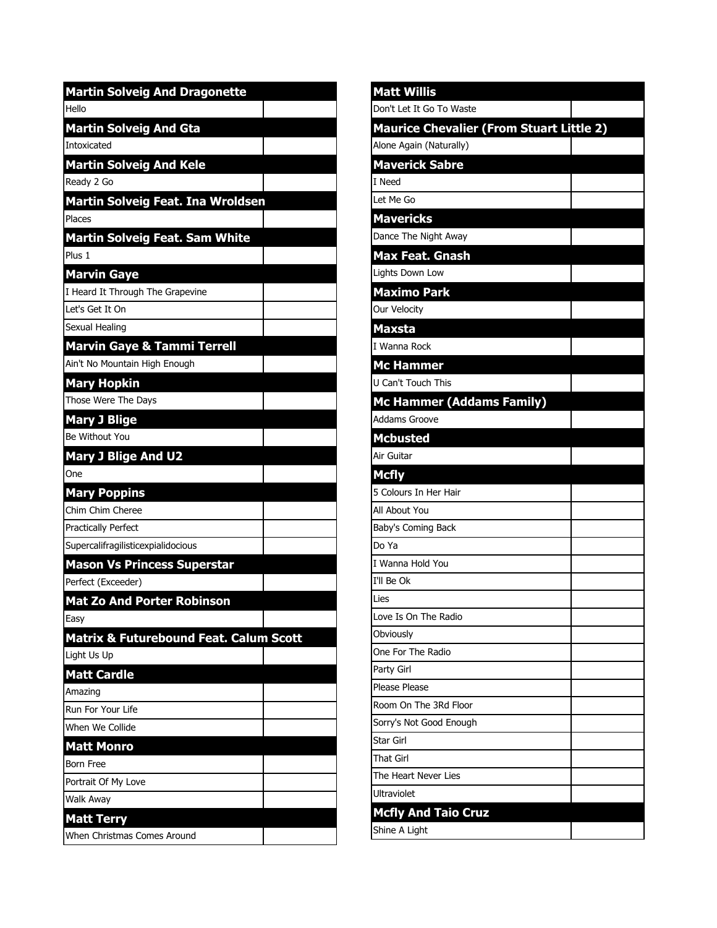| <b>Martin Solveig And Dragonette</b>              |  |
|---------------------------------------------------|--|
| Hello                                             |  |
| <b>Martin Solveig And Gta</b>                     |  |
| <b>Intoxicated</b>                                |  |
| <b>Martin Solveig And Kele</b>                    |  |
| Ready 2 Go                                        |  |
| Martin Solveig Feat. Ina Wroldsen                 |  |
| Places                                            |  |
| Martin Solveig Feat. Sam White                    |  |
| Plus 1                                            |  |
| <b>Marvin Gaye</b>                                |  |
| I Heard It Through The Grapevine                  |  |
| Let's Get It On                                   |  |
| Sexual Healing                                    |  |
| <b>Marvin Gaye &amp; Tammi Terrell</b>            |  |
| Ain't No Mountain High Enough                     |  |
| <b>Mary Hopkin</b>                                |  |
| Those Were The Days                               |  |
| <b>Mary J Blige</b>                               |  |
| Be Without You                                    |  |
| <b>Mary J Blige And U2</b>                        |  |
| One                                               |  |
| <b>Mary Poppins</b>                               |  |
| Chim Chim Cheree                                  |  |
| Practically Perfect                               |  |
| Supercalifragilisticexpialidocious                |  |
| <b>Mason Vs Princess Superstar</b>                |  |
| Perfect (Exceeder)                                |  |
| <b>Mat Zo And Porter Robinson</b>                 |  |
| Easy                                              |  |
| <b>Matrix &amp; Futurebound Feat. Calum Scott</b> |  |
| Light Us Up                                       |  |
| <b>Matt Cardle</b>                                |  |
| Amazing                                           |  |
| Run For Your Life                                 |  |
| When We Collide                                   |  |
| <b>Matt Monro</b>                                 |  |
| <b>Born Free</b>                                  |  |
| Portrait Of My Love                               |  |
| Walk Away                                         |  |
| Matt Terry                                        |  |
| When Christmas Comes Around                       |  |

| <b>Matt Willis</b>                              |  |
|-------------------------------------------------|--|
| Don't Let It Go To Waste                        |  |
| <b>Maurice Chevalier (From Stuart Little 2)</b> |  |
| Alone Again (Naturally)                         |  |
| <b>Maverick Sabre</b>                           |  |
| I Need                                          |  |
| Let Me Go                                       |  |
| <b>Mavericks</b>                                |  |
| Dance The Night Away                            |  |
| <b>Max Feat. Gnash</b>                          |  |
| Lights Down Low                                 |  |
| <b>Maximo Park</b>                              |  |
| Our Velocity                                    |  |
| Maxsta                                          |  |
| I Wanna Rock                                    |  |
| <b>Mc Hammer</b>                                |  |
| U Can't Touch This                              |  |
| <b>Mc Hammer (Addams Family)</b>                |  |
| <b>Addams Groove</b>                            |  |
| <b>Mcbusted</b>                                 |  |
| Air Guitar                                      |  |
|                                                 |  |
| <b>Mcfly</b>                                    |  |
| 5 Colours In Her Hair                           |  |
| All About You                                   |  |
| Baby's Coming Back                              |  |
| Do Ya                                           |  |
| I Wanna Hold You                                |  |
| I'll Be Ok                                      |  |
| Lies                                            |  |
| Love Is On The Radio                            |  |
| Obviously                                       |  |
| One For The Radio                               |  |
| Party Girl                                      |  |
| Please Please                                   |  |
| Room On The 3Rd Floor                           |  |
| Sorry's Not Good Enough                         |  |
| Star Girl                                       |  |
| <b>That Girl</b>                                |  |
| The Heart Never Lies                            |  |
| Ultraviolet                                     |  |
| <b>Mcfly And Taio Cruz</b><br>Shine A Light     |  |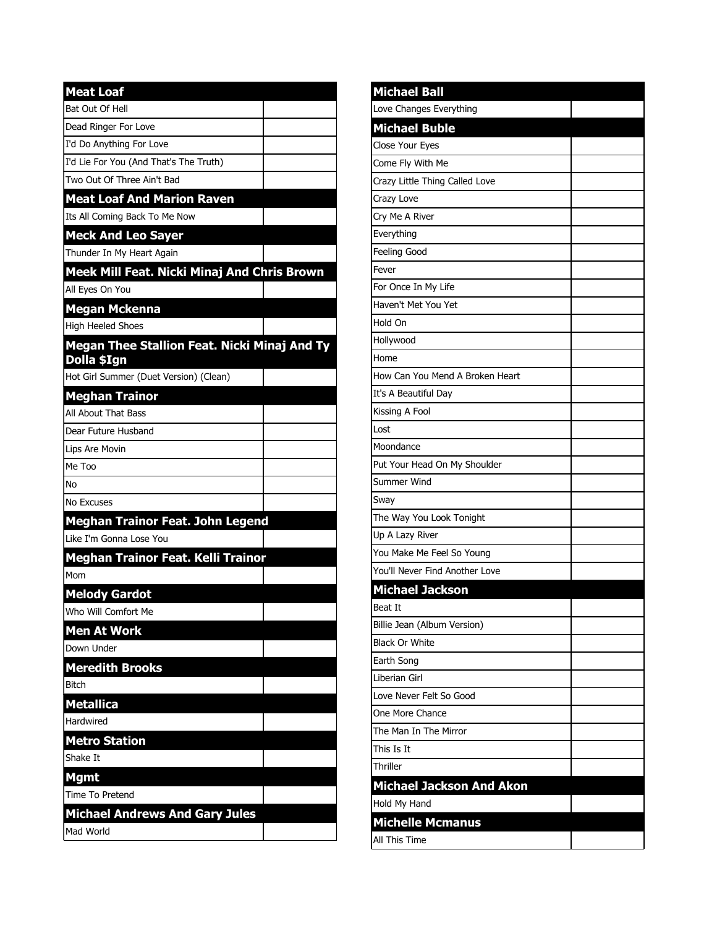| <b>Meat Loaf</b>                                            |
|-------------------------------------------------------------|
| Bat Out Of Hell                                             |
| Dead Ringer For Love                                        |
| I'd Do Anything For Love                                    |
| I'd Lie For You (And That's The Truth)                      |
| Two Out Of Three Ain't Bad                                  |
| <b>Meat Loaf And Marion Raven</b>                           |
| Its All Coming Back To Me Now                               |
| <b>Meck And Leo Sayer</b>                                   |
| Thunder In My Heart Again                                   |
| Meek Mill Feat. Nicki Minaj And Chris Brown                 |
| All Eyes On You                                             |
| <b>Megan Mckenna</b>                                        |
| <b>High Heeled Shoes</b>                                    |
| Megan Thee Stallion Feat. Nicki Minaj And Ty<br>Dolla \$Ign |
| Hot Girl Summer (Duet Version) (Clean)                      |
| <b>Meghan Trainor</b>                                       |
| All About That Bass                                         |
| Dear Future Husband                                         |
| Lips Are Movin                                              |
| Me Too                                                      |
| No                                                          |
| No Excuses                                                  |
| <b>Meghan Trainor Feat. John Legend</b>                     |
| Like I'm Gonna Lose You                                     |
| Meghan Trainor Feat. Kelli Trainor                          |
| Mom                                                         |
| <b>Melody Gardot</b>                                        |
| Who Will Comfort Me                                         |
| <b>Men At Work</b>                                          |
| Down Under                                                  |
| <b>Meredith Brooks</b>                                      |
| <b>Bitch</b>                                                |
| <b>Metallica</b>                                            |
| Hardwired                                                   |
| <b>Metro Station</b>                                        |
| Shake It                                                    |
| <b>Mgmt</b>                                                 |
| Time To Pretend                                             |
| <b>Michael Andrews And Gary Jules</b>                       |
| Mad World                                                   |

| <b>Michael Ball</b>             |  |
|---------------------------------|--|
| Love Changes Everything         |  |
| <b>Michael Buble</b>            |  |
| Close Your Eyes                 |  |
| Come Fly With Me                |  |
| Crazy Little Thing Called Love  |  |
| Crazy Love                      |  |
| Cry Me A River                  |  |
| Everything                      |  |
| Feeling Good                    |  |
| Fever                           |  |
| For Once In My Life             |  |
| Haven't Met You Yet             |  |
| Hold On                         |  |
| Hollywood                       |  |
| Home                            |  |
| How Can You Mend A Broken Heart |  |
| It's A Beautiful Day            |  |
| Kissing A Fool                  |  |
| Lost                            |  |
| Moondance                       |  |
| Put Your Head On My Shoulder    |  |
| Summer Wind                     |  |
| Sway                            |  |
| The Way You Look Tonight        |  |
| Up A Lazy River                 |  |
| You Make Me Feel So Young       |  |
| You'll Never Find Another Love  |  |
| <b>Michael Jackson</b>          |  |
| <b>Beat It</b>                  |  |
| Billie Jean (Album Version)     |  |
| <b>Black Or White</b>           |  |
| Earth Song                      |  |
| Liberian Girl                   |  |
| Love Never Felt So Good         |  |
| One More Chance                 |  |
| The Man In The Mirror           |  |
| This Is It                      |  |
| Thriller                        |  |
| <b>Michael Jackson And Akon</b> |  |
| Hold My Hand                    |  |
| <b>Michelle Mcmanus</b>         |  |
| All This Time                   |  |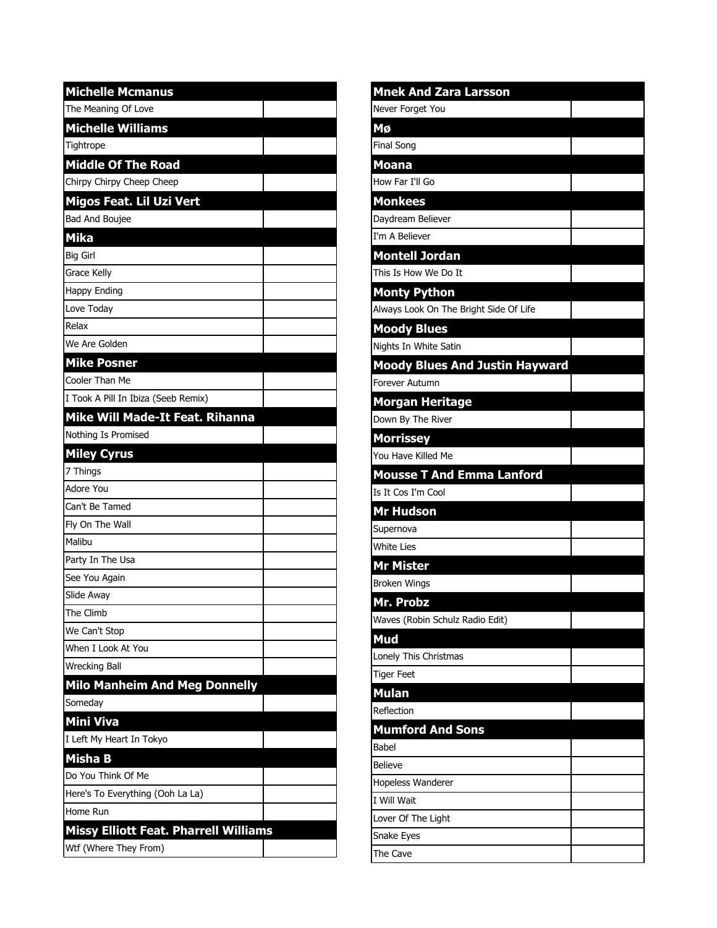| <b>Michelle Mcmanus</b>                      |
|----------------------------------------------|
| The Meaning Of Love                          |
| <b>Michelle Williams</b>                     |
| Tightrope                                    |
| <b>Middle Of The Road</b>                    |
| Chirpy Chirpy Cheep Cheep                    |
| Migos Feat. Lil Uzi Vert                     |
| Bad And Boujee                               |
| <b>Mika</b>                                  |
| <b>Big Girl</b>                              |
| Grace Kelly                                  |
| Happy Ending                                 |
| Love Today                                   |
| Relax                                        |
| We Are Golden                                |
| <b>Mike Posner</b>                           |
| Cooler Than Me                               |
| I Took A Pill In Ibiza (Seeb Remix)          |
| Mike Will Made-It Feat. Rihanna              |
| Nothing Is Promised                          |
| <b>Miley Cyrus</b>                           |
| 7 Things                                     |
| Adore You                                    |
| Can't Be Tamed                               |
| Fly On The Wall                              |
| Malibu                                       |
| Party In The Usa                             |
| See You Again                                |
| Slide Away                                   |
| The Climb                                    |
| We Can't Stop                                |
| When I Look At You                           |
| <b>Wrecking Ball</b>                         |
| <b>Milo Manheim And Meg Donnelly</b>         |
| Someday                                      |
| Mini Viva                                    |
| I Left My Heart In Tokyo                     |
| <b>Misha B</b>                               |
| Do You Think Of Me                           |
| Here's To Everything (Ooh La La)             |
|                                              |
| Home Run                                     |
| <b>Missy Elliott Feat. Pharrell Williams</b> |

| <b>Mnek And Zara Larsson</b>           |  |
|----------------------------------------|--|
| Never Forget You                       |  |
| Mø                                     |  |
| <b>Final Song</b>                      |  |
| <b>Moana</b>                           |  |
| How Far I'll Go                        |  |
| <b>Monkees</b>                         |  |
| Daydream Believer                      |  |
| I'm A Believer                         |  |
| <b>Montell Jordan</b>                  |  |
| This Is How We Do It                   |  |
| <b>Monty Python</b>                    |  |
| Always Look On The Bright Side Of Life |  |
| <b>Moody Blues</b>                     |  |
| Nights In White Satin                  |  |
| <b>Moody Blues And Justin Hayward</b>  |  |
| <b>Forever Autumn</b>                  |  |
| <b>Morgan Heritage</b>                 |  |
| Down By The River                      |  |
| <b>Morrissey</b>                       |  |
| You Have Killed Me                     |  |
| <b>Mousse T And Emma Lanford</b>       |  |
| Is It Cos I'm Cool                     |  |
| <b>Mr Hudson</b>                       |  |
| Supernova                              |  |
| <b>White Lies</b>                      |  |
| <b>Mr Mister</b>                       |  |
| <b>Broken Wings</b>                    |  |
| Mr. Probz                              |  |
| Waves (Robin Schulz Radio Edit)        |  |
| Mud                                    |  |
| Lonely This Christmas                  |  |
| <b>Tiger Feet</b>                      |  |
| <b>Mulan</b>                           |  |
| Reflection                             |  |
| <b>Mumford And Sons</b>                |  |
| Babel                                  |  |
| <b>Believe</b>                         |  |
| Hopeless Wanderer                      |  |
| I Will Wait                            |  |
| Lover Of The Light                     |  |
| Snake Eyes                             |  |
| The Cave                               |  |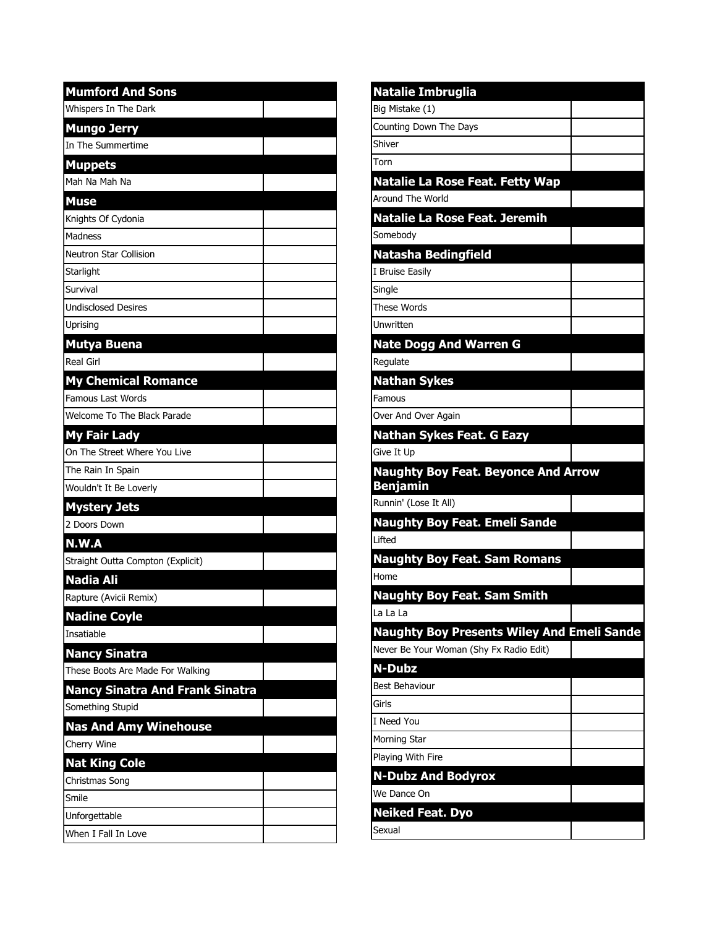| <b>Mumford And Sons</b>                |  |
|----------------------------------------|--|
| Whispers In The Dark                   |  |
| <b>Mungo Jerry</b>                     |  |
| In The Summertime                      |  |
| <b>Muppets</b>                         |  |
| Mah Na Mah Na                          |  |
| <b>Muse</b>                            |  |
| Knights Of Cydonia                     |  |
| <b>Madness</b>                         |  |
| <b>Neutron Star Collision</b>          |  |
| Starlight                              |  |
| Survival                               |  |
| <b>Undisclosed Desires</b>             |  |
| Uprising                               |  |
| <b>Mutya Buena</b>                     |  |
| <b>Real Girl</b>                       |  |
| <b>My Chemical Romance</b>             |  |
| <b>Famous Last Words</b>               |  |
| Welcome To The Black Parade            |  |
| <b>My Fair Lady</b>                    |  |
| On The Street Where You Live           |  |
| The Rain In Spain                      |  |
| Wouldn't It Be Loverly                 |  |
| <b>Mystery Jets</b>                    |  |
| 2 Doors Down                           |  |
| N.W.A                                  |  |
| Straight Outta Compton (Explicit)      |  |
| <b>Nadia Ali</b>                       |  |
| Rapture (Avicii Remix)                 |  |
| <b>Nadine Coyle</b>                    |  |
| Insatiable                             |  |
| <b>Nancy Sinatra</b>                   |  |
| These Boots Are Made For Walking       |  |
| <b>Nancy Sinatra And Frank Sinatra</b> |  |
| Something Stupid                       |  |
| <b>Nas And Amy Winehouse</b>           |  |
| Cherry Wine                            |  |
| <b>Nat King Cole</b>                   |  |
| Christmas Song                         |  |
| Smile                                  |  |
| Unforgettable                          |  |
| When I Fall In Love                    |  |

| <b>Natalie Imbruglia</b>                                      |  |
|---------------------------------------------------------------|--|
| Big Mistake (1)                                               |  |
| Counting Down The Days                                        |  |
| Shiver                                                        |  |
| Torn                                                          |  |
| <b>Natalie La Rose Feat. Fetty Wap</b>                        |  |
| Around The World                                              |  |
| Natalie La Rose Feat. Jeremih                                 |  |
| Somebodv                                                      |  |
| <b>Natasha Bedingfield</b>                                    |  |
| I Bruise Easily                                               |  |
| Single                                                        |  |
| <b>These Words</b>                                            |  |
| Unwritten                                                     |  |
| <b>Nate Dogg And Warren G</b>                                 |  |
| Regulate                                                      |  |
| <b>Nathan Sykes</b>                                           |  |
| Famous                                                        |  |
| Over And Over Again                                           |  |
| <b>Nathan Sykes Feat. G Eazy</b>                              |  |
| Give It Up                                                    |  |
| <b>Naughty Boy Feat. Beyonce And Arrow</b><br><b>Benjamin</b> |  |
| Runnin' (Lose It All)                                         |  |
| <b>Naughty Boy Feat. Emeli Sande</b>                          |  |
| Lifted                                                        |  |
| <b>Naughty Boy Feat. Sam Romans</b>                           |  |
| Home                                                          |  |
| <b>Naughty Boy Feat. Sam Smith</b>                            |  |
| La La La                                                      |  |
| <b>Naughty Boy Presents Wiley And Emeli Sande</b>             |  |
| Never Be Your Woman (Shy Fx Radio Edit)                       |  |
| <b>N-Dubz</b>                                                 |  |
| <b>Best Behaviour</b>                                         |  |
| Girls                                                         |  |
| I Need You                                                    |  |
| Morning Star                                                  |  |
| Playing With Fire                                             |  |
| <b>N-Dubz And Bodyrox</b>                                     |  |
| We Dance On                                                   |  |
| <b>Neiked Feat. Dyo</b>                                       |  |
| Sexual                                                        |  |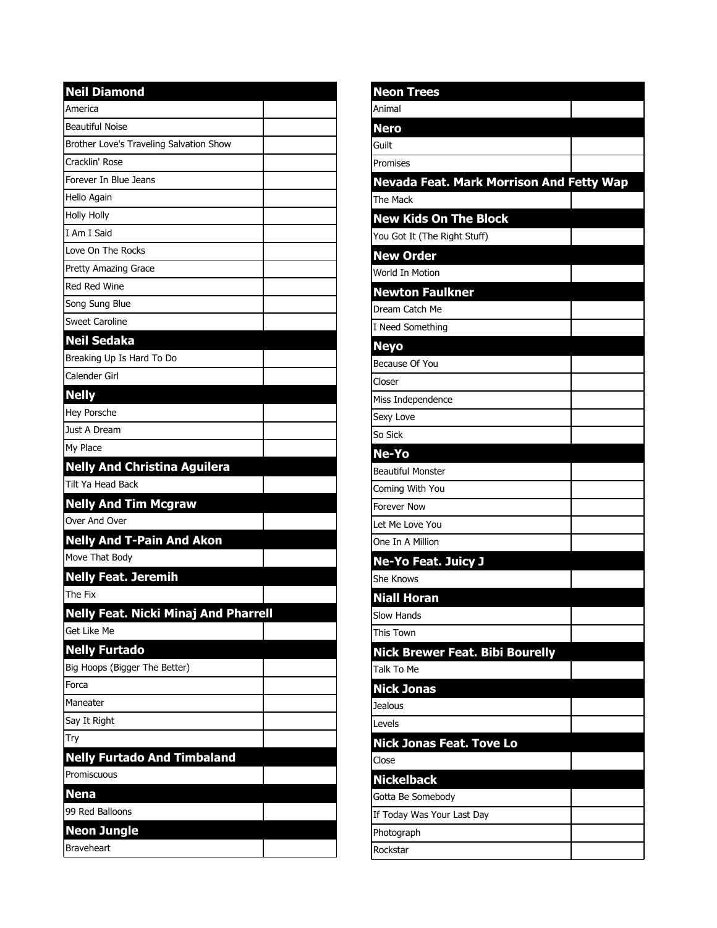| <b>Neil Diamond</b>                         |  |
|---------------------------------------------|--|
| America                                     |  |
| <b>Beautiful Noise</b>                      |  |
| Brother Love's Traveling Salvation Show     |  |
| Cracklin' Rose                              |  |
| Forever In Blue Jeans                       |  |
| Hello Again                                 |  |
| <b>Holly Holly</b>                          |  |
| I Am I Said                                 |  |
| Love On The Rocks                           |  |
| Pretty Amazing Grace                        |  |
| <b>Red Red Wine</b>                         |  |
| Song Sung Blue                              |  |
| <b>Sweet Caroline</b>                       |  |
| <b>Neil Sedaka</b>                          |  |
| Breaking Up Is Hard To Do                   |  |
| Calender Girl                               |  |
| <b>Nelly</b>                                |  |
| Hey Porsche                                 |  |
| Just A Dream                                |  |
| My Place                                    |  |
| <b>Nelly And Christina Aguilera</b>         |  |
| Tilt Ya Head Back                           |  |
| <b>Nelly And Tim Mcgraw</b>                 |  |
| Over And Over                               |  |
| <b>Nelly And T-Pain And Akon</b>            |  |
| Move That Body                              |  |
| <b>Nelly Feat. Jeremih</b>                  |  |
| The Fix                                     |  |
| <b>Nelly Feat. Nicki Minaj And Pharrell</b> |  |
| Get Like Me                                 |  |
| <b>Nelly Furtado</b>                        |  |
| Big Hoops (Bigger The Better)               |  |
| Forca                                       |  |
| Maneater                                    |  |
| Say It Right                                |  |
| Try                                         |  |
| <b>Nelly Furtado And Timbaland</b>          |  |
| Promiscuous                                 |  |
| <b>Nena</b>                                 |  |
| 99 Red Balloons                             |  |
| Neon Jungle                                 |  |
| <b>Braveheart</b>                           |  |

| <b>Neon Trees</b>                               |  |
|-------------------------------------------------|--|
| Animal                                          |  |
| <b>Nero</b>                                     |  |
| Guilt                                           |  |
| Promises                                        |  |
| <b>Nevada Feat. Mark Morrison And Fetty Wap</b> |  |
| The Mack                                        |  |
| <b>New Kids On The Block</b>                    |  |
| You Got It (The Right Stuff)                    |  |
| <b>New Order</b>                                |  |
| World In Motion                                 |  |
| <b>Newton Faulkner</b>                          |  |
| Dream Catch Me                                  |  |
| I Need Something                                |  |
| <b>Neyo</b>                                     |  |
| Because Of You                                  |  |
| Closer                                          |  |
| Miss Independence                               |  |
| Sexy Love                                       |  |
| So Sick                                         |  |
| Ne-Yo                                           |  |
| <b>Beautiful Monster</b>                        |  |
| Coming With You                                 |  |
| <b>Forever Now</b>                              |  |
| Let Me Love You                                 |  |
| One In A Million                                |  |
| <b>Ne-Yo Feat. Juicy J</b>                      |  |
| She Knows                                       |  |
| <b>Niall Horan</b>                              |  |
| <b>Slow Hands</b>                               |  |
| This Town                                       |  |
| <b>Nick Brewer Feat. Bibi Bourelly</b>          |  |
| Talk To Me                                      |  |
| <b>Nick Jonas</b>                               |  |
| <b>Jealous</b>                                  |  |
| Levels                                          |  |
| <b>Nick Jonas Feat. Tove Lo</b>                 |  |
| Close                                           |  |
| <b>Nickelback</b>                               |  |
| Gotta Be Somebody                               |  |
| If Today Was Your Last Day                      |  |
| Photograph                                      |  |
| Rockstar                                        |  |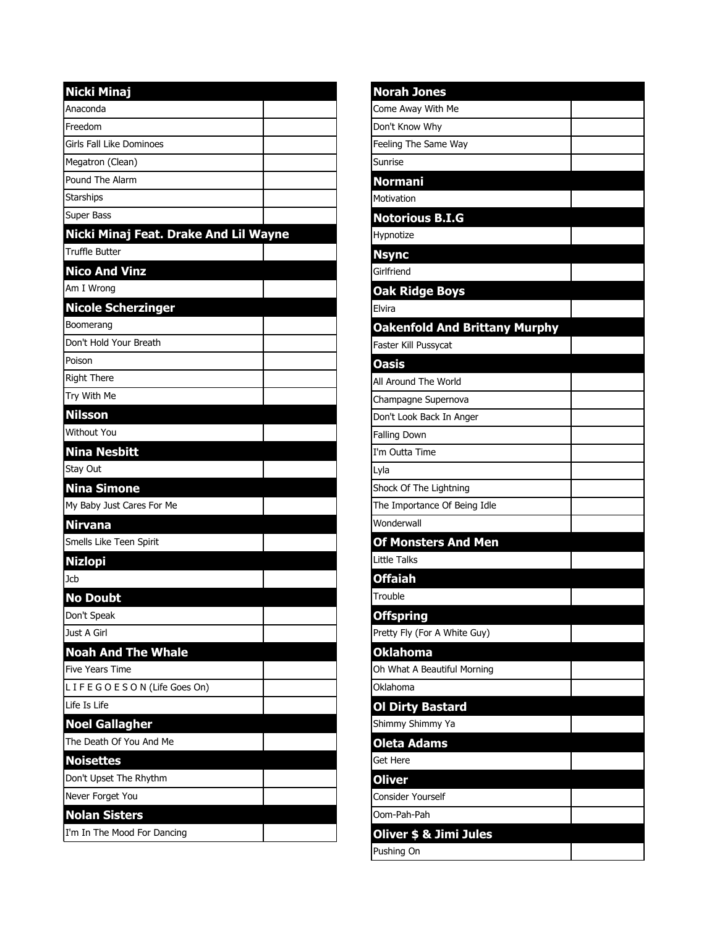| <b>Nicki Minaj</b>                    |  |
|---------------------------------------|--|
| Anaconda                              |  |
| Freedom                               |  |
| <b>Girls Fall Like Dominoes</b>       |  |
| Megatron (Clean)                      |  |
| Pound The Alarm                       |  |
| <b>Starships</b>                      |  |
| Super Bass                            |  |
| Nicki Minaj Feat. Drake And Lil Wayne |  |
| <b>Truffle Butter</b>                 |  |
| <b>Nico And Vinz</b>                  |  |
| Am I Wrong                            |  |
| <b>Nicole Scherzinger</b>             |  |
| Boomerang                             |  |
| Don't Hold Your Breath                |  |
| Poison                                |  |
| <b>Right There</b>                    |  |
| Try With Me                           |  |
| <b>Nilsson</b>                        |  |
| <b>Without You</b>                    |  |
| <b>Nina Nesbitt</b>                   |  |
| Stay Out                              |  |
| <b>Nina Simone</b>                    |  |
| My Baby Just Cares For Me             |  |
| <b>Nirvana</b>                        |  |
| Smells Like Teen Spirit               |  |
| <b>Nizlopi</b>                        |  |
| Jcb                                   |  |
| <b>No Doubt</b>                       |  |
| Don't Speak                           |  |
| Just A Girl                           |  |
| <b>Noah And The Whale</b>             |  |
| <b>Five Years Time</b>                |  |
| LIFEGOESON (Life Goes On)             |  |
| Life Is Life                          |  |
| <b>Noel Gallagher</b>                 |  |
| The Death Of You And Me               |  |
| <b>Noisettes</b>                      |  |
| Don't Upset The Rhythm                |  |
| Never Forget You                      |  |
| <b>Nolan Sisters</b>                  |  |
| I'm In The Mood For Dancing           |  |

| <b>Norah Jones</b>                   |  |
|--------------------------------------|--|
| Come Away With Me                    |  |
| Don't Know Why                       |  |
| Feeling The Same Way                 |  |
| Sunrise                              |  |
| <b>Normani</b>                       |  |
| Motivation                           |  |
| <b>Notorious B.I.G</b>               |  |
| Hypnotize                            |  |
| <b>Nsync</b>                         |  |
| Girlfriend                           |  |
| <b>Oak Ridge Boys</b>                |  |
| Elvira                               |  |
| <b>Oakenfold And Brittany Murphy</b> |  |
| Faster Kill Pussycat                 |  |
| <b>Oasis</b>                         |  |
| All Around The World                 |  |
| Champagne Supernova                  |  |
| Don't Look Back In Anger             |  |
| <b>Falling Down</b>                  |  |
| I'm Outta Time                       |  |
| Lyla                                 |  |
| Shock Of The Lightning               |  |
| The Importance Of Being Idle         |  |
| Wonderwall                           |  |
| <b>Of Monsters And Men</b>           |  |
| Little Talks                         |  |
| <b>Offaiah</b>                       |  |
| Trouble                              |  |
| <b>Offspring</b>                     |  |
| Pretty Fly (For A White Guy)         |  |
| <b>Oklahoma</b>                      |  |
| Oh What A Beautiful Morning          |  |
| Oklahoma                             |  |
| <b>Ol Dirty Bastard</b>              |  |
| Shimmy Shimmy Ya                     |  |
| <b>Oleta Adams</b>                   |  |
| Get Here                             |  |
| <b>Oliver</b>                        |  |
| <b>Consider Yourself</b>             |  |
| Oom-Pah-Pah                          |  |
| Oliver \$ & Jimi Jules               |  |
| Pushing On                           |  |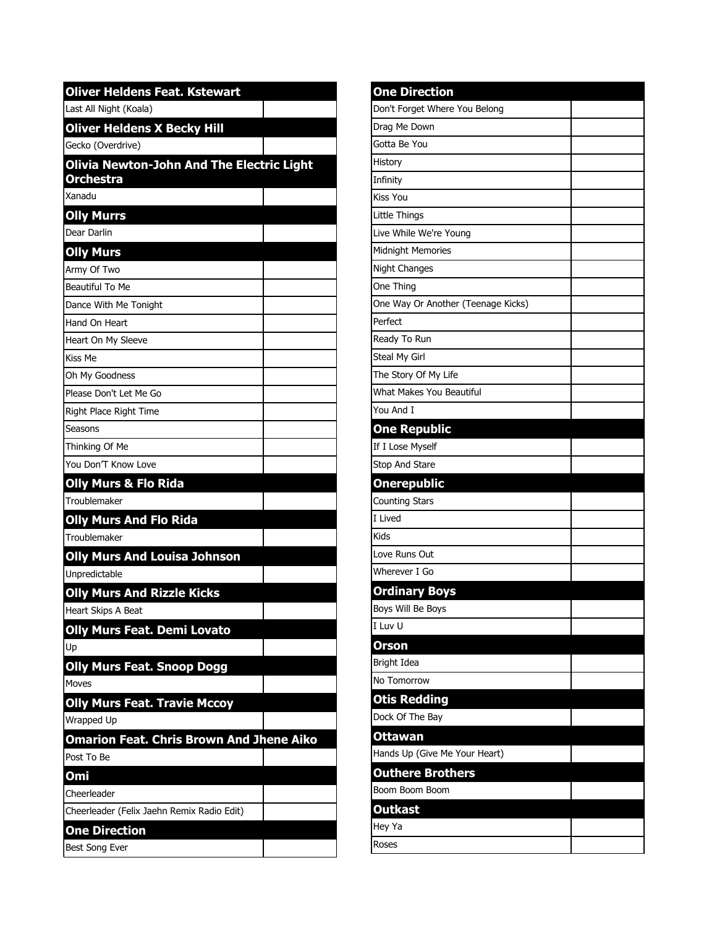| <b>Oliver Heldens Feat. Kstewart</b>                          |  |
|---------------------------------------------------------------|--|
| Last All Night (Koala)                                        |  |
| <b>Oliver Heldens X Becky Hill</b>                            |  |
| Gecko (Overdrive)                                             |  |
| Olivia Newton-John And The Electric Light<br><b>Orchestra</b> |  |
| Xanadu                                                        |  |
| <b>Olly Murrs</b>                                             |  |
| Dear Darlin                                                   |  |
| <b>Olly Murs</b>                                              |  |
| Army Of Two                                                   |  |
| Beautiful To Me                                               |  |
| Dance With Me Tonight                                         |  |
| Hand On Heart                                                 |  |
| Heart On My Sleeve                                            |  |
| Kiss Me                                                       |  |
| Oh My Goodness                                                |  |
| Please Don't Let Me Go                                        |  |
| Right Place Right Time                                        |  |
| Seasons                                                       |  |
| Thinking Of Me                                                |  |
| You Don'T Know Love                                           |  |
| <b>Olly Murs &amp; Flo Rida</b>                               |  |
| Troublemaker                                                  |  |
| <b>Olly Murs And Flo Rida</b>                                 |  |
| Troublemaker                                                  |  |
| <b>Olly Murs And Louisa Johnson</b>                           |  |
| Unpredictable                                                 |  |
| <b>Olly Murs And Rizzle Kicks</b>                             |  |
| Heart Skips A Beat                                            |  |
| <b>Olly Murs Feat. Demi Lovato</b>                            |  |
| Up                                                            |  |
| <b>Olly Murs Feat. Snoop Dogg</b>                             |  |
| Moves                                                         |  |
| <b>Olly Murs Feat. Travie Mccoy</b>                           |  |
| Wrapped Up                                                    |  |
| <b>Omarion Feat. Chris Brown And Jhene Aiko</b>               |  |
| Post To Be                                                    |  |
| Omi                                                           |  |
| Cheerleader                                                   |  |
| Cheerleader (Felix Jaehn Remix Radio Edit)                    |  |
| <b>One Direction</b>                                          |  |
| Best Song Ever                                                |  |

| <b>One Direction</b>               |  |
|------------------------------------|--|
| Don't Forget Where You Belong      |  |
| Drag Me Down                       |  |
| Gotta Be You                       |  |
| History                            |  |
| Infinity                           |  |
| Kiss You                           |  |
| Little Things                      |  |
| Live While We're Young             |  |
| Midnight Memories                  |  |
| Night Changes                      |  |
| One Thing                          |  |
| One Way Or Another (Teenage Kicks) |  |
| Perfect                            |  |
| Ready To Run                       |  |
| Steal My Girl                      |  |
| The Story Of My Life               |  |
| What Makes You Beautiful           |  |
| You And I                          |  |
| <b>One Republic</b>                |  |
| If I Lose Myself                   |  |
| Stop And Stare                     |  |
|                                    |  |
| <b>Onerepublic</b>                 |  |
| <b>Counting Stars</b>              |  |
| I Lived                            |  |
| Kids                               |  |
| Love Runs Out                      |  |
| Wherever I Go                      |  |
| <b>Ordinary Boys</b>               |  |
| Boys Will Be Boys                  |  |
| I Luv U                            |  |
| <b>Orson</b>                       |  |
| Bright Idea                        |  |
| No Tomorrow                        |  |
| <b>Otis Redding</b>                |  |
| Dock Of The Bay                    |  |
| <b>Ottawan</b>                     |  |
| Hands Up (Give Me Your Heart)      |  |
| <b>Outhere Brothers</b>            |  |
| Boom Boom Boom                     |  |
| <b>Outkast</b>                     |  |
| Hey Ya                             |  |
|                                    |  |
| Roses                              |  |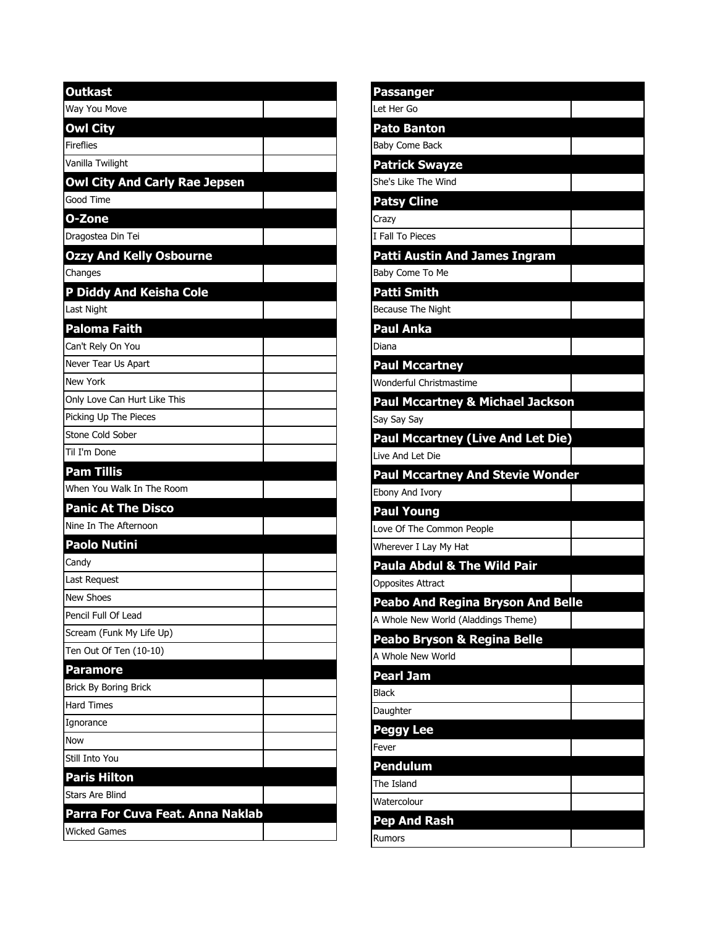| <b>Outkast</b>                       |  |
|--------------------------------------|--|
| Way You Move                         |  |
| <b>Owl City</b>                      |  |
| <b>Fireflies</b>                     |  |
| Vanilla Twilight                     |  |
| <b>Owl City And Carly Rae Jepsen</b> |  |
| Good Time                            |  |
| O-Zone                               |  |
| Dragostea Din Tei                    |  |
| <b>Ozzy And Kelly Osbourne</b>       |  |
| Changes                              |  |
| P Diddy And Keisha Cole              |  |
| Last Night                           |  |
| Paloma Faith                         |  |
| Can't Rely On You                    |  |
| Never Tear Us Apart                  |  |
| <b>New York</b>                      |  |
| Only Love Can Hurt Like This         |  |
| Picking Up The Pieces                |  |
| Stone Cold Sober                     |  |
| Til I'm Done                         |  |
| <b>Pam Tillis</b>                    |  |
| When You Walk In The Room            |  |
| <b>Panic At The Disco</b>            |  |
| Nine In The Afternoon                |  |
| Paolo Nutini                         |  |
| Candy                                |  |
| Last Request                         |  |
| <b>New Shoes</b>                     |  |
| Pencil Full Of Lead                  |  |
| Scream (Funk My Life Up)             |  |
| Ten Out Of Ten (10-10)               |  |
| <b>Paramore</b>                      |  |
| Brick By Boring Brick                |  |
| Hard Times                           |  |
| Ignorance                            |  |
| Now                                  |  |
| Still Into You                       |  |
| Paris Hilton                         |  |
| <b>Stars Are Blind</b>               |  |
| Parra For Cuva Feat. Anna Naklab     |  |
| <b>Wicked Games</b>                  |  |

| <b>Passanger</b>                                                                                                                                                         |  |
|--------------------------------------------------------------------------------------------------------------------------------------------------------------------------|--|
| Let Her Go                                                                                                                                                               |  |
| <b>Pato Banton</b>                                                                                                                                                       |  |
| <b>Baby Come Back</b>                                                                                                                                                    |  |
| <b>Patrick Swayze</b>                                                                                                                                                    |  |
| She's Like The Wind                                                                                                                                                      |  |
| <b>Patsy Cline</b>                                                                                                                                                       |  |
| Crazy                                                                                                                                                                    |  |
| I Fall To Pieces                                                                                                                                                         |  |
| <b>Patti Austin And James Ingram</b>                                                                                                                                     |  |
| Baby Come To Me                                                                                                                                                          |  |
| <b>Patti Smith</b>                                                                                                                                                       |  |
| Because The Night                                                                                                                                                        |  |
| Paul Anka                                                                                                                                                                |  |
| Diana                                                                                                                                                                    |  |
| <b>Paul Mccartney</b>                                                                                                                                                    |  |
| Wonderful Christmastime                                                                                                                                                  |  |
| <b>Paul Mccartney &amp; Michael Jackson</b>                                                                                                                              |  |
| Say Say Say                                                                                                                                                              |  |
| <b>Paul Mccartney (Live And Let Die)</b>                                                                                                                                 |  |
| Live And Let Die                                                                                                                                                         |  |
| <b>Paul Mccartney And Stevie Wonder</b>                                                                                                                                  |  |
|                                                                                                                                                                          |  |
|                                                                                                                                                                          |  |
| Ebony And Ivory<br><b>Paul Young</b>                                                                                                                                     |  |
|                                                                                                                                                                          |  |
|                                                                                                                                                                          |  |
| Paula Abdul & The Wild Pair                                                                                                                                              |  |
|                                                                                                                                                                          |  |
| <b>Peabo And Regina Bryson And Belle</b>                                                                                                                                 |  |
|                                                                                                                                                                          |  |
| Peabo Bryson & Regina Belle                                                                                                                                              |  |
|                                                                                                                                                                          |  |
| <b>Pearl Jam</b>                                                                                                                                                         |  |
|                                                                                                                                                                          |  |
|                                                                                                                                                                          |  |
| Peggy Lee                                                                                                                                                                |  |
| Love Of The Common People<br>Wherever I Lay My Hat<br><b>Opposites Attract</b><br>A Whole New World (Aladdings Theme)<br>A Whole New World<br>Black<br>Daughter<br>Fever |  |
| Pendulum                                                                                                                                                                 |  |
| The Island                                                                                                                                                               |  |
| Watercolour                                                                                                                                                              |  |
| Pep And Rash                                                                                                                                                             |  |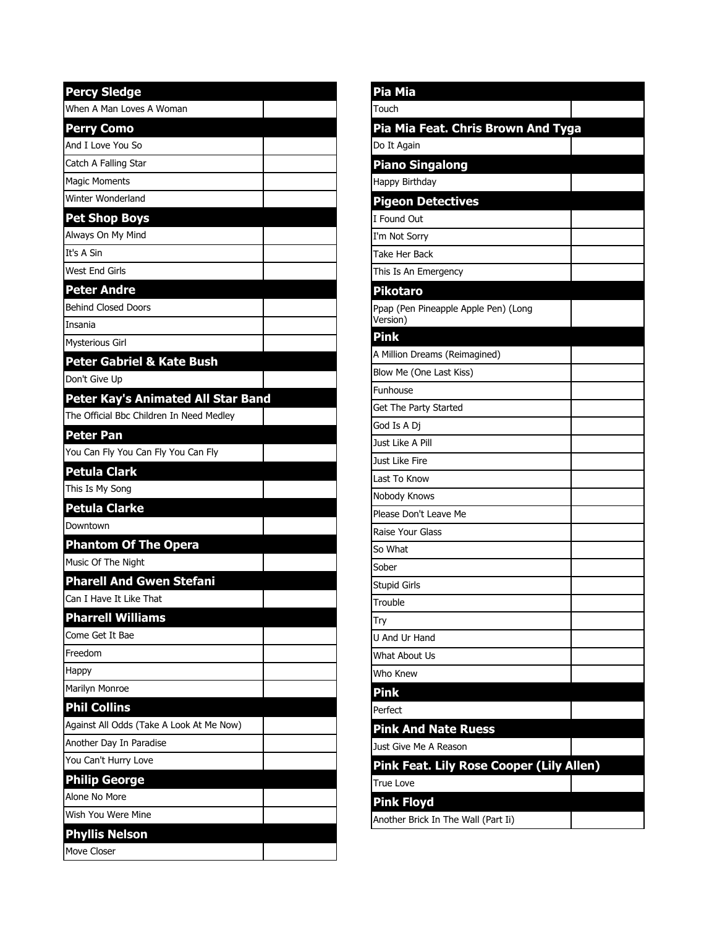| Pia Mia                                          |  |
|--------------------------------------------------|--|
| Touch                                            |  |
| Pia Mia Feat. Chris Brown And Tyga               |  |
| Do It Again                                      |  |
| <b>Piano Singalong</b>                           |  |
| Happy Birthday                                   |  |
| <b>Pigeon Detectives</b>                         |  |
| I Found Out                                      |  |
| I'm Not Sorry                                    |  |
| <b>Take Her Back</b>                             |  |
| This Is An Emergency                             |  |
| <b>Pikotaro</b>                                  |  |
| Ppap (Pen Pineapple Apple Pen) (Long<br>Version) |  |
| <b>Pink</b>                                      |  |
| A Million Dreams (Reimagined)                    |  |
| Blow Me (One Last Kiss)                          |  |
| Funhouse                                         |  |
| Get The Party Started                            |  |
| God Is A Dj                                      |  |
| Just Like A Pill                                 |  |
| Just Like Fire                                   |  |
| Last To Know                                     |  |
| Nobody Knows                                     |  |
| Please Don't Leave Me                            |  |
| Raise Your Glass                                 |  |
| So What                                          |  |
| Sober                                            |  |
| Stupid Girls                                     |  |
| Trouble                                          |  |
| Try                                              |  |
| U And Ur Hand                                    |  |
| What About Us                                    |  |
| Who Knew                                         |  |
| <b>Pink</b>                                      |  |
| Perfect                                          |  |
| <b>Pink And Nate Ruess</b>                       |  |
| Just Give Me A Reason                            |  |
| Pink Feat. Lily Rose Cooper (Lily Allen)         |  |
| <b>True Love</b>                                 |  |
| <b>Pink Floyd</b>                                |  |
| Another Brick In The Wall (Part Ii)              |  |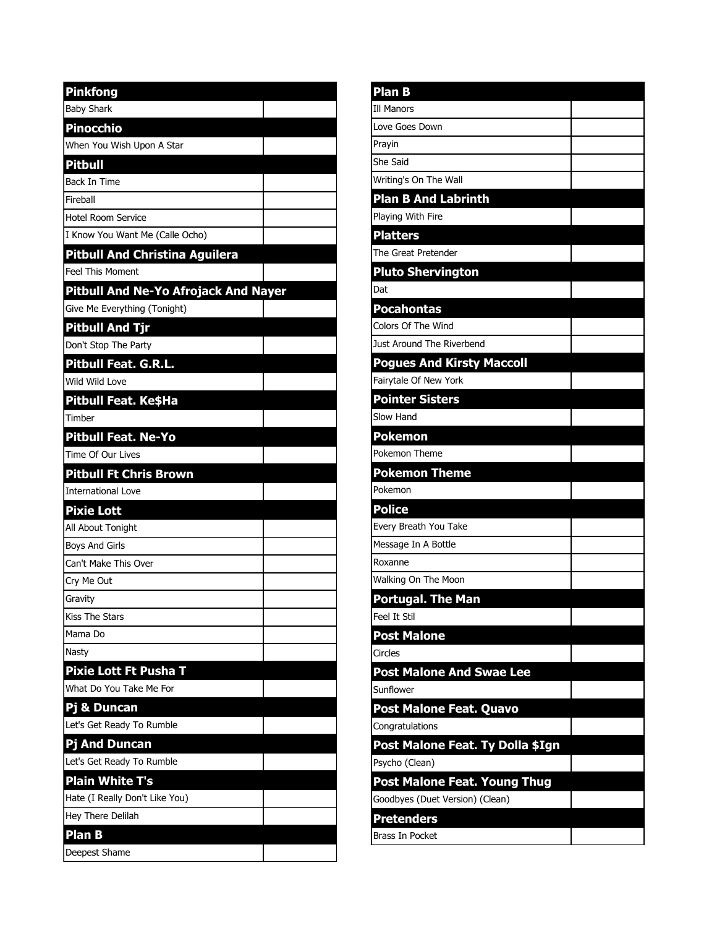| <b>Pinkfong</b>                       |  |
|---------------------------------------|--|
| <b>Baby Shark</b>                     |  |
| <b>Pinocchio</b>                      |  |
| When You Wish Upon A Star             |  |
| <b>Pitbull</b>                        |  |
| Back In Time                          |  |
| Fireball                              |  |
| Hotel Room Service                    |  |
| I Know You Want Me (Calle Ocho)       |  |
| <b>Pitbull And Christina Aguilera</b> |  |
| <b>Feel This Moment</b>               |  |
| Pitbull And Ne-Yo Afrojack And Nayer  |  |
| Give Me Everything (Tonight)          |  |
| Pitbull And Tjr                       |  |
| Don't Stop The Party                  |  |
| <b>Pitbull Feat. G.R.L.</b>           |  |
| Wild Wild Love                        |  |
| Pitbull Feat. Ke\$Ha                  |  |
| Timber                                |  |
| <b>Pitbull Feat. Ne-Yo</b>            |  |
| Time Of Our Lives                     |  |
| <b>Pitbull Ft Chris Brown</b>         |  |
| <b>International Love</b>             |  |
| <b>Pixie Lott</b>                     |  |
| All About Tonight                     |  |
| <b>Boys And Girls</b>                 |  |
| Can't Make This Over                  |  |
| Cry Me Out                            |  |
| Gravity                               |  |
| <b>Kiss The Stars</b>                 |  |
| Mama Do                               |  |
| Nasty                                 |  |
| <b>Pixie Lott Ft Pusha T</b>          |  |
| What Do You Take Me For               |  |
| Pj & Duncan                           |  |
| Let's Get Ready To Rumble             |  |
| <b>Pj And Duncan</b>                  |  |
| Let's Get Ready To Rumble             |  |
| <b>Plain White T's</b>                |  |
| Hate (I Really Don't Like You)        |  |
| Hey There Delilah                     |  |
| Plan B                                |  |
| Deepest Shame                         |  |

| <b>Plan B</b>                       |  |
|-------------------------------------|--|
| <b>Ill Manors</b>                   |  |
| Love Goes Down                      |  |
| Prayin                              |  |
| She Said                            |  |
| Writing's On The Wall               |  |
| <b>Plan B And Labrinth</b>          |  |
| Playing With Fire                   |  |
| <b>Platters</b>                     |  |
| The Great Pretender                 |  |
| <b>Pluto Shervington</b>            |  |
| Dat                                 |  |
| Pocahontas                          |  |
| Colors Of The Wind                  |  |
| Just Around The Riverbend           |  |
| <b>Pogues And Kirsty Maccoll</b>    |  |
| Fairytale Of New York               |  |
| <b>Pointer Sisters</b>              |  |
| Slow Hand                           |  |
| Pokemon                             |  |
| Pokemon Theme                       |  |
| <b>Pokemon Theme</b>                |  |
| Pokemon                             |  |
| <b>Police</b>                       |  |
| Every Breath You Take               |  |
| Message In A Bottle                 |  |
| Roxanne                             |  |
| Walking On The Moon                 |  |
| <b>Portugal. The Man</b>            |  |
| Feel It Stil                        |  |
| <b>Post Malone</b>                  |  |
| Circles                             |  |
| <b>Post Malone And Swae Lee</b>     |  |
| Sunflower                           |  |
| Post Malone Feat. Quavo             |  |
| Congratulations                     |  |
| Post Malone Feat. Ty Dolla \$Ign    |  |
| Psycho (Clean)                      |  |
| <b>Post Malone Feat. Young Thug</b> |  |
| Goodbyes (Duet Version) (Clean)     |  |
| <b>Pretenders</b>                   |  |
| Brass In Pocket                     |  |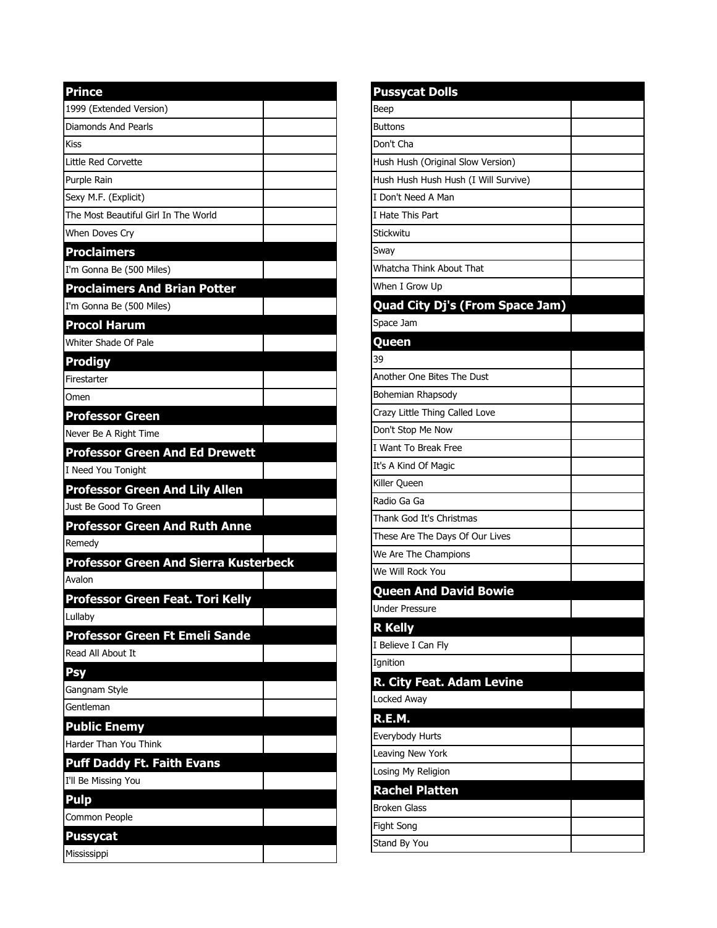| <b>Prince</b>                                |  |
|----------------------------------------------|--|
| 1999 (Extended Version)                      |  |
| Diamonds And Pearls                          |  |
| Kiss                                         |  |
| Little Red Corvette                          |  |
| Purple Rain                                  |  |
| Sexy M.F. (Explicit)                         |  |
| The Most Beautiful Girl In The World         |  |
| When Doves Cry                               |  |
| <b>Proclaimers</b>                           |  |
| I'm Gonna Be (500 Miles)                     |  |
| <b>Proclaimers And Brian Potter</b>          |  |
| I'm Gonna Be (500 Miles)                     |  |
| <b>Procol Harum</b>                          |  |
| <b>Whiter Shade Of Pale</b>                  |  |
| <b>Prodigy</b>                               |  |
| Firestarter                                  |  |
| Omen                                         |  |
| <b>Professor Green</b>                       |  |
| Never Be A Right Time                        |  |
| <b>Professor Green And Ed Drewett</b>        |  |
| I Need You Tonight                           |  |
| <b>Professor Green And Lily Allen</b>        |  |
| Just Be Good To Green                        |  |
| <b>Professor Green And Ruth Anne</b>         |  |
| Remedv                                       |  |
| <b>Professor Green And Sierra Kusterbeck</b> |  |
| Avalon                                       |  |
| Professor Green Feat. Tori Kelly             |  |
| Lullaby                                      |  |
| Professor Green Ft Emeli Sande               |  |
| Read All About It                            |  |
| Psy                                          |  |
| Gangnam Style                                |  |
| Gentleman                                    |  |
| <b>Public Enemy</b>                          |  |
| Harder Than You Think                        |  |
| <b>Puff Daddy Ft. Faith Evans</b>            |  |
| I'll Be Missing You                          |  |
| <b>Pulp</b>                                  |  |
| Common People                                |  |
| <b>Pussycat</b>                              |  |
| Mississippi                                  |  |

| <b>Pussycat Dolls</b>                  |  |
|----------------------------------------|--|
| Beep                                   |  |
| <b>Buttons</b>                         |  |
| Don't Cha                              |  |
| Hush Hush (Original Slow Version)      |  |
| Hush Hush Hush Hush (I Will Survive)   |  |
| I Don't Need A Man                     |  |
| I Hate This Part                       |  |
| Stickwitu                              |  |
| Sway                                   |  |
| Whatcha Think About That               |  |
| When I Grow Up                         |  |
| <b>Quad City Dj's (From Space Jam)</b> |  |
| Space Jam                              |  |
| Queen                                  |  |
| 39                                     |  |
| Another One Bites The Dust             |  |
| Bohemian Rhapsody                      |  |
| Crazy Little Thing Called Love         |  |
| Don't Stop Me Now                      |  |
| I Want To Break Free                   |  |
| It's A Kind Of Magic                   |  |
| Killer Queen                           |  |
| Radio Ga Ga                            |  |
| Thank God It's Christmas               |  |
| These Are The Days Of Our Lives        |  |
| We Are The Champions                   |  |
| We Will Rock You                       |  |
| <b>Queen And David Bowie</b>           |  |
| <b>Under Pressure</b>                  |  |
| <b>R</b> Kelly                         |  |
| I Believe I Can Fly                    |  |
| Ignition                               |  |
| R. City Feat. Adam Levine              |  |
| Locked Away                            |  |
| R.E.M.                                 |  |
| Everybody Hurts                        |  |
| Leaving New York                       |  |
| Losing My Religion                     |  |
| <b>Rachel Platten</b>                  |  |
| <b>Broken Glass</b>                    |  |
| Fight Song                             |  |
| Stand By You                           |  |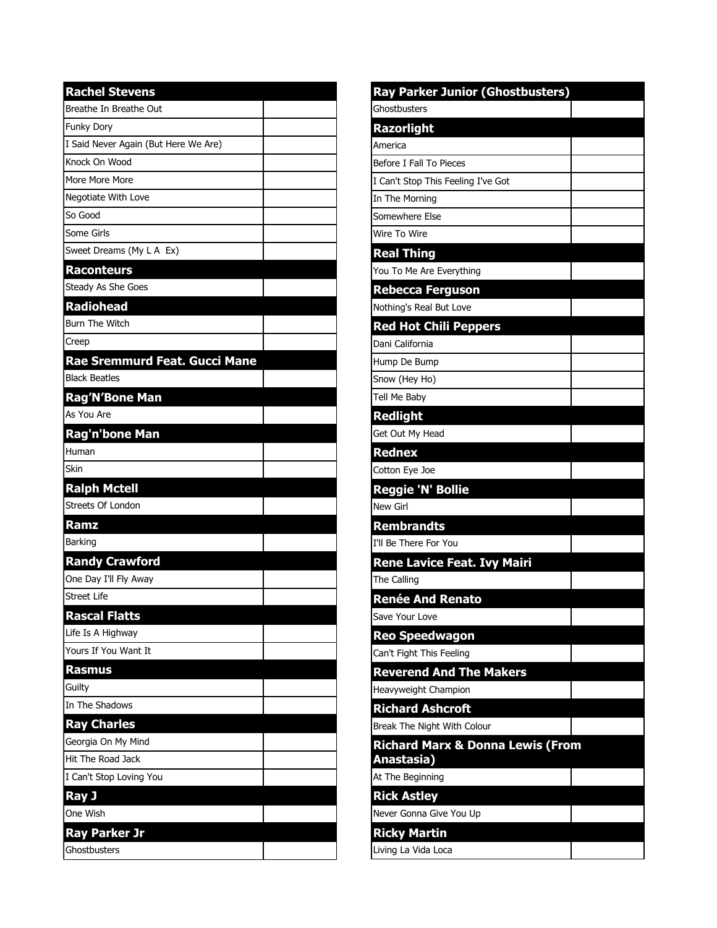| <b>Rachel Stevens</b>                |  |
|--------------------------------------|--|
| Breathe In Breathe Out               |  |
| Funky Dory                           |  |
| I Said Never Again (But Here We Are) |  |
| Knock On Wood                        |  |
| More More More                       |  |
| Negotiate With Love                  |  |
| So Good                              |  |
| Some Girls                           |  |
| Sweet Dreams (My L A Ex)             |  |
| <b>Raconteurs</b>                    |  |
| Steady As She Goes                   |  |
| <b>Radiohead</b>                     |  |
| <b>Burn The Witch</b>                |  |
| Creep                                |  |
| Rae Sremmurd Feat. Gucci Mane        |  |
| <b>Black Beatles</b>                 |  |
| <b>Rag'N'Bone Man</b>                |  |
| As You Are                           |  |
| Rag'n'bone Man                       |  |
| Human                                |  |
| Skin                                 |  |
| <b>Ralph Mctell</b>                  |  |
| Streets Of London                    |  |
| Ramz                                 |  |
| Barking                              |  |
| <b>Randy Crawford</b>                |  |
| One Day I'll Fly Away                |  |
| <b>Street Life</b>                   |  |
| <b>Rascal Flatts</b>                 |  |
| Life Is A Highway                    |  |
| Yours If You Want It                 |  |
| <b>Rasmus</b>                        |  |
| Guilty                               |  |
| In The Shadows                       |  |
| <b>Ray Charles</b>                   |  |
| Georgia On My Mind                   |  |
| Hit The Road Jack                    |  |
| I Can't Stop Loving You              |  |
| <b>Ray J</b>                         |  |
| One Wish                             |  |
| <b>Ray Parker Jr</b>                 |  |
| Ghostbusters                         |  |

| <b>Ray Parker Junior (Ghostbusters)</b>     |  |
|---------------------------------------------|--|
| Ghostbusters                                |  |
| <b>Razorlight</b>                           |  |
| America                                     |  |
| Before I Fall To Pieces                     |  |
| I Can't Stop This Feeling I've Got          |  |
| In The Morning                              |  |
| Somewhere Else                              |  |
| Wire To Wire                                |  |
| <b>Real Thing</b>                           |  |
| You To Me Are Everything                    |  |
| <b>Rebecca Ferguson</b>                     |  |
| Nothing's Real But Love                     |  |
| <b>Red Hot Chili Peppers</b>                |  |
| Dani California                             |  |
| Hump De Bump                                |  |
| Snow (Hey Ho)                               |  |
| Tell Me Baby                                |  |
| Redlight                                    |  |
| Get Out My Head                             |  |
| <b>Rednex</b>                               |  |
| Cotton Eye Joe                              |  |
| Reggie 'N' Bollie                           |  |
| <b>New Girl</b>                             |  |
| <b>Rembrandts</b>                           |  |
| I'll Be There For You                       |  |
| <b>Rene Lavice Feat. Ivy Mairi</b>          |  |
| The Calling                                 |  |
| <b>Renée And Renato</b>                     |  |
| Save Your Love                              |  |
| <b>Reo Speedwagon</b>                       |  |
| Can't Fight This Feeling                    |  |
| <b>Reverend And The Makers</b>              |  |
| Heavyweight Champion                        |  |
| <b>Richard Ashcroft</b>                     |  |
| Break The Night With Colour                 |  |
| <b>Richard Marx &amp; Donna Lewis (From</b> |  |
| Anastasia)                                  |  |
| At The Beginning                            |  |
| <b>Rick Astley</b>                          |  |
| Never Gonna Give You Up                     |  |
| <b>Ricky Martin</b>                         |  |
| Living La Vida Loca                         |  |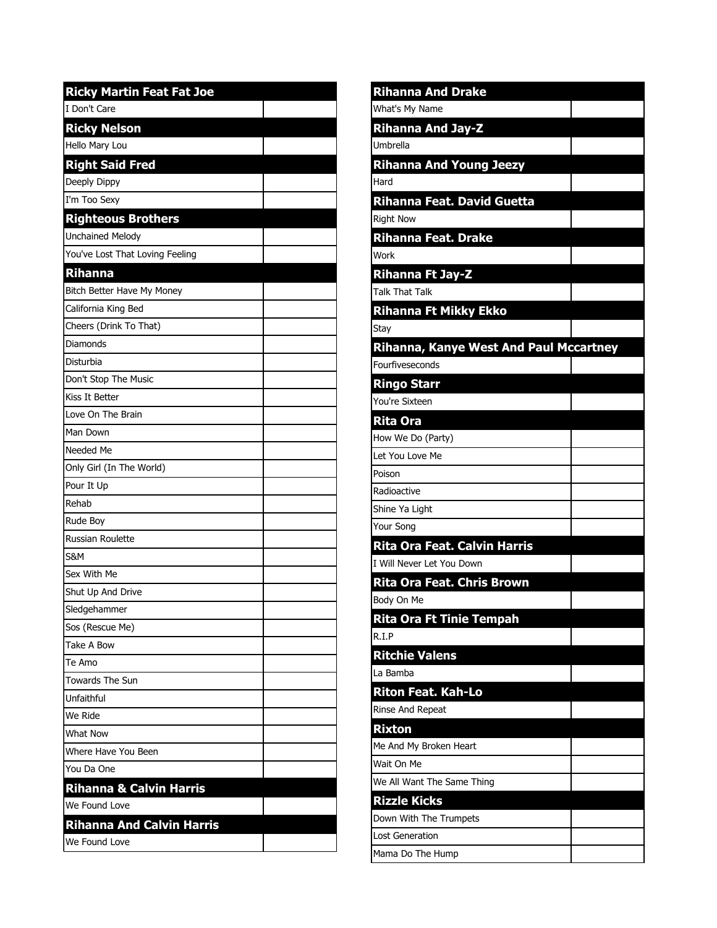| <b>Ricky Martin Feat Fat Joe</b>   |
|------------------------------------|
| I Don't Care                       |
| <b>Ricky Nelson</b>                |
| Hello Mary Lou                     |
| <b>Right Said Fred</b>             |
| Deeply Dippy                       |
| I'm Too Sexy                       |
| <b>Righteous Brothers</b>          |
| <b>Unchained Melody</b>            |
| You've Lost That Loving Feeling    |
| <b>Rihanna</b>                     |
| Bitch Better Have My Money         |
| California King Bed                |
| Cheers (Drink To That)             |
| Diamonds                           |
| Disturbia                          |
| Don't Stop The Music               |
| Kiss It Better                     |
| Love On The Brain                  |
| Man Down                           |
| Needed Me                          |
| Only Girl (In The World)           |
| Pour It Up                         |
| Rehab                              |
| Rude Boy                           |
| Russian Roulette                   |
| S&M                                |
| Sex With Me                        |
| Shut Up And Drive                  |
| Sledgehammer                       |
| Sos (Rescue Me)                    |
| Take A Bow                         |
| Te Amo                             |
| <b>Towards The Sun</b>             |
| Unfaithful                         |
| We Ride                            |
| <b>What Now</b>                    |
| Where Have You Been                |
| You Da One                         |
| <b>Rihanna &amp; Calvin Harris</b> |
| We Found Love                      |
| <b>Rihanna And Calvin Harris</b>   |
| We Found Love                      |

| <b>Rihanna And Drake</b>                      |  |
|-----------------------------------------------|--|
| What's My Name                                |  |
| <b>Rihanna And Jay-Z</b>                      |  |
| Umbrella                                      |  |
| <b>Rihanna And Young Jeezy</b>                |  |
| Hard                                          |  |
| Rihanna Feat. David Guetta                    |  |
| <b>Right Now</b>                              |  |
| <b>Rihanna Feat. Drake</b>                    |  |
| Work                                          |  |
| <b>Rihanna Ft Jay-Z</b>                       |  |
| <b>Talk That Talk</b>                         |  |
| <b>Rihanna Ft Mikky Ekko</b>                  |  |
| Stay                                          |  |
| <b>Rihanna, Kanye West And Paul Mccartney</b> |  |
| Fourfiveseconds                               |  |
| <b>Ringo Starr</b>                            |  |
| You're Sixteen                                |  |
| <b>Rita Ora</b>                               |  |
| How We Do (Party)                             |  |
| Let You Love Me                               |  |
| Poison                                        |  |
| Radioactive                                   |  |
| Shine Ya Light                                |  |
| Your Song                                     |  |
| <b>Rita Ora Feat. Calvin Harris</b>           |  |
| I Will Never Let You Down                     |  |
| <b>Rita Ora Feat. Chris Brown</b>             |  |
| Body On Me                                    |  |
| <b>Rita Ora Ft Tinie Tempah</b>               |  |
| R.I.P                                         |  |
| <b>Ritchie Valens</b>                         |  |
| La Bamba                                      |  |
| Riton Feat. Kah-Lo                            |  |
| Rinse And Repeat                              |  |
| <b>Rixton</b>                                 |  |
| Me And My Broken Heart                        |  |
| Wait On Me                                    |  |
| We All Want The Same Thing                    |  |
| <b>Rizzle Kicks</b>                           |  |
| Down With The Trumpets                        |  |
| <b>Lost Generation</b>                        |  |
| Mama Do The Hump                              |  |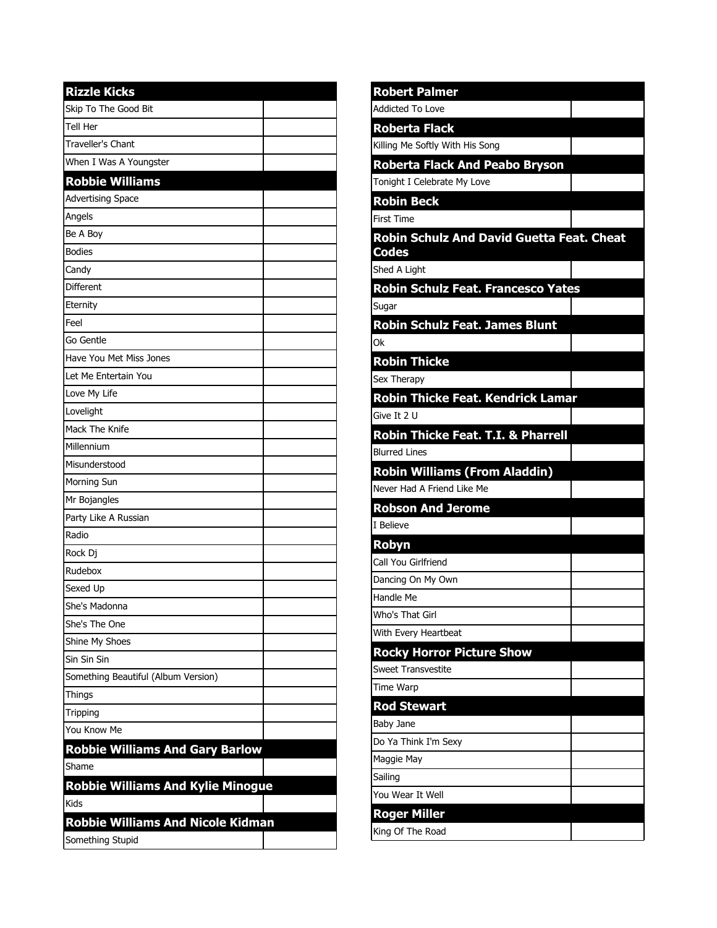| <b>Rizzle Kicks</b>                      |  |
|------------------------------------------|--|
| Skip To The Good Bit                     |  |
| Tell Her                                 |  |
| Traveller's Chant                        |  |
| When I Was A Youngster                   |  |
| <b>Robbie Williams</b>                   |  |
| <b>Advertising Space</b>                 |  |
| Angels                                   |  |
| Be A Boy                                 |  |
| <b>Bodies</b>                            |  |
| Candy                                    |  |
| <b>Different</b>                         |  |
| Eternity                                 |  |
| Feel                                     |  |
| Go Gentle                                |  |
| Have You Met Miss Jones                  |  |
| Let Me Entertain You                     |  |
| Love My Life                             |  |
| Lovelight                                |  |
| Mack The Knife                           |  |
| Millennium                               |  |
| Misunderstood                            |  |
| Morning Sun                              |  |
| Mr Bojangles                             |  |
| Party Like A Russian                     |  |
| Radio                                    |  |
| Rock Dj                                  |  |
| Rudebox                                  |  |
| Sexed Up                                 |  |
| She's Madonna                            |  |
| She's The One                            |  |
| Shine My Shoes                           |  |
| Sin Sin Sin                              |  |
| Something Beautiful (Album Version)      |  |
| Things                                   |  |
| Tripping                                 |  |
| You Know Me                              |  |
| <b>Robbie Williams And Gary Barlow</b>   |  |
| Shame                                    |  |
| <b>Robbie Williams And Kylie Minogue</b> |  |
| Kids                                     |  |
| <b>Robbie Williams And Nicole Kidman</b> |  |
| Something Stupid                         |  |

| <b>Robert Palmer</b>                                      |  |
|-----------------------------------------------------------|--|
| <b>Addicted To Love</b>                                   |  |
| <b>Roberta Flack</b>                                      |  |
| Killing Me Softly With His Song                           |  |
| <b>Roberta Flack And Peabo Bryson</b>                     |  |
| Tonight I Celebrate My Love                               |  |
| <b>Robin Beck</b>                                         |  |
| <b>First Time</b>                                         |  |
| <b>Robin Schulz And David Guetta Feat. Cheat</b><br>Codes |  |
| Shed A Light                                              |  |
| Robin Schulz Feat. Francesco Yates                        |  |
| Sugar                                                     |  |
| <b>Robin Schulz Feat. James Blunt</b>                     |  |
| Оk                                                        |  |
| <b>Robin Thicke</b>                                       |  |
| Sex Therapy                                               |  |
| <b>Robin Thicke Feat. Kendrick Lamar</b>                  |  |
| Give It 2 U                                               |  |
| <b>Robin Thicke Feat. T.I. &amp; Pharrell</b>             |  |
| <b>Blurred Lines</b>                                      |  |
| <b>Robin Williams (From Aladdin)</b>                      |  |
| Never Had A Friend Like Me                                |  |
| <b>Robson And Jerome</b>                                  |  |
| I Believe                                                 |  |
| Robyn                                                     |  |
| Call You Girlfriend                                       |  |
| Dancing On My Own                                         |  |
| Handle Me                                                 |  |
| Who's That Girl                                           |  |
| With Every Heartbeat                                      |  |
| <b>Rocky Horror Picture Show</b>                          |  |
| <b>Sweet Transvestite</b>                                 |  |
| Time Warp                                                 |  |
| <b>Rod Stewart</b>                                        |  |
| Baby Jane                                                 |  |
| Do Ya Think I'm Sexy                                      |  |
| Maggie May                                                |  |
| Sailing<br>You Wear It Well                               |  |
|                                                           |  |
| <b>Roger Miller</b>                                       |  |
| King Of The Road                                          |  |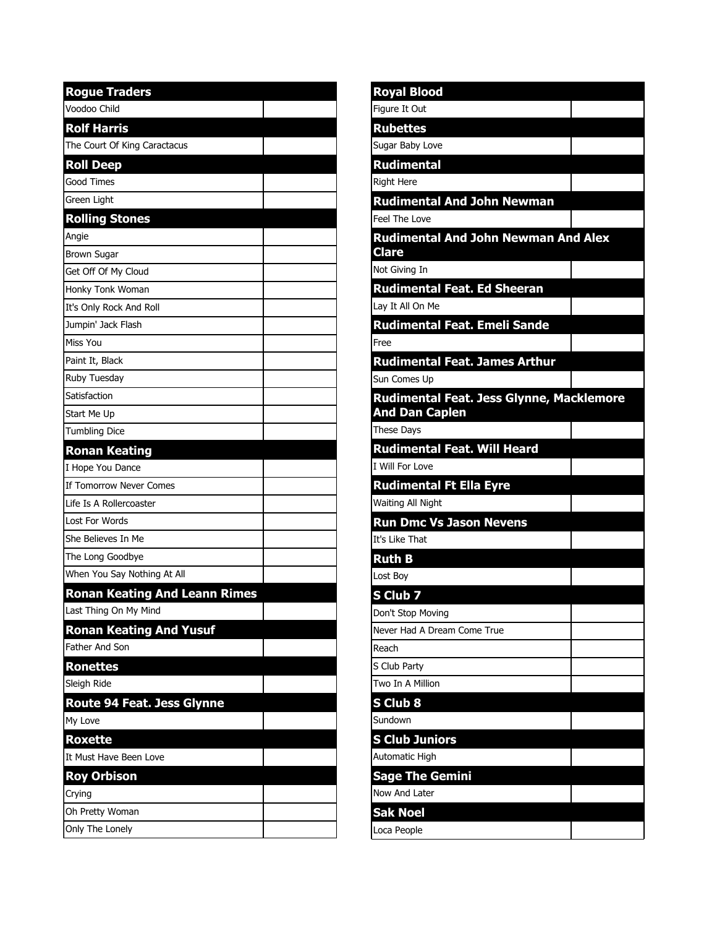| <b>Rogue Traders</b>                 |  |
|--------------------------------------|--|
| Voodoo Child                         |  |
| <b>Rolf Harris</b>                   |  |
| The Court Of King Caractacus         |  |
| <b>Roll Deep</b>                     |  |
| Good Times                           |  |
| <b>Green Light</b>                   |  |
| <b>Rolling Stones</b>                |  |
| Angie                                |  |
| <b>Brown Sugar</b>                   |  |
| Get Off Of My Cloud                  |  |
| Honky Tonk Woman                     |  |
| It's Only Rock And Roll              |  |
| Jumpin' Jack Flash                   |  |
| Miss You                             |  |
| Paint It, Black                      |  |
| Ruby Tuesday                         |  |
| Satisfaction                         |  |
| Start Me Up                          |  |
| <b>Tumbling Dice</b>                 |  |
| <b>Ronan Keating</b>                 |  |
| I Hope You Dance                     |  |
| If Tomorrow Never Comes              |  |
| Life Is A Rollercoaster              |  |
| <b>Lost For Words</b>                |  |
| She Believes In Me                   |  |
| The Long Goodbye                     |  |
| When You Say Nothing At All          |  |
| <b>Ronan Keating And Leann Rimes</b> |  |
| Last Thing On My Mind                |  |
| <b>Ronan Keating And Yusuf</b>       |  |
| Father And Son                       |  |
| <b>Ronettes</b>                      |  |
| Sleigh Ride                          |  |
| Route 94 Feat. Jess Glynne           |  |
| My Love                              |  |
| <b>Roxette</b>                       |  |
| It Must Have Been Love               |  |
| <b>Roy Orbison</b>                   |  |
| Crying                               |  |
| Oh Pretty Woman                      |  |
| Only The Lonely                      |  |

| Royal Blood                                 |  |
|---------------------------------------------|--|
| Figure It Out                               |  |
| <b>Rubettes</b>                             |  |
| Sugar Baby Love                             |  |
| <b>Rudimental</b>                           |  |
| <b>Right Here</b>                           |  |
| <b>Rudimental And John Newman</b>           |  |
| Feel The Love                               |  |
| <b>Rudimental And John Newman And Alex</b>  |  |
| <b>Clare</b>                                |  |
| Not Giving In                               |  |
| <b>Rudimental Feat. Ed Sheeran</b>          |  |
| Lay It All On Me                            |  |
| <b>Rudimental Feat. Emeli Sande</b><br>Free |  |
| <b>Rudimental Feat. James Arthur</b>        |  |
| Sun Comes Up                                |  |
| Rudimental Feat. Jess Glynne, Macklemore    |  |
| <b>And Dan Caplen</b>                       |  |
| <b>These Days</b>                           |  |
| <b>Rudimental Feat. Will Heard</b>          |  |
| I Will For Love                             |  |
| <b>Rudimental Ft Ella Eyre</b>              |  |
| Waiting All Night                           |  |
| <b>Run Dmc Vs Jason Nevens</b>              |  |
| It's Like That                              |  |
| <b>Ruth B</b>                               |  |
| Lost Boy                                    |  |
| S Club 7                                    |  |
| Don't Stop Moving                           |  |
| Never Had A Dream Come True                 |  |
| Reach                                       |  |
| S Club Party                                |  |
| Two In A Million                            |  |
| S Club 8                                    |  |
| Sundown                                     |  |
| <b>S Club Juniors</b>                       |  |
| Automatic High                              |  |
| <b>Sage The Gemini</b>                      |  |
| Now And Later                               |  |
| <b>Sak Noel</b>                             |  |
| Loca People                                 |  |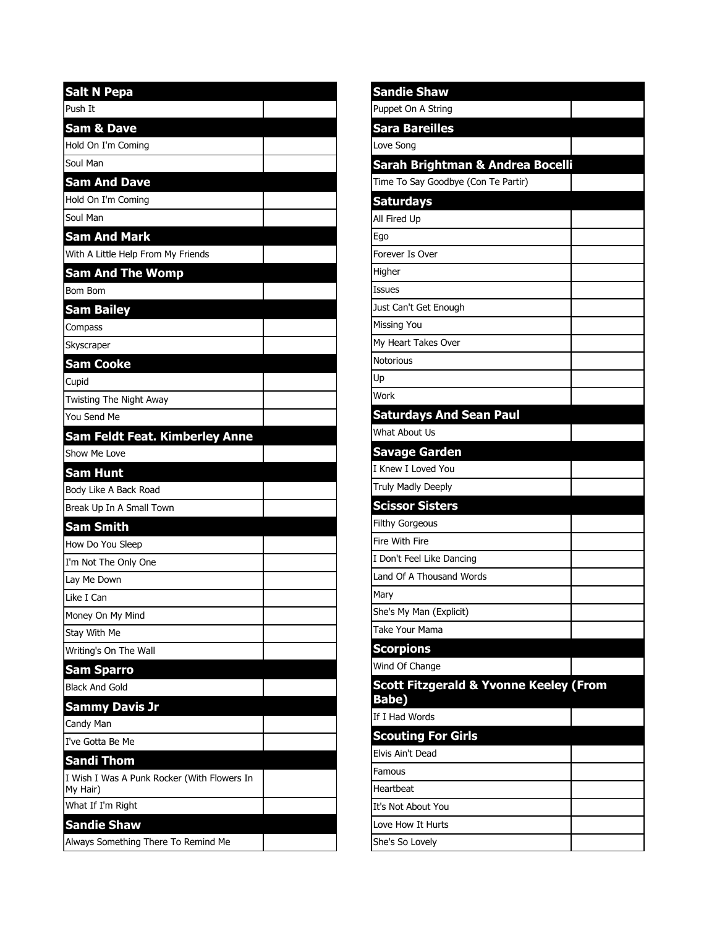| Push It<br><b>Sam &amp; Dave</b><br>Hold On I'm Coming<br>Soul Man |
|--------------------------------------------------------------------|
|                                                                    |
|                                                                    |
|                                                                    |
|                                                                    |
| <b>Sam And Dave</b>                                                |
| Hold On I'm Coming                                                 |
| Soul Man                                                           |
| <b>Sam And Mark</b>                                                |
| With A Little Help From My Friends                                 |
| <b>Sam And The Womp</b>                                            |
| Bom Bom                                                            |
| <b>Sam Bailey</b>                                                  |
| Compass                                                            |
| Skyscraper                                                         |
| <b>Sam Cooke</b>                                                   |
| Cupid                                                              |
| Twisting The Night Away                                            |
| You Send Me                                                        |
| Sam Feldt Feat. Kimberley Anne                                     |
| Show Me Love                                                       |
| <b>Sam Hunt</b>                                                    |
| Body Like A Back Road                                              |
| Break Up In A Small Town                                           |
| <b>Sam Smith</b>                                                   |
| How Do You Sleep                                                   |
| I'm Not The Only One                                               |
| Lay Me Down                                                        |
| Like T Can                                                         |
| Money On My Mind                                                   |
| Stay With Me                                                       |
| Writing's On The Wall                                              |
| <b>Sam Sparro</b>                                                  |
| <b>Black And Gold</b>                                              |
| <b>Sammy Davis Jr</b>                                              |
|                                                                    |
| Candy Man                                                          |
| I've Gotta Be Me                                                   |
| <b>Sandi Thom</b>                                                  |
| I Wish I Was A Punk Rocker (With Flowers In<br>My Hair)            |
| What If I'm Right                                                  |
| <b>Sandie Shaw</b>                                                 |

| <b>Sandie Shaw</b>                                                |  |
|-------------------------------------------------------------------|--|
| Puppet On A String                                                |  |
| <b>Sara Bareilles</b>                                             |  |
| Love Song                                                         |  |
| Sarah Brightman & Andrea Bocelli                                  |  |
| Time To Say Goodbye (Con Te Partir)                               |  |
| <b>Saturdays</b>                                                  |  |
| All Fired Up                                                      |  |
| Ego                                                               |  |
| Forever Is Over                                                   |  |
| Higher                                                            |  |
| <b>Issues</b>                                                     |  |
| Just Can't Get Enough                                             |  |
| Missing You                                                       |  |
| My Heart Takes Over                                               |  |
| <i>Notorious</i>                                                  |  |
| Up]                                                               |  |
| Work                                                              |  |
| <b>Saturdays And Sean Paul</b>                                    |  |
| What About Us                                                     |  |
| <b>Savage Garden</b>                                              |  |
| I Knew I Loved You                                                |  |
| Truly Madly Deeply                                                |  |
| <b>Scissor Sisters</b>                                            |  |
| <b>Filthy Gorgeous</b>                                            |  |
| Fire With Fire                                                    |  |
| I Don't Feel Like Dancing                                         |  |
| Land Of A Thousand Words                                          |  |
| Mary                                                              |  |
| She's My Man (Explicit)                                           |  |
| Take Your Mama                                                    |  |
| <b>Scorpions</b>                                                  |  |
| Wind Of Change                                                    |  |
| <b>Scott Fitzgerald &amp; Yvonne Keeley (From</b><br><b>Babe)</b> |  |
| If I Had Words                                                    |  |
| <b>Scouting For Girls</b>                                         |  |
| Elvis Ain't Dead                                                  |  |
| Famous                                                            |  |
| <b>Heartbeat</b>                                                  |  |
| It's Not About You                                                |  |
| Love How It Hurts                                                 |  |
| She's So Lovely                                                   |  |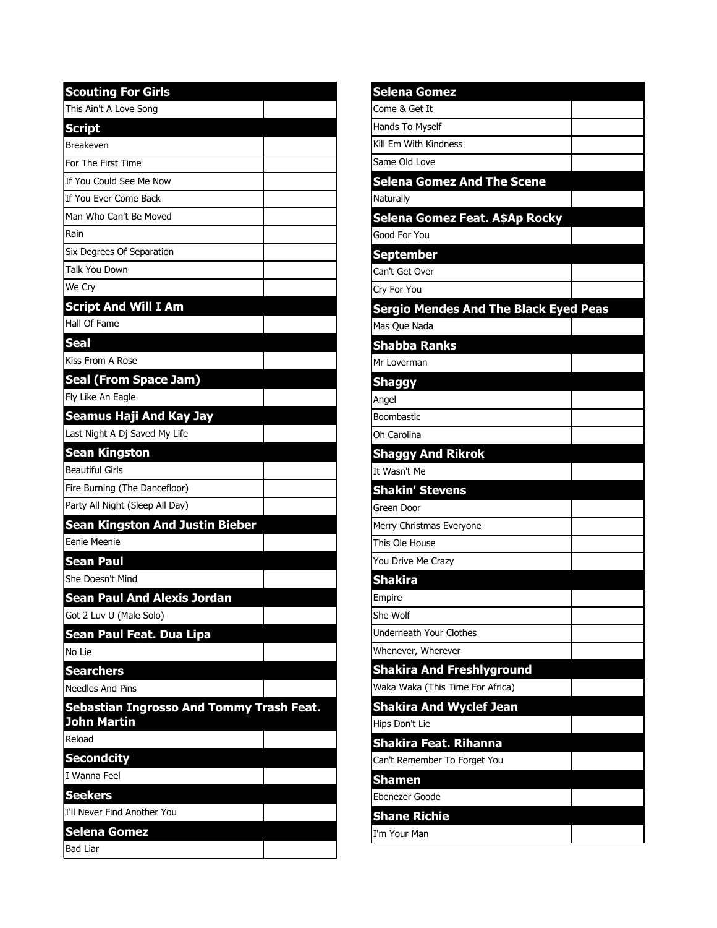| <b>Scouting For Girls</b>                               |
|---------------------------------------------------------|
| This Ain't A Love Song                                  |
| <b>Script</b>                                           |
| <b>Breakeven</b>                                        |
| For The First Time                                      |
| If You Could See Me Now                                 |
| If You Ever Come Back                                   |
| Man Who Can't Be Moved                                  |
| Rain                                                    |
| Six Degrees Of Separation                               |
| Talk You Down                                           |
| We Cry                                                  |
| <b>Script And Will I Am</b>                             |
| Hall Of Fame                                            |
| Seal                                                    |
| Kiss From A Rose                                        |
| <b>Seal (From Space Jam)</b>                            |
| Fly Like An Eagle                                       |
| Seamus Haji And Kay Jay                                 |
| Last Night A Dj Saved My Life                           |
| <b>Sean Kingston</b>                                    |
| Beautiful Girls                                         |
| Fire Burning (The Dancefloor)                           |
| Party All Night (Sleep All Day)                         |
| Sean Kingston And Justin Bieber                         |
| Eenie Meenie                                            |
| <b>Sean Paul</b>                                        |
| She Doesn't Mind                                        |
| <b>Sean Paul And Alexis Jordan</b>                      |
| Got 2 Luv U (Male Solo)                                 |
| Sean Paul Feat. Dua Lipa                                |
| No Lie                                                  |
| <b>Searchers</b>                                        |
| <b>Needles And Pins</b>                                 |
|                                                         |
| Sebastian Ingrosso And Tommy Trash Feat.<br>John Martin |
| Reload                                                  |
| <b>Secondcity</b>                                       |
| I Wanna Feel                                            |
| <b>Seekers</b>                                          |
| I'll Never Find Another You                             |
| <b>Selena Gomez</b>                                     |
| <b>Bad Liar</b>                                         |

| Selena Gomez                                 |  |
|----------------------------------------------|--|
| Come & Get It                                |  |
| Hands To Myself                              |  |
| Kill Em With Kindness                        |  |
| Same Old Love                                |  |
| <b>Selena Gomez And The Scene</b>            |  |
| Naturally                                    |  |
| Selena Gomez Feat. A\$Ap Rocky               |  |
| Good For You                                 |  |
| September                                    |  |
| Can't Get Over                               |  |
| Cry For You                                  |  |
| <b>Sergio Mendes And The Black Eyed Peas</b> |  |
| Mas Que Nada                                 |  |
| <b>Shabba Ranks</b>                          |  |
| Mr Loverman                                  |  |
| <b>Shaggy</b>                                |  |
| Angel                                        |  |
| Boombastic                                   |  |
| Oh Carolina                                  |  |
| <b>Shaggy And Rikrok</b>                     |  |
| It Wasn't Me                                 |  |
| <b>Shakin' Stevens</b>                       |  |
| Green Door                                   |  |
| Merry Christmas Everyone                     |  |
| This Ole House                               |  |
| You Drive Me Crazy                           |  |
| <b>Shakira</b>                               |  |
| Empire                                       |  |
| She Wolf                                     |  |
| Underneath Your Clothes                      |  |
| Whenever, Wherever                           |  |
| <b>Shakira And Freshlyground</b>             |  |
| Waka Waka (This Time For Africa)             |  |
| <b>Shakira And Wyclef Jean</b>               |  |
| Hips Don't Lie                               |  |
| Shakira Feat. Rihanna                        |  |
| Can't Remember To Forget You                 |  |
| <b>Shamen</b>                                |  |
| Ebenezer Goode                               |  |
| Shane Richie                                 |  |
| I'm Your Man                                 |  |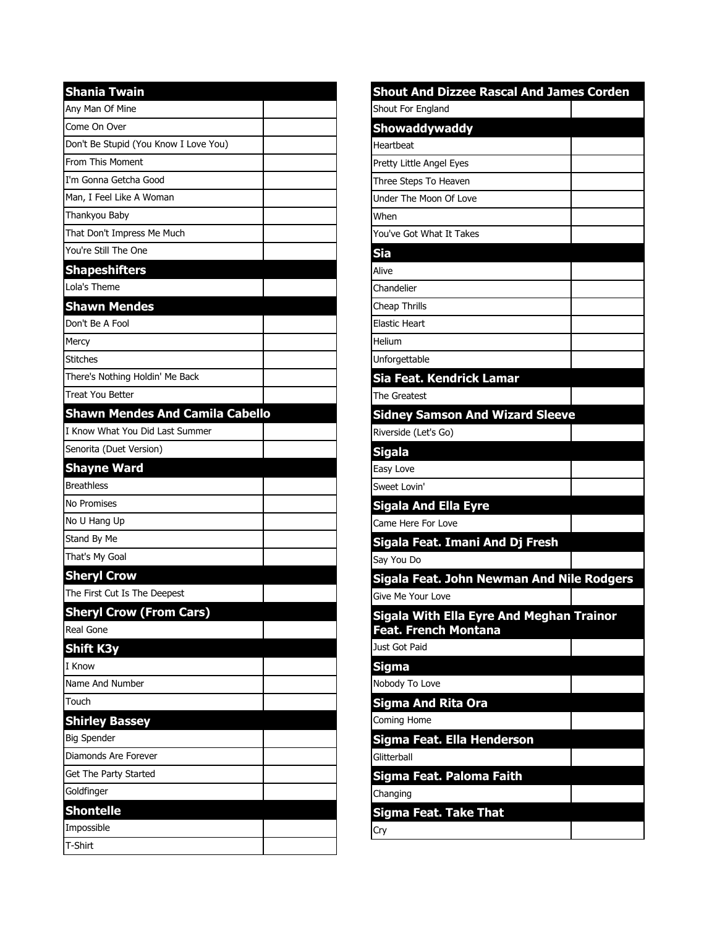| <b>Shania Twain</b>                    |  |
|----------------------------------------|--|
| Any Man Of Mine                        |  |
| Come On Over                           |  |
| Don't Be Stupid (You Know I Love You)  |  |
| From This Moment                       |  |
| I'm Gonna Getcha Good                  |  |
| Man, I Feel Like A Woman               |  |
| Thankyou Baby                          |  |
| That Don't Impress Me Much             |  |
| You're Still The One                   |  |
| <b>Shapeshifters</b>                   |  |
| Lola's Theme                           |  |
| <b>Shawn Mendes</b>                    |  |
| Don't Be A Fool                        |  |
| Mercy                                  |  |
| <b>Stitches</b>                        |  |
| There's Nothing Holdin' Me Back        |  |
| <b>Treat You Better</b>                |  |
| <b>Shawn Mendes And Camila Cabello</b> |  |
| I Know What You Did Last Summer        |  |
| Senorita (Duet Version)                |  |
| <b>Shayne Ward</b>                     |  |
| <b>Breathless</b>                      |  |
| <b>No Promises</b>                     |  |
| No U Hang Up                           |  |
| Stand By Me                            |  |
| That's My Goal                         |  |
| <b>Sheryl Crow</b>                     |  |
| The First Cut Is The Deepest           |  |
| <b>Sheryl Crow (From Cars)</b>         |  |
| <b>Real Gone</b>                       |  |
| <b>Shift K3y</b>                       |  |
| I Know                                 |  |
| Name And Number                        |  |
| Touch                                  |  |
| <b>Shirley Bassey</b>                  |  |
| <b>Big Spender</b>                     |  |
| Diamonds Are Forever                   |  |
| Get The Party Started                  |  |
| Goldfinger                             |  |
| <b>Shontelle</b>                       |  |
| Impossible                             |  |
| <b>T-Shirt</b>                         |  |

| <b>Shout And Dizzee Rascal And James Corden</b> |  |
|-------------------------------------------------|--|
| Shout For England                               |  |
| <b>Showaddywaddy</b>                            |  |
| Heartbeat                                       |  |
| Pretty Little Angel Eyes                        |  |
| Three Steps To Heaven                           |  |
| Under The Moon Of Love                          |  |
| When                                            |  |
| You've Got What It Takes                        |  |
| Sia                                             |  |
| Alive                                           |  |
| Chandelier                                      |  |
| Cheap Thrills                                   |  |
| <b>Elastic Heart</b>                            |  |
| Helium                                          |  |
| Unforgettable                                   |  |
| Sia Feat. Kendrick Lamar                        |  |
| The Greatest                                    |  |
| <b>Sidney Samson And Wizard Sleeve</b>          |  |
| Riverside (Let's Go)                            |  |
| <b>Sigala</b>                                   |  |
| Easy Love                                       |  |
| Sweet Lovin'                                    |  |
| Sigala And Ella Eyre                            |  |
| Came Here For Love                              |  |
| Sigala Feat. Imani And Dj Fresh                 |  |
| Say You Do                                      |  |
| Sigala Feat. John Newman And Nile Rodgers       |  |
| Give Me Your Love                               |  |
| Sigala With Ella Eyre And Meghan Trainor        |  |
| Feat. French Montana                            |  |
| Just Got Paid                                   |  |
| <b>Sigma</b>                                    |  |
| Nobody To Love                                  |  |
| Sigma And Rita Ora                              |  |
| Coming Home                                     |  |
| Sigma Feat. Ella Henderson                      |  |
| Glitterball                                     |  |
| Sigma Feat. Paloma Faith                        |  |
| Changing                                        |  |
| Sigma Feat. Take That                           |  |
| Cry                                             |  |
|                                                 |  |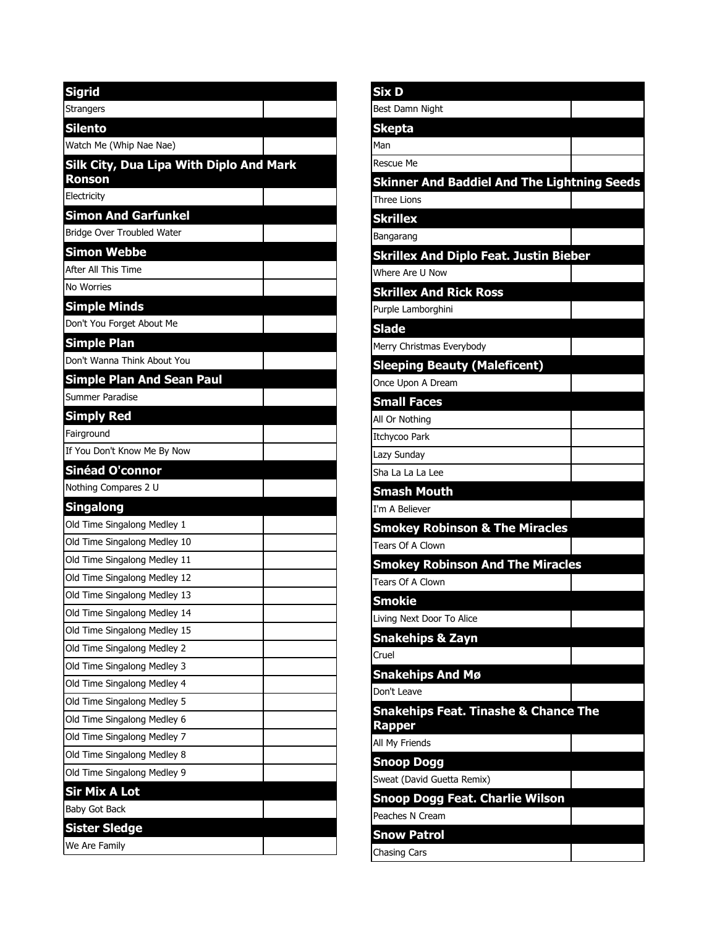| <b>Sigrid</b>                                            |
|----------------------------------------------------------|
| <b>Strangers</b>                                         |
| <b>Silento</b>                                           |
| Watch Me (Whip Nae Nae)                                  |
| Silk City, Dua Lipa With Diplo And Mark<br><b>Ronson</b> |
| Electricity                                              |
| <b>Simon And Garfunkel</b>                               |
| Bridge Over Troubled Water                               |
| Simon Webbe                                              |
| After All This Time                                      |
| No Worries                                               |
| <b>Simple Minds</b>                                      |
| Don't You Forget About Me                                |
| <b>Simple Plan</b>                                       |
| Don't Wanna Think About You                              |
| <b>Simple Plan And Sean Paul</b>                         |
| Summer Paradise                                          |
| <b>Simply Red</b>                                        |
| Fairground                                               |
| If You Don't Know Me By Now                              |
| <b>Sinéad O'connor</b>                                   |
| Nothing Compares 2 U                                     |
| <b>Singalong</b>                                         |
| Old Time Singalong Medley 1                              |
| Old Time Singalong Medley 10                             |
| Old Time Singalong Medley 11                             |
| Old Time Singalong Medley 12                             |
| Old Time Singalong Medley 13                             |
| Old Time Singalong Medley 14                             |
| Old Time Singalong Medley 15                             |
| Old Time Singalong Medley 2                              |
| Old Time Singalong Medley 3                              |
| Old Time Singalong Medley 4                              |
| Old Time Singalong Medley 5                              |
| Old Time Singalong Medley 6                              |
| Old Time Singalong Medley 7                              |
| Old Time Singalong Medley 8                              |
| Old Time Singalong Medley 9                              |
| Sir Mix A Lot                                            |
| <b>Baby Got Back</b>                                     |
| Sister Sledge                                            |
| We Are Family                                            |

| Six D                                              |  |
|----------------------------------------------------|--|
| Best Damn Night                                    |  |
| <b>Skepta</b>                                      |  |
| Man                                                |  |
| <b>Rescue Me</b>                                   |  |
| <b>Skinner And Baddiel And The Lightning Seeds</b> |  |
| <b>Three Lions</b>                                 |  |
| <b>Skrillex</b>                                    |  |
| Bangarang                                          |  |
| <b>Skrillex And Diplo Feat. Justin Bieber</b>      |  |
| Where Are U Now                                    |  |
| <b>Skrillex And Rick Ross</b>                      |  |
| Purple Lamborghini                                 |  |
| <b>Slade</b>                                       |  |
| Merry Christmas Everybody                          |  |
| <b>Sleeping Beauty (Maleficent)</b>                |  |
| Once Upon A Dream                                  |  |
| <b>Small Faces</b>                                 |  |
| All Or Nothing                                     |  |
| Itchycoo Park                                      |  |
| Lazy Sunday                                        |  |
| Sha La La La Lee                                   |  |
| <b>Smash Mouth</b>                                 |  |
| I'm A Believer                                     |  |
| <b>Smokey Robinson &amp; The Miracles</b>          |  |
| <b>Tears Of A Clown</b>                            |  |
| <b>Smokey Robinson And The Miracles</b>            |  |
| Tears Of A Clown                                   |  |
| <b>Smokie</b>                                      |  |
| Living Next Door To Alice                          |  |
| <b>Snakehips &amp; Zayn</b>                        |  |
| Cruel                                              |  |
| <b>Snakehips And Mø</b>                            |  |
| Don't Leave                                        |  |
| <b>Snakehips Feat. Tinashe &amp; Chance The</b>    |  |
| <b>Rapper</b>                                      |  |
| All My Friends                                     |  |
| <b>Snoop Dogg</b>                                  |  |
| Sweat (David Guetta Remix)                         |  |
| Snoop Dogg Feat. Charlie Wilson                    |  |
| Peaches N Cream                                    |  |
| <b>Snow Patrol</b>                                 |  |
| <b>Chasing Cars</b>                                |  |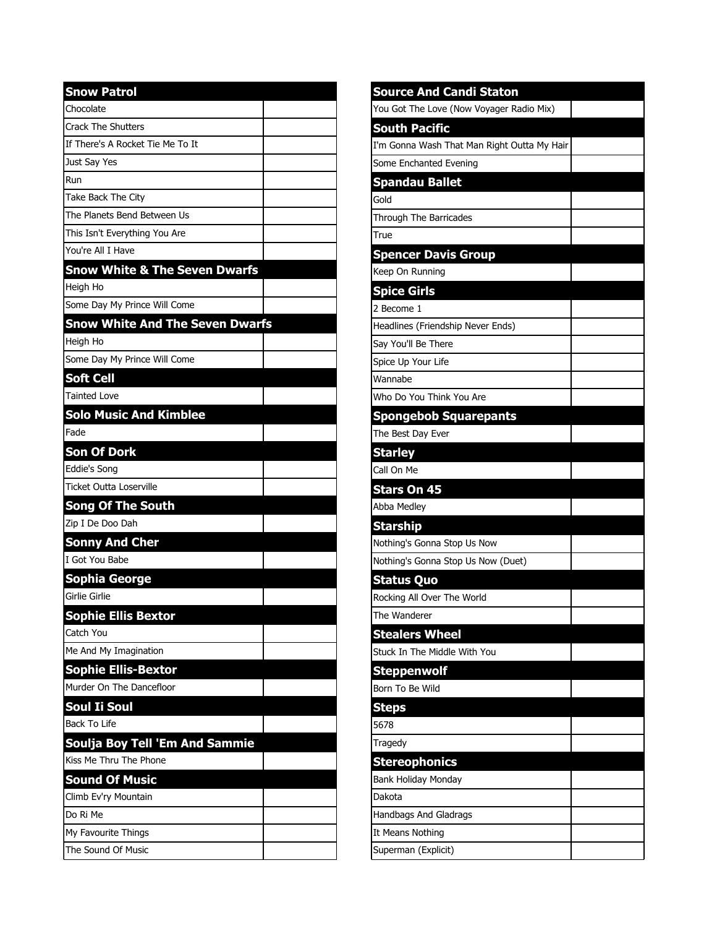| <b>Snow Patrol</b>                       |  |
|------------------------------------------|--|
| Chocolate                                |  |
| <b>Crack The Shutters</b>                |  |
| If There's A Rocket Tie Me To It         |  |
| Just Say Yes                             |  |
| Run                                      |  |
| Take Back The City                       |  |
| The Planets Bend Between Us              |  |
| This Isn't Everything You Are            |  |
| You're All I Have                        |  |
| <b>Snow White &amp; The Seven Dwarfs</b> |  |
| Heigh Ho                                 |  |
| Some Day My Prince Will Come             |  |
| <b>Snow White And The Seven Dwarfs</b>   |  |
| Heigh Ho                                 |  |
| Some Day My Prince Will Come             |  |
| <b>Soft Cell</b>                         |  |
| <b>Tainted Love</b>                      |  |
| <b>Solo Music And Kimblee</b>            |  |
| Fade                                     |  |
| <b>Son Of Dork</b>                       |  |
| Eddie's Song                             |  |
| Ticket Outta Loserville                  |  |
| <b>Song Of The South</b>                 |  |
| Zip I De Doo Dah                         |  |
| <b>Sonny And Cher</b>                    |  |
| I Got You Babe                           |  |
| Sophia George                            |  |
| Girlie Girlie                            |  |
| <b>Sophie Ellis Bextor</b>               |  |
| Catch You                                |  |
| Me And My Imagination                    |  |
| <b>Sophie Ellis-Bextor</b>               |  |
| Murder On The Dancefloor                 |  |
| Soul Ii Soul                             |  |
| Back To Life                             |  |
| Soulja Boy Tell 'Em And Sammie           |  |
| Kiss Me Thru The Phone                   |  |
| <b>Sound Of Music</b>                    |  |
| Climb Ev'ry Mountain                     |  |
| Do Ri Me                                 |  |
| My Favourite Things                      |  |
| The Sound Of Music                       |  |

| <b>Source And Candi Staton</b>              |  |
|---------------------------------------------|--|
| You Got The Love (Now Voyager Radio Mix)    |  |
| <b>South Pacific</b>                        |  |
| I'm Gonna Wash That Man Right Outta My Hair |  |
| Some Enchanted Evening                      |  |
| <b>Spandau Ballet</b>                       |  |
| lGold                                       |  |
| Through The Barricades                      |  |
| True                                        |  |
| <b>Spencer Davis Group</b>                  |  |
| Keep On Running                             |  |
| <b>Spice Girls</b>                          |  |
| 2 Become 1                                  |  |
| Headlines (Friendship Never Ends)           |  |
| Say You'll Be There                         |  |
| Spice Up Your Life                          |  |
| Wannabe                                     |  |
| Who Do You Think You Are                    |  |
| <b>Spongebob Squarepants</b>                |  |
| The Best Day Ever                           |  |
| <b>Starley</b>                              |  |
| Call On Me                                  |  |
| <b>Stars On 45</b>                          |  |
| Abba Medley                                 |  |
| <b>Starship</b>                             |  |
| Nothing's Gonna Stop Us Now                 |  |
| Nothing's Gonna Stop Us Now (Duet)          |  |
| <b>Status Quo</b>                           |  |
| Rocking All Over The World                  |  |
| The Wanderer                                |  |
| <b>Stealers Wheel</b>                       |  |
| Stuck In The Middle With You                |  |
| <b>Steppenwolf</b>                          |  |
| Born To Be Wild                             |  |
| <b>Steps</b>                                |  |
| 5678                                        |  |
| Tragedy                                     |  |
| <b>Stereophonics</b>                        |  |
| Bank Holiday Monday                         |  |
| lDakota                                     |  |
| Handbags And Gladrags                       |  |
| It Means Nothing                            |  |
| Superman (Explicit)                         |  |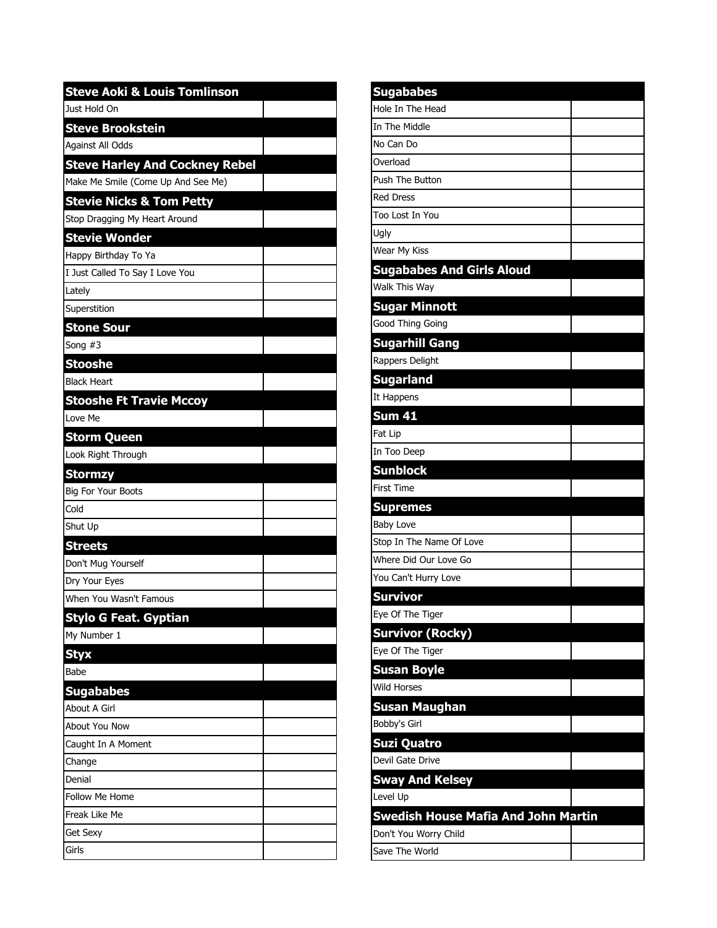| <b>Steve Aoki &amp; Louis Tomlinson</b> |  |
|-----------------------------------------|--|
| Just Hold On                            |  |
| <b>Steve Brookstein</b>                 |  |
| Against All Odds                        |  |
| <b>Steve Harley And Cockney Rebel</b>   |  |
| Make Me Smile (Come Up And See Me)      |  |
| <b>Stevie Nicks &amp; Tom Petty</b>     |  |
| Stop Dragging My Heart Around           |  |
| <b>Stevie Wonder</b>                    |  |
| Happy Birthday To Ya                    |  |
| I Just Called To Say I Love You         |  |
| Lately                                  |  |
| Superstition                            |  |
| <b>Stone Sour</b>                       |  |
| Song #3                                 |  |
| <b>Stooshe</b>                          |  |
| <b>Black Heart</b>                      |  |
| <b>Stooshe Ft Travie Mccoy</b>          |  |
| Love Me                                 |  |
| <b>Storm Queen</b>                      |  |
| Look Right Through                      |  |
| <b>Stormzy</b>                          |  |
| <b>Big For Your Boots</b>               |  |
| Cold                                    |  |
| Shut Up                                 |  |
| <b>Streets</b>                          |  |
| Don't Mug Yourself                      |  |
| Dry Your Eyes                           |  |
| When You Wasn't Famous                  |  |
| <b>Stylo G Feat. Gyptian</b>            |  |
| My Number 1                             |  |
| <b>Styx</b>                             |  |
| Babe                                    |  |
| <b>Sugababes</b>                        |  |
| About A Girl                            |  |
| About You Now                           |  |
| Caught In A Moment                      |  |
| Change                                  |  |
| Denial                                  |  |
| <b>Follow Me Home</b>                   |  |
| Freak Like Me                           |  |
| Get Sexy                                |  |
| Girls                                   |  |

| <b>Sugababes</b>                           |  |
|--------------------------------------------|--|
| Hole In The Head                           |  |
| In The Middle                              |  |
| No Can Do                                  |  |
| Overload                                   |  |
| Push The Button                            |  |
| <b>Red Dress</b>                           |  |
| Too Lost In You                            |  |
| Ugly                                       |  |
| Wear My Kiss                               |  |
| <b>Sugababes And Girls Aloud</b>           |  |
| Walk This Way                              |  |
| <b>Sugar Minnott</b>                       |  |
| Good Thing Going                           |  |
| <b>Sugarhill Gang</b>                      |  |
| Rappers Delight                            |  |
| <b>Sugarland</b>                           |  |
| It Happens                                 |  |
| <b>Sum 41</b>                              |  |
| Fat Lip                                    |  |
| In Too Deep                                |  |
| <b>Sunblock</b>                            |  |
| <b>First Time</b>                          |  |
| <b>Supremes</b>                            |  |
| <b>Baby Love</b>                           |  |
| Stop In The Name Of Love                   |  |
| Where Did Our Love Go                      |  |
| You Can't Hurry Love                       |  |
| Survivor                                   |  |
| Eye Of The Tiger                           |  |
| <b>Survivor (Rocky)</b>                    |  |
| Eye Of The Tiger                           |  |
| <b>Susan Boyle</b>                         |  |
| <b>Wild Horses</b>                         |  |
| <b>Susan Maughan</b>                       |  |
| Bobby's Girl                               |  |
| <b>Suzi Quatro</b>                         |  |
| Devil Gate Drive                           |  |
| <b>Sway And Kelsey</b>                     |  |
| Level Up                                   |  |
| <b>Swedish House Mafia And John Martin</b> |  |
| Don't You Worry Child                      |  |
| Save The World                             |  |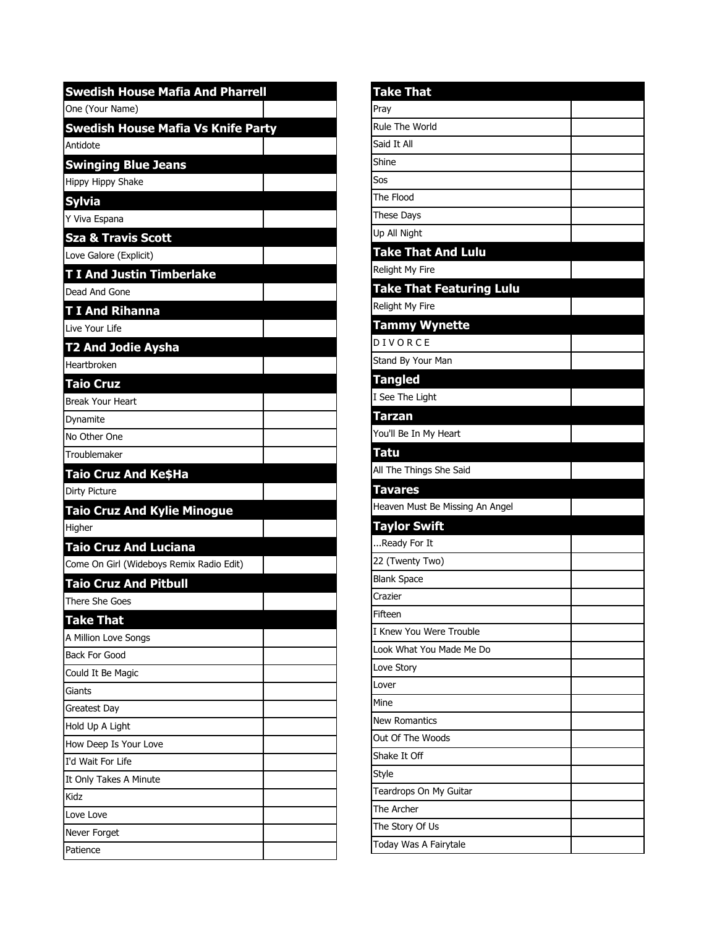| <b>Swedish House Mafia And Pharrell</b>    |  |
|--------------------------------------------|--|
| One (Your Name)                            |  |
| <b>Swedish House Mafia Vs Knife Party</b>  |  |
| Antidote                                   |  |
| <b>Swinging Blue Jeans</b>                 |  |
| Hippy Hippy Shake                          |  |
| <b>Sylvia</b>                              |  |
| Y Viva Espana                              |  |
| <b>Sza &amp; Travis Scott</b>              |  |
| Love Galore (Explicit)                     |  |
| <b>T I And Justin Timberlake</b>           |  |
| Dead And Gone                              |  |
| <b>T I And Rihanna</b>                     |  |
| Live Your Life                             |  |
| T2 And Jodie Aysha                         |  |
| Heartbroken                                |  |
| <b>Taio Cruz</b>                           |  |
| <b>Break Your Heart</b>                    |  |
| Dynamite                                   |  |
| No Other One                               |  |
| Troublemaker                               |  |
| Taio Cruz And Ke\$Ha                       |  |
| Dirty Picture                              |  |
| <b>Taio Cruz And Kylie Minogue</b>         |  |
| Higher                                     |  |
| <b>Taio Cruz And Luciana</b>               |  |
| Come On Girl (Wideboys Remix Radio Edit)   |  |
| <b>Taio Cruz And Pitbull</b>               |  |
| There She Goes                             |  |
| <b>Take That</b>                           |  |
| A Million Love Songs                       |  |
| <b>Back For Good</b>                       |  |
| Could It Be Magic                          |  |
| Giants                                     |  |
| Greatest Day                               |  |
| Hold Up A Light                            |  |
| How Deep Is Your Love<br>I'd Wait For Life |  |
| It Only Takes A Minute                     |  |
| Kidz                                       |  |
| Love Love                                  |  |
| Never Forget                               |  |
| Patience                                   |  |
|                                            |  |

| <b>Take That</b>                |  |
|---------------------------------|--|
| Pray                            |  |
| Rule The World                  |  |
| Said It All                     |  |
| Shine                           |  |
| Sos                             |  |
| The Flood                       |  |
| <b>These Days</b>               |  |
| Up All Night                    |  |
| <b>Take That And Lulu</b>       |  |
| Relight My Fire                 |  |
| <b>Take That Featuring Lulu</b> |  |
| Relight My Fire                 |  |
| <b>Tammy Wynette</b>            |  |
| DIVORCE                         |  |
| Stand By Your Man               |  |
| <b>Tangled</b>                  |  |
| I See The Light                 |  |
| <b>Tarzan</b>                   |  |
| You'll Be In My Heart           |  |
| <b>Tatu</b>                     |  |
| All The Things She Said         |  |
| <b>Tavares</b>                  |  |
| Heaven Must Be Missing An Angel |  |
| <b>Taylor Swift</b>             |  |
| Ready For It                    |  |
| 22 (Twenty Two)                 |  |
| <b>Blank Space</b>              |  |
| Crazier                         |  |
| Fifteen                         |  |
| I Knew You Were Trouble         |  |
| Look What You Made Me Do        |  |
| Love Story                      |  |
| Lover                           |  |
| Mine                            |  |
| <b>New Romantics</b>            |  |
| Out Of The Woods                |  |
| Shake It Off                    |  |
| Style                           |  |
| Teardrops On My Guitar          |  |
| The Archer                      |  |
| The Story Of Us                 |  |
| Today Was A Fairytale           |  |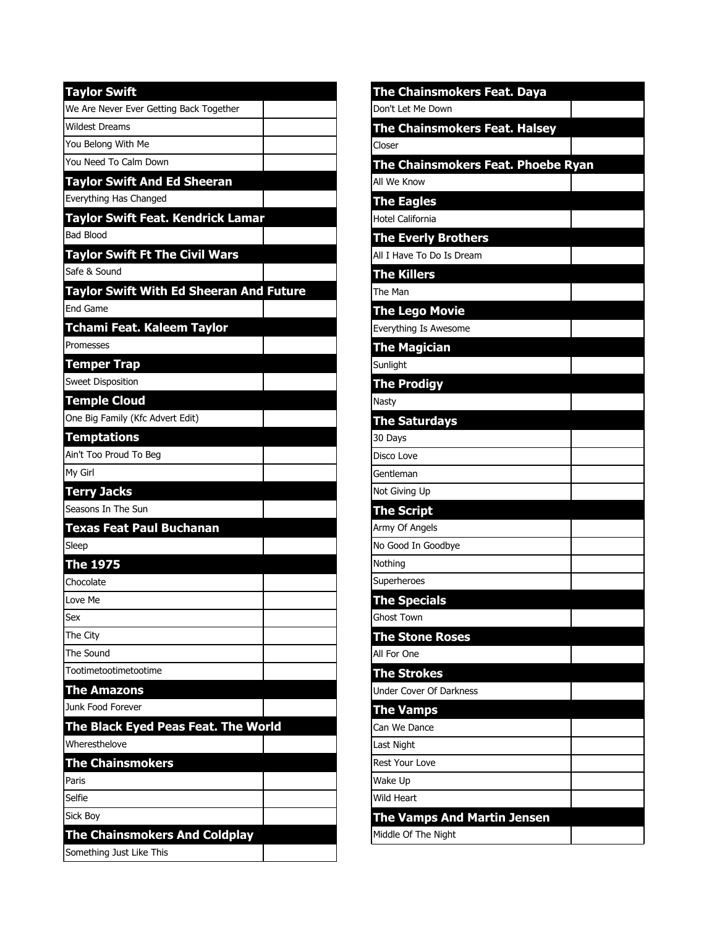| <b>Taylor Swift</b>                            |  |
|------------------------------------------------|--|
| We Are Never Ever Getting Back Together        |  |
| <b>Wildest Dreams</b>                          |  |
| You Belong With Me                             |  |
| You Need To Calm Down                          |  |
| <b>Taylor Swift And Ed Sheeran</b>             |  |
| Everything Has Changed                         |  |
| Taylor Swift Feat. Kendrick Lamar              |  |
| <b>Bad Blood</b>                               |  |
| <b>Taylor Swift Ft The Civil Wars</b>          |  |
| Safe & Sound                                   |  |
| <b>Taylor Swift With Ed Sheeran And Future</b> |  |
| <b>End Game</b>                                |  |
| Tchami Feat. Kaleem Taylor                     |  |
| Promesses                                      |  |
| Temper Trap                                    |  |
| <b>Sweet Disposition</b>                       |  |
| <b>Temple Cloud</b>                            |  |
| One Big Family (Kfc Advert Edit)               |  |
| <b>Temptations</b>                             |  |
| Ain't Too Proud To Beg                         |  |
| My Girl                                        |  |
| <b>Terry Jacks</b>                             |  |
| Seasons In The Sun                             |  |
| <b>Texas Feat Paul Buchanan</b>                |  |
| Sleep                                          |  |
| <b>The 1975</b>                                |  |
| Chocolate                                      |  |
| Love Me                                        |  |
| Sex                                            |  |
| The City                                       |  |
| The Sound                                      |  |
| Tootimetootimetootime                          |  |
| <b>The Amazons</b>                             |  |
| Junk Food Forever                              |  |
| The Black Eyed Peas Feat. The World            |  |
| Wheresthelove                                  |  |
| <b>The Chainsmokers</b>                        |  |
| Paris                                          |  |
| Selfie                                         |  |
| Sick Boy                                       |  |
| <b>The Chainsmokers And Coldplay</b>           |  |
| Something Just Like This                       |  |

| <u>The Chainsmokers</u> Feat. Daya   |  |
|--------------------------------------|--|
| Don't Let Me Down                    |  |
| <b>The Chainsmokers Feat. Halsey</b> |  |
| Closer                               |  |
| The Chainsmokers Feat. Phoebe Ryan   |  |
| All We Know                          |  |
| <b>The Eagles</b>                    |  |
| Hotel California                     |  |
| <b>The Everly Brothers</b>           |  |
| All I Have To Do Is Dream            |  |
| <b>The Killers</b>                   |  |
| The Man                              |  |
| <b>The Lego Movie</b>                |  |
| Everything Is Awesome                |  |
| <b>The Magician</b>                  |  |
| Sunlight                             |  |
| <b>The Prodigy</b>                   |  |
| Nasty                                |  |
| <b>The Saturdays</b>                 |  |
| 30 Days                              |  |
| Disco Love                           |  |
| Gentleman                            |  |
| Not Giving Up                        |  |
| <b>The Script</b>                    |  |
| Army Of Angels                       |  |
| No Good In Goodbye                   |  |
| Nothing                              |  |
| Superheroes                          |  |
| <b>The Specials</b>                  |  |
| <b>Ghost Town</b>                    |  |
| <b>The Stone Roses</b>               |  |
| All For One                          |  |
| <b>The Strokes</b>                   |  |
| Under Cover Of Darkness              |  |
| <b>The Vamps</b>                     |  |
| Can We Dance                         |  |
| Last Night                           |  |
| <b>Rest Your Love</b>                |  |
| Wake Up                              |  |
| Wild Heart                           |  |
| <b>The Vamps And Martin Jensen</b>   |  |
| Middle Of The Night                  |  |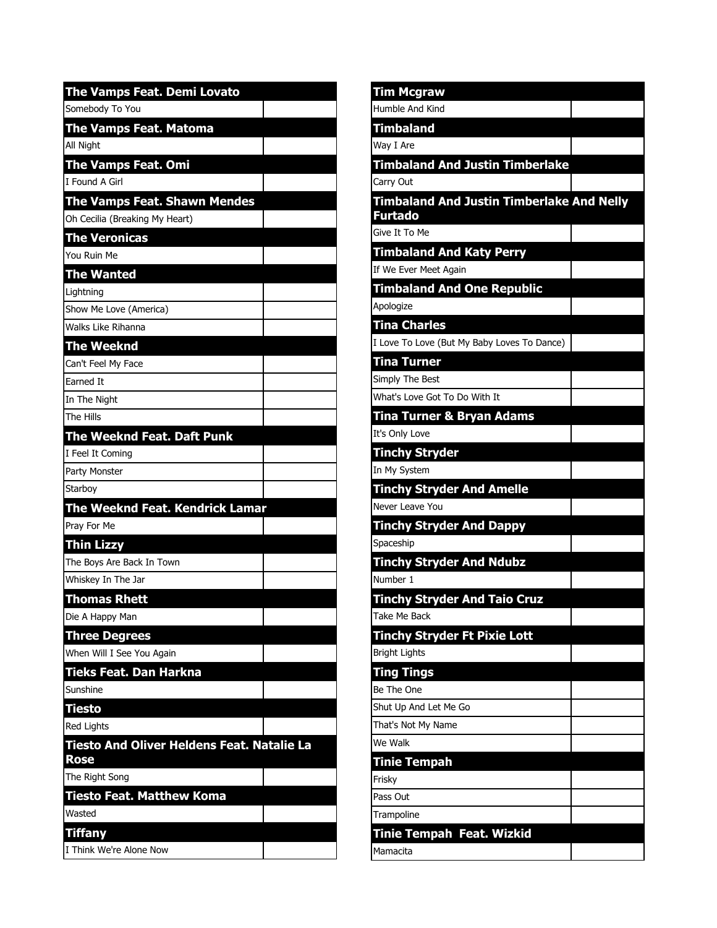| The Vamps Feat. Demi Lovato                               |
|-----------------------------------------------------------|
| Somebody To You                                           |
| The Vamps Feat. Mat <u>oma</u>                            |
| All Night                                                 |
| The Vamps Feat. Omi                                       |
| I Found A Girl                                            |
| <b>The Vamps Feat. Shawn Mendes</b>                       |
| Oh Cecilia (Breaking My Heart)                            |
| <b>The Veronicas</b>                                      |
| You Ruin Me                                               |
| <b>The Wanted</b>                                         |
| Lightning                                                 |
| Show Me Love (America)                                    |
| Walks Like Rihanna                                        |
| <b>The Weeknd</b>                                         |
| Can't Feel My Face                                        |
| Earned It                                                 |
| In The Night                                              |
| The Hills                                                 |
| <b>The Weeknd Feat. Daft Punk</b>                         |
| I Feel It Coming                                          |
| Party Monster                                             |
| Starboy                                                   |
| <b>The Weeknd Feat. Kendrick Lamar</b>                    |
| Pray For Me                                               |
| <b>Thin Lizzy</b>                                         |
| The Boys Are Back In Town                                 |
| Whiskey In The Jar                                        |
| <b>Thomas Rhett</b>                                       |
| Die A Happy Man                                           |
| Three Degrees                                             |
| When Will I See You Again                                 |
| Tieks Feat. Dan Harkna<br>Sunshine                        |
|                                                           |
| Tiesto                                                    |
| <b>Red Lights</b>                                         |
| <b>Tiesto And Oliver Heldens Feat. Natalie La</b><br>Rose |
| The Right Song                                            |
| <b>Tiesto Feat. Matthew Koma</b>                          |
| Wasted                                                    |
| Tiffany                                                   |
| I Think We're Alone Now                                   |

| <b>Tim Mcgraw</b>                                |  |
|--------------------------------------------------|--|
| Humble And Kind                                  |  |
| <b>Timbaland</b>                                 |  |
| Way I Are                                        |  |
| <b>Timbaland And Justin Timberlake</b>           |  |
| Carry Out                                        |  |
| <b>Timbaland And Justin Timberlake And Nelly</b> |  |
| <b>Furtado</b>                                   |  |
| Give It To Me                                    |  |
| <b>Timbaland And Katy Perry</b>                  |  |
| If We Ever Meet Again                            |  |
| <b>Timbaland And One Republic</b>                |  |
| Apologize                                        |  |
| <b>Tina Charles</b>                              |  |
| I Love To Love (But My Baby Loves To Dance)      |  |
| <b>Tina Turner</b>                               |  |
| Simply The Best                                  |  |
| What's Love Got To Do With It                    |  |
| <b>Tina Turner &amp; Bryan Adams</b>             |  |
| It's Only Love                                   |  |
| <b>Tinchy Stryder</b>                            |  |
| In My System                                     |  |
| <b>Tinchy Stryder And Amelle</b>                 |  |
| Never Leave You                                  |  |
| <b>Tinchy Stryder And Dappy</b>                  |  |
| Spaceship                                        |  |
| <b>Tinchy Stryder And Ndubz</b>                  |  |
| Number 1                                         |  |
| <b>Tinchy Stryder And Taio Cruz</b>              |  |
| Take Me Back                                     |  |
| <b>Tinchy Stryder Ft Pixie Lott</b>              |  |
| <b>Bright Lights</b>                             |  |
| <b>Ting Tings</b>                                |  |
| Be The One                                       |  |
| Shut Up And Let Me Go                            |  |
| That's Not My Name                               |  |
| We Walk                                          |  |
| <b>Tinie Tempah</b>                              |  |
| Frisky                                           |  |
| Pass Out                                         |  |
| Trampoline                                       |  |
| Tinie Tempah Feat. Wizkid                        |  |
| Mamacita                                         |  |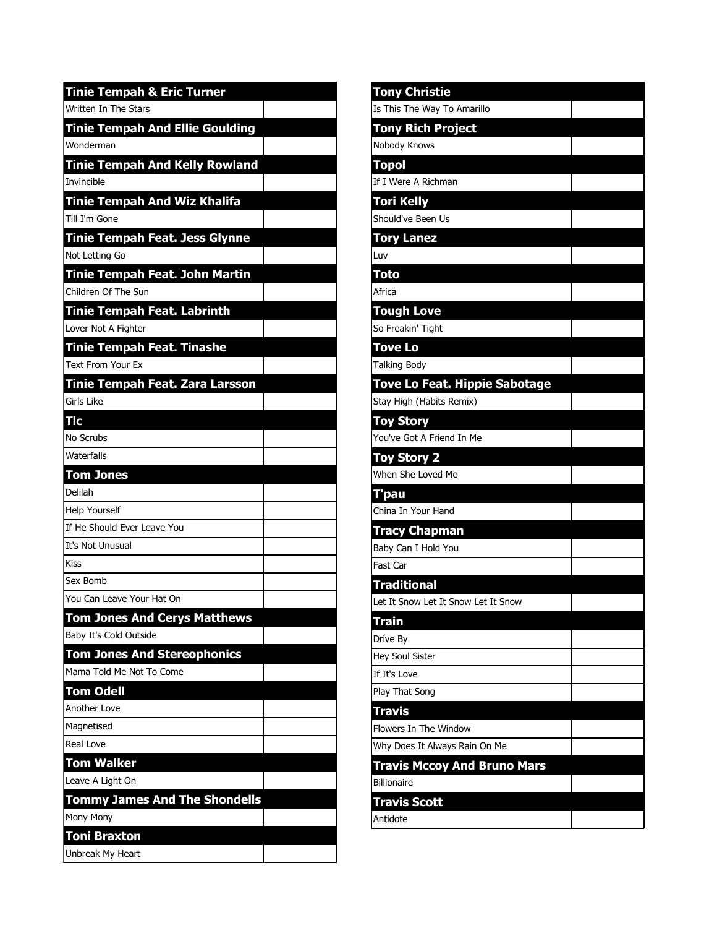| <b>Tinie Tempah &amp; Eric Turner</b>  |  |
|----------------------------------------|--|
| Written In The Stars                   |  |
| <b>Tinie Tempah And Ellie Goulding</b> |  |
| Wonderman                              |  |
| <b>Tinie Tempah And Kelly Rowland</b>  |  |
| Invincible                             |  |
| <b>Tinie Tempah And Wiz Khalifa</b>    |  |
| Till I'm Gone                          |  |
| Tinie Tempah Feat. Jess Glynne         |  |
| Not Letting Go                         |  |
| Tinie Tempah Feat. John Martin         |  |
| Children Of The Sun                    |  |
| <b>Tinie Tempah Feat. Labrinth</b>     |  |
| Lover Not A Fighter                    |  |
| Tinie Tempah Feat. Tinashe             |  |
| <b>Text From Your Ex</b>               |  |
| Tinie Tempah Feat. Zara Larsson        |  |
| Girls Like                             |  |
| Tlc                                    |  |
| No Scrubs                              |  |
| Waterfalls                             |  |
| <b>Tom Jones</b>                       |  |
|                                        |  |
| Delilah                                |  |
| <b>Help Yourself</b>                   |  |
| If He Should Ever Leave You            |  |
| <b>It's Not Unusual</b>                |  |
| Kiss                                   |  |
| Sex Bomb                               |  |
| You Can Leave Your Hat On              |  |
| <b>Tom Jones And Cerys Matthews</b>    |  |
| Baby It's Cold Outside                 |  |
| <b>Tom Jones And Stereophonics</b>     |  |
| Mama Told Me Not To Come               |  |
| <b>Tom Odell</b>                       |  |
| Another Love                           |  |
| Magnetised                             |  |
| Real Love                              |  |
| Tom Walker                             |  |
| Leave A Light On                       |  |
| <b>Tommy James And The Shondells</b>   |  |
| Mony Mony<br>Toni Braxton              |  |

| <b>Tony Christie</b>                 |  |
|--------------------------------------|--|
| Is This The Way To Amarillo          |  |
| <b>Tony Rich Project</b>             |  |
| Nobody Knows                         |  |
| <b>Topol</b>                         |  |
| If I Were A Richman                  |  |
| <b>Tori Kelly</b>                    |  |
| Should've Been Us                    |  |
| <b>Tory Lanez</b>                    |  |
| Luv                                  |  |
| <b>Toto</b>                          |  |
| Africa                               |  |
| <b>Tough Love</b>                    |  |
| So Freakin' Tight                    |  |
| <b>Tove Lo</b>                       |  |
| <b>Talking Body</b>                  |  |
| <b>Tove Lo Feat. Hippie Sabotage</b> |  |
| Stay High (Habits Remix)             |  |
| <b>Toy Story</b>                     |  |
| You've Got A Friend In Me            |  |
| <b>Toy Story 2</b>                   |  |
| When She Loved Me                    |  |
| T'pau                                |  |
| China In Your Hand                   |  |
| <b>Tracy Chapman</b>                 |  |
| Baby Can I Hold You                  |  |
| Fast Car                             |  |
| <b>Traditional</b>                   |  |
| Let It Snow Let It Snow Let It Snow  |  |
| <b>Train</b>                         |  |
| Drive By                             |  |
| <b>Hey Soul Sister</b>               |  |
| If It's Love                         |  |
| Play That Song                       |  |
| <b>Travis</b>                        |  |
| Flowers In The Window                |  |
| Why Does It Always Rain On Me        |  |
| <b>Travis Mccoy And Bruno Mars</b>   |  |
| <b>Billionaire</b>                   |  |
| <b>Travis Scott</b>                  |  |
| Antidote                             |  |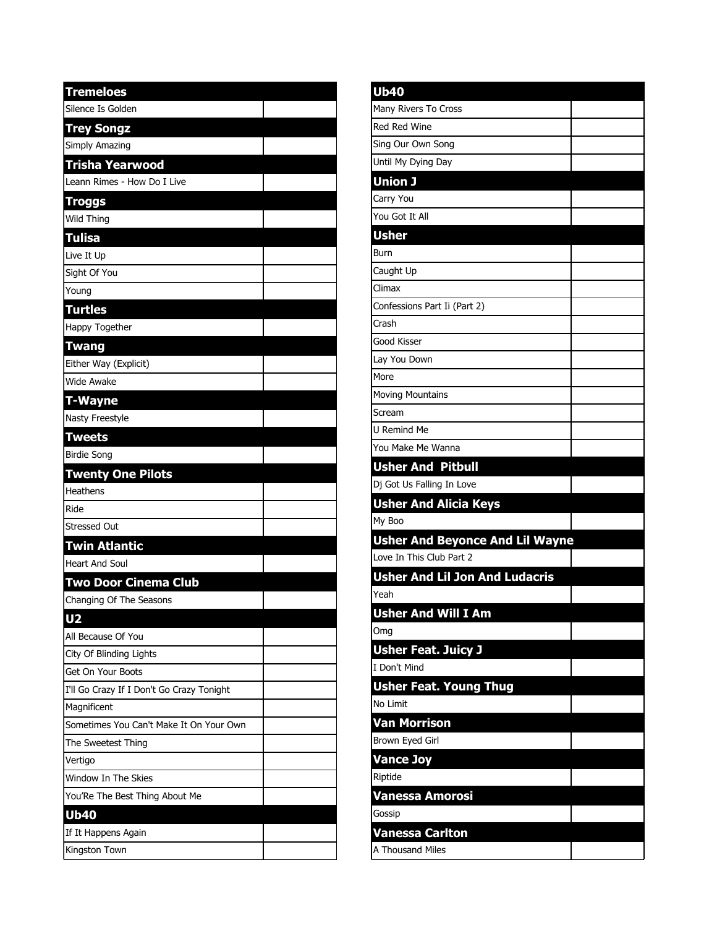| <b>Tremeloes</b>                          |  |
|-------------------------------------------|--|
| Silence Is Golden                         |  |
| <b>Trey Songz</b>                         |  |
| Simply Amazing                            |  |
| Trisha Yearwood                           |  |
| Leann Rimes - How Do I Live               |  |
| Troggs                                    |  |
| <b>Wild Thing</b>                         |  |
| <b>Tulisa</b>                             |  |
| Live It Up                                |  |
| Sight Of You                              |  |
| Young                                     |  |
| <b>Turtles</b>                            |  |
| Happy Together                            |  |
| <b>Twang</b>                              |  |
| Either Way (Explicit)                     |  |
| <b>Wide Awake</b>                         |  |
| <b>T-Wayne</b>                            |  |
| Nasty Freestyle                           |  |
| <b>Tweets</b>                             |  |
| <b>Birdie Song</b>                        |  |
| <b>Twenty One Pilots</b>                  |  |
| Heathens                                  |  |
| Ride                                      |  |
| <b>Stressed Out</b>                       |  |
| <b>Twin Atlantic</b>                      |  |
| <b>Heart And Soul</b>                     |  |
| <b>Two Door Cinema Club</b>               |  |
| Changing Of The Seasons                   |  |
| U <sub>2</sub>                            |  |
| All Because Of You                        |  |
| City Of Blinding Lights                   |  |
| Get On Your Boots                         |  |
| I'll Go Crazy If I Don't Go Crazy Tonight |  |
| Magnificent                               |  |
| Sometimes You Can't Make It On Your Own   |  |
| The Sweetest Thing                        |  |
| Vertigo                                   |  |
| Window In The Skies                       |  |
| You'Re The Best Thing About Me            |  |
| Ub40                                      |  |
| If It Happens Again                       |  |
| Kingston Town                             |  |

| U <sub>b40</sub>                                                             |  |
|------------------------------------------------------------------------------|--|
| Many Rivers To Cross                                                         |  |
| <b>Red Red Wine</b>                                                          |  |
| Sing Our Own Song                                                            |  |
| Until My Dying Day                                                           |  |
| Union J                                                                      |  |
| Carry You                                                                    |  |
| You Got It All                                                               |  |
| <b>Usher</b>                                                                 |  |
| Burn                                                                         |  |
| Caught Up                                                                    |  |
| Climax                                                                       |  |
| Confessions Part Ii (Part 2)                                                 |  |
| Crash                                                                        |  |
| Good Kisser                                                                  |  |
| Lay You Down                                                                 |  |
| More                                                                         |  |
| <b>Moving Mountains</b>                                                      |  |
| Scream                                                                       |  |
| U Remind Me                                                                  |  |
| You Make Me Wanna                                                            |  |
| <b>Usher And Pitbull</b>                                                     |  |
|                                                                              |  |
| Dj Got Us Falling In Love                                                    |  |
| <b>Usher And Alicia Keys</b>                                                 |  |
| My Boo                                                                       |  |
| <b>Usher And Beyonce And Lil Wayne</b>                                       |  |
| Love In This Club Part 2                                                     |  |
| <b>Usher And Lil Jon And Ludacris</b>                                        |  |
| Yeah                                                                         |  |
|                                                                              |  |
| <b>Usher And Will I Am</b><br>Omg                                            |  |
|                                                                              |  |
| <b>Usher Feat. Juicy J</b><br>I Don't Mind                                   |  |
|                                                                              |  |
|                                                                              |  |
|                                                                              |  |
| <b>Usher Feat. Young Thug</b><br>No Limit<br>Van Morrison<br>Brown Eyed Girl |  |
|                                                                              |  |
| <b>Vance Joy</b><br>Riptide                                                  |  |
|                                                                              |  |
| Vanessa Amorosi                                                              |  |
| Gossip<br>Vanessa Carlton                                                    |  |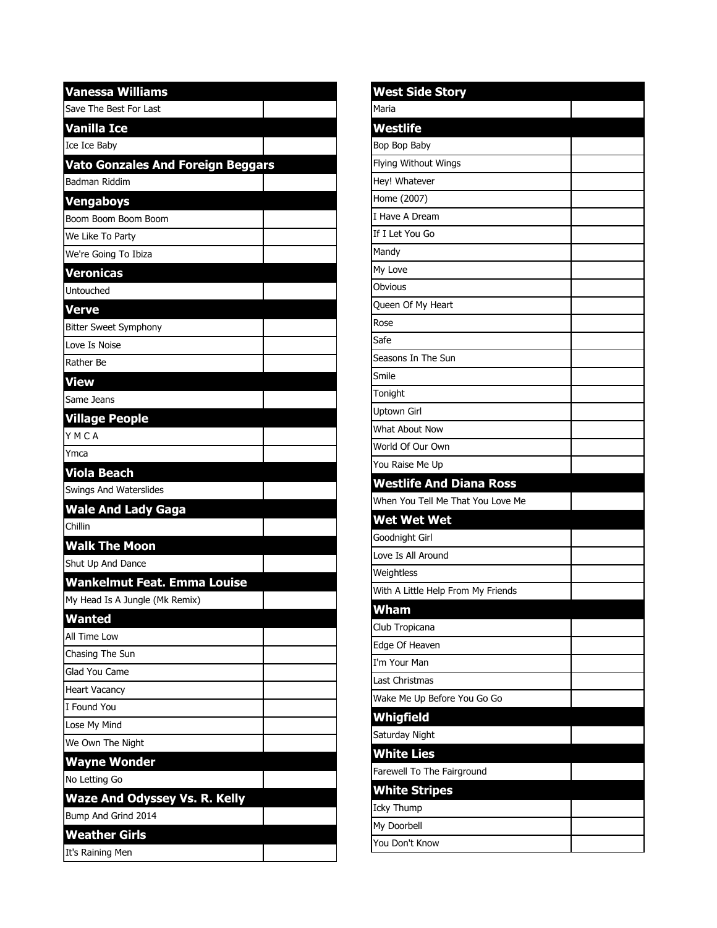| <b>Vanessa Williams</b>                  |  |
|------------------------------------------|--|
| Save The Best For Last                   |  |
| Vanilla Ice                              |  |
| Ice Ice Baby                             |  |
| <b>Vato Gonzales And Foreign Beggars</b> |  |
| Badman Riddim                            |  |
| Vengaboys                                |  |
| Boom Boom Boom Boom                      |  |
| We Like To Party                         |  |
| We're Going To Ibiza                     |  |
| <b>Veronicas</b>                         |  |
| Untouched                                |  |
| Verve                                    |  |
| <b>Bitter Sweet Symphony</b>             |  |
| Love Is Noise                            |  |
| Rather Be                                |  |
| View                                     |  |
| Same Jeans                               |  |
| <b>Village People</b>                    |  |
| YMCA                                     |  |
| Ymca                                     |  |
| <b>Viola Beach</b>                       |  |
| Swings And Waterslides                   |  |
| <b>Wale And Lady Gaga</b>                |  |
| Chillin                                  |  |
| <b>Walk The Moon</b>                     |  |
| Shut Up And Dance                        |  |
| Wankelmut Feat. Emma Louise              |  |
| My Head Is A Jungle (Mk Remix)           |  |
| Wanted                                   |  |
| All Time Low                             |  |
| Chasing The Sun                          |  |
| Glad You Came                            |  |
| <b>Heart Vacancy</b>                     |  |
| I Found You                              |  |
| Lose My Mind                             |  |
| We Own The Night                         |  |
| <b>Wayne Wonder</b>                      |  |
| No Letting Go                            |  |
| <b>Waze And Odyssey Vs. R. Kelly</b>     |  |
| Bump And Grind 2014                      |  |
| <b>Weather Girls</b>                     |  |
| It's Raining Men                         |  |

| <b>West Side Story</b>             |  |
|------------------------------------|--|
| Maria                              |  |
| Westlife                           |  |
| Bop Bop Baby                       |  |
| Flying Without Wings               |  |
| Hey! Whatever                      |  |
| Home (2007)                        |  |
| I Have A Dream                     |  |
| If I Let You Go                    |  |
| Mandy                              |  |
| My Love                            |  |
| Obvious                            |  |
| Queen Of My Heart                  |  |
| Rose                               |  |
| Safe                               |  |
| Seasons In The Sun                 |  |
| Smile                              |  |
| Tonight                            |  |
| Uptown Girl                        |  |
| What About Now                     |  |
| World Of Our Own                   |  |
| You Raise Me Up                    |  |
| <b>Westlife And Diana Ross</b>     |  |
| When You Tell Me That You Love Me  |  |
| Wet Wet Wet                        |  |
| Goodnight Girl                     |  |
| Love Is All Around                 |  |
| Weightless                         |  |
| With A Little Help From My Friends |  |
| Wham                               |  |
| Club Tropicana                     |  |
| Edge Of Heaven                     |  |
| I'm Your Man                       |  |
|                                    |  |
| Last Christmas                     |  |
| Wake Me Up Before You Go Go        |  |
| Whigfield                          |  |
| Saturday Night                     |  |
| <b>White Lies</b>                  |  |
| Farewell To The Fairground         |  |
| <b>White Stripes</b>               |  |
| Icky Thump                         |  |
| My Doorbell                        |  |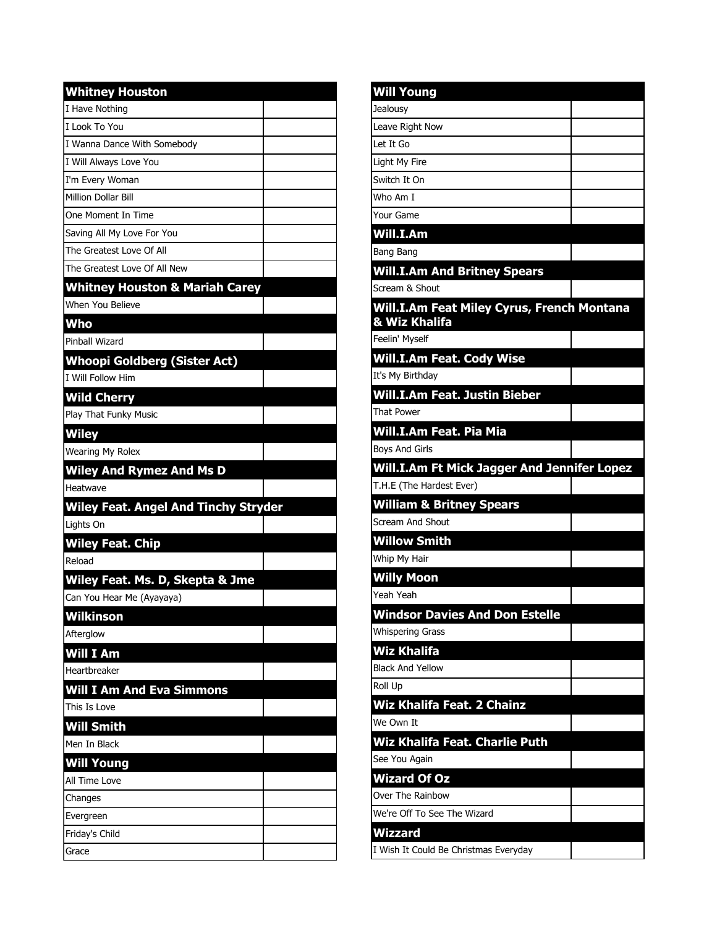| <b>Whitney Houston</b>                      |  |
|---------------------------------------------|--|
| I Have Nothing                              |  |
| I Look To You                               |  |
| I Wanna Dance With Somebody                 |  |
| I Will Always Love You                      |  |
| I'm Every Woman                             |  |
| Million Dollar Bill                         |  |
| One Moment In Time                          |  |
| Saving All My Love For You                  |  |
| The Greatest Love Of All                    |  |
| The Greatest Love Of All New                |  |
| <b>Whitney Houston &amp; Mariah Carey</b>   |  |
| When You Believe                            |  |
| Who                                         |  |
| Pinhall Wizard                              |  |
| <b>Whoopi Goldberg (Sister Act)</b>         |  |
| <b>I Will Follow Him</b>                    |  |
| <b>Wild Cherry</b>                          |  |
| Play That Funky Music                       |  |
| <b>Wiley</b>                                |  |
| <b>Wearing My Rolex</b>                     |  |
| <b>Wiley And Rymez And Ms D</b>             |  |
| Heatwave                                    |  |
|                                             |  |
|                                             |  |
| <b>Wiley Feat. Angel And Tinchy Stryder</b> |  |
| Lights On                                   |  |
| <b>Wiley Feat. Chip</b>                     |  |
| Reload                                      |  |
| Wiley Feat. Ms. D, Skepta & Jme             |  |
| Can You Hear Me (Ayayaya)                   |  |
| Wilkinson                                   |  |
| Afterglow                                   |  |
| Will I Am                                   |  |
| Hearthreaker                                |  |
| <b>Will I Am And Eva Simmons</b>            |  |
| This Is Love                                |  |
| Will Smith                                  |  |
| Men In Black                                |  |
| <b>Will Young</b>                           |  |
| All Time Love                               |  |
| Changes                                     |  |
| Evergreen                                   |  |
| Friday's Child                              |  |

| <b>Will Young</b>                                           |  |
|-------------------------------------------------------------|--|
| Jealousy                                                    |  |
| Leave Right Now                                             |  |
| Let It Go                                                   |  |
| Light My Fire                                               |  |
| Switch It On                                                |  |
| Who Am I                                                    |  |
| Your Game                                                   |  |
| Will.I.Am                                                   |  |
| Bang Bang                                                   |  |
| <b>Will.I.Am And Britney Spears</b>                         |  |
| Scream & Shout                                              |  |
| Will.I.Am Feat Miley Cyrus, French Montana<br>& Wiz Khalifa |  |
| Feelin' Myself                                              |  |
| <b>Will.I.Am Feat. Cody Wise</b>                            |  |
| It's My Birthday                                            |  |
| Will.I.Am Feat. Justin Bieber                               |  |
| <b>That Power</b>                                           |  |
| Will.I.Am Feat. Pia Mia                                     |  |
| <b>Boys And Girls</b>                                       |  |
| Will.I.Am Ft Mick Jagger And Jennifer Lopez                 |  |
| T.H.E (The Hardest Ever)                                    |  |
| <b>William &amp; Britney Spears</b>                         |  |
| <b>Scream And Shout</b>                                     |  |
| <b>Willow Smith</b>                                         |  |
| Whip My Hair                                                |  |
| <b>Willy Moon</b>                                           |  |
| Yeah Yeah                                                   |  |
| <b>Windsor Davies And Don Estelle</b>                       |  |
| <b>Whispering Grass</b>                                     |  |
| Wiz Khalifa                                                 |  |
| <b>Black And Yellow</b>                                     |  |
| Roll Up                                                     |  |
| Wiz Khalifa Feat. 2 Chainz                                  |  |
| We Own It                                                   |  |
| Wiz Khalifa Feat. Charlie Puth                              |  |
| See You Again                                               |  |
| <b>Wizard Of Oz</b>                                         |  |
| Over The Rainbow                                            |  |
| We're Off To See The Wizard                                 |  |
| <b>Wizzard</b>                                              |  |
| I Wish It Could Be Christmas Everyday                       |  |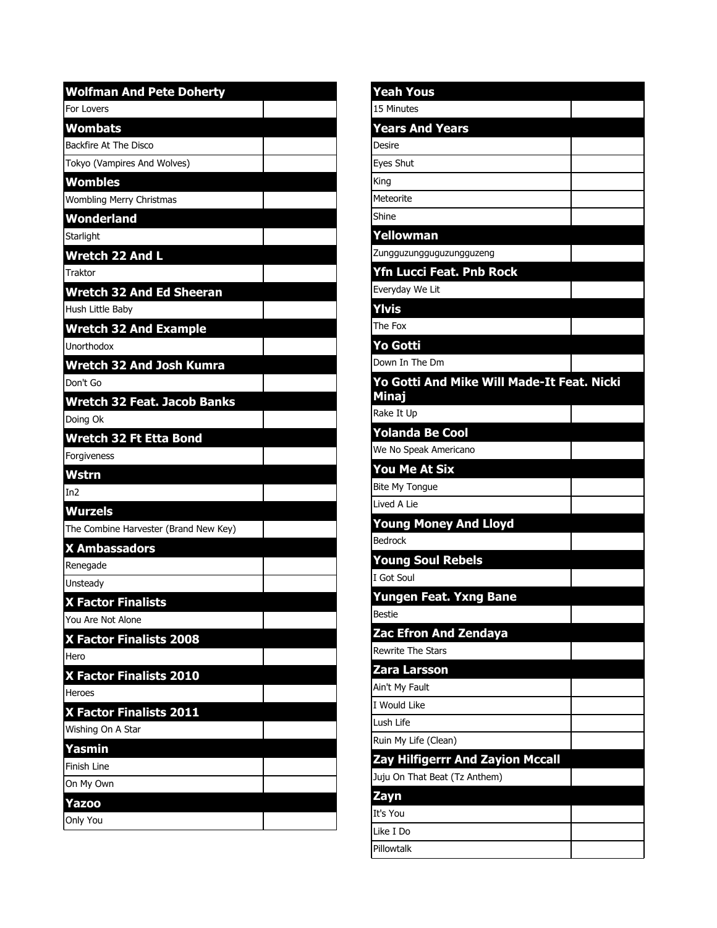| <b>Wolfman And Pete Doherty</b>       |  |
|---------------------------------------|--|
| For Lovers                            |  |
| <b>Wombats</b>                        |  |
| Backfire At The Disco                 |  |
| Tokyo (Vampires And Wolves)           |  |
| <b>Wombles</b>                        |  |
| Wombling Merry Christmas              |  |
| Wonderland                            |  |
| Starlight                             |  |
| Wretch 22 And L                       |  |
| Traktor                               |  |
| <b>Wretch 32 And Ed Sheeran</b>       |  |
| Hush Little Baby                      |  |
| <b>Wretch 32 And Example</b>          |  |
| Unorthodox                            |  |
| <b>Wretch 32 And Josh Kumra</b>       |  |
| Don't Go                              |  |
| <b>Wretch 32 Feat. Jacob Banks</b>    |  |
| Doing Ok                              |  |
| <b>Wretch 32 Ft Etta Bond</b>         |  |
| Forgiveness                           |  |
| Wstrn                                 |  |
| In2                                   |  |
| <b>Wurzels</b>                        |  |
| The Combine Harvester (Brand New Key) |  |
| <b>X Ambassadors</b>                  |  |
| Renegade                              |  |
| Unsteady                              |  |
| <b>X Factor Finalists</b>             |  |
| You Are Not Alone                     |  |
| X Factor Finalists 2008               |  |
| Hero                                  |  |
| X Factor Finalists 2010               |  |
| Heroes                                |  |
| X Factor Finalists 2011               |  |
| Wishing On A Star                     |  |
| <u>Yasmin</u>                         |  |
| Finish Line                           |  |
| On My Own                             |  |
| Yazoo                                 |  |
| Only You                              |  |

| Yeah Yous                                  |  |
|--------------------------------------------|--|
| 15 Minutes                                 |  |
| <b>Years And Years</b>                     |  |
| Desire                                     |  |
| Eves Shut                                  |  |
| King                                       |  |
| Meteorite                                  |  |
| Shine                                      |  |
| Yellowman                                  |  |
| Zungguzungguguzungguzeng                   |  |
| <b>Yfn Lucci Feat. Pnb Rock</b>            |  |
| Everyday We Lit                            |  |
| Ylvis                                      |  |
| The Fox                                    |  |
| Yo Gotti                                   |  |
| Down In The Dm                             |  |
| Yo Gotti And Mike Will Made-It Feat. Nicki |  |
| <b>Minaj</b>                               |  |
| Rake It Up                                 |  |
| <b>Yolanda Be Cool</b>                     |  |
| We No Speak Americano                      |  |
| You Me At Six                              |  |
| <b>Bite My Tongue</b>                      |  |
| Lived A Lie                                |  |
| <b>Young Money And Lloyd</b>               |  |
| <b>Bedrock</b>                             |  |
| <b>Young Soul Rebels</b>                   |  |
| I Got Soul                                 |  |
| Yungen Feat. Yxng Bane                     |  |
| Bestie                                     |  |
| Zac Efron And Zendaya                      |  |
| <b>Rewrite The Stars</b>                   |  |
| Zara Larsson                               |  |
| Ain't My Fault                             |  |
| I Would Like                               |  |
| Lush Life                                  |  |
| Ruin My Life (Clean)                       |  |
| <b>Zay Hilfigerrr And Zayion Mccall</b>    |  |
| Juju On That Beat (Tz Anthem)              |  |
| <u>Zayn</u>                                |  |
| It's You                                   |  |
| Like I Do                                  |  |
| Pillowtalk                                 |  |